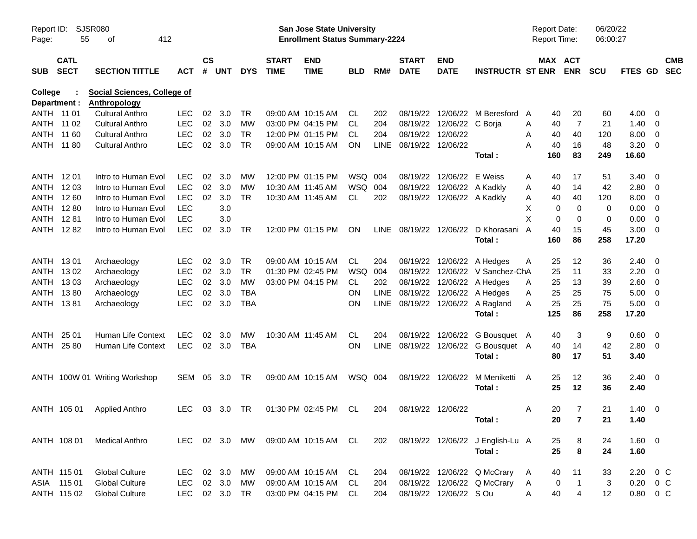| Report ID:<br>Page: | 55                         | SJSR080<br>412<br>οf                               |            |                    |            |               |                             | San Jose State University<br><b>Enrollment Status Summary-2224</b> |            |             |                             |                            |                                          |   |          | Report Date:<br><b>Report Time:</b> | 06/20/22<br>06:00:27 |                     |                          |
|---------------------|----------------------------|----------------------------------------------------|------------|--------------------|------------|---------------|-----------------------------|--------------------------------------------------------------------|------------|-------------|-----------------------------|----------------------------|------------------------------------------|---|----------|-------------------------------------|----------------------|---------------------|--------------------------|
| SUB                 | <b>CATL</b><br><b>SECT</b> | <b>SECTION TITTLE</b>                              | ACT        | $\mathsf{cs}$<br># | <b>UNT</b> | <b>DYS</b>    | <b>START</b><br><b>TIME</b> | <b>END</b><br><b>TIME</b>                                          | <b>BLD</b> | RM#         | <b>START</b><br><b>DATE</b> | <b>END</b><br><b>DATE</b>  | <b>INSTRUCTR ST ENR</b>                  |   |          | MAX ACT<br><b>ENR</b>               | <b>SCU</b>           | <b>FTES GD</b>      | <b>CMB</b><br><b>SEC</b> |
| <b>College</b>      | Department :               | Social Sciences, College of<br><b>Anthropology</b> |            |                    |            |               |                             |                                                                    |            |             |                             |                            |                                          |   |          |                                     |                      |                     |                          |
| ANTH 11 01          |                            | <b>Cultural Anthro</b>                             | <b>LEC</b> | 02                 | 3.0        | TR            |                             | 09:00 AM 10:15 AM                                                  | CL.        | 202         | 08/19/22                    |                            | 12/06/22 M Beresford                     | A | 40       | 20                                  | 60                   | $4.00 \ 0$          |                          |
|                     | ANTH 11 02                 | <b>Cultural Anthro</b>                             | <b>LEC</b> | 02                 | 3.0        | MW            |                             | 03:00 PM 04:15 PM                                                  | CL.        | 204         |                             | 08/19/22 12/06/22 C Borja  |                                          | Α | 40       | $\overline{7}$                      | 21                   | $1.40 \ 0$          |                          |
|                     | ANTH 11 60                 | <b>Cultural Anthro</b>                             | <b>LEC</b> | 02                 | 3.0        | <b>TR</b>     |                             | 12:00 PM 01:15 PM                                                  | CL.        | 204         | 08/19/22 12/06/22           |                            |                                          | Α | 40       | 40                                  | 120                  | $8.00 \t 0$         |                          |
|                     | ANTH 11 80                 | <b>Cultural Anthro</b>                             | <b>LEC</b> | $02\,$             | 3.0        | <b>TR</b>     |                             | 09:00 AM 10:15 AM                                                  | ON         | <b>LINE</b> | 08/19/22 12/06/22           |                            |                                          | Α | 40       | 16                                  | 48                   | $3.20 \ 0$          |                          |
|                     |                            |                                                    |            |                    |            |               |                             |                                                                    |            |             |                             |                            | Total:                                   |   | 160      | 83                                  | 249                  | 16.60               |                          |
| ANTH 1201           |                            | Intro to Human Evol                                | <b>LEC</b> | 02                 | 3.0        | MW            |                             | 12:00 PM 01:15 PM                                                  | WSQ 004    |             | 08/19/22                    | 12/06/22 E Weiss           |                                          | Α | 40       | 17                                  | 51                   | $3.40 \ 0$          |                          |
| ANTH 1203           |                            | Intro to Human Evol                                | <b>LEC</b> | 02                 | 3.0        | MW            |                             | 10:30 AM 11:45 AM                                                  | WSQ 004    |             |                             | 08/19/22 12/06/22 A Kadkly |                                          | Α | 40       | 14                                  | 42                   | $2.80 \t 0$         |                          |
|                     | ANTH 1260                  | Intro to Human Evol                                | <b>LEC</b> | 02                 | 3.0        | <b>TR</b>     |                             | 10:30 AM 11:45 AM                                                  | CL         | 202         |                             | 08/19/22 12/06/22 A Kadkly |                                          | Α | 40       | 40                                  | 120                  | $8.00 \t 0$         |                          |
|                     | ANTH 1280                  | Intro to Human Evol                                | <b>LEC</b> |                    | 3.0        |               |                             |                                                                    |            |             |                             |                            |                                          | X | 0        | 0                                   | 0                    | $0.00 \t 0$         |                          |
|                     | ANTH 1281                  | Intro to Human Evol                                | <b>LEC</b> |                    | 3.0        |               |                             |                                                                    |            |             |                             |                            |                                          | X | 0        | 0                                   | 0                    | $0.00 \t 0$         |                          |
|                     | <b>ANTH 1282</b>           | Intro to Human Evol                                | <b>LEC</b> | 02                 | 3.0        | TR            |                             | 12:00 PM 01:15 PM                                                  | ON         |             |                             |                            | LINE 08/19/22 12/06/22 D Khorasani       | A | 40       | 15                                  | 45                   | $3.00 \ 0$          |                          |
|                     |                            |                                                    |            |                    |            |               |                             |                                                                    |            |             |                             |                            | Total:                                   |   | 160      | 86                                  | 258                  | 17.20               |                          |
| ANTH 1301           |                            | Archaeology                                        | <b>LEC</b> | 02                 | 3.0        | TR            |                             | 09:00 AM 10:15 AM                                                  | CL         | 204         |                             |                            | 08/19/22 12/06/22 A Hedges               | Α | 25       | 12                                  | 36                   | $2.40 \quad 0$      |                          |
|                     | ANTH 1302                  | Archaeology                                        | <b>LEC</b> | 02                 | 3.0        | <b>TR</b>     |                             | 01:30 PM 02:45 PM                                                  | <b>WSQ</b> | 004         |                             |                            | 08/19/22 12/06/22 V Sanchez-ChA          |   | 25       | 11                                  | 33                   | $2.20 \t 0$         |                          |
|                     | ANTH 1303                  | Archaeology                                        | <b>LEC</b> | 02 <sub>o</sub>    | 3.0        | <b>MW</b>     |                             | 03:00 PM 04:15 PM                                                  | CL.        | 202         |                             |                            | 08/19/22 12/06/22 A Hedges               | Α | 25       | 13                                  | 39                   | 2.60 0              |                          |
|                     | ANTH 1380                  | Archaeology                                        | <b>LEC</b> | 02                 | 3.0        | <b>TBA</b>    |                             |                                                                    | ΟN         | <b>LINE</b> |                             |                            | 08/19/22 12/06/22 A Hedges               | Α | 25       | 25                                  | 75                   | $5.00 \t 0$         |                          |
|                     | ANTH 1381                  | Archaeology                                        | <b>LEC</b> |                    | 02 3.0     | <b>TBA</b>    |                             |                                                                    | ΟN         |             |                             |                            | LINE 08/19/22 12/06/22 A Ragland         | Α | 25       | 25                                  | 75                   | $5.00 \t 0$         |                          |
|                     |                            |                                                    |            |                    |            |               |                             |                                                                    |            |             |                             |                            | Total:                                   |   | 125      | 86                                  | 258                  | 17.20               |                          |
| ANTH                | 25 01                      | Human Life Context                                 | <b>LEC</b> | 02                 | 3.0        | MW            |                             | 10:30 AM 11:45 AM                                                  | CL         | 204         |                             |                            | 08/19/22 12/06/22 G Bousquet A           |   | 40       | 3                                   | 9                    | 0.60 0              |                          |
|                     | ANTH 25 80                 | Human Life Context                                 | <b>LEC</b> |                    | 02 3.0     | <b>TBA</b>    |                             |                                                                    | ΟN         | <b>LINE</b> |                             |                            | 08/19/22 12/06/22 G Bousquet A<br>Total: |   | 40<br>80 | 14<br>17                            | 42<br>51             | $2.80 \t 0$<br>3.40 |                          |
|                     |                            |                                                    |            |                    |            |               |                             |                                                                    |            |             |                             |                            |                                          |   |          |                                     |                      |                     |                          |
|                     |                            | ANTH 100W 01 Writing Workshop                      | SEM        |                    | 05 3.0     | TR            |                             | 09:00 AM 10:15 AM                                                  | WSQ 004    |             |                             | 08/19/22 12/06/22          | M Meniketti<br>Total:                    | A | 25<br>25 | 12<br>12                            | 36<br>36             | $2.40 \ 0$<br>2.40  |                          |
|                     |                            |                                                    |            |                    |            |               |                             |                                                                    |            |             |                             |                            |                                          |   |          |                                     |                      |                     |                          |
|                     | ANTH 105 01                | <b>Applied Anthro</b>                              | LEC.       |                    | 03 3.0     | TR            |                             | 01:30 PM 02:45 PM                                                  | CL.        | 204         | 08/19/22 12/06/22           |                            |                                          | A | 20       | 7                                   | 21                   | $1.40 \ 0$          |                          |
|                     |                            |                                                    |            |                    |            |               |                             |                                                                    |            |             |                             |                            | Total:                                   |   | 20       | $\overline{7}$                      | 21                   | 1.40                |                          |
|                     | ANTH 108 01                | <b>Medical Anthro</b>                              |            |                    |            | LEC 02 3.0 MW |                             | 09:00 AM 10:15 AM CL                                               |            | 202         |                             |                            | 08/19/22 12/06/22 J English-Lu A         |   | 25       | 8                                   | 24                   | 1.60 0              |                          |
|                     |                            |                                                    |            |                    |            |               |                             |                                                                    |            |             |                             |                            | Total:                                   |   | 25       | 8                                   | 24                   | 1.60                |                          |
|                     | ANTH 115 01                | <b>Global Culture</b>                              | LEC        |                    | 02 3.0     | MW            |                             | 09:00 AM 10:15 AM                                                  | CL.        | 204         |                             |                            | 08/19/22 12/06/22 Q McCrary              | A | 40       | 11                                  | 33                   | $2.20 \t 0 C$       |                          |
|                     | ASIA 115 01                | <b>Global Culture</b>                              | LEC        |                    | 02 3.0     | МW            |                             | 09:00 AM 10:15 AM                                                  | CL.        | 204         |                             |                            | 08/19/22 12/06/22 Q McCrary              | A | 0        | $\mathbf{1}$                        | 3                    | $0.20 \t 0 C$       |                          |
|                     | ANTH 115 02                | <b>Global Culture</b>                              | <b>LEC</b> |                    | 02 3.0     | TR            |                             | 03:00 PM 04:15 PM                                                  | CL         | 204         |                             | 08/19/22 12/06/22 S Ou     |                                          | A | 40       | $\overline{4}$                      | 12                   | 0.80 0 C            |                          |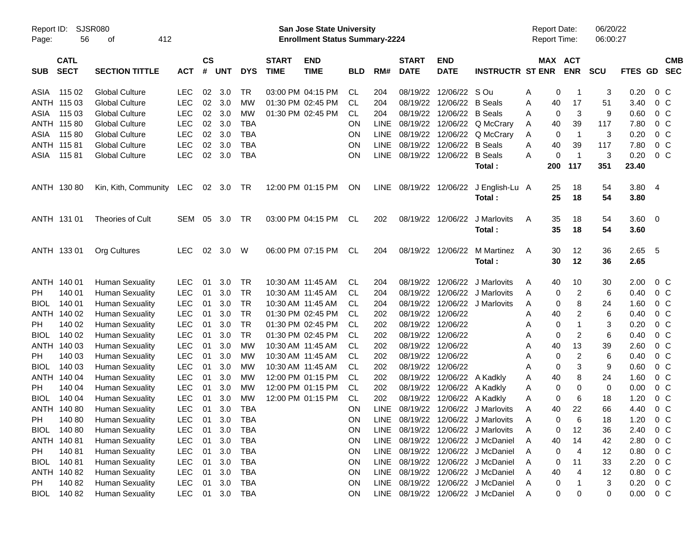| Report ID:<br>Page: | 56                         | SJSR080<br>412<br>οf   |            |                |            |            |                             | San Jose State University<br><b>Enrollment Status Summary-2224</b> |            |             |                             |                           |                                   | Report Date:<br>Report Time: |                              | 06/20/22<br>06:00:27 |              |                          |  |
|---------------------|----------------------------|------------------------|------------|----------------|------------|------------|-----------------------------|--------------------------------------------------------------------|------------|-------------|-----------------------------|---------------------------|-----------------------------------|------------------------------|------------------------------|----------------------|--------------|--------------------------|--|
| <b>SUB</b>          | <b>CATL</b><br><b>SECT</b> | <b>SECTION TITTLE</b>  | <b>ACT</b> | <b>CS</b><br># | <b>UNT</b> | <b>DYS</b> | <b>START</b><br><b>TIME</b> | <b>END</b><br><b>TIME</b>                                          | <b>BLD</b> | RM#         | <b>START</b><br><b>DATE</b> | <b>END</b><br><b>DATE</b> | <b>INSTRUCTR ST ENR</b>           |                              | MAX ACT<br><b>ENR</b>        | <b>SCU</b>           | FTES GD      | <b>CMB</b><br><b>SEC</b> |  |
| ASIA                | 115 02                     | <b>Global Culture</b>  | <b>LEC</b> | 02             | 3.0        | TR         |                             | 03:00 PM 04:15 PM                                                  | CL.        | 204         | 08/19/22                    | 12/06/22 S Ou             |                                   | Α                            | 0<br>-1                      | 3                    | 0.20         | $0\,$ C                  |  |
|                     | ANTH 115 03                | <b>Global Culture</b>  | <b>LEC</b> | 02             | 3.0        | <b>MW</b>  |                             | 01:30 PM 02:45 PM                                                  | <b>CL</b>  | 204         | 08/19/22                    | 12/06/22                  | <b>B</b> Seals                    | 40<br>Α                      | 17                           | 51                   | 3.40         | $0\,C$                   |  |
| ASIA                | 115 03                     | <b>Global Culture</b>  | <b>LEC</b> | 02             | 3.0        | <b>MW</b>  |                             | 01:30 PM 02:45 PM                                                  | CL.        | 204         | 08/19/22                    | 12/06/22                  | <b>B</b> Seals                    | Α                            | 3<br>0                       | 9                    | 0.60         | 0 <sup>C</sup>           |  |
|                     | ANTH 115 80                | <b>Global Culture</b>  | <b>LEC</b> | 02             | 3.0        | <b>TBA</b> |                             |                                                                    | ON         | <b>LINE</b> | 08/19/22                    | 12/06/22                  | Q McCrary                         | 40<br>Α                      | 39                           | 117                  | 7.80         | 0 <sup>C</sup>           |  |
| ASIA                | 11580                      | <b>Global Culture</b>  | <b>LEC</b> | 02             | 3.0        | <b>TBA</b> |                             |                                                                    | ON         | <b>LINE</b> | 08/19/22                    | 12/06/22                  | Q McCrary                         | A                            | $\overline{1}$<br>0          | 3                    | 0.20         | $0\,C$                   |  |
|                     | ANTH 115 81                | <b>Global Culture</b>  | <b>LEC</b> | 02             | 3.0        | <b>TBA</b> |                             |                                                                    | ON         | <b>LINE</b> | 08/19/22                    | 12/06/22                  | <b>B</b> Seals                    | 40<br>Α                      | 39                           | 117                  | 7.80         | 0 <sup>C</sup>           |  |
| ASIA                | 11581                      | <b>Global Culture</b>  | <b>LEC</b> | 02             | 3.0        | <b>TBA</b> |                             |                                                                    | ON         | <b>LINE</b> | 08/19/22                    | 12/06/22                  | <b>B</b> Seals                    | Α                            | $\overline{1}$<br>0          | 3                    | 0.20         | 0 <sup>C</sup>           |  |
|                     |                            |                        |            |                |            |            |                             |                                                                    |            |             |                             |                           | Total:                            | 200                          | 117                          | 351                  | 23.40        |                          |  |
|                     | ANTH 130 80                | Kin, Kith, Community   | LEC        |                | 02 3.0     | TR         |                             | 12:00 PM 01:15 PM                                                  | ON         | <b>LINE</b> | 08/19/22                    | 12/06/22                  | J English-Lu A<br>Total:          | 25<br>25                     | 18<br>18                     | 54<br>54             | 3.80<br>3.80 | -4                       |  |
|                     | ANTH 131 01                | Theories of Cult       | <b>SEM</b> | 05             | 3.0        | TR         |                             | 03:00 PM 04:15 PM                                                  | CL         | 202         | 08/19/22                    | 12/06/22                  | J Marlovits<br>Total:             | 35<br>A<br>35                | 18<br>18                     | 54<br>54             | 3.60<br>3.60 | $\overline{\mathbf{0}}$  |  |
|                     | ANTH 133 01                | Org Cultures           | <b>LEC</b> | 02             | 3.0        | W          |                             | 06:00 PM 07:15 PM                                                  | CL         | 204         | 08/19/22                    | 12/06/22                  | M Martinez<br>Total:              | 30<br>A                      | 12<br>30<br>12               | 36<br>36             | 2.65<br>2.65 | $-5$                     |  |
|                     | ANTH 140 01                | <b>Human Sexuality</b> | <b>LEC</b> | 01             | 3.0        | TR         |                             | 10:30 AM 11:45 AM                                                  | CL.        | 204         | 08/19/22                    | 12/06/22                  | J Marlovits                       | 40<br>A                      | 10                           | 30                   | 2.00         | $0\,$ C                  |  |
| <b>PH</b>           | 140 01                     | <b>Human Sexuality</b> | <b>LEC</b> | 01             | 3.0        | <b>TR</b>  |                             | 10:30 AM 11:45 AM                                                  | CL.        | 204         | 08/19/22                    | 12/06/22                  | J Marlovits                       | Α                            | $\overline{\mathbf{c}}$<br>0 | 6                    | 0.40         | 0 <sup>o</sup>           |  |
| <b>BIOL</b>         | 140 01                     | <b>Human Sexuality</b> | <b>LEC</b> | 01             | 3.0        | <b>TR</b>  |                             | 10:30 AM 11:45 AM                                                  | CL.        | 204         | 08/19/22                    | 12/06/22                  | J Marlovits                       | Α                            | 8<br>0                       | 24                   | 1.60         | $0\,C$                   |  |
|                     | ANTH 140 02                | <b>Human Sexuality</b> | <b>LEC</b> | 01             | 3.0        | <b>TR</b>  |                             | 01:30 PM 02:45 PM                                                  | СL         | 202         | 08/19/22                    | 12/06/22                  |                                   | 40<br>Α                      | 2                            | 6                    | 0.40         | $0\,C$                   |  |
| <b>PH</b>           | 140 02                     | <b>Human Sexuality</b> | <b>LEC</b> | 01             | 3.0        | <b>TR</b>  |                             | 01:30 PM 02:45 PM                                                  | <b>CL</b>  | 202         | 08/19/22                    | 12/06/22                  |                                   | Α                            | 0                            | 3                    | 0.20         | 0 <sup>C</sup>           |  |
| <b>BIOL</b>         | 140 02                     | <b>Human Sexuality</b> | <b>LEC</b> | 01             | 3.0        | <b>TR</b>  |                             | 01:30 PM 02:45 PM                                                  | СL         | 202         | 08/19/22                    | 12/06/22                  |                                   | Α                            | $\overline{2}$<br>0          | 6                    | 0.40         | $0\,C$                   |  |
|                     | ANTH 140 03                | <b>Human Sexuality</b> | <b>LEC</b> | 01             | 3.0        | <b>MW</b>  |                             | 10:30 AM 11:45 AM                                                  | CL         | 202         | 08/19/22                    | 12/06/22                  |                                   | 40<br>Α                      | 13                           | 39                   | 2.60         | 0 <sup>o</sup>           |  |
| <b>PH</b>           | 140 03                     | <b>Human Sexuality</b> | <b>LEC</b> | 01             | 3.0        | <b>MW</b>  |                             | 10:30 AM 11:45 AM                                                  | <b>CL</b>  | 202         | 08/19/22                    | 12/06/22                  |                                   | Α                            | 2<br>0                       | 6                    | 0.40         | 0 <sup>o</sup>           |  |
| <b>BIOL</b>         | 140 03                     | <b>Human Sexuality</b> | <b>LEC</b> | 01             | 3.0        | MW         |                             | 10:30 AM 11:45 AM                                                  | CL         | 202         | 08/19/22                    | 12/06/22                  |                                   | Α                            | 3<br>0                       | 9                    | 0.60         | 0 <sup>o</sup>           |  |
|                     | ANTH 140 04                | <b>Human Sexuality</b> | <b>LEC</b> | 01             | 3.0        | <b>MW</b>  |                             | 12:00 PM 01:15 PM                                                  | <b>CL</b>  | 202         | 08/19/22                    | 12/06/22 A Kadkly         |                                   | 40<br>Α                      | 8                            | 24                   | 1.60         | 0 <sup>o</sup>           |  |
| PH                  | 140 04                     | <b>Human Sexuality</b> | <b>LEC</b> | 01             | 3.0        | MW         |                             | 12:00 PM 01:15 PM                                                  | <b>CL</b>  | 202         | 08/19/22                    | 12/06/22                  | A Kadkly                          | Α                            | 0<br>0                       | 0                    | 0.00         | 0 <sup>o</sup>           |  |
| <b>BIOL</b>         | 140 04                     | <b>Human Sexuality</b> | <b>LEC</b> | 01             | 3.0        | <b>MW</b>  |                             | 12:00 PM 01:15 PM                                                  | <b>CL</b>  | 202         | 08/19/22                    | 12/06/22                  | A Kadkly                          | Α                            | 0<br>6                       | 18                   | 1.20         | 0 <sup>o</sup>           |  |
|                     | ANTH 140 80                | <b>Human Sexuality</b> | <b>LEC</b> | 01             | 3.0        | <b>TBA</b> |                             |                                                                    | ΟN         | <b>LINE</b> |                             |                           | 08/19/22 12/06/22 J Marlovits     | 40<br>A                      | 22                           | 66                   | 4.40         | 0 <sup>o</sup>           |  |
| PH                  | 140 80                     | <b>Human Sexuality</b> | LEC        | 01             | 3.0        | <b>TBA</b> |                             |                                                                    | ON         | <b>LINE</b> |                             |                           | 08/19/22 12/06/22 J Marlovits     |                              | 0<br>6                       | 18                   | 1.20         | $0\,C$                   |  |
| <b>BIOL</b>         | 14080                      | <b>Human Sexuality</b> | LEC        | 01             | 3.0        | <b>TBA</b> |                             |                                                                    | <b>ON</b>  | <b>LINE</b> |                             |                           | 08/19/22 12/06/22 J Marlovits     | Α                            | 12<br>0                      | 36                   | 2.40         | 0 <sup>o</sup>           |  |
|                     | ANTH 140 81                | <b>Human Sexuality</b> | <b>LEC</b> | 01             | 3.0        | <b>TBA</b> |                             |                                                                    | <b>ON</b>  | LINE        |                             |                           | 08/19/22 12/06/22 J McDaniel      | 40<br>Α                      | 14                           | 42                   | 2.80         | 0 <sup>o</sup>           |  |
| PH                  | 140 81                     | <b>Human Sexuality</b> | <b>LEC</b> | 01             | 3.0        | <b>TBA</b> |                             |                                                                    | ON         | LINE        |                             |                           | 08/19/22 12/06/22 J McDaniel      | Α                            | 4<br>0                       | 12                   | 0.80         | 0 <sup>o</sup>           |  |
| <b>BIOL</b>         | 14081                      | <b>Human Sexuality</b> | <b>LEC</b> | 01             | 3.0        | <b>TBA</b> |                             |                                                                    | <b>ON</b>  | LINE        |                             |                           | 08/19/22 12/06/22 J McDaniel      | Α                            | 11<br>0                      | 33                   | 2.20         | 0 <sup>o</sup>           |  |
|                     | ANTH 140 82                | <b>Human Sexuality</b> | <b>LEC</b> | 01             | 3.0        | <b>TBA</b> |                             |                                                                    | <b>ON</b>  | LINE        |                             |                           | 08/19/22 12/06/22 J McDaniel      | 40<br>Α                      | 4                            | 12                   | 0.80         | 0 <sup>o</sup>           |  |
| PH                  | 140 82                     | <b>Human Sexuality</b> | <b>LEC</b> | 01             | 3.0        | <b>TBA</b> |                             |                                                                    | <b>ON</b>  | LINE        |                             |                           | 08/19/22 12/06/22 J McDaniel      | Α                            | 0                            | $\mathbf{3}$         | 0.20         | 0 <sup>o</sup>           |  |
| <b>BIOL</b>         | 140 82                     | <b>Human Sexuality</b> | <b>LEC</b> |                | 01 3.0 TBA |            |                             |                                                                    | <b>ON</b>  |             |                             |                           | LINE 08/19/22 12/06/22 J McDaniel | Α                            | $\pmb{0}$<br>0               | 0                    | 0.00         | $0\,C$                   |  |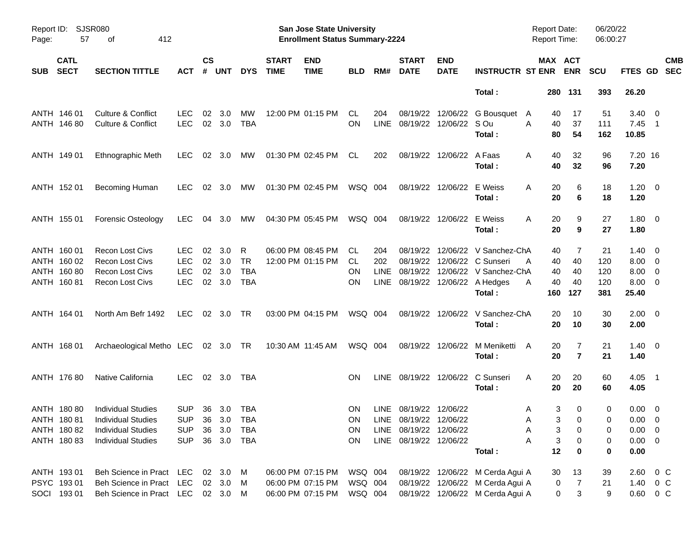| Report ID:<br>Page: | 57                         | <b>SJSR080</b><br>412<br>оf        |                |                    |            |            |                             | San Jose State University<br><b>Enrollment Status Summary-2224</b> |            |             |                             |                           |                                           | <b>Report Date:</b><br><b>Report Time:</b> |                       | 06/20/22<br>06:00:27            |                      |                          |                          |
|---------------------|----------------------------|------------------------------------|----------------|--------------------|------------|------------|-----------------------------|--------------------------------------------------------------------|------------|-------------|-----------------------------|---------------------------|-------------------------------------------|--------------------------------------------|-----------------------|---------------------------------|----------------------|--------------------------|--------------------------|
| <b>SUB</b>          | <b>CATL</b><br><b>SECT</b> | <b>SECTION TITTLE</b>              | ACT            | $\mathsf{cs}$<br># | <b>UNT</b> | <b>DYS</b> | <b>START</b><br><b>TIME</b> | <b>END</b><br><b>TIME</b>                                          | <b>BLD</b> | RM#         | <b>START</b><br><b>DATE</b> | <b>END</b><br><b>DATE</b> | <b>INSTRUCTR ST ENR</b>                   |                                            | MAX ACT<br><b>ENR</b> | <b>SCU</b>                      | FTES GD              |                          | <b>CMB</b><br><b>SEC</b> |
|                     |                            |                                    |                |                    |            |            |                             |                                                                    |            |             |                             |                           | Total:                                    |                                            | 280 131               | 393                             | 26.20                |                          |                          |
|                     | ANTH 146 01                | Culture & Conflict                 | <b>LEC</b>     | 02                 | 3.0        | МW         |                             | 12:00 PM 01:15 PM                                                  | CL.        | 204         | 08/19/22                    |                           | 12/06/22 G Bousquet                       | $\mathsf{A}$                               | 17<br>40              | 51                              | $3.40 \ 0$           |                          |                          |
|                     | ANTH 146 80                | <b>Culture &amp; Conflict</b>      | <b>LEC</b>     |                    | 02 3.0     | <b>TBA</b> |                             |                                                                    | <b>ON</b>  | <b>LINE</b> | 08/19/22                    | 12/06/22 S Ou             | Total:                                    | A                                          | 40<br>37<br>80<br>54  | 111<br>162                      | $7.45$ 1<br>10.85    |                          |                          |
|                     | ANTH 149 01                | Ethnographic Meth                  | LEC.           | 02                 | 3.0        | МW         |                             | 01:30 PM 02:45 PM                                                  | CL.        | 202         | 08/19/22                    | 12/06/22 A Faas           | Total:                                    | A                                          | 40<br>32<br>40<br>32  | 96<br>96                        | 7.20 16<br>7.20      |                          |                          |
|                     | ANTH 152 01                | Becoming Human                     | LEC.           |                    | 02 3.0     | МW         |                             | 01:30 PM 02:45 PM                                                  | WSQ 004    |             | 08/19/22                    | 12/06/22                  | E Weiss<br>Total:                         | A                                          | 20<br>20              | 6<br>18<br>6<br>18              | $1.20 \t 0$<br>1.20  |                          |                          |
|                     | ANTH 155 01                | <b>Forensic Osteology</b>          | LEC.           | 04                 | 3.0        | МW         |                             | 04:30 PM 05:45 PM                                                  | WSQ 004    |             | 08/19/22                    | 12/06/22                  | E Weiss<br>Total:                         | Α                                          | 20<br>20              | 9<br>27<br>9<br>27              | 1.80 0<br>1.80       |                          |                          |
|                     | ANTH 160 01                | <b>Recon Lost Civs</b>             | <b>LEC</b>     | 02                 | 3.0        | R          |                             | 06:00 PM 08:45 PM                                                  | CL.        | 204         | 08/19/22                    |                           | 12/06/22 V Sanchez-ChA                    |                                            | 40                    | 21<br>7                         | $1.40 \quad 0$       |                          |                          |
|                     | ANTH 160 02                | <b>Recon Lost Civs</b>             | <b>LEC</b>     | 02                 | 3.0        | TR         |                             | 12:00 PM 01:15 PM                                                  | CL.        | 202         | 08/19/22                    |                           | 12/06/22 C Sunseri                        | A                                          | 40<br>40              | 120                             | $8.00 \t 0$          |                          |                          |
|                     | ANTH 160 80                | <b>Recon Lost Civs</b>             | <b>LEC</b>     | 02                 | 3.0        | <b>TBA</b> |                             |                                                                    | ON         | LINE        | 08/19/22                    |                           | 12/06/22 V Sanchez-ChA                    |                                            | 40<br>40              | 120                             | 8.00                 | $\overline{\phantom{0}}$ |                          |
|                     | ANTH 160 81                | <b>Recon Lost Civs</b>             | <b>LEC</b>     |                    | 02 3.0     | <b>TBA</b> |                             |                                                                    | ΟN         | <b>LINE</b> |                             |                           | 08/19/22 12/06/22 A Hedges<br>Total:      | A<br>160                                   | 40<br>40<br>127       | 120<br>381                      | $8.00 \t 0$<br>25.40 |                          |                          |
|                     | ANTH 164 01                | North Am Befr 1492                 | <b>LEC</b>     |                    | 02 3.0     | TR         |                             | 03:00 PM 04:15 PM                                                  | WSQ 004    |             |                             |                           | 08/19/22 12/06/22 V Sanchez-ChA<br>Total: |                                            | 10<br>20<br>20<br>10  | 30<br>30                        | $2.00 \t 0$<br>2.00  |                          |                          |
|                     | ANTH 168 01                | Archaeological Metho LEC 02 3.0 TR |                |                    |            |            |                             | 10:30 AM 11:45 AM                                                  | WSQ 004    |             | 08/19/22                    | 12/06/22                  | M Meniketti<br>Total:                     | $\mathsf{A}$                               | 20<br>20              | 7<br>21<br>$\overline{7}$<br>21 | $1.40 \ 0$<br>1.40   |                          |                          |
|                     | ANTH 176 80                | Native California                  | <b>LEC</b>     |                    | 02 3.0     | TBA        |                             |                                                                    | <b>ON</b>  | LINE        |                             | 08/19/22 12/06/22         | C Sunseri<br>Total:                       | A                                          | 20<br>20<br>20<br>20  | 60<br>60                        | $4.05$ 1<br>4.05     |                          |                          |
|                     | ANTH 180 80                | <b>Individual Studies</b>          | <b>SUP</b>     |                    | 36 3.0     | TBA        |                             |                                                                    | <b>ON</b>  |             | LINE 08/19/22 12/06/22      |                           |                                           | A                                          | 3                     | 0<br>0                          | $0.00 \t 0$          |                          |                          |
|                     | ANTH 180 81                | <b>Individual Studies</b>          | SUP 36 3.0 TBA |                    |            |            |                             |                                                                    | ON         |             | LINE 08/19/22 12/06/22      |                           |                                           | A                                          | 3 <sup>7</sup>        | 0<br>0                          | $0.00 \t 0$          |                          |                          |
|                     | ANTH 180 82                | <b>Individual Studies</b>          | <b>SUP</b>     | 36                 | 3.0        | TBA        |                             |                                                                    | ON         |             | LINE 08/19/22 12/06/22      |                           |                                           | Α                                          | 3                     | 0<br>0                          | $0.00 \t 0$          |                          |                          |
|                     | ANTH 180 83                | <b>Individual Studies</b>          | <b>SUP</b>     |                    |            | 36 3.0 TBA |                             |                                                                    | <b>ON</b>  |             | LINE 08/19/22 12/06/22      |                           |                                           | Α                                          | 3                     | 0<br>0                          | $0.00 \t 0$          |                          |                          |
|                     |                            |                                    |                |                    |            |            |                             |                                                                    |            |             |                             |                           | Total:                                    |                                            | 12                    | 0<br>0                          | 0.00                 |                          |                          |
|                     | ANTH 19301                 | Beh Science in Pract               | LEC            |                    | 02 3.0     | M          |                             | 06:00 PM 07:15 PM                                                  | WSQ 004    |             |                             |                           | 08/19/22 12/06/22 M Cerda Agui A          |                                            | 30<br>13              | 39                              | $2.60 \t 0 \t C$     |                          |                          |
|                     | PSYC 19301                 | Beh Science in Pract               | <b>LEC</b>     |                    | 02 3.0     | M          |                             | 06:00 PM 07:15 PM                                                  | WSQ 004    |             |                             |                           | 08/19/22 12/06/22 M Cerda Agui A          |                                            | 0                     | 7<br>21                         | 1.40 0 C             |                          |                          |
|                     | SOCI 193 01                | Beh Science in Pract               | LEC 02 3.0 M   |                    |            |            |                             | 06:00 PM 07:15 PM                                                  | WSQ 004    |             |                             |                           | 08/19/22 12/06/22 M Cerda Agui A          |                                            | 0                     | 3<br>9                          | $0.60 \t 0 C$        |                          |                          |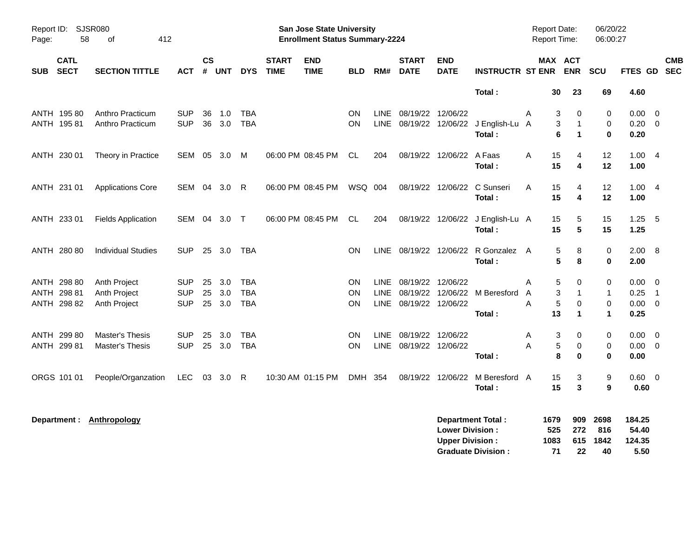| Page:                     | Report ID: SJSR080<br>58<br>412<br>of<br><b>CATL</b> |                           |            |                |            |            |                             | San Jose State University<br><b>Enrollment Status Summary-2224</b> |            |             |                             |                           |                               |   | Report Date:<br><b>Report Time:</b> |                             | 06/20/22<br>06:00:27 |                 |                            |                          |
|---------------------------|------------------------------------------------------|---------------------------|------------|----------------|------------|------------|-----------------------------|--------------------------------------------------------------------|------------|-------------|-----------------------------|---------------------------|-------------------------------|---|-------------------------------------|-----------------------------|----------------------|-----------------|----------------------------|--------------------------|
| <b>SECT</b><br><b>SUB</b> |                                                      | <b>SECTION TITTLE</b>     | <b>ACT</b> | <b>CS</b><br># | <b>UNT</b> | <b>DYS</b> | <b>START</b><br><b>TIME</b> | <b>END</b><br><b>TIME</b>                                          | <b>BLD</b> | RM#         | <b>START</b><br><b>DATE</b> | <b>END</b><br><b>DATE</b> | <b>INSTRUCTR ST ENR</b>       |   | MAX ACT                             | <b>ENR</b>                  | SCU                  | FTES GD         |                            | <b>CMB</b><br><b>SEC</b> |
|                           |                                                      |                           |            |                |            |            |                             |                                                                    |            |             |                             |                           | Total:                        |   | 30                                  | 23                          | 69                   | 4.60            |                            |                          |
| ANTH 195 80               |                                                      | Anthro Practicum          | <b>SUP</b> | 36             | 1.0        | <b>TBA</b> |                             |                                                                    | ON         | <b>LINE</b> | 08/19/22 12/06/22           |                           |                               | A | 3                                   | 0                           | 0                    | $0.00 \t 0$     |                            |                          |
| ANTH 195 81               |                                                      | Anthro Practicum          | <b>SUP</b> |                | 36 3.0     | <b>TBA</b> |                             |                                                                    | ON         | LINE        |                             | 08/19/22 12/06/22         | J English-Lu A                |   | 3                                   | $\mathbf 1$                 | 0                    | $0.20 \ 0$      |                            |                          |
|                           |                                                      |                           |            |                |            |            |                             |                                                                    |            |             |                             |                           | Total:                        |   | 6                                   | $\blacktriangleleft$        | $\bf{0}$             | 0.20            |                            |                          |
| ANTH 230 01               |                                                      | Theory in Practice        | SEM        |                | 05 3.0     | M          |                             | 06:00 PM 08:45 PM                                                  | <b>CL</b>  | 204         |                             | 08/19/22 12/06/22         | A Faas                        | Α | 15                                  | 4                           | 12                   | 1.004           |                            |                          |
|                           |                                                      |                           |            |                |            |            |                             |                                                                    |            |             |                             |                           | Total:                        |   | 15                                  | $\overline{\mathbf{4}}$     | 12                   | 1.00            |                            |                          |
| ANTH 231 01               |                                                      | <b>Applications Core</b>  | SEM        | 04             | 3.0        | R          |                             | 06:00 PM 08:45 PM                                                  | WSQ 004    |             |                             | 08/19/22 12/06/22         | C Sunseri                     | A | 15                                  | 4                           | 12                   | 1.004           |                            |                          |
|                           |                                                      |                           |            |                |            |            |                             |                                                                    |            |             |                             |                           | Total:                        |   | 15                                  | 4                           | 12                   | 1.00            |                            |                          |
| ANTH 233 01               |                                                      | <b>Fields Application</b> | SEM        | 04             | 3.0        | $\top$     |                             | 06:00 PM 08:45 PM                                                  | CL         | 204         |                             | 08/19/22 12/06/22         | J English-Lu A                |   | 15                                  | 5                           | 15                   | $1.25 - 5$      |                            |                          |
|                           |                                                      |                           |            |                |            |            |                             |                                                                    |            |             |                             |                           | Total:                        |   | 15                                  | 5                           | 15                   | 1.25            |                            |                          |
| ANTH 280 80               |                                                      | <b>Individual Studies</b> | <b>SUP</b> |                | 25 3.0     | TBA        |                             |                                                                    | <b>ON</b>  | <b>LINE</b> | 08/19/22 12/06/22           |                           | R Gonzalez A                  |   | 5                                   | 8                           | 0                    | 2.00 8          |                            |                          |
|                           |                                                      |                           |            |                |            |            |                             |                                                                    |            |             |                             |                           | Total:                        |   | 5                                   | 8                           | $\mathbf 0$          | 2.00            |                            |                          |
| ANTH 298 80               |                                                      | Anth Project              | <b>SUP</b> | 25             | 3.0        | <b>TBA</b> |                             |                                                                    | <b>ON</b>  | <b>LINE</b> | 08/19/22                    | 12/06/22                  |                               | A | 5                                   | 0                           | 0                    | 0.00            | - 0                        |                          |
| ANTH 298 81               |                                                      | Anth Project              | SUP        | 25             | 3.0        | <b>TBA</b> |                             |                                                                    | ON         | <b>LINE</b> |                             |                           | 08/19/22 12/06/22 M Beresford | Α | 3                                   | $\mathbf{1}$                | $\mathbf{1}$         | 0.25            | $\overline{\phantom{0}}$ 1 |                          |
| ANTH 298 82               |                                                      | Anth Project              | <b>SUP</b> |                | 25 3.0     | <b>TBA</b> |                             |                                                                    | <b>ON</b>  |             | LINE 08/19/22 12/06/22      |                           |                               | A | 5<br>13                             | $\mathbf 0$<br>$\mathbf{1}$ | $\,0\,$              | $0.00 \t 0$     |                            |                          |
|                           |                                                      |                           |            |                |            |            |                             |                                                                    |            |             |                             |                           | Total:                        |   |                                     |                             | $\mathbf{1}$         | 0.25            |                            |                          |
| ANTH 299 80               |                                                      | <b>Master's Thesis</b>    | <b>SUP</b> | 25             | 3.0        | <b>TBA</b> |                             |                                                                    | <b>ON</b>  | <b>LINE</b> | 08/19/22 12/06/22           |                           |                               | A | 3                                   | 0                           | 0                    | $0.00 \quad 0$  |                            |                          |
| ANTH 299 81               |                                                      | Master's Thesis           | <b>SUP</b> |                | 25 3.0     | <b>TBA</b> |                             |                                                                    | <b>ON</b>  | LINE        | 08/19/22 12/06/22           |                           |                               | A | 5                                   | 0                           | 0                    | $0.00 \t 0$     |                            |                          |
|                           |                                                      |                           |            |                |            |            |                             |                                                                    |            |             |                             |                           | Total:                        |   | 8                                   | $\bf{0}$                    | $\bf{0}$             | 0.00            |                            |                          |
| ORGS 101 01               |                                                      | People/Organzation        | <b>LEC</b> |                | 03 3.0     | -R         |                             | 10:30 AM 01:15 PM                                                  | <b>DMH</b> | 354         |                             | 08/19/22 12/06/22         | M Beresford A                 |   | 15                                  | 3                           | $9\,$                | $0.60 \quad 0$  |                            |                          |
|                           |                                                      |                           |            |                |            |            |                             |                                                                    |            |             |                             |                           | Total:                        |   | 15                                  | 3                           | 9                    | 0.60            |                            |                          |
| Department :              |                                                      | Anthropology              |            |                |            |            |                             |                                                                    |            |             |                             | <b>Lower Division:</b>    | <b>Department Total:</b>      |   | 1679<br>525                         | 909<br>272                  | 2698<br>816          | 184.25<br>54.40 |                            |                          |

**Upper Division : 1083 615 1842 124.35**

**Graduate Division :**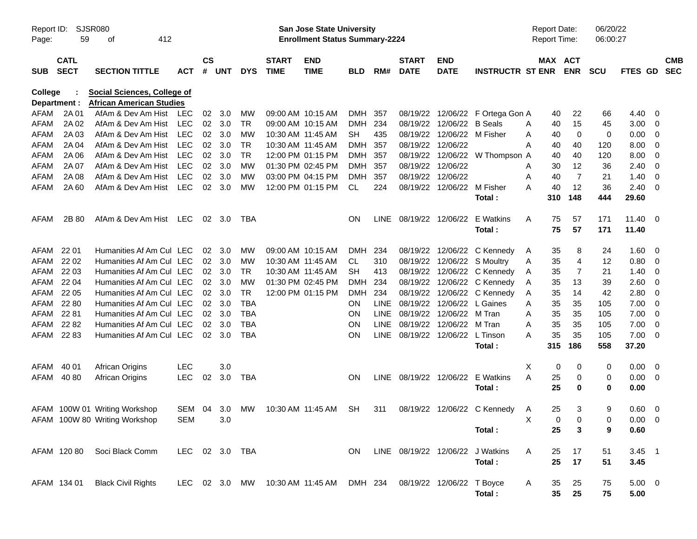| Report ID:<br>Page: | <b>SJSR080</b><br>59       | 412<br>οf                                                             |                |                 |                |            |                             | San Jose State University<br><b>Enrollment Status Summary-2224</b> |            |             |                             |                                 |                                  | <b>Report Date:</b><br><b>Report Time:</b> |                       | 06/20/22<br>06:00:27 |               |                         |                          |
|---------------------|----------------------------|-----------------------------------------------------------------------|----------------|-----------------|----------------|------------|-----------------------------|--------------------------------------------------------------------|------------|-------------|-----------------------------|---------------------------------|----------------------------------|--------------------------------------------|-----------------------|----------------------|---------------|-------------------------|--------------------------|
| <b>SUB</b>          | <b>CATL</b><br><b>SECT</b> | <b>SECTION TITTLE</b>                                                 | <b>ACT</b>     | $\mathsf{cs}$   | # UNT          | <b>DYS</b> | <b>START</b><br><b>TIME</b> | <b>END</b><br><b>TIME</b>                                          | <b>BLD</b> | RM#         | <b>START</b><br><b>DATE</b> | <b>END</b><br><b>DATE</b>       | <b>INSTRUCTR ST ENR</b>          |                                            | MAX ACT<br><b>ENR</b> | <b>SCU</b>           | FTES GD       |                         | <b>CMB</b><br><b>SEC</b> |
| College             | Department :               | <b>Social Sciences, College of</b><br><b>African American Studies</b> |                |                 |                |            |                             |                                                                    |            |             |                             |                                 |                                  |                                            |                       |                      |               |                         |                          |
| AFAM                | 2A 01                      | AfAm & Dev Am Hist                                                    | LEC.           | 02              | 3.0            | MW         | 09:00 AM 10:15 AM           |                                                                    | DMH        | -357        |                             |                                 | 08/19/22 12/06/22 F Ortega Gon A | 40                                         | 22                    | 66                   | 4.40          | - 0                     |                          |
| AFAM                | 2A 02                      | AfAm & Dev Am Hist                                                    | <b>LEC</b>     |                 | 02 3.0         | <b>TR</b>  |                             | 09:00 AM 10:15 AM                                                  | <b>DMH</b> | 234         |                             | 08/19/22 12/06/22 B Seals       |                                  | 40<br>A                                    | 15                    | 45                   | 3.00          | $\overline{0}$          |                          |
| AFAM                | 2A 03                      | AfAm & Dev Am Hist                                                    | <b>LEC</b>     |                 | 02 3.0         | MW         |                             | 10:30 AM 11:45 AM                                                  | <b>SH</b>  | 435         |                             | 08/19/22 12/06/22 M Fisher      |                                  | A<br>40                                    | $\mathbf 0$           | $\mathbf 0$          | 0.00          | $\overline{0}$          |                          |
| AFAM                | 2A 04                      | AfAm & Dev Am Hist                                                    | <b>LEC</b>     | 02              | 3.0            | <b>TR</b>  | 10:30 AM 11:45 AM           |                                                                    | <b>DMH</b> | 357         | 08/19/22 12/06/22           |                                 |                                  | 40<br>A                                    | 40                    | 120                  | 8.00          | $\overline{0}$          |                          |
| AFAM                | 2A 06                      | AfAm & Dev Am Hist                                                    | <b>LEC</b>     | 02              | 3.0            | <b>TR</b>  |                             | 12:00 PM 01:15 PM                                                  | DMH        | 357         | 08/19/22                    |                                 | 12/06/22 W Thompson A            | 40                                         | 40                    | 120                  | 8.00          | $\overline{0}$          |                          |
| AFAM                | 2A 07                      | AfAm & Dev Am Hist                                                    | <b>LEC</b>     | 02              | 3.0            | <b>MW</b>  |                             | 01:30 PM 02:45 PM                                                  | DMH        | 357         | 08/19/22 12/06/22           |                                 |                                  | 30<br>A                                    | 12                    | 36                   | 2.40          | $\overline{0}$          |                          |
| AFAM                | 2A 08                      | AfAm & Dev Am Hist                                                    | <b>LEC</b>     | 02              | 3.0            | MW         |                             | 03:00 PM 04:15 PM                                                  | DMH        | 357         | 08/19/22                    | 12/06/22                        |                                  | 40<br>A                                    | 7                     | 21                   | 1.40          | $\overline{0}$          |                          |
| AFAM                | 2A 60                      | AfAm & Dev Am Hist                                                    | <b>LEC</b>     | 02              | 3.0            | <b>MW</b>  |                             | 12:00 PM 01:15 PM                                                  | CL         | 224         | 08/19/22                    | 12/06/22 M Fisher               |                                  | 40<br>A                                    | 12                    | 36                   | 2.40          | - 0                     |                          |
|                     |                            |                                                                       |                |                 |                |            |                             |                                                                    |            |             |                             |                                 | Total:                           | 310                                        | 148                   | 444                  | 29.60         |                         |                          |
| AFAM                | 2B 80                      | AfAm & Dev Am Hist                                                    | LEC            |                 | $02 \quad 3.0$ | TBA        |                             |                                                                    | <b>ON</b>  |             | LINE 08/19/22 12/06/22      |                                 | E Watkins                        | 75<br>A                                    | 57                    | 171                  | 11.40         | - 0                     |                          |
|                     |                            |                                                                       |                |                 |                |            |                             |                                                                    |            |             |                             |                                 | Total:                           | 75                                         | 57                    | 171                  | 11.40         |                         |                          |
| AFAM                | 22 01                      | Humanities Af Am Cul LEC                                              |                | 02              | 3.0            | MW         |                             | 09:00 AM 10:15 AM                                                  | <b>DMH</b> | 234         |                             |                                 | 08/19/22 12/06/22 C Kennedy      | 35<br>A                                    | 8                     | 24                   | 1.60          | - 0                     |                          |
| AFAM                | 22 02                      | Humanities Af Am Cul LEC                                              |                |                 | 02 3.0         | MW         | 10:30 AM 11:45 AM           |                                                                    | CL         | 310         |                             |                                 | 08/19/22 12/06/22 S Moultry      | 35<br>A                                    | $\overline{4}$        | 12                   | 0.80          | $\overline{\mathbf{0}}$ |                          |
| AFAM                | 22 03                      | Humanities Af Am Cul LEC                                              |                | 02              | 3.0            | <b>TR</b>  |                             | 10:30 AM 11:45 AM                                                  | <b>SH</b>  | 413         |                             |                                 | 08/19/22 12/06/22 C Kennedy      | 35<br>A                                    | $\overline{7}$        | 21                   | 1.40          | $\overline{0}$          |                          |
| AFAM                | 22 04                      | Humanities Af Am Cul LEC                                              |                | 02              | 3.0            | MW         |                             | 01:30 PM 02:45 PM                                                  | <b>DMH</b> | 234         |                             |                                 | 08/19/22 12/06/22 C Kennedy      | 35<br>A                                    | 13                    | 39                   | 2.60          | $\overline{0}$          |                          |
| AFAM                | 22 05                      | Humanities Af Am Cul LEC                                              |                | 02              | 3.0            | <b>TR</b>  |                             | 12:00 PM 01:15 PM                                                  | <b>DMH</b> | 234         |                             |                                 | 08/19/22 12/06/22 C Kennedy      | 35<br>A                                    | 14                    | 42                   | 2.80          | 0                       |                          |
| AFAM                | 22 80                      | Humanities Af Am Cul LEC                                              |                | 02              | 3.0            | <b>TBA</b> |                             |                                                                    | <b>ON</b>  | <b>LINE</b> |                             | 08/19/22 12/06/22 L Gaines      |                                  | 35<br>A                                    | 35                    | 105                  | 7.00          | $\overline{0}$          |                          |
| AFAM                | 22 81                      | Humanities Af Am Cul LEC                                              |                | 02 <sub>o</sub> | 3.0            | <b>TBA</b> |                             |                                                                    | <b>ON</b>  | <b>LINE</b> |                             | 08/19/22 12/06/22 M Tran        |                                  | 35<br>A                                    | 35                    | 105                  | 7.00          | $\overline{0}$          |                          |
| AFAM                | 22 82                      | Humanities Af Am Cul LEC                                              |                | 02              | 3.0            | <b>TBA</b> |                             |                                                                    | <b>ON</b>  | <b>LINE</b> |                             | 08/19/22 12/06/22               | M Tran                           | 35<br>A                                    | 35                    | 105                  | 7.00          | $\overline{0}$          |                          |
| AFAM 22 83          |                            | Humanities Af Am Cul LEC                                              |                |                 | $02 \quad 3.0$ | <b>TBA</b> |                             |                                                                    | ON         |             |                             | LINE 08/19/22 12/06/22 L Tinson | Total:                           | 35<br>A<br>315                             | 35<br>186             | 105<br>558           | 7.00<br>37.20 | $\overline{0}$          |                          |
|                     |                            |                                                                       |                |                 |                |            |                             |                                                                    |            |             |                             |                                 |                                  |                                            |                       |                      |               |                         |                          |
| AFAM                | 40 01                      | African Origins                                                       | <b>LEC</b>     |                 | 3.0            |            |                             |                                                                    |            |             |                             |                                 |                                  | Х<br>0                                     | 0                     | 0                    | 0.00          | $\overline{0}$          |                          |
| AFAM 4080           |                            | African Origins                                                       | <b>LEC</b>     | 02              | 3.0            | TBA        |                             |                                                                    | <b>ON</b>  |             |                             |                                 | LINE 08/19/22 12/06/22 E Watkins | A<br>25<br>25                              | 0<br>$\bf{0}$         | 0                    | 0.00          | $\overline{\mathbf{0}}$ |                          |
|                     |                            |                                                                       |                |                 |                |            |                             |                                                                    |            |             |                             |                                 | Total:                           |                                            |                       | 0                    | 0.00          |                         |                          |
|                     |                            | AFAM 100W 01 Writing Workshop                                         | SEM 04 3.0     |                 |                | MW         |                             | 10:30 AM_11:45 AM                                                  | SH         | 311         |                             |                                 | 08/19/22 12/06/22 C Kennedy      | 25<br>A                                    | 3                     | 9                    | 0.60          | $\overline{\mathbf{0}}$ |                          |
|                     |                            | AFAM 100W 80 Writing Workshop                                         | SEM            |                 | 3.0            |            |                             |                                                                    |            |             |                             |                                 |                                  |                                            | $0\qquad 0$           | 0                    | $0.00 \t 0$   |                         |                          |
|                     |                            |                                                                       |                |                 |                |            |                             |                                                                    |            |             |                             |                                 | Total:                           | 25                                         | 3                     | 9                    | 0.60          |                         |                          |
|                     |                            | AFAM 120 80 Soci Black Comm                                           | LEC 02 3.0 TBA |                 |                |            |                             |                                                                    | ON.        |             |                             |                                 | LINE 08/19/22 12/06/22 J Watkins | A<br>25                                    | 17                    | 51                   | $3.45$ 1      |                         |                          |
|                     |                            |                                                                       |                |                 |                |            |                             |                                                                    |            |             |                             |                                 | Total:                           | 25                                         | 17                    | 51                   | 3.45          |                         |                          |
|                     | AFAM 134 01                | <b>Black Civil Rights</b>                                             |                |                 |                |            |                             | LEC 02 3.0 MW 10:30 AM 11:45 AM DMH 234 08/19/22 12/06/22 T Boyce  |            |             |                             |                                 |                                  | 35<br>A                                    | 25                    | 75                   | $5.00 \t 0$   |                         |                          |
|                     |                            |                                                                       |                |                 |                |            |                             |                                                                    |            |             |                             |                                 | Total :                          | $35\phantom{a}$                            | 25                    | 75                   | 5.00          |                         |                          |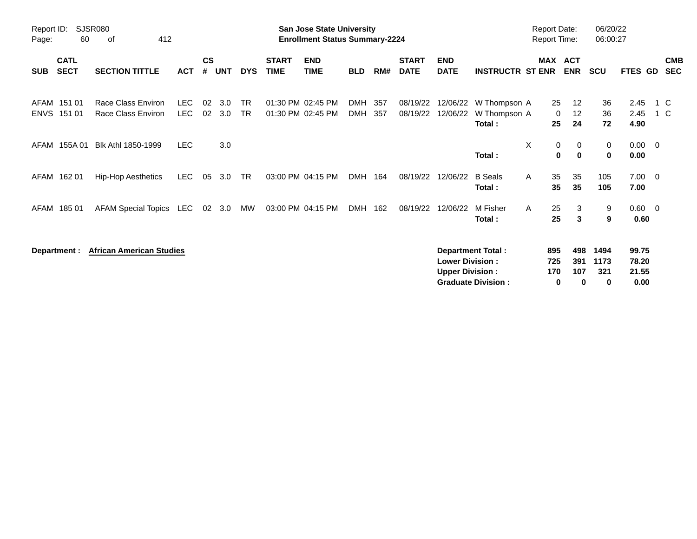| Page:       | <b>SJSR080</b><br>Report ID:<br>412<br>60<br>оf |                                          |                    |                |            |                        |                             | <b>San Jose State University</b><br><b>Enrollment Status Summary-2224</b> |                   |            |                             |                                                  |                                                       | <b>Report Date:</b><br><b>Report Time:</b> |                        | 06/20/22<br>06:00:27        |                                 |                          |
|-------------|-------------------------------------------------|------------------------------------------|--------------------|----------------|------------|------------------------|-----------------------------|---------------------------------------------------------------------------|-------------------|------------|-----------------------------|--------------------------------------------------|-------------------------------------------------------|--------------------------------------------|------------------------|-----------------------------|---------------------------------|--------------------------|
| <b>SUB</b>  | <b>CATL</b><br><b>SECT</b>                      | <b>SECTION TITTLE</b>                    | <b>ACT</b>         | <b>CS</b><br># | <b>UNT</b> | <b>DYS</b>             | <b>START</b><br><b>TIME</b> | <b>END</b><br><b>TIME</b>                                                 | <b>BLD</b>        | RM#        | <b>START</b><br><b>DATE</b> | <b>END</b><br><b>DATE</b>                        | <b>INSTRUCTR ST ENR</b>                               |                                            | MAX ACT<br><b>ENR</b>  | <b>SCU</b>                  | FTES GD                         | <b>CMB</b><br><b>SEC</b> |
| <b>ENVS</b> | AFAM 151 01<br>151 01                           | Race Class Environ<br>Race Class Environ | LEC.<br><b>LEC</b> | 02<br>02       | 3.0<br>3.0 | <b>TR</b><br><b>TR</b> |                             | 01:30 PM 02:45 PM<br>01:30 PM 02:45 PM                                    | <b>DMH</b><br>DMH | 357<br>357 | 08/19/22<br>08/19/22        | 12/06/22<br>12/06/22                             | W Thompson A<br>W Thompson A<br>Total:                | 25<br>0<br>25                              | 12<br>12<br>24         | 36<br>36<br>72              | 2.45<br>2.45<br>4.90            | 1 C<br>1 C               |
| AFAM        | 155A 01                                         | Blk Athl 1850-1999                       | LEC.               |                | 3.0        |                        |                             |                                                                           |                   |            |                             |                                                  | Total:                                                | X<br>0<br>$\mathbf 0$                      | 0<br>$\mathbf 0$       | $\mathbf{0}$<br>$\mathbf 0$ | $0.00 \t 0$<br>0.00             |                          |
|             | AFAM 162 01                                     | Hip-Hop Aesthetics                       | LEC.               | 05             | 3.0        | TR                     |                             | 03:00 PM 04:15 PM                                                         | DMH               | 164        | 08/19/22                    | 12/06/22                                         | <b>B</b> Seals<br>Total:                              | 35<br>A<br>35                              | 35<br>35               | 105<br>105                  | $7.00 \t 0$<br>7.00             |                          |
|             | AFAM 185 01                                     | <b>AFAM Special Topics</b>               | LEC                | 02             | 3.0        | MW                     |                             | 03:00 PM 04:15 PM                                                         | DMH               | 162        | 08/19/22                    | 12/06/22                                         | M Fisher<br>Total :                                   | 25<br>A<br>25                              | 3<br>3                 | 9<br>9                      | $0.60 \t 0$<br>0.60             |                          |
|             | Department :                                    | <b>African American Studies</b>          |                    |                |            |                        |                             |                                                                           |                   |            |                             | <b>Lower Division:</b><br><b>Upper Division:</b> | <b>Department Total:</b><br><b>Graduate Division:</b> | 895<br>725<br>170<br>0                     | 498<br>391<br>107<br>0 | 1494<br>1173<br>321<br>0    | 99.75<br>78.20<br>21.55<br>0.00 |                          |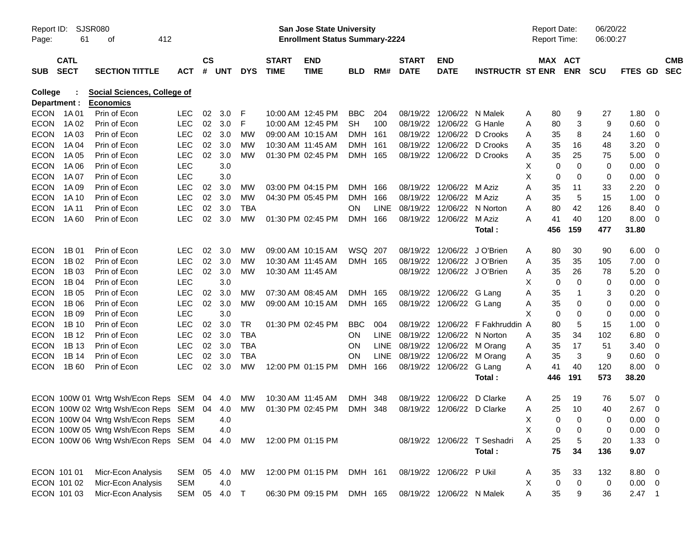| Report ID:<br>Page: | SJSR080<br>61              |                                                 |              |                    |            |            | <b>San Jose State University</b><br><b>Enrollment Status Summary-2224</b> |                           |            |             |                                |                             | <b>Report Date:</b><br><b>Report Time:</b> |                  | 06/20/22<br>06:00:27          |            |             |                          |
|---------------------|----------------------------|-------------------------------------------------|--------------|--------------------|------------|------------|---------------------------------------------------------------------------|---------------------------|------------|-------------|--------------------------------|-----------------------------|--------------------------------------------|------------------|-------------------------------|------------|-------------|--------------------------|
| <b>SUB</b>          | <b>CATL</b><br><b>SECT</b> | <b>SECTION TITTLE</b>                           | <b>ACT</b>   | $\mathsf{cs}$<br># | <b>UNT</b> | <b>DYS</b> | <b>START</b><br><b>TIME</b>                                               | <b>END</b><br><b>TIME</b> | <b>BLD</b> | RM#         | <b>START</b><br><b>DATE</b>    | <b>END</b><br><b>DATE</b>   | <b>INSTRUCTR ST ENR</b>                    |                  | MAX ACT<br><b>ENR</b>         | <b>SCU</b> | FTES GD     | <b>CMB</b><br><b>SEC</b> |
| College             | Department :               | Social Sciences, College of<br><b>Economics</b> |              |                    |            |            |                                                                           |                           |            |             |                                |                             |                                            |                  |                               |            |             |                          |
|                     | ECON 1A01                  | Prin of Econ                                    | <b>LEC</b>   | 02                 | 3.0        | F          |                                                                           | 10:00 AM 12:45 PM         | <b>BBC</b> | 204         |                                | 08/19/22 12/06/22 N Malek   |                                            | A<br>80          | 9                             | 27         | 1.80        | - 0                      |
| <b>ECON</b>         | 1A 02                      | Prin of Econ                                    | <b>LEC</b>   |                    | 02 3.0     | F          |                                                                           | 10:00 AM 12:45 PM         | <b>SH</b>  | 100         |                                | 08/19/22 12/06/22 G Hanle   |                                            | A<br>80          | 3                             | 9          | 0.60        | $\overline{0}$           |
| <b>ECON</b>         | 1A 03                      | Prin of Econ                                    | <b>LEC</b>   | 02                 | 3.0        | MW         |                                                                           | 09:00 AM 10:15 AM         | <b>DMH</b> | 161         |                                | 08/19/22 12/06/22 D Crooks  |                                            | 35<br>Α          | 8                             | 24         | 1.60        | - 0                      |
| <b>ECON</b>         | 1A 04                      | Prin of Econ                                    | <b>LEC</b>   | 02                 | 3.0        | <b>MW</b>  | 10:30 AM 11:45 AM                                                         |                           | <b>DMH</b> | 161         |                                | 08/19/22 12/06/22 D Crooks  |                                            | 35<br>A          | 16                            | 48         | 3.20        | - 0                      |
| <b>ECON</b>         | 1A 05                      | Prin of Econ                                    | <b>LEC</b>   |                    | 02 3.0     | <b>MW</b>  |                                                                           | 01:30 PM 02:45 PM         | DMH 165    |             |                                | 08/19/22 12/06/22 D Crooks  |                                            | 35<br>A          | 25                            | 75         | 5.00        | - 0                      |
| <b>ECON</b>         | 1A 06                      | Prin of Econ                                    | <b>LEC</b>   |                    | 3.0        |            |                                                                           |                           |            |             |                                |                             |                                            | X<br>0           | $\mathbf 0$                   | 0          | 0.00        | 0                        |
| <b>ECON</b>         | 1A 07                      | Prin of Econ                                    | <b>LEC</b>   |                    | 3.0        |            |                                                                           |                           |            |             |                                |                             |                                            | X<br>0           | $\mathbf 0$                   | 0          | 0.00        | - 0                      |
| <b>ECON</b>         | 1A 09                      | Prin of Econ                                    | <b>LEC</b>   | 02                 | 3.0        | МW         |                                                                           | 03:00 PM 04:15 PM         | <b>DMH</b> | 166         |                                | 08/19/22 12/06/22 M Aziz    |                                            | Α<br>35          | 11                            | 33         | 2.20        | 0                        |
| <b>ECON</b>         | 1A 10                      | Prin of Econ                                    | <b>LEC</b>   |                    | 02 3.0     | <b>MW</b>  |                                                                           | 04:30 PM 05:45 PM         | <b>DMH</b> | 166         |                                | 08/19/22 12/06/22 M Aziz    |                                            | 35<br>A          | 5                             | 15         | 1.00        | - 0                      |
| <b>ECON</b>         | 1A 11                      | Prin of Econ                                    | <b>LEC</b>   | 02                 | 3.0        | <b>TBA</b> |                                                                           |                           | <b>ON</b>  | <b>LINE</b> | 08/19/22 12/06/22 N Norton     |                             |                                            | Α<br>80          | 42                            | 126        | 8.40        | 0                        |
| <b>ECON</b>         | 1A 60                      | Prin of Econ                                    | <b>LEC</b>   |                    | 02 3.0     | <b>MW</b>  |                                                                           | 01:30 PM 02:45 PM         | DMH 166    |             |                                | 08/19/22 12/06/22 M Aziz    |                                            | 41<br>A          | 40                            | 120        | 8.00        | - 0                      |
|                     |                            |                                                 |              |                    |            |            |                                                                           |                           |            |             |                                |                             | Total:                                     | 456              | 159                           | 477        | 31.80       |                          |
| <b>ECON</b>         | 1B 01                      | Prin of Econ                                    | <b>LEC</b>   | 02                 | 3.0        | MW         |                                                                           | 09:00 AM 10:15 AM         | WSQ 207    |             | 08/19/22                       | 12/06/22 J O'Brien          |                                            | A<br>80          | 30                            | 90         | 6.00        | - 0                      |
| <b>ECON</b>         | 1B 02                      | Prin of Econ                                    | <b>LEC</b>   | 02                 | 3.0        | MW         | 10:30 AM 11:45 AM                                                         |                           | DMH 165    |             |                                | 08/19/22 12/06/22 J O'Brien |                                            | 35<br>Α          | 35                            | 105        | 7.00        | - 0                      |
| <b>ECON</b>         | 1B 03                      | Prin of Econ                                    | <b>LEC</b>   |                    | 02 3.0     | <b>MW</b>  | 10:30 AM 11:45 AM                                                         |                           |            |             |                                | 08/19/22 12/06/22 J O'Brien |                                            | 35<br>A          | 26                            | 78         | 5.20        | - 0                      |
| <b>ECON</b>         | 1B 04                      | Prin of Econ                                    | <b>LEC</b>   |                    | 3.0        |            |                                                                           |                           |            |             |                                |                             |                                            | Х<br>0           | $\mathbf 0$                   | 0          | 0.00        | - 0                      |
| <b>ECON</b>         | 1B 05                      | Prin of Econ                                    | <b>LEC</b>   | 02                 | 3.0        | МW         |                                                                           | 07:30 AM 08:45 AM         | DMH 165    |             |                                | 08/19/22 12/06/22 G Lang    |                                            | 35<br>Α          | $\mathbf{1}$                  | 3          | 0.20        | - 0                      |
| <b>ECON</b>         | 1B 06                      | Prin of Econ                                    | <b>LEC</b>   |                    | 02 3.0     | MW         |                                                                           | 09:00 AM 10:15 AM         | DMH 165    |             |                                | 08/19/22 12/06/22 G Lang    |                                            | 35<br>A          | 0                             | 0          | 0.00        | - 0                      |
| <b>ECON</b>         | 1B 09                      | Prin of Econ                                    | <b>LEC</b>   |                    | 3.0        |            |                                                                           |                           |            |             |                                |                             |                                            | X<br>0           | 0                             | 0          | 0.00        | 0                        |
| <b>ECON</b>         | 1B 10                      | Prin of Econ                                    | <b>LEC</b>   | 02                 | 3.0        | TR         |                                                                           | 01:30 PM 02:45 PM         | <b>BBC</b> | 004         |                                |                             | 08/19/22 12/06/22 F Fakhruddin A           | 80               | 5                             | 15         | 1.00        | 0                        |
| <b>ECON</b>         | 1B 12                      | Prin of Econ                                    | <b>LEC</b>   | 02                 | 3.0        | <b>TBA</b> |                                                                           |                           | ON.        | LINE        | 08/19/22 12/06/22 N Norton     |                             |                                            | 35<br>A          | 34                            | 102        | 6.80        | - 0                      |
| <b>ECON</b>         | 1B 13                      | Prin of Econ                                    | <b>LEC</b>   |                    | 02 3.0     | <b>TBA</b> |                                                                           |                           | <b>ON</b>  |             | LINE 08/19/22 12/06/22 M Orang |                             |                                            | 35<br>A          | 17                            | 51         | 3.40        | - 0                      |
| <b>ECON</b>         | 1B 14                      | Prin of Econ                                    | <b>LEC</b>   | 02                 | 3.0        | <b>TBA</b> |                                                                           |                           | <b>ON</b>  | <b>LINE</b> | 08/19/22 12/06/22 M Orang      |                             |                                            | 35<br>A          | 3                             | 9          | 0.60        | 0                        |
| <b>ECON</b>         | 1B 60                      | Prin of Econ                                    | <b>LEC</b>   |                    | 02 3.0     | <b>MW</b>  |                                                                           | 12:00 PM 01:15 PM         | DMH        | 166         |                                | 08/19/22 12/06/22 G Lang    |                                            | 41<br>A          | 40                            | 120        | 8.00        | - 0                      |
|                     |                            |                                                 |              |                    |            |            |                                                                           |                           |            |             |                                |                             | Total:                                     | 446              | 191                           | 573        | 38.20       |                          |
|                     |                            | ECON 100W 01 Wrtg Wsh/Econ Reps SEM 04 4.0      |              |                    |            | <b>MW</b>  | 10:30 AM 11:45 AM                                                         |                           | <b>DMH</b> | 348         | 08/19/22                       | 12/06/22                    | D Clarke                                   | 25<br>A          | 19                            | 76         | 5.07        | $\overline{\phantom{0}}$ |
|                     |                            | ECON 100W 02 Wrtg Wsh/Econ Reps SEM 04 4.0      |              |                    |            | MW         |                                                                           | 01:30 PM 02:45 PM         | DMH 348    |             |                                | 08/19/22 12/06/22 D Clarke  |                                            | 25<br>A          | 10                            | 40         | 2.67        | - 0                      |
|                     |                            | ECON 100W 04 Wrtg Wsh/Econ Reps SEM             |              |                    | 4.0        |            |                                                                           |                           |            |             |                                |                             |                                            | X                | $\overline{0}$<br>$\mathbf 0$ | 0          | $0.00 \t 0$ |                          |
|                     |                            | ECON 100W 05 Wrtg Wsh/Econ Reps SEM             |              |                    | 4.0        |            |                                                                           |                           |            |             |                                |                             |                                            | Χ<br>0           | 0                             | 0          | 0.00        | $\overline{\mathbf{0}}$  |
|                     |                            | ECON 100W 06 Wrtg Wsh/Econ Reps SEM 04          |              |                    | 4.0        | MW         |                                                                           | 12:00 PM 01:15 PM         |            |             |                                |                             | 08/19/22 12/06/22 T Seshadri               | Α<br>25          | 5                             | 20         | 1.33        | $\overline{\phantom{0}}$ |
|                     |                            |                                                 |              |                    |            |            |                                                                           |                           |            |             |                                |                             | Total:                                     | 75               | 34                            | 136        | 9.07        |                          |
|                     | ECON 101 01                | Micr-Econ Analysis                              | SEM 05       |                    | 4.0        | МW         |                                                                           | 12:00 PM 01:15 PM         | DMH 161    |             |                                | 08/19/22 12/06/22 P Ukil    |                                            | 35<br>A          | 33                            | 132        | 8.80 0      |                          |
|                     | ECON 101 02                | Micr-Econ Analysis                              | <b>SEM</b>   |                    | 4.0        |            |                                                                           |                           |            |             |                                |                             |                                            | Χ<br>$\mathbf 0$ | $\mathbf 0$                   | 0          | $0.00 \t 0$ |                          |
|                     | ECON 101 03                | Micr-Econ Analysis                              | SEM 05 4.0 T |                    |            |            |                                                                           | 06:30 PM 09:15 PM         | DMH 165    |             |                                | 08/19/22 12/06/22 N Malek   |                                            | Α<br>35          | 9                             | 36         | $2.47$ 1    |                          |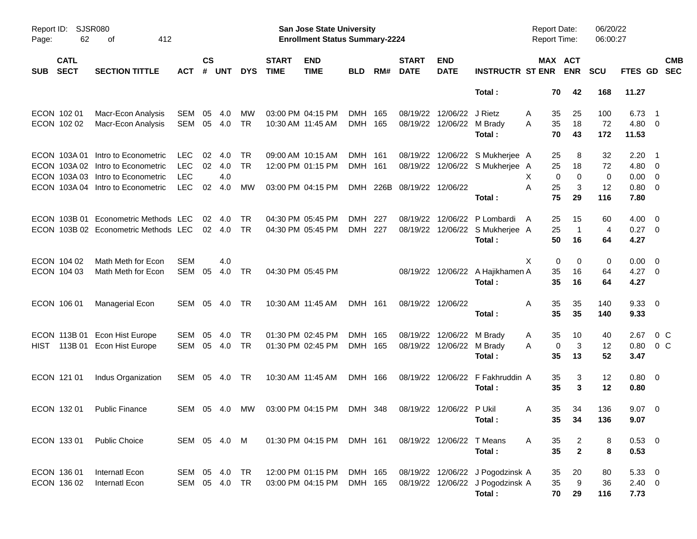| Page:      | SJSR080<br>Report ID:<br>62<br>412<br>οf |                                                                                                                                     |                                                      |                |                          |                 |                             | San Jose State University<br><b>Enrollment Status Summary-2224</b> |                    |     |                             |                                        |                                                                                | <b>Report Date:</b><br>Report Time: |                                  | 06/20/22<br>06:00:27 |                                        |                                                                  |
|------------|------------------------------------------|-------------------------------------------------------------------------------------------------------------------------------------|------------------------------------------------------|----------------|--------------------------|-----------------|-----------------------------|--------------------------------------------------------------------|--------------------|-----|-----------------------------|----------------------------------------|--------------------------------------------------------------------------------|-------------------------------------|----------------------------------|----------------------|----------------------------------------|------------------------------------------------------------------|
| <b>SUB</b> | <b>CATL</b><br><b>SECT</b>               | <b>SECTION TITTLE</b>                                                                                                               | <b>ACT</b>                                           | <b>CS</b><br># | <b>UNT</b>               | <b>DYS</b>      | <b>START</b><br><b>TIME</b> | <b>END</b><br><b>TIME</b>                                          | <b>BLD</b>         | RM# | <b>START</b><br><b>DATE</b> | <b>END</b><br><b>DATE</b>              | <b>INSTRUCTR ST ENR</b>                                                        |                                     | MAX ACT<br><b>ENR</b>            | <b>SCU</b>           |                                        | <b>CMB</b><br>FTES GD SEC                                        |
|            |                                          |                                                                                                                                     |                                                      |                |                          |                 |                             |                                                                    |                    |     |                             |                                        | Total:                                                                         |                                     | 70<br>42                         | 168                  | 11.27                                  |                                                                  |
|            | ECON 102 01<br>ECON 102 02               | Macr-Econ Analysis<br>Macr-Econ Analysis                                                                                            | <b>SEM</b><br><b>SEM</b>                             | 05<br>05       | 4.0<br>4.0               | MW<br><b>TR</b> |                             | 03:00 PM 04:15 PM<br>10:30 AM 11:45 AM                             | DMH 165<br>DMH 165 |     |                             | 08/19/22 12/06/22<br>08/19/22 12/06/22 | J Rietz<br>M Brady<br>Total:                                                   | A<br>35<br>35<br>A<br>70            | 25<br>18<br>43                   | 100<br>72<br>172     | 6.73<br>4.80 0<br>11.53                | - 1                                                              |
|            | ECON 103A01                              | Intro to Econometric<br>ECON 103A 02 Intro to Econometric<br>ECON 103A 03 Intro to Econometric<br>ECON 103A 04 Intro to Econometric | <b>LEC</b><br><b>LEC</b><br><b>LEC</b><br><b>LEC</b> | 02<br>02<br>02 | 4.0<br>4.0<br>4.0<br>4.0 | TR<br>TR<br>MW  |                             | 09:00 AM 10:15 AM<br>12:00 PM 01:15 PM<br>03:00 PM 04:15 PM        | DMH 161<br>DMH 161 |     | DMH 226B 08/19/22 12/06/22  |                                        | 08/19/22 12/06/22 S Mukherjee A<br>08/19/22 12/06/22 S Mukherjee A             | 25<br>25<br>X.<br>25<br>A           | 8<br>18<br>$\mathbf 0$<br>0<br>3 | 32<br>72<br>0<br>12  | 2.20<br>4.80<br>0.00<br>0.80           | - 1<br>- 0<br>$\overline{\mathbf{0}}$<br>$\overline{\mathbf{0}}$ |
|            | ECON 103B 01                             | Econometric Methods LEC<br>ECON 103B 02 Econometric Methods LEC                                                                     |                                                      | 02             | 4.0<br>02 4.0            | TR<br><b>TR</b> |                             | 04:30 PM 05:45 PM<br>04:30 PM 05:45 PM                             | DMH<br>DMH 227     | 227 |                             | 08/19/22 12/06/22                      | Total:<br>P Lombardi<br>08/19/22 12/06/22 S Mukherjee A<br>Total:              | 75<br>25<br>A<br>25<br>50           | 29<br>15<br>$\overline{1}$<br>16 | 116<br>60<br>4<br>64 | 7.80<br>4.00<br>$0.27 \quad 0$<br>4.27 | $\overline{\phantom{0}}$                                         |
|            | ECON 104 02<br>ECON 104 03               | Math Meth for Econ<br>Math Meth for Econ                                                                                            | <b>SEM</b><br><b>SEM</b>                             | 05             | 4.0<br>4.0               | TR              |                             | 04:30 PM 05:45 PM                                                  |                    |     |                             |                                        | 08/19/22 12/06/22 A Hajikhamen A<br>Total:                                     | Χ<br>35<br>35                       | 0<br>0<br>16<br>16               | 0<br>64<br>64        | 0.00<br>$4.27 \t 0$<br>4.27            | $\overline{\phantom{0}}$                                         |
|            | ECON 106 01                              | Managerial Econ                                                                                                                     | SEM                                                  | 05             | 4.0                      | TR              |                             | 10:30 AM 11:45 AM                                                  | DMH 161            |     | 08/19/22 12/06/22           |                                        | Total:                                                                         | 35<br>A<br>35                       | 35<br>35                         | 140<br>140           | $9.33 \quad 0$<br>9.33                 |                                                                  |
| HIST       | ECON 113B 01<br>113B 01                  | <b>Econ Hist Europe</b><br>Econ Hist Europe                                                                                         | <b>SEM</b><br><b>SEM</b>                             | 05<br>05       | 4.0<br>4.0               | TR<br><b>TR</b> |                             | 01:30 PM 02:45 PM<br>01:30 PM 02:45 PM                             | DMH 165<br>DMH 165 |     |                             | 08/19/22 12/06/22<br>08/19/22 12/06/22 | M Brady<br>M Brady<br>Total:                                                   | 35<br>A<br>Α<br>35                  | 10<br>3<br>0<br>13               | 40<br>12<br>52       | 2.67<br>0.80<br>3.47                   | $0\,$ C<br>$0\,C$                                                |
|            | ECON 121 01                              | Indus Organization                                                                                                                  | <b>SEM</b>                                           |                | 05 4.0                   | TR              |                             | 10:30 AM 11:45 AM                                                  | DMH 166            |     |                             | 08/19/22 12/06/22                      | F Fakhruddin A<br>Total:                                                       | 35<br>35                            | 3<br>3                           | 12<br>12             | $0.80 \quad 0$<br>0.80                 |                                                                  |
|            | ECON 132 01                              | <b>Public Finance</b>                                                                                                               | <b>SEM</b>                                           |                | 05 4.0                   | <b>MW</b>       |                             | 03:00 PM 04:15 PM                                                  | DMH 348            |     |                             | 08/19/22 12/06/22 P Ukil               | Total:                                                                         | 35<br>A                             | 34<br>35 34                      | 136<br>136           | $9.07 \quad 0$<br>9.07                 |                                                                  |
|            | ECON 133 01                              | <b>Public Choice</b>                                                                                                                | SEM 05 4.0 M                                         |                |                          |                 |                             | 01:30 PM 04:15 PM                                                  | DMH 161            |     |                             | 08/19/22 12/06/22                      | T Means<br>Total:                                                              | 35<br>A<br>35                       | $\overline{c}$<br>$\mathbf{2}$   | 8<br>8               | $0.53 \t 0$<br>0.53                    |                                                                  |
|            | ECON 136 01<br>ECON 136 02               | Internatl Econ<br>Internatl Econ                                                                                                    | SEM<br>SEM                                           |                | 05 4.0<br>05 4.0         | TR<br>TR        |                             | 12:00 PM 01:15 PM<br>03:00 PM 04:15 PM                             | DMH 165<br>DMH 165 |     |                             |                                        | 08/19/22 12/06/22 J Pogodzinsk A<br>08/19/22 12/06/22 J Pogodzinsk A<br>Total: | 35<br>35<br>70                      | 20<br>9<br>29                    | 80<br>36<br>116      | 5.33 0<br>$2.40 \t 0$<br>7.73          |                                                                  |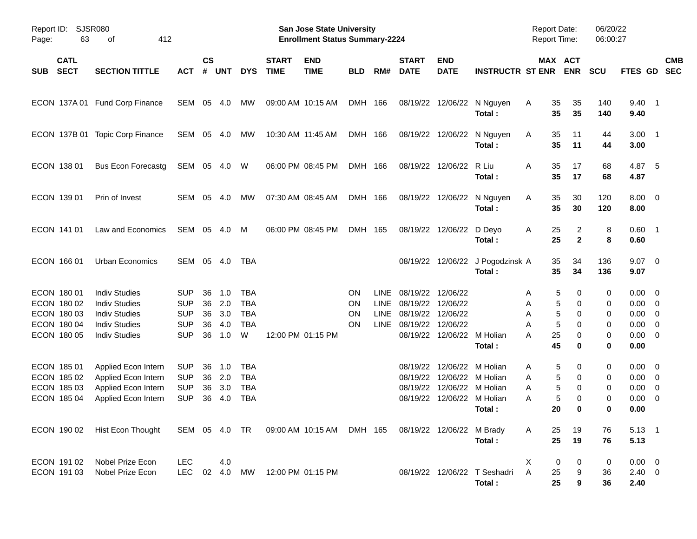| Page:      | SJSR080<br>Report ID:<br>412<br>63<br>οf                                |                                                                                                                      |                                                                    |                            |                                 |                                                           |                             | San Jose State University<br><b>Enrollment Status Summary-2224</b> |                                    |                                                   |                                                          |                                              |                                                                 | <b>Report Date:</b><br>Report Time: |                                                       | 06/20/22<br>06:00:27       |                                                     |                                                                               |                          |
|------------|-------------------------------------------------------------------------|----------------------------------------------------------------------------------------------------------------------|--------------------------------------------------------------------|----------------------------|---------------------------------|-----------------------------------------------------------|-----------------------------|--------------------------------------------------------------------|------------------------------------|---------------------------------------------------|----------------------------------------------------------|----------------------------------------------|-----------------------------------------------------------------|-------------------------------------|-------------------------------------------------------|----------------------------|-----------------------------------------------------|-------------------------------------------------------------------------------|--------------------------|
| <b>SUB</b> | <b>CATL</b><br><b>SECT</b>                                              | <b>SECTION TITTLE</b>                                                                                                | <b>ACT</b>                                                         | $\mathsf{cs}$<br>#         | <b>UNT</b>                      | <b>DYS</b>                                                | <b>START</b><br><b>TIME</b> | <b>END</b><br><b>TIME</b>                                          | <b>BLD</b>                         | RM#                                               | <b>START</b><br><b>DATE</b>                              | <b>END</b><br><b>DATE</b>                    | <b>INSTRUCTR ST ENR</b>                                         |                                     | MAX ACT<br><b>ENR</b>                                 | <b>SCU</b>                 | FTES GD                                             |                                                                               | <b>CMB</b><br><b>SEC</b> |
|            |                                                                         | ECON 137A 01 Fund Corp Finance                                                                                       | SEM                                                                | 05                         | 4.0                             | MW                                                        |                             | 09:00 AM 10:15 AM                                                  | DMH 166                            |                                                   | 08/19/22                                                 | 12/06/22                                     | N Nguyen<br>Total:                                              | Α<br>35<br>35                       | 35<br>35                                              | 140<br>140                 | $9.40$ 1<br>9.40                                    |                                                                               |                          |
|            | ECON 137B 01                                                            | <b>Topic Corp Finance</b>                                                                                            | SEM                                                                | 05                         | 4.0                             | MW                                                        |                             | 10:30 AM 11:45 AM                                                  | DMH 166                            |                                                   | 08/19/22                                                 | 12/06/22                                     | N Nguyen<br>Total:                                              | Α<br>35<br>35                       | 11<br>11                                              | 44<br>44                   | $3.00$ 1<br>3.00                                    |                                                                               |                          |
|            | ECON 138 01                                                             | <b>Bus Econ Forecastg</b>                                                                                            | SEM                                                                |                            | 05 4.0                          | W                                                         |                             | 06:00 PM 08:45 PM                                                  | DMH 166                            |                                                   | 08/19/22                                                 | 12/06/22                                     | R Liu<br>Total:                                                 | 35<br>Α<br>35                       | 17<br>17                                              | 68<br>68                   | 4.87 5<br>4.87                                      |                                                                               |                          |
|            | ECON 139 01                                                             | Prin of Invest                                                                                                       | SEM                                                                | 05                         | 4.0                             | MW                                                        |                             | 07:30 AM 08:45 AM                                                  | DMH 166                            |                                                   | 08/19/22                                                 | 12/06/22                                     | N Nguyen<br>Total:                                              | 35<br>Α<br>35                       | 30<br>30                                              | 120<br>120                 | $8.00 \t 0$<br>8.00                                 |                                                                               |                          |
|            | ECON 141 01                                                             | Law and Economics                                                                                                    | SEM                                                                |                            | 05 4.0                          | M                                                         |                             | 06:00 PM 08:45 PM                                                  | DMH 165                            |                                                   | 08/19/22                                                 | 12/06/22                                     | D Deyo<br>Total:                                                | Α<br>25<br>25                       | 2<br>$\mathbf{2}$                                     | 8<br>8                     | $0.60$ 1<br>0.60                                    |                                                                               |                          |
|            | ECON 166 01                                                             | Urban Economics                                                                                                      | SEM                                                                | 05                         | 4.0                             | TBA                                                       |                             |                                                                    |                                    |                                                   | 08/19/22                                                 | 12/06/22                                     | J Pogodzinsk A<br>Total:                                        | 35<br>35                            | 34<br>34                                              | 136<br>136                 | $9.07$ 0<br>9.07                                    |                                                                               |                          |
|            | ECON 180 01<br>ECON 180 02<br>ECON 180 03<br>ECON 180 04<br>ECON 180 05 | <b>Indiv Studies</b><br><b>Indiv Studies</b><br><b>Indiv Studies</b><br><b>Indiv Studies</b><br><b>Indiv Studies</b> | <b>SUP</b><br><b>SUP</b><br><b>SUP</b><br><b>SUP</b><br><b>SUP</b> | 36<br>36<br>36<br>36<br>36 | 1.0<br>2.0<br>3.0<br>4.0<br>1.0 | <b>TBA</b><br><b>TBA</b><br><b>TBA</b><br><b>TBA</b><br>W |                             | 12:00 PM 01:15 PM                                                  | <b>ON</b><br>ON<br>ON<br><b>ON</b> | <b>LINE</b><br><b>LINE</b><br><b>LINE</b><br>LINE | 08/19/22<br>08/19/22<br>08/19/22<br>08/19/22<br>08/19/22 | 12/06/22<br>12/06/22<br>12/06/22<br>12/06/22 | 12/06/22 M Holian<br>Total:                                     | Α<br>Α<br>A<br>Α<br>25<br>A<br>45   | 5<br>0<br>5<br>0<br>5<br>0<br>5<br>0<br>0<br>$\bf{0}$ | 0<br>0<br>0<br>0<br>0<br>0 | $0.00 \t 0$<br>0.00<br>0.00<br>0.00<br>0.00<br>0.00 | $\overline{\mathbf{0}}$<br>$\overline{0}$<br>$\overline{0}$<br>$\overline{0}$ |                          |
|            | ECON 185 01<br>ECON 185 02<br>ECON 185 03<br>ECON 185 04                | Applied Econ Intern<br>Applied Econ Intern<br>Applied Econ Intern<br>Applied Econ Intern                             | <b>SUP</b><br><b>SUP</b><br><b>SUP</b><br><b>SUP</b>               | 36<br>36<br>36<br>36       | 1.0<br>2.0<br>3.0<br>4.0        | <b>TBA</b><br><b>TBA</b><br><b>TBA</b><br><b>TBA</b>      |                             |                                                                    |                                    |                                                   | 08/19/22<br>08/19/22<br>08/19/22<br>08/19/22             | 12/06/22<br>12/06/22<br>12/06/22             | M Holian<br>M Holian<br>M Holian<br>12/06/22 M Holian<br>Total: | Α<br>Α<br>Α<br>Α<br>20              | 5<br>0<br>5<br>0<br>5<br>0<br>5<br>0<br>$\bf{0}$      | 0<br>0<br>0<br>0<br>0      | $0.00 \t 0$<br>0.00<br>0.00<br>0.00<br>0.00         | $\overline{\phantom{0}}$<br>$\overline{0}$<br>$\overline{0}$                  |                          |
|            | ECON 190 02                                                             | Hist Econ Thought                                                                                                    |                                                                    |                            |                                 |                                                           |                             | SEM 05 4.0 TR  09:00 AM 10:15 AM  DMH 165                          |                                    |                                                   |                                                          | 08/19/22 12/06/22 M Brady                    | Total:                                                          | 25<br>A<br>25                       | 19<br>19                                              | 76<br>76                   | $5.13 \quad 1$<br>5.13                              |                                                                               |                          |
|            | ECON 191 02<br>ECON 191 03                                              | Nobel Prize Econ<br>Nobel Prize Econ                                                                                 | <b>LEC</b><br><b>LEC</b>                                           |                            | 4.0<br>02 4.0                   | MW                                                        |                             | 12:00 PM 01:15 PM                                                  |                                    |                                                   |                                                          |                                              | 08/19/22 12/06/22 T Seshadri<br>Total:                          | X<br>Α<br>25<br>25                  | 0<br>0<br>9<br>9                                      | 0<br>36<br>36              | $0.00 \t 0$<br>$2.40 \ 0$<br>2.40                   |                                                                               |                          |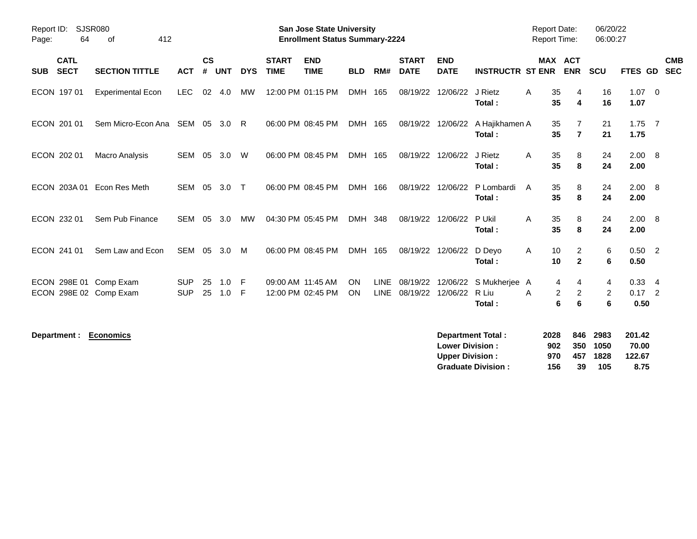| Page:      | <b>SJSR080</b><br>Report ID:<br>412<br>64<br>0f |                                                  |                          |                    |            |            |                             | <b>San Jose State University</b><br><b>Enrollment Status Summary-2224</b> |                 |                            |                             |                           |                                  | <b>Report Date:</b><br><b>Report Time:</b> |                                         | 06/20/22<br>06:00:27 |                                |                          |
|------------|-------------------------------------------------|--------------------------------------------------|--------------------------|--------------------|------------|------------|-----------------------------|---------------------------------------------------------------------------|-----------------|----------------------------|-----------------------------|---------------------------|----------------------------------|--------------------------------------------|-----------------------------------------|----------------------|--------------------------------|--------------------------|
| <b>SUB</b> | <b>CATL</b><br><b>SECT</b>                      | <b>SECTION TITTLE</b>                            | <b>ACT</b>               | $\mathsf{cs}$<br># | <b>UNT</b> | <b>DYS</b> | <b>START</b><br><b>TIME</b> | <b>END</b><br><b>TIME</b>                                                 | <b>BLD</b>      | RM#                        | <b>START</b><br><b>DATE</b> | <b>END</b><br><b>DATE</b> | <b>INSTRUCTR ST ENR</b>          |                                            | <b>MAX ACT</b><br><b>ENR</b>            | <b>SCU</b>           | FTES GD                        | <b>CMB</b><br><b>SEC</b> |
|            | ECON 197 01                                     | <b>Experimental Econ</b>                         | LEC.                     | 02                 | 4.0        | МW         |                             | 12:00 PM 01:15 PM                                                         | DMH 165         |                            | 08/19/22                    | 12/06/22                  | J Rietz<br>Total:                | A<br>35<br>35                              | 4<br>4                                  | 16<br>16             | $1.07 \t 0$<br>1.07            |                          |
|            | ECON 201 01                                     | Sem Micro-Econ Ana                               | SEM                      | 05                 | 3.0        | - R        |                             | 06:00 PM 08:45 PM                                                         | DMH 165         |                            | 08/19/22                    | 12/06/22                  | A Hajikhamen A<br>Total:         | 35<br>35                                   | 7<br>$\overline{7}$                     | 21<br>21             | $1.75$ 7<br>1.75               |                          |
|            | ECON 202 01                                     | <b>Macro Analysis</b>                            | SEM                      | 05                 | 3.0        | W          |                             | 06:00 PM 08:45 PM                                                         | DMH 165         |                            | 08/19/22                    | 12/06/22                  | J Rietz<br>Total:                | 35<br>A<br>35                              | 8<br>8                                  | 24<br>24             | 2.00 8<br>2.00                 |                          |
|            | ECON 203A 01                                    | Econ Res Meth                                    | <b>SEM</b>               | 05                 | 3.0        | $\top$     |                             | 06:00 PM 08:45 PM                                                         | DMH 166         |                            | 08/19/22                    | 12/06/22                  | P Lombardi<br>Total:             | 35<br>A<br>35                              | 8<br>8                                  | 24<br>24             | $2.00\quad 8$<br>2.00          |                          |
|            | ECON 232 01                                     | Sem Pub Finance                                  | <b>SEM</b>               | 05                 | 3.0        | MW         |                             | 04:30 PM 05:45 PM                                                         | DMH 348         |                            | 08/19/22                    | 12/06/22                  | P Ukil<br>Total:                 | 35<br>Α<br>35                              | 8<br>8                                  | 24<br>24             | 2.00 8<br>2.00                 |                          |
|            | ECON 241 01                                     | Sem Law and Econ                                 | SEM                      | 05                 | 3.0        | M          |                             | 06:00 PM 08:45 PM                                                         | DMH 165         |                            | 08/19/22                    | 12/06/22                  | D Deyo<br>Total:                 | 10<br>A<br>10                              | $\overline{2}$<br>$\overline{2}$        | 6<br>6               | $0.50$ 2<br>0.50               |                          |
|            |                                                 | ECON 298E 01 Comp Exam<br>ECON 298E 02 Comp Exam | <b>SUP</b><br><b>SUP</b> | 25<br>25           | 1.0<br>1.0 | - F<br>-F  |                             | 09:00 AM 11:45 AM<br>12:00 PM 02:45 PM                                    | ON<br><b>ON</b> | <b>LINE</b><br><b>LINE</b> | 08/19/22<br>08/19/22        | 12/06/22<br>12/06/22      | S Mukherjee A<br>R Liu<br>Total: | A                                          | 4<br>4<br>$\overline{2}$<br>2<br>6<br>6 | 4<br>2<br>6          | $0.33 + 4$<br>$0.17$ 2<br>0.50 |                          |

**Department : Economics** 

| Department Total:         | 2028 |     | 846 2983 | 201.42 |
|---------------------------|------|-----|----------|--------|
| <b>Lower Division :</b>   | 902  |     | 350 1050 | 70.00  |
| <b>Upper Division:</b>    | 970  | 457 | 1828     | 122.67 |
| <b>Graduate Division:</b> | 156  | 39  | 105      | 8.75   |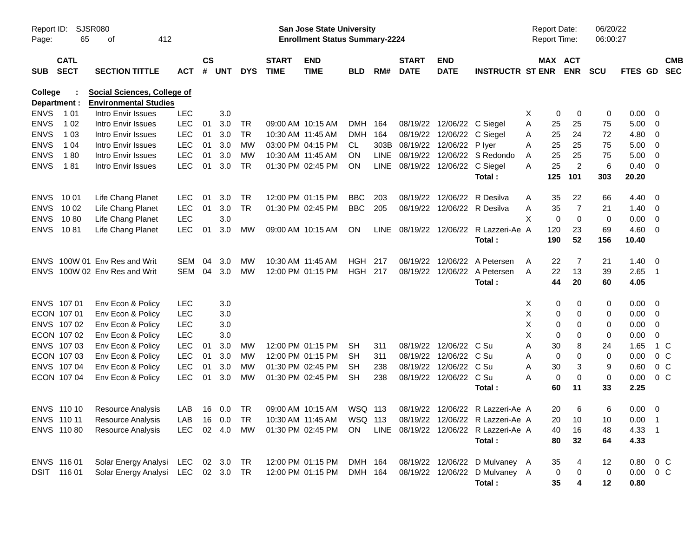| Report ID:<br>Page:     | SJSR080<br>65              | 412<br>оf                                                          |                  |                |            |            |                             | San Jose State University<br><b>Enrollment Status Summary-2224</b> |                |             |                             |                            |                                       | <b>Report Date:</b><br><b>Report Time:</b> |                       | 06/20/22<br>06:00:27 |               |                          |                          |
|-------------------------|----------------------------|--------------------------------------------------------------------|------------------|----------------|------------|------------|-----------------------------|--------------------------------------------------------------------|----------------|-------------|-----------------------------|----------------------------|---------------------------------------|--------------------------------------------|-----------------------|----------------------|---------------|--------------------------|--------------------------|
| <b>SUB</b>              | <b>CATL</b><br><b>SECT</b> | <b>SECTION TITTLE</b>                                              | <b>ACT</b>       | <b>CS</b><br># | <b>UNT</b> | <b>DYS</b> | <b>START</b><br><b>TIME</b> | <b>END</b><br><b>TIME</b>                                          | <b>BLD</b>     | RM#         | <b>START</b><br><b>DATE</b> | <b>END</b><br><b>DATE</b>  | <b>INSTRUCTR ST ENR</b>               |                                            | MAX ACT<br><b>ENR</b> | <b>SCU</b>           | FTES GD       |                          | <b>CMB</b><br><b>SEC</b> |
| College<br>Department : |                            | <b>Social Sciences, College of</b><br><b>Environmental Studies</b> |                  |                |            |            |                             |                                                                    |                |             |                             |                            |                                       |                                            |                       |                      |               |                          |                          |
| <b>ENVS</b>             | 1 0 1                      | Intro Envir Issues                                                 | <b>LEC</b>       |                | 3.0        |            |                             |                                                                    |                |             |                             |                            |                                       | Χ                                          | 0<br>0                | 0                    | 0.00          | - 0                      |                          |
| <b>ENVS</b>             | 1 0 2                      | Intro Envir Issues                                                 | <b>LEC</b>       | 01             | 3.0        | TR         |                             | 09:00 AM 10:15 AM                                                  | <b>DMH</b>     | 164         |                             | 08/19/22 12/06/22 C Siegel |                                       | Α                                          | 25<br>25              | 75                   | 5.00          | - 0                      |                          |
| <b>ENVS</b>             | 1 0 3                      | Intro Envir Issues                                                 | <b>LEC</b>       | 01             | 3.0        | <b>TR</b>  | 10:30 AM 11:45 AM           |                                                                    | <b>DMH</b>     | 164         |                             | 08/19/22 12/06/22 C Siegel |                                       | A                                          | 25<br>24              | 72                   | 4.80          | $\overline{\mathbf{0}}$  |                          |
| <b>ENVS</b>             | 1 04                       | Intro Envir Issues                                                 | <b>LEC</b>       | 01             | 3.0        | <b>MW</b>  |                             | 03:00 PM 04:15 PM                                                  | CL.            | 303B        | 08/19/22 12/06/22           |                            | P Iver                                | Α                                          | 25<br>25              | 75                   | 5.00          | $\overline{\mathbf{0}}$  |                          |
| <b>ENVS</b>             | 180                        | Intro Envir Issues                                                 | <b>LEC</b>       | 01             | 3.0        | MW         | 10:30 AM 11:45 AM           |                                                                    | ON             | <b>LINE</b> |                             |                            | 08/19/22 12/06/22 S Redondo           | A                                          | 25<br>25              | 75                   | 5.00          | $\overline{\mathbf{0}}$  |                          |
| <b>ENVS</b>             | 181                        | Intro Envir Issues                                                 | <b>LEC</b>       | 01             | 3.0        | <b>TR</b>  |                             | 01:30 PM 02:45 PM                                                  | <b>ON</b>      | LINE        | 08/19/22 12/06/22 C Siegel  |                            |                                       | A                                          | $\overline{2}$<br>25  | 6                    | 0.40          | - 0                      |                          |
|                         |                            |                                                                    |                  |                |            |            |                             |                                                                    |                |             |                             |                            | Total:                                | 125                                        | 101                   | 303                  | 20.20         |                          |                          |
| <b>ENVS</b>             | 10 01                      | Life Chang Planet                                                  | <b>LEC</b>       | 01             | 3.0        | <b>TR</b>  |                             | 12:00 PM 01:15 PM                                                  | <b>BBC</b>     | 203         |                             | 08/19/22 12/06/22          | R Desilva                             | Α                                          | 35<br>22              | 66                   | 4.40          | - 0                      |                          |
| <b>ENVS</b>             | 10 02                      | Life Chang Planet                                                  | <b>LEC</b>       | 01             | 3.0        | <b>TR</b>  |                             | 01:30 PM 02:45 PM                                                  | <b>BBC</b>     | 205         |                             |                            | 08/19/22 12/06/22 R Desilva           | Α                                          | 35<br>7               | 21                   | 1.40          | - 0                      |                          |
| <b>ENVS</b>             | 1080                       | Life Chang Planet                                                  | <b>LEC</b>       |                | 3.0        |            |                             |                                                                    |                |             |                             |                            |                                       | X                                          | 0<br>$\mathbf 0$      | 0                    | 0.00          | $\overline{\mathbf{0}}$  |                          |
| <b>ENVS</b>             | 1081                       | Life Chang Planet                                                  | <b>LEC</b>       | 01             | 3.0        | MW         |                             | 09:00 AM 10:15 AM                                                  | <b>ON</b>      |             |                             |                            | LINE 08/19/22 12/06/22 R Lazzeri-Ae A | 120                                        | 23                    | 69                   | 4.60          | $\overline{\mathbf{0}}$  |                          |
|                         |                            |                                                                    |                  |                |            |            |                             |                                                                    |                |             |                             |                            | Total:                                | 190                                        | 52                    | 156                  | 10.40         |                          |                          |
| <b>ENVS</b>             |                            | 100W 01 Env Res and Writ                                           | SEM              | 04             | 3.0        | MW         | 10:30 AM 11:45 AM           |                                                                    | <b>HGH</b>     | 217         |                             | 08/19/22 12/06/22          | A Petersen                            | A                                          | 22<br>7               | 21                   | 1.40          | - 0                      |                          |
|                         |                            | ENVS 100W 02 Env Res and Writ                                      | SEM              | 04             | 3.0        | MW         |                             | 12:00 PM 01:15 PM                                                  | <b>HGH 217</b> |             |                             |                            | 08/19/22 12/06/22 A Petersen          | A                                          | 22<br>13              | 39                   | 2.65          | $\overline{\phantom{1}}$ |                          |
|                         |                            |                                                                    |                  |                |            |            |                             |                                                                    |                |             |                             |                            | Total:                                |                                            | 44<br>20              | 60                   | 4.05          |                          |                          |
|                         | ENVS 107 01                | Env Econ & Policy                                                  | <b>LEC</b>       |                | 3.0        |            |                             |                                                                    |                |             |                             |                            |                                       | Χ                                          | 0<br>0                | 0                    | 0.00          | - 0                      |                          |
|                         | ECON 107 01                | Env Econ & Policy                                                  | <b>LEC</b>       |                | 3.0        |            |                             |                                                                    |                |             |                             |                            |                                       | X                                          | 0<br>0                | 0                    | 0.00          | $\overline{\mathbf{0}}$  |                          |
|                         | ENVS 107 02                | Env Econ & Policy                                                  | <b>LEC</b>       |                | 3.0        |            |                             |                                                                    |                |             |                             |                            |                                       | X                                          | 0<br>0                | 0                    | 0.00          | $\overline{\mathbf{0}}$  |                          |
|                         | ECON 107 02                | Env Econ & Policy                                                  | <b>LEC</b>       |                | 3.0        |            |                             |                                                                    |                |             |                             |                            |                                       | X                                          | 0<br>0                | 0                    | 0.00          | $\mathbf 0$              |                          |
|                         | ENVS 107 03                | Env Econ & Policy                                                  | <b>LEC</b>       | 01             | 3.0        | <b>MW</b>  |                             | 12:00 PM 01:15 PM                                                  | <b>SH</b>      | 311         |                             | 08/19/22 12/06/22 C Su     |                                       | Α                                          | 30<br>8               | 24                   | 1.65          | 1 C                      |                          |
|                         | ECON 107 03                | Env Econ & Policy                                                  | <b>LEC</b>       | 01             | 3.0        | MW         |                             | 12:00 PM 01:15 PM                                                  | SH             | 311         |                             | 08/19/22 12/06/22 C Su     |                                       | Α                                          | 0<br>0                | 0                    | 0.00          | 0 <sup>o</sup>           |                          |
|                         | ENVS 107 04                | Env Econ & Policy                                                  | <b>LEC</b>       | 01             | 3.0        | MW         |                             | 01:30 PM 02:45 PM                                                  | SН             | 238         |                             | 08/19/22 12/06/22          | C Su                                  | Α                                          | 30<br>3               | 9                    | 0.60          | $0\,C$                   |                          |
|                         | ECON 107 04                | Env Econ & Policy                                                  | <b>LEC</b>       | 01             | 3.0        | MW         |                             | 01:30 PM 02:45 PM                                                  | <b>SH</b>      | 238         |                             | 08/19/22 12/06/22 C Su     |                                       | Α                                          | 0<br>0                | 0                    | 0.00          | 0 <sup>o</sup>           |                          |
|                         |                            |                                                                    |                  |                |            |            |                             |                                                                    |                |             |                             |                            | Total:                                |                                            | 60<br>11              | 33                   | 2.25          |                          |                          |
|                         | ENVS 110 10                | <b>Resource Analysis</b>                                           | LAB              |                | 16  0.0    | TR         |                             | 09:00 AM 10:15 AM                                                  | WSQ 113        |             |                             |                            | 08/19/22 12/06/22 R Lazzeri-Ae A      |                                            | 20<br>6               | 6                    | 0.00          | $\overline{\mathbf{0}}$  |                          |
|                         | ENVS 110 11                | Resource Analysis                                                  | LAB  16  0.0  TR |                |            |            |                             | 10:30 AM 11:45 AM   WSQ 113                                        |                |             |                             |                            | 08/19/22 12/06/22 R Lazzeri-Ae A      |                                            | 20 10                 | 10                   | $0.00$ 1      |                          |                          |
|                         | ENVS 110 80                | Resource Analysis                                                  | LEC 02 4.0       |                |            | MW         |                             | 01:30 PM 02:45 PM                                                  | ON             |             |                             |                            | LINE 08/19/22 12/06/22 R Lazzeri-Ae A |                                            | 40<br>16              | 48                   | 4.33 1        |                          |                          |
|                         |                            |                                                                    |                  |                |            |            |                             |                                                                    |                |             |                             |                            | Total:                                |                                            | 80<br>32              | 64                   | 4.33          |                          |                          |
|                         | ENVS 116 01                | Solar Energy Analysi LEC 02 3.0 TR                                 |                  |                |            |            |                             | 12:00 PM 01:15 PM                                                  | DMH 164        |             |                             |                            | 08/19/22 12/06/22 D Mulvaney A        |                                            | 35<br>4               | 12                   | $0.80 \t 0 C$ |                          |                          |
|                         | DSIT 116 01                | Solar Energy Analysi LEC 02 3.0 TR                                 |                  |                |            |            |                             | 12:00 PM 01:15 PM                                                  | DMH 164        |             |                             |                            | 08/19/22 12/06/22 D Mulvaney A        |                                            | 0<br>0                | 0                    | $0.00 \t 0 C$ |                          |                          |
|                         |                            |                                                                    |                  |                |            |            |                             |                                                                    |                |             |                             |                            | Total:                                |                                            | 35<br>4               | 12                   | 0.80          |                          |                          |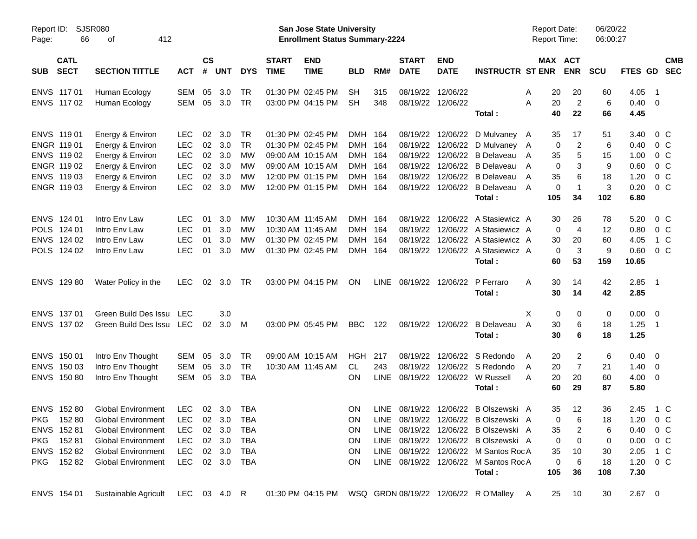| Report ID:<br>Page: | 66                         | SJSR080<br>412<br>οf                 |                          |                    |            |                        |                             | <b>San Jose State University</b><br><b>Enrollment Status Summary-2224</b> |                          |             |                             |                           |                                                | <b>Report Date:</b><br><b>Report Time:</b> |                       | 06/20/22<br>06:00:27 |                        |                          |                          |
|---------------------|----------------------------|--------------------------------------|--------------------------|--------------------|------------|------------------------|-----------------------------|---------------------------------------------------------------------------|--------------------------|-------------|-----------------------------|---------------------------|------------------------------------------------|--------------------------------------------|-----------------------|----------------------|------------------------|--------------------------|--------------------------|
| <b>SUB</b>          | <b>CATL</b><br><b>SECT</b> | <b>SECTION TITTLE</b>                | <b>ACT</b>               | $\mathsf{cs}$<br># | <b>UNT</b> | <b>DYS</b>             | <b>START</b><br><b>TIME</b> | <b>END</b><br><b>TIME</b>                                                 | <b>BLD</b>               | RM#         | <b>START</b><br><b>DATE</b> | <b>END</b><br><b>DATE</b> | <b>INSTRUCTR ST ENR</b>                        |                                            | MAX ACT<br><b>ENR</b> | <b>SCU</b>           | FTES GD                |                          | <b>CMB</b><br><b>SEC</b> |
|                     | ENVS 117 01                | Human Ecology                        | SEM                      | 05                 | 3.0        | <b>TR</b>              |                             | 01:30 PM 02:45 PM                                                         | <b>SH</b>                | 315         | 08/19/22                    | 12/06/22                  |                                                | 20<br>Α                                    | 20                    | 60                   | 4.05                   | $\overline{\phantom{1}}$ |                          |
|                     | ENVS 117 02                | Human Ecology                        | SEM                      | 05                 | 3.0        | <b>TR</b>              |                             | 03:00 PM 04:15 PM                                                         | <b>SH</b>                | 348         | 08/19/22                    | 12/06/22                  | Total:                                         | 20<br>A<br>40                              | $\overline{2}$<br>22  | 6<br>66              | $0.40 \quad 0$<br>4.45 |                          |                          |
|                     |                            |                                      |                          |                    |            |                        |                             |                                                                           |                          |             |                             |                           |                                                |                                            |                       |                      |                        |                          |                          |
|                     | ENVS 11901<br>ENGR 119 01  | Energy & Environ                     | <b>LEC</b><br><b>LEC</b> | 02<br>02           | 3.0<br>3.0 | <b>TR</b><br><b>TR</b> |                             | 01:30 PM 02:45 PM<br>01:30 PM 02:45 PM                                    | <b>DMH</b><br><b>DMH</b> | 164<br>164  | 08/19/22<br>08/19/22        |                           | 12/06/22 D Mulvaney A<br>12/06/22 D Mulvaney A | 35                                         | 17<br>$\overline{2}$  | 51                   | 3.40<br>0.40           | $0\,$ C<br>$0\,C$        |                          |
|                     | ENVS 119 02                | Energy & Environ<br>Energy & Environ | <b>LEC</b>               | 02                 | 3.0        | МW                     |                             | 09:00 AM 10:15 AM                                                         | <b>DMH</b>               | 164         | 08/19/22                    | 12/06/22                  | <b>B</b> Delaveau                              | 0                                          |                       | 6<br>15              | 1.00                   | 0 <sup>o</sup>           |                          |
|                     | ENGR 119 02                | Energy & Environ                     | <b>LEC</b>               | 02                 | 3.0        | MW                     |                             | 09:00 AM 10:15 AM                                                         | <b>DMH</b>               | 164         | 08/19/22                    | 12/06/22                  | <b>B</b> Delaveau                              | 35<br>A<br>0<br>A                          | 5<br>3                | 9                    | 0.60                   | $0\,C$                   |                          |
|                     | ENVS 119 03                | Energy & Environ                     | <b>LEC</b>               | 02                 | 3.0        | MW                     |                             | 12:00 PM 01:15 PM                                                         | <b>DMH</b>               | 164         | 08/19/22                    |                           | 12/06/22 B Delaveau                            | 35<br>A                                    | 6                     | 18                   | 1.20                   | 0 <sup>o</sup>           |                          |
|                     | ENGR 119 03                | Energy & Environ                     | <b>LEC</b>               | 02                 | 3.0        | МW                     |                             | 12:00 PM 01:15 PM                                                         | DMH 164                  |             | 08/19/22                    |                           | 12/06/22 B Delaveau                            | 0<br>A                                     | $\mathbf 1$           | 3                    | 0.20                   | $0\,C$                   |                          |
|                     |                            |                                      |                          |                    |            |                        |                             |                                                                           |                          |             |                             |                           | Total:                                         | 105                                        | 34                    | 102                  | 6.80                   |                          |                          |
|                     |                            |                                      |                          |                    |            |                        |                             |                                                                           |                          |             |                             |                           |                                                |                                            |                       |                      |                        |                          |                          |
|                     | ENVS 124 01                | Intro Env Law                        | <b>LEC</b>               | 01                 | 3.0        | МW                     |                             | 10:30 AM 11:45 AM                                                         | <b>DMH</b>               | 164         | 08/19/22                    | 12/06/22                  | A Stasiewicz A                                 | 30                                         | 26                    | 78                   | 5.20                   | $0\,$ C                  |                          |
|                     | POLS 124 01                | Intro Env Law                        | <b>LEC</b>               | 01                 | 3.0        | MW                     |                             | 10:30 AM 11:45 AM                                                         | <b>DMH</b>               | 164         | 08/19/22                    | 12/06/22                  | A Stasiewicz A                                 | 0                                          | 4                     | 12                   | 0.80                   | $0\,C$                   |                          |
|                     | ENVS 124 02                | Intro Env Law                        | <b>LEC</b>               | 01                 | 3.0        | МW                     |                             | 01:30 PM 02:45 PM                                                         | <b>DMH</b>               | 164         | 08/19/22                    | 12/06/22                  | A Stasiewicz A                                 | 30                                         | 20                    | 60                   | 4.05                   | 1 C                      |                          |
|                     | POLS 124 02                | Intro Env Law                        | <b>LEC</b>               | 01                 | 3.0        | МW                     |                             | 01:30 PM 02:45 PM                                                         | DMH 164                  |             | 08/19/22                    |                           | 12/06/22 A Stasiewicz A                        | 0                                          | 3                     | 9                    | 0.60                   | 0 <sup>o</sup>           |                          |
|                     |                            |                                      |                          |                    |            |                        |                             |                                                                           |                          |             |                             |                           | Total:                                         | 60                                         | 53                    | 159                  | 10.65                  |                          |                          |
|                     | ENVS 129 80                | Water Policy in the                  | <b>LEC</b>               | 02                 | 3.0        | <b>TR</b>              |                             | 03:00 PM 04:15 PM                                                         | <b>ON</b>                | <b>LINE</b> | 08/19/22                    | 12/06/22                  | P Ferraro                                      | 30<br>A                                    | 14                    | 42                   | $2.85$ 1               |                          |                          |
|                     |                            |                                      |                          |                    |            |                        |                             |                                                                           |                          |             |                             |                           | Total:                                         | 30                                         | 14                    | 42                   | 2.85                   |                          |                          |
|                     | ENVS 137 01                | Green Build Des Issu                 | <b>LEC</b>               |                    | 3.0        |                        |                             |                                                                           |                          |             |                             |                           |                                                | X<br>0                                     | 0                     | 0                    | 0.00                   | $\overline{\phantom{0}}$ |                          |
|                     | ENVS 137 02                | Green Build Des Issu LEC             |                          | 02                 | 3.0        | M                      |                             | 03:00 PM 05:45 PM                                                         | <b>BBC</b>               | 122         |                             | 08/19/22 12/06/22         | B Delaveau                                     | A<br>30                                    | 6                     | 18                   | 1.25                   | $\overline{\phantom{1}}$ |                          |
|                     |                            |                                      |                          |                    |            |                        |                             |                                                                           |                          |             |                             |                           | Total:                                         | 30                                         | 6                     | 18                   | 1.25                   |                          |                          |
|                     | ENVS 150 01                | Intro Env Thought                    | SEM                      | 05                 | 3.0        | <b>TR</b>              |                             | 09:00 AM 10:15 AM                                                         | <b>HGH</b>               | 217         | 08/19/22                    | 12/06/22                  | S Redondo                                      | A<br>20                                    | 2                     | 6                    | $0.40 \ 0$             |                          |                          |
|                     | ENVS 150 03                | Intro Env Thought                    | SEM                      | 05                 | 3.0        | <b>TR</b>              |                             | 10:30 AM 11:45 AM                                                         | CL.                      | 243         | 08/19/22                    | 12/06/22                  | S Redondo                                      | 20<br>A                                    | $\overline{7}$        | 21                   | 1.40                   | $\overline{\mathbf{0}}$  |                          |
|                     | ENVS 150 80                | Intro Env Thought                    | SEM                      | 05                 | 3.0        | <b>TBA</b>             |                             |                                                                           | <b>ON</b>                | <b>LINE</b> | 08/19/22                    |                           | 12/06/22 W Russell                             | 20<br>A                                    | 20                    | 60                   | $4.00 \ 0$             |                          |                          |
|                     |                            |                                      |                          |                    |            |                        |                             |                                                                           |                          |             |                             |                           | Total:                                         | 60                                         | 29                    | 87                   | 5.80                   |                          |                          |
|                     | ENVS 152 80                | <b>Global Environment</b>            | <b>LEC</b>               |                    | 02 3.0     | <b>TBA</b>             |                             |                                                                           | <b>ON</b>                | <b>LINE</b> | 08/19/22                    |                           | 12/06/22 B Olszewski A                         | 35                                         | 12                    | 36                   | 2.45                   | 1 C                      |                          |
|                     | PKG 152 80                 | <b>Global Environment</b>            | LEC 02 3.0               |                    |            | <b>TBA</b>             |                             |                                                                           | ON                       |             |                             |                           | LINE 08/19/22 12/06/22 B Olszewski A           |                                            | $\mathbf 0$<br>6      | 18                   | 1.20 0 C               |                          |                          |
|                     | ENVS 15281                 | <b>Global Environment</b>            | LEC                      |                    | 02 3.0     | TBA                    |                             |                                                                           | ON.                      |             |                             |                           | LINE 08/19/22 12/06/22 B Olszewski A           | 35                                         | 2                     | 6                    | $0.40 \quad 0 \quad C$ |                          |                          |
|                     | PKG 15281                  | <b>Global Environment</b>            | LEC                      |                    | 02 3.0     | TBA                    |                             |                                                                           | ON                       |             |                             |                           | LINE 08/19/22 12/06/22 B Olszewski A           | 0                                          | 0                     | 0                    | $0.00 \t 0 C$          |                          |                          |
|                     | ENVS 152 82                | <b>Global Environment</b>            | LEC                      |                    | 02 3.0     | TBA                    |                             |                                                                           | ON                       |             |                             |                           | LINE 08/19/22 12/06/22 M Santos RocA           | 35                                         | 10                    | 30                   | 2.05 1 C               |                          |                          |
|                     | PKG 15282                  | <b>Global Environment</b>            | LEC 02 3.0 TBA           |                    |            |                        |                             |                                                                           | ON.                      |             |                             |                           | LINE 08/19/22 12/06/22 M Santos RocA           | 0                                          | 6                     | 18                   | $1.20 \t 0 C$          |                          |                          |
|                     |                            |                                      |                          |                    |            |                        |                             |                                                                           |                          |             |                             |                           | Total:                                         | 105                                        | 36                    | 108                  | 7.30                   |                          |                          |
|                     | ENVS 154 01                | Sustainable Agricult LEC 03 4.0 R    |                          |                    |            |                        |                             |                                                                           |                          |             |                             |                           |                                                |                                            | 25 10                 | 30                   | $2.67$ 0               |                          |                          |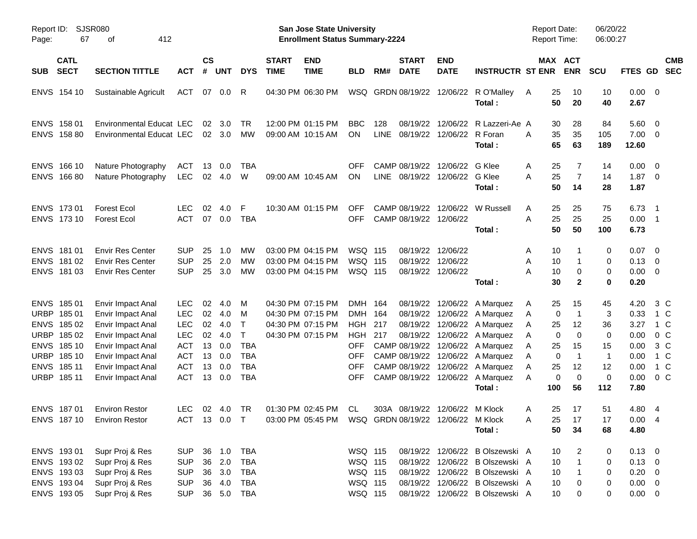| Report ID:<br>Page:                                      | 67                                                                                              | <b>SJSR080</b><br>412<br>оf                                                                                                                                          |                                                                                                              |                                              |                                                      |                                                                                                |                             | San Jose State University<br><b>Enrollment Status Summary-2224</b>               |                                                                                                    |                     |                             |                                                             |                                                                                                                                                                                                                                                                                    | <b>Report Date:</b><br>Report Time:         |                                                                                                                                        | 06/20/22<br>06:00:27                                         |                                                                      |                                                                                  |  |
|----------------------------------------------------------|-------------------------------------------------------------------------------------------------|----------------------------------------------------------------------------------------------------------------------------------------------------------------------|--------------------------------------------------------------------------------------------------------------|----------------------------------------------|------------------------------------------------------|------------------------------------------------------------------------------------------------|-----------------------------|----------------------------------------------------------------------------------|----------------------------------------------------------------------------------------------------|---------------------|-----------------------------|-------------------------------------------------------------|------------------------------------------------------------------------------------------------------------------------------------------------------------------------------------------------------------------------------------------------------------------------------------|---------------------------------------------|----------------------------------------------------------------------------------------------------------------------------------------|--------------------------------------------------------------|----------------------------------------------------------------------|----------------------------------------------------------------------------------|--|
| <b>SUB</b>                                               | <b>CATL</b><br><b>SECT</b>                                                                      | <b>SECTION TITTLE</b>                                                                                                                                                | <b>ACT</b>                                                                                                   | <b>CS</b><br>#                               | <b>UNT</b>                                           | <b>DYS</b>                                                                                     | <b>START</b><br><b>TIME</b> | <b>END</b><br><b>TIME</b>                                                        | BLD                                                                                                | RM#                 | <b>START</b><br><b>DATE</b> | <b>END</b><br><b>DATE</b>                                   | <b>INSTRUCTR ST ENR</b>                                                                                                                                                                                                                                                            |                                             | MAX ACT<br><b>ENR</b>                                                                                                                  | <b>SCU</b>                                                   | FTES GD                                                              | <b>CMB</b><br><b>SEC</b>                                                         |  |
|                                                          | ENVS 154 10                                                                                     | Sustainable Agricult                                                                                                                                                 | <b>ACT</b>                                                                                                   | 07                                           | 0.0                                                  | R                                                                                              |                             | 04:30 PM 06:30 PM                                                                |                                                                                                    |                     |                             | WSQ GRDN 08/19/22 12/06/22                                  | R O'Malley<br>Total:                                                                                                                                                                                                                                                               | A                                           | 25<br>10<br>50<br>20                                                                                                                   | 10<br>40                                                     | $0.00 \t 0$<br>2.67                                                  |                                                                                  |  |
| <b>ENVS</b>                                              | 158 01<br>ENVS 158 80                                                                           | <b>Environmental Educat LEC</b><br>Environmental Educat LEC                                                                                                          |                                                                                                              | 02                                           | 3.0<br>02 3.0                                        | <b>TR</b><br>МW                                                                                |                             | 12:00 PM 01:15 PM<br>09:00 AM 10:15 AM                                           | <b>BBC</b><br><b>ON</b>                                                                            | 128<br><b>LINE</b>  |                             | 08/19/22 12/06/22<br>08/19/22 12/06/22                      | R Lazzeri-Ae A<br>R Foran<br>Total:                                                                                                                                                                                                                                                | А                                           | 28<br>30<br>35<br>35<br>65<br>63                                                                                                       | 84<br>105<br>189                                             | 5.60<br>$7.00 \t 0$<br>12.60                                         | $\overline{\mathbf{0}}$                                                          |  |
| <b>ENVS</b>                                              | 166 10<br>ENVS 166 80                                                                           | Nature Photography<br>Nature Photography                                                                                                                             | <b>ACT</b><br><b>LEC</b>                                                                                     | 13<br>02                                     | 0.0<br>4.0                                           | TBA<br>W                                                                                       |                             | 09:00 AM 10:45 AM                                                                | <b>OFF</b><br><b>ON</b>                                                                            |                     |                             | CAMP 08/19/22 12/06/22<br>LINE 08/19/22 12/06/22 G Klee     | G Klee<br>Total:                                                                                                                                                                                                                                                                   | A<br>A                                      | 25<br>7<br>$\overline{7}$<br>25<br>50<br>14                                                                                            | 14<br>14<br>28                                               | 0.00<br>$1.87 \ 0$<br>1.87                                           | $\overline{\mathbf{0}}$                                                          |  |
|                                                          | ENVS 173 01<br>ENVS 173 10                                                                      | <b>Forest Ecol</b><br><b>Forest Ecol</b>                                                                                                                             | <b>LEC</b><br><b>ACT</b>                                                                                     | 02<br>07                                     | 4.0<br>0.0                                           | F<br><b>TBA</b>                                                                                |                             | 10:30 AM 01:15 PM                                                                | <b>OFF</b><br><b>OFF</b>                                                                           |                     | CAMP 08/19/22 12/06/22      | CAMP 08/19/22 12/06/22                                      | W Russell<br>Total:                                                                                                                                                                                                                                                                | A<br>A                                      | 25<br>25<br>25<br>25<br>50<br>50                                                                                                       | 75<br>25<br>100                                              | 6.73<br>0.00<br>6.73                                                 | $\overline{1}$<br>$\overline{\phantom{1}}$                                       |  |
| <b>ENVS</b><br><b>ENVS</b>                               | 181 01<br>181 02<br>ENVS 181 03                                                                 | <b>Envir Res Center</b><br><b>Envir Res Center</b><br><b>Envir Res Center</b>                                                                                        | <b>SUP</b><br><b>SUP</b><br><b>SUP</b>                                                                       | 25<br>25<br>25                               | 1.0<br>2.0<br>3.0                                    | MW<br>MW<br>МW                                                                                 |                             | 03:00 PM 04:15 PM<br>03:00 PM 04:15 PM<br>03:00 PM 04:15 PM                      | <b>WSQ 115</b><br><b>WSQ 115</b><br>WSQ 115                                                        |                     |                             | 08/19/22 12/06/22<br>08/19/22 12/06/22<br>08/19/22 12/06/22 | Total:                                                                                                                                                                                                                                                                             | A<br>Α<br>А                                 | 10<br>10<br>$\mathbf 1$<br>10<br>0<br>30<br>$\mathbf{2}$                                                                               | 0<br>0<br>0<br>0                                             | 0.07<br>0.13<br>0.00<br>0.20                                         | $\overline{\phantom{0}}$<br>$\overline{\phantom{0}}$<br>$\overline{\phantom{0}}$ |  |
| <b>ENVS</b><br><b>URBP</b><br><b>ENVS</b><br><b>ENVS</b> | ENVS 185 01<br>URBP 185 01<br>185 02<br>18502<br>185 10<br>URBP 185 10<br>185 11<br>URBP 185 11 | Envir Impact Anal<br>Envir Impact Anal<br>Envir Impact Anal<br>Envir Impact Anal<br>Envir Impact Anal<br>Envir Impact Anal<br>Envir Impact Anal<br>Envir Impact Anal | <b>LEC</b><br><b>LEC</b><br><b>LEC</b><br><b>LEC</b><br><b>ACT</b><br><b>ACT</b><br><b>ACT</b><br><b>ACT</b> | 02<br>02<br>02<br>02<br>13<br>13<br>13<br>13 | 4.0<br>4.0<br>4.0<br>4.0<br>0.0<br>0.0<br>0.0<br>0.0 | M<br>M<br>$\mathsf{T}$<br>$\mathsf{T}$<br><b>TBA</b><br><b>TBA</b><br><b>TBA</b><br><b>TBA</b> |                             | 04:30 PM 07:15 PM<br>04:30 PM 07:15 PM<br>04:30 PM 07:15 PM<br>04:30 PM 07:15 PM | DMH 164<br><b>DMH</b><br><b>HGH</b><br>HGH<br><b>OFF</b><br><b>OFF</b><br><b>OFF</b><br><b>OFF</b> | - 164<br>217<br>217 |                             |                                                             | 08/19/22 12/06/22 A Marquez<br>08/19/22 12/06/22 A Marquez<br>08/19/22 12/06/22 A Marquez<br>08/19/22 12/06/22 A Marquez<br>CAMP 08/19/22 12/06/22 A Marquez<br>CAMP 08/19/22 12/06/22 A Marquez<br>CAMP 08/19/22 12/06/22 A Marquez<br>CAMP 08/19/22 12/06/22 A Marquez<br>Total: | A<br>A<br>A<br>A<br>A<br>A<br>Α<br>A<br>100 | 25<br>15<br>$\overline{1}$<br>0<br>25<br>12<br>0<br>$\mathbf 0$<br>25<br>15<br>$\mathbf{1}$<br>0<br>12<br>25<br>$\mathbf 0$<br>0<br>56 | 45<br>3<br>36<br>0<br>15<br>$\overline{1}$<br>12<br>0<br>112 | 4.20<br>0.33<br>3.27<br>0.00<br>0.00<br>0.00<br>0.00<br>0.00<br>7.80 | $3\,C$<br>1 C<br>1 C<br>0 <sup>o</sup><br>3 C<br>1 C<br>1 C<br>0 <sup>o</sup>    |  |
|                                                          | ENVS 187 01<br>ENVS 187 10                                                                      | <b>Environ Restor</b><br><b>Environ Restor</b>                                                                                                                       | <b>LEC</b><br>ACT 13 0.0 T                                                                                   |                                              | $02 \quad 4.0$                                       | <b>TR</b>                                                                                      |                             | 01:30 PM 02:45 PM                                                                | CL.                                                                                                |                     |                             | 303A 08/19/22 12/06/22 M Klock                              | Total:                                                                                                                                                                                                                                                                             | A<br>A                                      | 25<br>17<br>25 17<br>50<br>34                                                                                                          | 51<br>17<br>68                                               | 4.80<br>0.004<br>4.80                                                | - 4                                                                              |  |
|                                                          | ENVS 193 01<br>ENVS 193 02<br>ENVS 193 03<br>ENVS 193 04<br>ENVS 193 05                         | Supr Proj & Res<br>Supr Proj & Res<br>Supr Proj & Res<br>Supr Proj & Res<br>Supr Proj & Res                                                                          | <b>SUP</b><br><b>SUP</b><br><b>SUP</b><br><b>SUP</b><br><b>SUP</b>                                           |                                              | 36 1.0<br>36 2.0<br>36 3.0<br>36 4.0<br>36 5.0       | <b>TBA</b><br><b>TBA</b><br><b>TBA</b><br><b>TBA</b><br><b>TBA</b>                             |                             |                                                                                  | WSQ 115<br>WSQ 115<br>WSQ 115<br>WSQ 115<br>WSQ 115                                                |                     |                             |                                                             | 08/19/22 12/06/22 B Olszewski A<br>08/19/22 12/06/22 B Olszewski A<br>08/19/22 12/06/22 B Olszewski A<br>08/19/22 12/06/22 B Olszewski A<br>08/19/22 12/06/22 B Olszewski A                                                                                                        |                                             | 10<br>2<br>10<br>$\mathbf{1}$<br>10<br>10<br>0<br>10<br>0                                                                              | 0<br>0<br>0<br>0<br>0                                        | $0.13 \ 0$<br>$0.13 \ 0$<br>$0.20 \ 0$<br>$0.00 \t 0$<br>$0.00 \t 0$ |                                                                                  |  |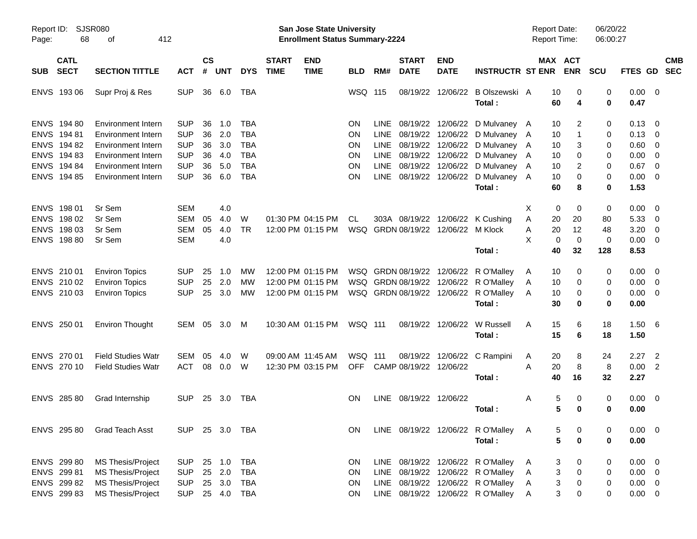| Report ID:<br>Page: | 68                                                                | <b>SJSR080</b><br>412<br>οf |                |    |            |            |                             | San Jose State University<br><b>Enrollment Status Summary-2224</b> |            |             |                             |                            |                                   | <b>Report Date:</b><br>Report Time: |                                | 06/20/22<br>06:00:27 |                |                            |            |
|---------------------|-------------------------------------------------------------------|-----------------------------|----------------|----|------------|------------|-----------------------------|--------------------------------------------------------------------|------------|-------------|-----------------------------|----------------------------|-----------------------------------|-------------------------------------|--------------------------------|----------------------|----------------|----------------------------|------------|
| <b>SUB</b>          | <b>CATL</b><br><b>SECT</b><br><b>SECTION TITTLE</b><br><b>ACT</b> |                             |                |    | <b>UNT</b> | <b>DYS</b> | <b>START</b><br><b>TIME</b> | <b>END</b><br><b>TIME</b>                                          | <b>BLD</b> | RM#         | <b>START</b><br><b>DATE</b> | <b>END</b><br><b>DATE</b>  | <b>INSTRUCTR ST ENR</b>           |                                     | MAX ACT<br><b>ENR</b>          | <b>SCU</b>           | FTES GD SEC    |                            | <b>CMB</b> |
| ENVS 193 06         |                                                                   | Supr Proj & Res             | <b>SUP</b>     | 36 | 6.0        | TBA        |                             |                                                                    | WSQ 115    |             | 08/19/22                    | 12/06/22                   | B Olszewski A                     | 10                                  | 0                              | 0                    | 0.00           | $\overline{\mathbf{0}}$    |            |
|                     |                                                                   |                             |                |    |            |            |                             |                                                                    |            |             |                             |                            | Total:                            | 60                                  | 4                              | 0                    | 0.47           |                            |            |
| ENVS 194 80         |                                                                   | Environment Intern          | <b>SUP</b>     | 36 | 1.0        | <b>TBA</b> |                             |                                                                    | ON         | LINE.       | 08/19/22                    |                            | 12/06/22 D Mulvaney A             | 10                                  | 2                              | 0                    | 0.13           | - 0                        |            |
| ENVS 194 81         |                                                                   | Environment Intern          | <b>SUP</b>     | 36 | 2.0        | <b>TBA</b> |                             |                                                                    | ON         | <b>LINE</b> | 08/19/22                    |                            | 12/06/22 D Mulvaney A             | 10                                  | -1                             | 0                    | 0.13           | $\overline{0}$             |            |
| ENVS 194 82         |                                                                   | <b>Environment Intern</b>   | <b>SUP</b>     | 36 | 3.0        | <b>TBA</b> |                             |                                                                    | ON         | <b>LINE</b> | 08/19/22                    |                            | 12/06/22 D Mulvaney A             | 10                                  | 3                              | 0                    | 0.60           | $\mathbf 0$                |            |
| ENVS 194 83         |                                                                   | <b>Environment Intern</b>   | <b>SUP</b>     | 36 | 4.0        | <b>TBA</b> |                             |                                                                    | ON         | <b>LINE</b> | 08/19/22                    |                            | 12/06/22 D Mulvaney A             | 10                                  | 0                              | 0                    | 0.00           | $\overline{0}$             |            |
| ENVS 194 84         |                                                                   | <b>Environment Intern</b>   | <b>SUP</b>     | 36 | 5.0        | <b>TBA</b> |                             |                                                                    | ON         | <b>LINE</b> |                             |                            | 08/19/22 12/06/22 D Mulvaney A    | 10                                  | 2                              | 0                    | 0.67           | $\overline{\mathbf{0}}$    |            |
| ENVS 194 85         |                                                                   | <b>Environment Intern</b>   | <b>SUP</b>     | 36 | 6.0        | <b>TBA</b> |                             |                                                                    | ΟN         | LINE        |                             |                            | 08/19/22 12/06/22 D Mulvaney A    | 10                                  | 0                              | 0                    | 0.00           | $\overline{0}$             |            |
|                     |                                                                   |                             |                |    |            |            |                             |                                                                    |            |             |                             |                            | Total:                            | 60                                  | 8                              | 0                    | 1.53           |                            |            |
| ENVS 198 01         |                                                                   | Sr Sem                      | <b>SEM</b>     |    | 4.0        |            |                             |                                                                    |            |             |                             |                            |                                   | X<br>0                              | 0                              | 0                    | 0.00           | - 0                        |            |
| ENVS 198 02         |                                                                   | Sr Sem                      | SEM            | 05 | 4.0        | W          |                             | 01:30 PM 04:15 PM                                                  | CL         |             | 303A 08/19/22               |                            | 12/06/22 K Cushing                | Α<br>20                             | 20                             | 80                   | 5.33           | $\overline{0}$             |            |
| ENVS 198 03         |                                                                   | Sr Sem                      | SEM            | 05 | 4.0        | <b>TR</b>  |                             | 12:00 PM 01:15 PM                                                  |            |             | WSQ GRDN 08/19/22           | 12/06/22 M Klock           |                                   | 20<br>Α                             | 12                             | 48                   | 3.20           | $\mathbf{0}$               |            |
| ENVS 198 80         |                                                                   | Sr Sem                      | <b>SEM</b>     |    | 4.0        |            |                             |                                                                    |            |             |                             |                            |                                   | X<br>0                              | $\mathbf 0$                    | 0                    | 0.00           | $\overline{0}$             |            |
|                     |                                                                   |                             |                |    |            |            |                             |                                                                    |            |             |                             |                            | Total:                            | 40                                  | 32                             | 128                  | 8.53           |                            |            |
| ENVS 210 01         |                                                                   | <b>Environ Topics</b>       | <b>SUP</b>     | 25 | 1.0        | МW         |                             | 12:00 PM 01:15 PM                                                  |            |             | WSQ GRDN 08/19/22 12/06/22  |                            | R O'Malley                        | 10<br>A                             | 0                              | 0                    | 0.00           | $\overline{\mathbf{0}}$    |            |
| ENVS 210 02         |                                                                   | <b>Environ Topics</b>       | <b>SUP</b>     | 25 | 2.0        | МW         |                             | 12:00 PM 01:15 PM                                                  |            |             | WSQ GRDN 08/19/22           | 12/06/22                   | R O'Malley                        | 10<br>A                             | 0                              | 0                    | 0.00           | $\overline{0}$             |            |
| ENVS 210 03         |                                                                   | <b>Environ Topics</b>       | <b>SUP</b>     | 25 | 3.0        | МW         |                             | 12:00 PM 01:15 PM                                                  |            |             |                             | WSQ GRDN 08/19/22 12/06/22 | R O'Malley                        | 10<br>A                             | 0                              | 0                    | 0.00           | $\overline{0}$             |            |
|                     |                                                                   |                             |                |    |            |            |                             |                                                                    |            |             |                             |                            | Total:                            | 30                                  | 0                              | 0                    | 0.00           |                            |            |
| ENVS 250 01         |                                                                   | <b>Environ Thought</b>      | SEM 05         |    | 3.0        | M          |                             | 10:30 AM 01:15 PM                                                  | WSQ 111    |             |                             | 08/19/22 12/06/22          | W Russell                         | 15<br>A                             | 6                              | 18                   | 1.50           | - 6                        |            |
|                     |                                                                   |                             |                |    |            |            |                             |                                                                    |            |             |                             |                            | Total:                            | 15                                  | 6                              | 18                   | 1.50           |                            |            |
| ENVS 270 01         |                                                                   | <b>Field Studies Watr</b>   | SEM            | 05 | 4.0        | W          |                             | 09:00 AM 11:45 AM                                                  | WSQ 111    |             | 08/19/22                    | 12/06/22                   | C Rampini                         | 20<br>A                             | 8                              | 24                   | 2.27           | $\overline{\phantom{0}}^2$ |            |
| ENVS 270 10         |                                                                   | <b>Field Studies Watr</b>   | <b>ACT</b>     | 08 | 0.0        | W          |                             | 12:30 PM 03:15 PM                                                  | <b>OFF</b> |             | CAMP 08/19/22               | 12/06/22                   |                                   | 20<br>A                             | 8                              | 8                    | 0.00           | $\overline{2}$             |            |
|                     |                                                                   |                             |                |    |            |            |                             |                                                                    |            |             |                             |                            | Total:                            | 40                                  | 16                             | 32                   | 2.27           |                            |            |
| ENVS 285 80         |                                                                   | Grad Internship             | <b>SUP</b>     | 25 | - 3.0      | TBA        |                             |                                                                    | ON         |             | LINE 08/19/22 12/06/22      |                            |                                   | Α                                   | 5<br>0                         | 0                    | 0.00           | $\overline{\mathbf{0}}$    |            |
|                     |                                                                   |                             |                |    |            |            |                             |                                                                    |            |             |                             |                            | Total:                            |                                     | 5<br>0                         | 0                    | 0.00           |                            |            |
| ENVS 295 80         |                                                                   | Grad Teach Asst             | SUP 25 3.0 TBA |    |            |            |                             |                                                                    | <b>ON</b>  |             |                             |                            | LINE 08/19/22 12/06/22 R O'Malley | A                                   | 5<br>0                         | 0                    | $0.00 \t 0$    |                            |            |
|                     |                                                                   |                             |                |    |            |            |                             |                                                                    |            |             |                             |                            | Total:                            |                                     | 5<br>$\bf{0}$                  | 0                    | 0.00           |                            |            |
| ENVS 299 80         |                                                                   | MS Thesis/Project           | <b>SUP</b>     | 25 | 1.0        | <b>TBA</b> |                             |                                                                    | ON         |             |                             |                            | LINE 08/19/22 12/06/22 R O'Malley | $\mathsf{A}$                        | 3<br>0                         | 0                    | $0.00 \t 0$    |                            |            |
| ENVS 299 81         |                                                                   | MS Thesis/Project           | <b>SUP</b>     | 25 | 2.0        | <b>TBA</b> |                             |                                                                    | ON         |             |                             |                            | LINE 08/19/22 12/06/22 R O'Malley | A                                   | $\ensuremath{\mathsf{3}}$<br>0 | 0                    | $0.00 \quad 0$ |                            |            |
| ENVS 299 82         |                                                                   | MS Thesis/Project           | <b>SUP</b>     | 25 | 3.0        | TBA        |                             |                                                                    | <b>ON</b>  |             |                             |                            | LINE 08/19/22 12/06/22 R O'Malley | A                                   | 3<br>0                         | 0                    | $0.00 \t 0$    |                            |            |
| ENVS 299 83         |                                                                   | <b>MS Thesis/Project</b>    | <b>SUP</b>     |    | 25 4.0     | TBA        |                             |                                                                    | ON         |             |                             |                            | LINE 08/19/22 12/06/22 R O'Malley | A                                   | 3<br>0                         | 0                    | $0.00 \t 0$    |                            |            |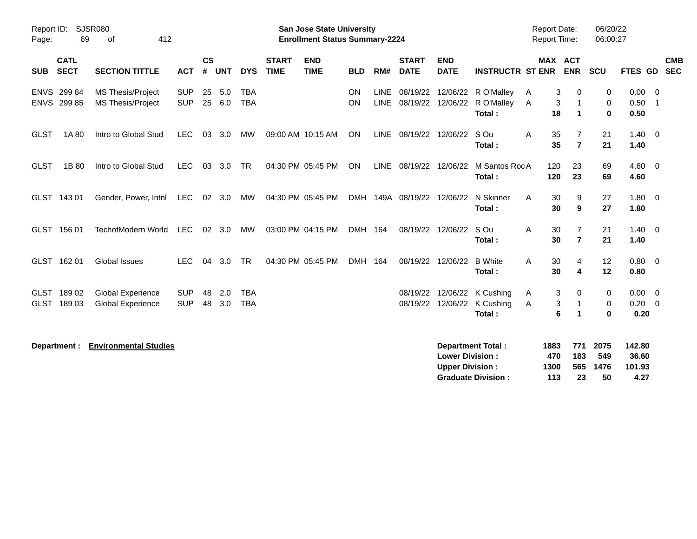| <b>SJSR080</b><br>Report ID:<br>69<br>Page: | 412                                                  |                          |                |            |                          | <b>San Jose State University</b><br><b>Enrollment Status Summary-2224</b> |                           |            |                     |                             |                                                  | <b>Report Date:</b><br>Report Time:                         |                            | 06/20/22<br>06:00:27    |                           |                                   |                            |
|---------------------------------------------|------------------------------------------------------|--------------------------|----------------|------------|--------------------------|---------------------------------------------------------------------------|---------------------------|------------|---------------------|-----------------------------|--------------------------------------------------|-------------------------------------------------------------|----------------------------|-------------------------|---------------------------|-----------------------------------|----------------------------|
| <b>CATL</b><br><b>SECT</b><br><b>SUB</b>    | <b>SECTION TITTLE</b>                                | <b>ACT</b>               | <b>CS</b><br># | <b>UNT</b> | <b>DYS</b>               | <b>START</b><br><b>TIME</b>                                               | <b>END</b><br><b>TIME</b> | <b>BLD</b> | RM#                 | <b>START</b><br><b>DATE</b> | <b>END</b><br><b>DATE</b>                        | <b>INSTRUCTR ST ENR</b>                                     | <b>MAX ACT</b>             | <b>ENR</b>              | <b>SCU</b>                | <b>FTES GD</b>                    | <b>CMB</b><br><b>SEC</b>   |
| ENVS 299 84<br>ENVS 299 85                  | MS Thesis/Project<br><b>MS Thesis/Project</b>        | <b>SUP</b><br><b>SUP</b> | 25<br>25       | 5.0<br>6.0 | <b>TBA</b><br><b>TBA</b> |                                                                           |                           | ON<br>ON   | LINE<br><b>LINE</b> | 08/19/22<br>08/19/22        |                                                  | 12/06/22 R O'Malley<br>12/06/22 R O'Malley<br>Total:        | 3<br>A<br>3<br>Α<br>18     | 0<br>1                  | 0<br>0<br>$\bf{0}$        | $0.00 \t 0$<br>0.50<br>0.50       | $\overline{\phantom{0}}$ 1 |
| 1A 80<br><b>GLST</b>                        | Intro to Global Stud                                 | <b>LEC</b>               | 03             | 3.0        | MW                       |                                                                           | 09:00 AM 10:15 AM         | ON         | LINE                | 08/19/22                    | 12/06/22                                         | S Ou<br>Total:                                              | 35<br>Α<br>35              | $\overline{7}$          | 21<br>21                  | 1.40<br>1.40                      | $\overline{0}$             |
| 1B 80<br><b>GLST</b>                        | Intro to Global Stud                                 | LEC                      | 03             | 3.0        | TR                       |                                                                           | 04:30 PM 05:45 PM         | ON         |                     | LINE 08/19/22 12/06/22      |                                                  | M Santos RocA<br>Total:                                     | 120<br>120                 | 23<br>23                | 69<br>69                  | $4.60 \ 0$<br>4.60                |                            |
| GLST 143 01                                 | Gender, Power, Intnl                                 | LEC                      |                | 02 3.0     | MW                       |                                                                           | 04:30 PM 05:45 PM         | <b>DMH</b> |                     | 149A 08/19/22               | 12/06/22                                         | N Skinner<br>Total:                                         | A<br>30<br>30              | 9<br>9                  | 27<br>27                  | 1.80<br>1.80                      | $\overline{\mathbf{0}}$    |
| GLST 156 01                                 | TechofModern World                                   | <b>LEC</b>               |                | 02 3.0     | MW                       |                                                                           | 03:00 PM 04:15 PM         | DMH 164    |                     | 08/19/22                    | 12/06/22                                         | S Ou<br>Total:                                              | A<br>30<br>30              | 7<br>$\overline{7}$     | 21<br>21                  | $1.40 \quad 0$<br>1.40            |                            |
| GLST 162 01                                 | <b>Global Issues</b>                                 | <b>LEC</b>               | 04             | 3.0        | <b>TR</b>                |                                                                           | 04:30 PM 05:45 PM         | DMH 164    |                     | 08/19/22                    | 12/06/22                                         | <b>B</b> White<br>Total:                                    | 30<br>A<br>30              | 4<br>4                  | 12<br>12                  | $0.80 \quad 0$<br>0.80            |                            |
| GLST 18902<br>GLST 18903                    | <b>Global Experience</b><br><b>Global Experience</b> | <b>SUP</b><br><b>SUP</b> | 48<br>48       | 2.0<br>3.0 | <b>TBA</b><br><b>TBA</b> |                                                                           |                           |            |                     | 08/19/22                    |                                                  | 12/06/22 K Cushing<br>08/19/22 12/06/22 K Cushing<br>Total: | 3<br>A<br>3<br>Α<br>6      | 0<br>$\mathbf 1$<br>1   | 0<br>0<br>0               | $0.00 \t 0$<br>0.20<br>0.20       | $\overline{\mathbf{0}}$    |
| Department :                                | <b>Environmental Studies</b>                         |                          |                |            |                          |                                                                           |                           |            |                     |                             | <b>Lower Division:</b><br><b>Upper Division:</b> | <b>Department Total:</b><br><b>Graduate Division:</b>       | 1883<br>470<br>1300<br>113 | 771<br>183<br>565<br>23 | 2075<br>549<br>1476<br>50 | 142.80<br>36.60<br>101.93<br>4.27 |                            |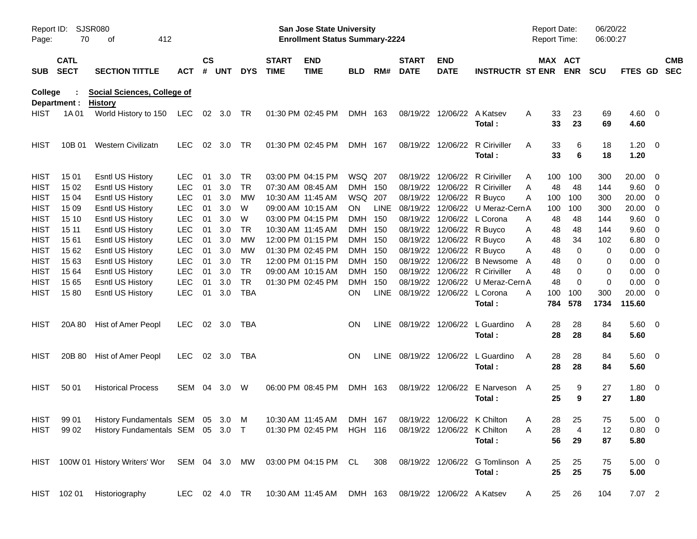| Report ID:<br>Page: | 70                         | <b>SJSR080</b><br>412<br>оf                          |               |               |           |            |                             | <b>San Jose State University</b><br><b>Enrollment Status Summary-2224</b> |                |             |                                     |                             |                                           |   | <b>Report Date:</b><br>Report Time: |                              | 06/20/22<br>06:00:27 |                     |                          |                          |
|---------------------|----------------------------|------------------------------------------------------|---------------|---------------|-----------|------------|-----------------------------|---------------------------------------------------------------------------|----------------|-------------|-------------------------------------|-----------------------------|-------------------------------------------|---|-------------------------------------|------------------------------|----------------------|---------------------|--------------------------|--------------------------|
| <b>SUB</b>          | <b>CATL</b><br><b>SECT</b> | <b>SECTION TITTLE</b>                                | <b>ACT</b>    | $\mathsf{cs}$ | # UNT     | <b>DYS</b> | <b>START</b><br><b>TIME</b> | <b>END</b><br><b>TIME</b>                                                 | <b>BLD</b>     | RM#         | <b>START</b><br><b>DATE</b>         | <b>END</b><br><b>DATE</b>   | <b>INSTRUCTR ST ENR</b>                   |   |                                     | <b>MAX ACT</b><br><b>ENR</b> | <b>SCU</b>           | FTES GD             |                          | <b>CMB</b><br><b>SEC</b> |
| College             | Department :               | <b>Social Sciences, College of</b><br><b>History</b> |               |               |           |            |                             |                                                                           |                |             |                                     |                             |                                           |   |                                     |                              |                      |                     |                          |                          |
| <b>HIST</b>         | 1A 01                      | World History to 150 LEC                             |               |               | 02 3.0 TR |            |                             | 01:30 PM 02:45 PM                                                         | DMH 163        |             |                                     | 08/19/22 12/06/22           | A Katsev<br>Total:                        | Α | 33<br>33                            | 23<br>23                     | 69<br>69             | 4.60<br>4.60        | $\overline{\mathbf{0}}$  |                          |
| <b>HIST</b>         | 10B 01                     | Western Civilizatn                                   | <b>LEC</b>    |               | 02 3.0    | <b>TR</b>  |                             | 01:30 PM 02:45 PM                                                         | DMH 167        |             |                                     | 08/19/22 12/06/22           | <b>R</b> Ciriviller<br>Total:             | A | 33<br>33                            | 6<br>6                       | 18<br>18             | 1.20<br>1.20        | $\overline{\mathbf{0}}$  |                          |
| <b>HIST</b>         | 15 01                      | Esntl US History                                     | <b>LEC</b>    | 01            | 3.0       | <b>TR</b>  |                             | 03:00 PM 04:15 PM                                                         | WSQ 207        |             | 08/19/22                            | 12/06/22                    | R Ciriviller                              | A | 100                                 | 100                          | 300                  | 20.00               | 0                        |                          |
| <b>HIST</b>         | 15 02                      | <b>Esntl US History</b>                              | <b>LEC</b>    | 01            | 3.0       | <b>TR</b>  |                             | 07:30 AM 08:45 AM                                                         | DMH 150        |             | 08/19/22                            | 12/06/22                    | <b>R</b> Ciriviller                       | A | 48                                  | 48                           | 144                  | 9.60                | 0                        |                          |
| <b>HIST</b>         | 15 04                      | <b>Esntl US History</b>                              | <b>LEC</b>    | 01            | 3.0       | <b>MW</b>  |                             | 10:30 AM 11:45 AM                                                         | WSQ 207        |             | 08/19/22                            | 12/06/22                    | R Buyco                                   | A | 100                                 | 100                          | 300                  | 20.00               | 0                        |                          |
| <b>HIST</b>         | 15 09                      | <b>Esntl US History</b>                              | <b>LEC</b>    | 01            | 3.0       | W          |                             | 09:00 AM 10:15 AM                                                         | ON             | <b>LINE</b> | 08/19/22                            | 12/06/22                    | U Meraz-Cern A                            |   | 100                                 | 100                          | 300                  | 20.00               | 0                        |                          |
| <b>HIST</b>         | 15 10                      | <b>Esntl US History</b>                              | <b>LEC</b>    | 01            | 3.0       | W          |                             | 03:00 PM 04:15 PM                                                         | DMH 150        |             | 08/19/22                            | 12/06/22                    | L Corona                                  | A | 48                                  | 48                           | 144                  | 9.60                | 0                        |                          |
| <b>HIST</b>         | 15 11                      | <b>Esntl US History</b>                              | <b>LEC</b>    | 01            | 3.0       | <b>TR</b>  |                             | 10:30 AM 11:45 AM                                                         | DMH 150        |             | 08/19/22                            | 12/06/22 R Buyco            |                                           | Α | 48                                  | 48                           | 144                  | 9.60                | 0                        |                          |
| <b>HIST</b>         | 1561                       | <b>Esntl US History</b>                              | <b>LEC</b>    | 01            | 3.0       | <b>MW</b>  |                             | 12:00 PM 01:15 PM                                                         | DMH 150        |             | 08/19/22                            | 12/06/22                    | R Buyco                                   | Α | 48                                  | 34                           | 102                  | 6.80                | 0                        |                          |
| <b>HIST</b>         | 15 62                      | <b>Esntl US History</b>                              | <b>LEC</b>    | 01            | 3.0       | <b>MW</b>  |                             | 01:30 PM 02:45 PM                                                         | DMH 150        |             | 08/19/22                            | 12/06/22                    | R Buyco                                   | Α | 48                                  | 0                            | 0                    | 0.00                | 0                        |                          |
| <b>HIST</b>         | 1563                       | <b>Esntl US History</b>                              | <b>LEC</b>    | 01            | 3.0       | <b>TR</b>  |                             | 12:00 PM 01:15 PM                                                         | DMH 150        |             | 08/19/22                            | 12/06/22                    | <b>B</b> Newsome                          | A | 48                                  | 0                            | 0                    | 0.00                | 0                        |                          |
| <b>HIST</b>         | 15 64                      | Esntl US History                                     | <b>LEC</b>    | 01            | 3.0       | <b>TR</b>  |                             | 09:00 AM 10:15 AM                                                         | DMH 150        |             | 08/19/22                            | 12/06/22                    | R Ciriviller                              | Α | 48                                  | 0                            | 0                    | 0.00                | 0                        |                          |
| <b>HIST</b>         | 15 65                      | Esntl US History                                     | <b>LEC</b>    | 01            | 3.0       | <b>TR</b>  |                             | 01:30 PM 02:45 PM                                                         | <b>DMH</b>     | 150         | 08/19/22                            | 12/06/22                    | U Meraz-Cern A                            |   | 48                                  | $\Omega$                     | 0                    | 0.00                | 0                        |                          |
| <b>HIST</b>         | 1580                       | Esntl US History                                     | <b>LEC</b>    | 01            | 3.0       | <b>TBA</b> |                             |                                                                           | <b>ON</b>      | <b>LINE</b> |                                     | 08/19/22 12/06/22           | L Corona                                  | Α | 100                                 | 100                          | 300                  | 20.00               | 0                        |                          |
|                     |                            |                                                      |               |               |           |            |                             |                                                                           |                |             |                                     |                             | Total:                                    |   | 784                                 | 578                          | 1734                 | 115.60              |                          |                          |
| <b>HIST</b>         | 20A 80                     | Hist of Amer Peopl                                   | <b>LEC</b>    |               | 02 3.0    | TBA        |                             |                                                                           | <b>ON</b>      |             | LINE 08/19/22 12/06/22              |                             | L Guardino<br>Total:                      | A | 28<br>28                            | 28<br>28                     | 84<br>84             | 5.60<br>5.60        | $\overline{\mathbf{0}}$  |                          |
| <b>HIST</b>         | 20B 80                     | Hist of Amer Peopl                                   | <b>LEC</b>    |               | 02 3.0    | TBA        |                             |                                                                           | <b>ON</b>      |             | LINE 08/19/22 12/06/22              |                             | L Guardino<br>Total:                      | A | 28<br>28                            | 28<br>28                     | 84<br>84             | 5.60<br>5.60        | $\overline{\phantom{0}}$ |                          |
| <b>HIST</b>         | 50 01                      | <b>Historical Process</b>                            | SEM           | 04            | 3.0       | W          |                             | 06:00 PM 08:45 PM                                                         | DMH 163        |             |                                     | 08/19/22 12/06/22           | E Narveson A<br>Total:                    |   | 25<br>25                            | 9<br>9                       | 27<br>27             | $1.80 \ 0$<br>1.80  |                          |                          |
| <b>HIST</b>         | 99 01                      | History Fundamentals SEM 05 3.0 M                    |               |               |           |            |                             | 10:30 AM 11:45 AM                                                         |                |             | DMH 167 08/19/22 12/06/22 K Chilton |                             |                                           | Α | 28                                  | 25                           | $\sqrt{5}$           | $5.00 \t 0$         |                          |                          |
| <b>HIST</b>         | 99 02                      | History Fundamentals SEM 05 3.0 T                    |               |               |           |            |                             | 01:30 PM 02:45 PM                                                         | <b>HGH 116</b> |             |                                     | 08/19/22 12/06/22 K Chilton |                                           | A | 28                                  | 4                            | 12                   | $0.80 \t 0$         |                          |                          |
|                     |                            |                                                      |               |               |           |            |                             |                                                                           |                |             |                                     |                             | Total:                                    |   | 56                                  | 29                           | 87                   | 5.80                |                          |                          |
|                     |                            | HIST 100W 01 History Writers' Wor                    | SEM 04 3.0 MW |               |           |            |                             | 03:00 PM 04:15 PM CL                                                      |                | 308         |                                     |                             | 08/19/22 12/06/22 G Tomlinson A<br>Total: |   | 25<br>25                            | 25<br>25                     | 75<br>75             | $5.00 \t 0$<br>5.00 |                          |                          |
|                     | HIST 102 01                | Historiography                                       | LEC 02 4.0 TR |               |           |            |                             | 10:30 AM 11:45 AM                                                         | DMH 163        |             |                                     | 08/19/22 12/06/22 A Katsev  |                                           | A | 25                                  | 26                           | 104                  | 7.07 2              |                          |                          |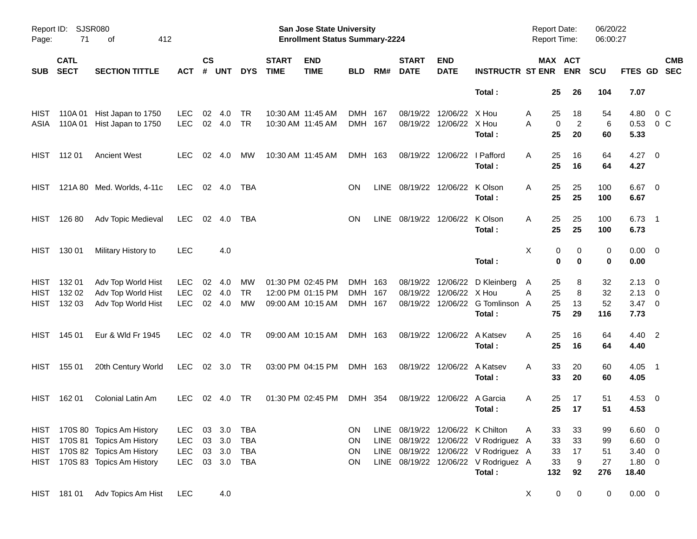| Report ID:<br>Page: | 71                         | SJSR080<br>412<br>оf           |            |                    |                |            |                             | San Jose State University<br><b>Enrollment Status Summary-2224</b> |            |      |                                  |                           |                                      | <b>Report Date:</b><br><b>Report Time:</b> |                                   | 06/20/22<br>06:00:27 |                     |                          |                          |
|---------------------|----------------------------|--------------------------------|------------|--------------------|----------------|------------|-----------------------------|--------------------------------------------------------------------|------------|------|----------------------------------|---------------------------|--------------------------------------|--------------------------------------------|-----------------------------------|----------------------|---------------------|--------------------------|--------------------------|
| <b>SUB</b>          | <b>CATL</b><br><b>SECT</b> | <b>SECTION TITTLE</b>          | <b>ACT</b> | $\mathsf{cs}$<br># | <b>UNT</b>     | <b>DYS</b> | <b>START</b><br><b>TIME</b> | <b>END</b><br><b>TIME</b>                                          | <b>BLD</b> | RM#  | <b>START</b><br><b>DATE</b>      | <b>END</b><br><b>DATE</b> | <b>INSTRUCTR ST ENR</b>              |                                            | MAX ACT<br><b>ENR</b>             | <b>SCU</b>           | FTES GD             |                          | <b>CMB</b><br><b>SEC</b> |
|                     |                            |                                |            |                    |                |            |                             |                                                                    |            |      |                                  |                           | Total:                               |                                            | 25<br>26                          | 104                  | 7.07                |                          |                          |
| HIST                | 110A 01                    | Hist Japan to 1750             | <b>LEC</b> | 02                 | 4.0            | TR         | 10:30 AM 11:45 AM           |                                                                    | DMH 167    |      | 08/19/22                         | 12/06/22                  | X Hou                                | A                                          | 25<br>18                          | 54                   | 4.80                | 0 C                      |                          |
| ASIA                | 110A 01                    | Hist Japan to 1750             | <b>LEC</b> |                    | 02 4.0         | TR         | 10:30 AM 11:45 AM           |                                                                    | DMH 167    |      | 08/19/22                         | 12/06/22 X Hou            | Total:                               | A                                          | $\overline{c}$<br>0<br>25<br>20   | 6<br>60              | 0.53<br>5.33        | 0 <sup>o</sup>           |                          |
| HIST                | 112 01                     | <b>Ancient West</b>            | <b>LEC</b> | 02                 | 4.0            | МW         | 10:30 AM 11:45 AM           |                                                                    | DMH 163    |      | 08/19/22                         | 12/06/22                  | I Pafford<br>Total:                  | Α                                          | 25<br>16<br>25<br>16              | 64<br>64             | 4.27<br>4.27        | $\overline{\phantom{0}}$ |                          |
| HIST                |                            | 121A 80 Med. Worlds, 4-11c     | <b>LEC</b> |                    | $02 \quad 4.0$ | TBA        |                             |                                                                    | <b>ON</b>  | LINE | 08/19/22                         | 12/06/22                  | K Olson<br>Total:                    | Α                                          | 25<br>25<br>25<br>25              | 100<br>100           | 6.67<br>6.67        | $\overline{\phantom{0}}$ |                          |
| HIST                | 126 80                     | Adv Topic Medieval             | <b>LEC</b> | 02                 | 4.0            | TBA        |                             |                                                                    | <b>ON</b>  | LINE | 08/19/22 12/06/22                |                           | K Olson<br>Total:                    | Α                                          | 25<br>25<br>25<br>25              | 100<br>100           | 6.73<br>6.73        | $\overline{\phantom{1}}$ |                          |
| HIST                | 130 01                     | Military History to            | <b>LEC</b> |                    | 4.0            |            |                             |                                                                    |            |      |                                  |                           | Total:                               | X                                          | 0<br>0<br>$\mathbf 0$<br>$\bf{0}$ | 0<br>0               | $0.00 \t 0$<br>0.00 |                          |                          |
| <b>HIST</b>         | 132 01                     | Adv Top World Hist             | <b>LEC</b> | 02                 | 4.0            | МW         |                             | 01:30 PM 02:45 PM                                                  | DMH 163    |      | 08/19/22                         | 12/06/22                  | D Kleinberg                          | A                                          | 25<br>8                           | 32                   | $2.13 \quad 0$      |                          |                          |
| <b>HIST</b>         | 132 02                     | Adv Top World Hist             | <b>LEC</b> | 02                 | 4.0            | <b>TR</b>  |                             | 12:00 PM 01:15 PM                                                  | <b>DMH</b> | 167  | 08/19/22                         | 12/06/22                  | X Hou                                | Α                                          | 8<br>25                           | 32                   | 2.13                | $\overline{\phantom{0}}$ |                          |
| <b>HIST</b>         | 132 03                     | Adv Top World Hist             | <b>LEC</b> | 02                 | 4.0            | <b>MW</b>  |                             | 09:00 AM 10:15 AM                                                  | DMH 167    |      | 08/19/22                         |                           | 12/06/22 G Tomlinson A               |                                            | 25<br>13                          | 52                   | $3.47 \ 0$          |                          |                          |
|                     |                            |                                |            |                    |                |            |                             |                                                                    |            |      |                                  |                           | Total:                               |                                            | 75<br>29                          | 116                  | 7.73                |                          |                          |
| <b>HIST</b>         | 145 01                     | Eur & Wld Fr 1945              | <b>LEC</b> | 02                 | 4.0            | TR         | 09:00 AM 10:15 AM           |                                                                    | DMH 163    |      |                                  | 08/19/22 12/06/22         | A Katsev<br>Total:                   | A                                          | 25<br>16<br>25<br>16              | 64<br>64             | 4.40 2<br>4.40      |                          |                          |
| <b>HIST</b>         | 155 01                     | 20th Century World             | <b>LEC</b> |                    | 02 3.0         | TR         | 03:00 PM 04:15 PM           |                                                                    | DMH 163    |      |                                  | 08/19/22 12/06/22         | A Katsev                             | A                                          | 33<br>20                          | 60                   | 4.05                | $\overline{\phantom{1}}$ |                          |
|                     |                            |                                |            |                    |                |            |                             |                                                                    |            |      |                                  |                           | Total:                               |                                            | 33<br>20                          | 60                   | 4.05                |                          |                          |
| HIST                | 162 01                     | Colonial Latin Am              | <b>LEC</b> | 02                 | 4.0            | TR         | 01:30 PM 02:45 PM           |                                                                    | DMH 354    |      | 08/19/22                         | 12/06/22                  | A Garcia                             | A                                          | 25<br>17                          | 51                   | $4.53 \quad 0$      |                          |                          |
|                     |                            |                                |            |                    |                |            |                             |                                                                    |            |      |                                  |                           | Total:                               |                                            | 17<br>25                          | 51                   | 4.53                |                          |                          |
|                     |                            | HIST 170S 80 Topics Am History | LEC.       | 03                 | 3.0            | TBA        |                             |                                                                    | <b>ON</b>  |      | LINE 08/19/22 12/06/22 K Chilton |                           |                                      | A                                          | 33<br>33                          | 99                   | $6.60 \quad 0$      |                          |                          |
| <b>HIST</b>         |                            | 170S 81 Topics Am History      | <b>LEC</b> | 03                 | 3.0            | <b>TBA</b> |                             |                                                                    | ON         |      |                                  |                           | LINE 08/19/22 12/06/22 V Rodriguez A |                                            | 33<br>33                          | 99                   | $6.60$ 0            |                          |                          |
| <b>HIST</b>         |                            | 170S 82 Topics Am History      | <b>LEC</b> | 03                 | 3.0            | <b>TBA</b> |                             |                                                                    | ON         |      |                                  |                           | LINE 08/19/22 12/06/22 V Rodriguez A |                                            | 17<br>33                          | 51                   | $3.40 \ 0$          |                          |                          |
| HIST                |                            | 170S 83 Topics Am History      | <b>LEC</b> |                    | 03 3.0         | TBA        |                             |                                                                    | ON         |      |                                  |                           | LINE 08/19/22 12/06/22 V Rodriguez A |                                            | 9<br>33                           | 27                   | 1.80 0              |                          |                          |
|                     |                            |                                |            |                    |                |            |                             |                                                                    |            |      |                                  |                           | Total:                               | 132                                        | 92                                | 276                  | 18.40               |                          |                          |
|                     | HIST 181 01                | Adv Topics Am Hist             | <b>LEC</b> |                    | 4.0            |            |                             |                                                                    |            |      |                                  |                           |                                      | X                                          | 0<br>0                            | 0                    | $0.00 \t 0$         |                          |                          |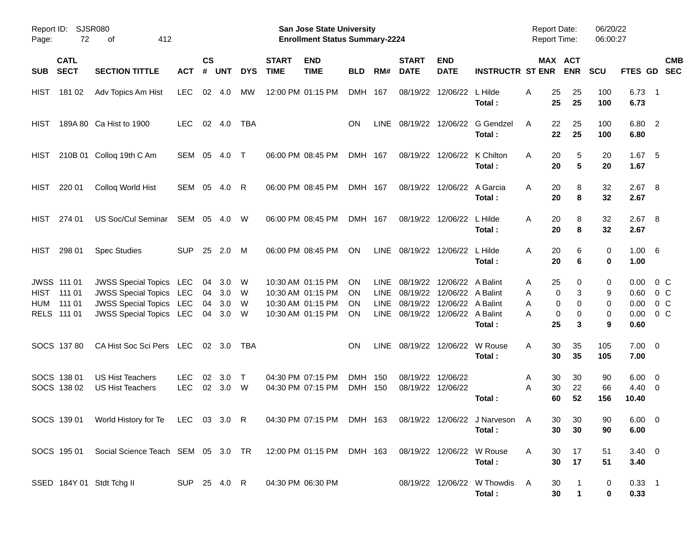| Report ID:<br>Page:       | 72                                                    | SJSR080<br>412<br>οf                                                                                                                 |                          |                      |                          |                  |                             | San Jose State University<br><b>Enrollment Status Summary-2224</b>               |                                           |                                                          |                                              |                                                                         |                                       | <b>Report Date:</b><br>Report Time: |                                      | 06/20/22<br>06:00:27  |                                      |                                               |
|---------------------------|-------------------------------------------------------|--------------------------------------------------------------------------------------------------------------------------------------|--------------------------|----------------------|--------------------------|------------------|-----------------------------|----------------------------------------------------------------------------------|-------------------------------------------|----------------------------------------------------------|----------------------------------------------|-------------------------------------------------------------------------|---------------------------------------|-------------------------------------|--------------------------------------|-----------------------|--------------------------------------|-----------------------------------------------|
| <b>SUB</b>                | <b>CATL</b><br><b>SECT</b>                            | <b>SECTION TITTLE</b>                                                                                                                | <b>ACT</b>               | $\mathsf{cs}$<br>#   | <b>UNT</b>               | <b>DYS</b>       | <b>START</b><br><b>TIME</b> | <b>END</b><br><b>TIME</b>                                                        | <b>BLD</b>                                | RM#                                                      | <b>START</b><br><b>DATE</b>                  | <b>END</b><br><b>DATE</b>                                               | <b>INSTRUCTR ST ENR</b>               |                                     | MAX ACT<br><b>ENR</b>                | <b>SCU</b>            | FTES GD                              | <b>CMB</b><br><b>SEC</b>                      |
| <b>HIST</b>               | 181 02                                                | Adv Topics Am Hist                                                                                                                   | <b>LEC</b>               | 02                   | 4.0                      | MW               |                             | 12:00 PM 01:15 PM                                                                | <b>DMH</b>                                | - 167                                                    | 08/19/22                                     | 12/06/22                                                                | L Hilde<br>Total:                     | Α<br>25<br>25                       | 25<br>25                             | 100<br>100            | $6.73$ 1<br>6.73                     |                                               |
| <b>HIST</b>               |                                                       | 189A 80 Ca Hist to 1900                                                                                                              | <b>LEC</b>               |                      | $02 \quad 4.0$           | <b>TBA</b>       |                             |                                                                                  | ON                                        | LINE                                                     | 08/19/22                                     | 12/06/22                                                                | G Gendzel<br>Total:                   | 22<br>A<br>22                       | 25<br>25                             | 100<br>100            | 6.80 2<br>6.80                       |                                               |
| HIST                      |                                                       | 210B 01 Colloq 19th C Am                                                                                                             | SEM                      | 05                   | 4.0                      | $\top$           |                             | 06:00 PM 08:45 PM                                                                | DMH 167                                   |                                                          | 08/19/22                                     | 12/06/22                                                                | K Chilton<br>Total:                   | A<br>20<br>20                       | 5<br>$5\phantom{.0}$                 | 20<br>20              | 1.67<br>1.67                         | - 5                                           |
| <b>HIST</b>               | 220 01                                                | Colloq World Hist                                                                                                                    | SEM 05                   |                      | 4.0                      | R                |                             | 06:00 PM 08:45 PM                                                                | DMH 167                                   |                                                          | 08/19/22                                     | 12/06/22                                                                | A Garcia<br>Total:                    | A<br>20<br>20                       | 8<br>8                               | 32<br>32              | $2.67$ 8<br>2.67                     |                                               |
| <b>HIST</b>               | 274 01                                                | <b>US Soc/Cul Seminar</b>                                                                                                            | SEM                      | 05                   | 4.0                      | W                |                             | 06:00 PM 08:45 PM                                                                | DMH 167                                   |                                                          | 08/19/22                                     | 12/06/22                                                                | L Hilde<br>Total:                     | A<br>20<br>20                       | 8<br>8                               | 32<br>32              | $2.67$ 8<br>2.67                     |                                               |
| <b>HIST</b>               | 298 01                                                | <b>Spec Studies</b>                                                                                                                  | <b>SUP</b>               | 25                   | 2.0                      | M                |                             | 06:00 PM 08:45 PM                                                                | ON                                        | <b>LINE</b>                                              | 08/19/22                                     | 12/06/22                                                                | L Hilde<br>Total:                     | A<br>20<br>20                       | 6<br>6                               | 0<br>0                | 1.00 6<br>1.00                       |                                               |
| <b>HIST</b><br><b>HUM</b> | <b>JWSS 111 01</b><br>111 01<br>111 01<br>RELS 111 01 | <b>JWSS Special Topics LEC</b><br><b>JWSS Special Topics LEC</b><br><b>JWSS Special Topics LEC</b><br><b>JWSS Special Topics LEC</b> |                          | 04<br>04<br>04<br>04 | 3.0<br>3.0<br>3.0<br>3.0 | W<br>W<br>W<br>W |                             | 10:30 AM 01:15 PM<br>10:30 AM 01:15 PM<br>10:30 AM 01:15 PM<br>10:30 AM 01:15 PM | <b>ON</b><br><b>ON</b><br>OΝ<br><b>ON</b> | <b>LINE</b><br><b>LINE</b><br><b>LINE</b><br><b>LINE</b> | 08/19/22<br>08/19/22<br>08/19/22<br>08/19/22 | 12/06/22 A Balint<br>12/06/22 A Balint<br>12/06/22<br>12/06/22 A Balint | A Balint<br>Total:                    | 25<br>A<br>A<br>A<br>A<br>25        | 0<br>0<br>3<br>0<br>0<br>0<br>0<br>3 | 0<br>9<br>0<br>0<br>9 | 0.00<br>0.60<br>0.00<br>0.00<br>0.60 | $0\,$ C<br>$0\,C$<br>0 <sup>o</sup><br>$0\,C$ |
|                           | SOCS 137 80                                           | CA Hist Soc Sci Pers LEC                                                                                                             |                          |                      | 02 3.0                   | TBA              |                             |                                                                                  | OΝ                                        | LINE                                                     | 08/19/22                                     | 12/06/22                                                                | W Rouse<br>Total:                     | 30<br>A<br>30                       | 35<br>35                             | 105<br>105            | $7.00 \t 0$<br>7.00                  |                                               |
|                           | SOCS 138 01<br>SOCS 138 02                            | <b>US Hist Teachers</b><br><b>US Hist Teachers</b>                                                                                   | <b>LEC</b><br><b>LEC</b> | 02<br>02             | 3.0<br>3.0               | Т<br>W           |                             | 04:30 PM 07:15 PM<br>04:30 PM 07:15 PM                                           | <b>DMH</b><br><b>DMH</b>                  | 150<br>150                                               | 08/19/22<br>08/19/22                         | 12/06/22<br>12/06/22                                                    | Total:                                | 30<br>A<br>A<br>30<br>60            | 30<br>22<br>52                       | 90<br>66<br>156       | 6.00<br>$4.40 \quad 0$<br>10.40      | $\overline{\phantom{0}}$                      |
|                           |                                                       | SOCS 139 01 World History for Te LEC 03 3.0 R 04:30 PM 07:15 PM DMH 163 08/19/22 12/06/22 J Narveson                                 |                          |                      |                          |                  |                             |                                                                                  |                                           |                                                          |                                              |                                                                         | Total:                                | $\overline{A}$<br>30                | 30 30<br>30                          | 90<br>90              | $6.00 \t 0$<br>6.00                  |                                               |
|                           | SOCS 195 01                                           | Social Science Teach SEM 05 3.0 TR 12:00 PM 01:15 PM DMH 163                                                                         |                          |                      |                          |                  |                             |                                                                                  |                                           |                                                          |                                              | 08/19/22 12/06/22 W Rouse                                               | Total:                                | 30<br>A<br>30                       | 17<br>17                             | 51<br>51              | $3.40 \ 0$<br>3.40                   |                                               |
|                           |                                                       | SSED 184Y 01 Stdt Tchg II                                                                                                            | SUP 25 4.0 R             |                      |                          |                  |                             | 04:30 PM 06:30 PM                                                                |                                           |                                                          |                                              |                                                                         | 08/19/22 12/06/22 W Thowdis<br>Total: | 30<br>A<br>30                       | 1                                    | 0<br>0                | $0.33$ 1<br>0.33                     |                                               |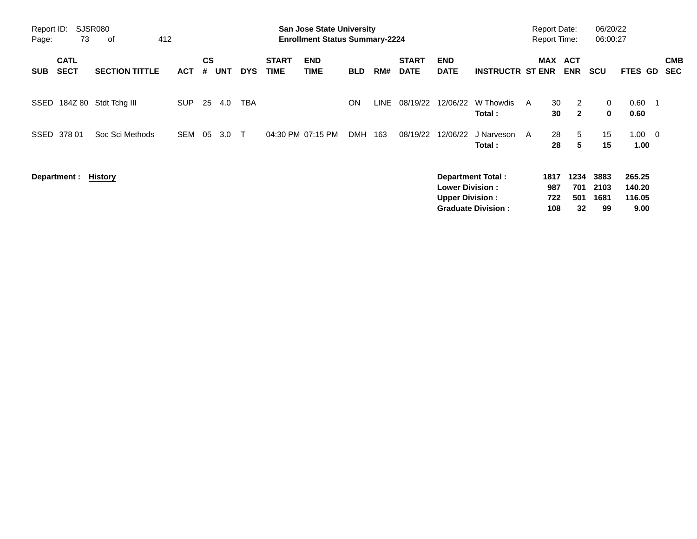| Report ID:<br>Page: | 73                         | <b>SJSR080</b><br>412<br>of |                                                                                                           |                |            |            |                             | <b>San Jose State University</b><br><b>Enrollment Status Summary-2224</b> |            |      |                             |                           |                           |                          | <b>Report Date:</b><br><b>Report Time:</b> |                                    | 06/20/22<br>06:00:27 |                     |                          |
|---------------------|----------------------------|-----------------------------|-----------------------------------------------------------------------------------------------------------|----------------|------------|------------|-----------------------------|---------------------------------------------------------------------------|------------|------|-----------------------------|---------------------------|---------------------------|--------------------------|--------------------------------------------|------------------------------------|----------------------|---------------------|--------------------------|
| <b>SUB</b>          | <b>CATL</b><br><b>SECT</b> | <b>SECTION TITTLE</b>       | <b>ACT</b>                                                                                                | <b>CS</b><br># | <b>UNT</b> | <b>DYS</b> | <b>START</b><br><b>TIME</b> | <b>END</b><br><b>TIME</b>                                                 | <b>BLD</b> | RM#  | <b>START</b><br><b>DATE</b> | <b>END</b><br><b>DATE</b> | <b>INSTRUCTR ST ENR</b>   |                          | MAX                                        | <b>ACT</b><br><b>ENR</b>           | <b>SCU</b>           | FTES GD             | <b>CMB</b><br><b>SEC</b> |
| SSED                | 184Z 80                    | Stdt Tchg III               | <b>SUP</b>                                                                                                | 25             | 4.0        | TBA        |                             |                                                                           | ON         | LINE | 08/19/22                    | 12/06/22                  | W Thowdis<br>Total:       | A                        | 30<br>30                                   | 2<br>$\mathbf{2}$                  | 0<br>0               | 0.60<br>0.60        |                          |
| SSED                | 378 01                     | Soc Sci Methods             | <b>SEM</b>                                                                                                | 05             | 3.0        | $\top$     |                             | 04:30 PM 07:15 PM                                                         | <b>DMH</b> | 163  | 08/19/22                    | 12/06/22                  | J Narveson<br>Total:      | A                        | 28<br>28                                   | 5<br>5                             | 15<br>15             | $1.00 \t 0$<br>1.00 |                          |
|                     | Department :               | History                     | <b>Department Total:</b><br><b>Lower Division:</b><br><b>Upper Division:</b><br><b>Graduate Division:</b> |                |            |            |                             |                                                                           |            |      |                             |                           | 1817<br>987<br>722<br>108 | 1234<br>701<br>501<br>32 | 3883<br>2103<br>1681<br>99                 | 265.25<br>140.20<br>116.05<br>9.00 |                      |                     |                          |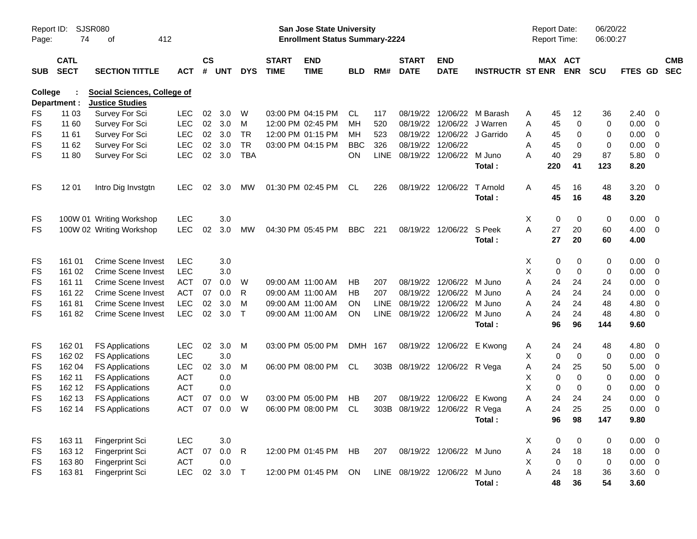| Report ID:<br>Page: | SJSR080<br>74                                                                                           | 412                       |            |    |                             |              | San Jose State University<br><b>Enrollment Status Summary-2224</b> |                           |            |             |                             |                               |                         | <b>Report Date:</b><br>Report Time: |             | 06/20/22<br>06:00:27  |           |                |                          |                          |
|---------------------|---------------------------------------------------------------------------------------------------------|---------------------------|------------|----|-----------------------------|--------------|--------------------------------------------------------------------|---------------------------|------------|-------------|-----------------------------|-------------------------------|-------------------------|-------------------------------------|-------------|-----------------------|-----------|----------------|--------------------------|--------------------------|
| <b>SUB</b>          | <b>CATL</b><br><b>SECT</b><br><b>SECTION TITTLE</b><br><b>ACT</b><br><b>Social Sciences, College of</b> |                           |            |    | $\mathsf{cs}$<br><b>UNT</b> | <b>DYS</b>   | <b>START</b><br><b>TIME</b>                                        | <b>END</b><br><b>TIME</b> | <b>BLD</b> | RM#         | <b>START</b><br><b>DATE</b> | <b>END</b><br><b>DATE</b>     | <b>INSTRUCTR ST ENR</b> |                                     |             | MAX ACT<br><b>ENR</b> | SCU       | <b>FTES GD</b> |                          | <b>CMB</b><br><b>SEC</b> |
| College             | Department :                                                                                            | <b>Justice Studies</b>    |            |    |                             |              |                                                                    |                           |            |             |                             |                               |                         |                                     |             |                       |           |                |                          |                          |
| FS                  | 11 03                                                                                                   | Survey For Sci            | <b>LEC</b> | 02 | 3.0                         | W            |                                                                    | 03:00 PM 04:15 PM         | CL         | 117         | 08/19/22                    | 12/06/22                      | M Barash                | A                                   | 45          | 12                    | 36        | 2.40           | - 0                      |                          |
| <b>FS</b>           | 11 60                                                                                                   | Survey For Sci            | <b>LEC</b> | 02 | 3.0                         | м            |                                                                    | 12:00 PM 02:45 PM         | MН         | 520         | 08/19/22                    | 12/06/22                      | J Warren                | Α                                   | 45          | $\mathbf 0$           | 0         | 0.00           | $\overline{0}$           |                          |
| <b>FS</b>           | 11 61                                                                                                   | Survey For Sci            | <b>LEC</b> | 02 | 3.0                         | <b>TR</b>    |                                                                    | 12:00 PM 01:15 PM         | MН         | 523         | 08/19/22                    |                               | 12/06/22 J Garrido      | A                                   | 45          | 0                     | 0         | 0.00           | $\overline{0}$           |                          |
| <b>FS</b>           | 11 62                                                                                                   | Survey For Sci            | <b>LEC</b> | 02 | 3.0                         | <b>TR</b>    |                                                                    | 03:00 PM 04:15 PM         | <b>BBC</b> | 326         |                             | 08/19/22 12/06/22             |                         | A                                   | 45          | 0                     | 0         | 0.00           | $\overline{0}$           |                          |
| <b>FS</b>           | 11 80                                                                                                   | Survey For Sci            | <b>LEC</b> | 02 | 3.0                         | <b>TBA</b>   |                                                                    |                           | <b>ON</b>  | <b>LINE</b> |                             | 08/19/22 12/06/22 M Juno      |                         | А                                   | 40          | 29                    | 87        | 5.80           | $\overline{0}$           |                          |
|                     |                                                                                                         |                           |            |    |                             |              |                                                                    |                           |            |             |                             |                               | Total:                  |                                     | 220         | 41                    | 123       | 8.20           |                          |                          |
| <b>FS</b>           | 12 01                                                                                                   | Intro Dig Invstgtn        | <b>LEC</b> | 02 | 3.0                         | MW           |                                                                    | 01:30 PM 02:45 PM         | CL         | 226         | 08/19/22                    | 12/06/22                      | T Arnold                | A                                   | 45          | 16                    | 48        | 3.20           | $\overline{\mathbf{0}}$  |                          |
|                     |                                                                                                         |                           |            |    |                             |              |                                                                    |                           |            |             |                             |                               | Total:                  |                                     | 45          | 16                    | 48        | 3.20           |                          |                          |
| FS                  |                                                                                                         | 100W 01 Writing Workshop  | <b>LEC</b> |    | 3.0                         |              |                                                                    |                           |            |             |                             |                               |                         | Χ                                   | 0           | 0                     | 0         | 0.00           | $\overline{\mathbf{0}}$  |                          |
| <b>FS</b>           |                                                                                                         | 100W 02 Writing Workshop  | <b>LEC</b> | 02 | 3.0                         | MW           |                                                                    | 04:30 PM 05:45 PM         | <b>BBC</b> | 221         |                             | 08/19/22 12/06/22             | S Peek                  | A                                   | 27          | 20                    | 60        | 4.00           | $\overline{0}$           |                          |
|                     |                                                                                                         |                           |            |    |                             |              |                                                                    |                           |            |             |                             |                               | Total:                  |                                     | 27          | 20                    | 60        | 4.00           |                          |                          |
| FS                  | 161 01                                                                                                  | Crime Scene Invest        | <b>LEC</b> |    | 3.0                         |              |                                                                    |                           |            |             |                             |                               |                         | X                                   | 0           | 0                     | 0         | 0.00           | $\overline{\mathbf{0}}$  |                          |
| <b>FS</b>           | 161 02                                                                                                  | <b>Crime Scene Invest</b> | <b>LEC</b> |    | 3.0                         |              |                                                                    |                           |            |             |                             |                               |                         | X                                   | 0           | $\mathbf 0$           | 0         | 0.00           | $\overline{\mathbf{0}}$  |                          |
| FS                  | 161 11                                                                                                  | <b>Crime Scene Invest</b> | <b>ACT</b> | 07 | 0.0                         | W            |                                                                    | 09:00 AM 11:00 AM         | НB         | 207         |                             | 08/19/22 12/06/22 M Juno      |                         | Α                                   | 24          | 24                    | 24        | 0.00           | $\overline{0}$           |                          |
| <b>FS</b>           | 161 22                                                                                                  | Crime Scene Invest        | <b>ACT</b> | 07 | 0.0                         | R            |                                                                    | 09:00 AM 11:00 AM         | HВ         | 207         |                             | 08/19/22 12/06/22             | M Juno                  | Α                                   | 24          | 24                    | 24        | 0.00           | $\overline{0}$           |                          |
| <b>FS</b>           | 16181                                                                                                   | <b>Crime Scene Invest</b> | <b>LEC</b> | 02 | 3.0                         | м            |                                                                    | 09:00 AM 11:00 AM         | ON.        | <b>LINE</b> | 08/19/22                    | 12/06/22                      | M Juno                  | Α                                   | 24          | 24                    | 48        | 4.80           | $\overline{0}$           |                          |
| <b>FS</b>           | 16182                                                                                                   | Crime Scene Invest        | <b>LEC</b> | 02 | 3.0                         | $\top$       |                                                                    | 09:00 AM 11:00 AM         | <b>ON</b>  |             |                             | LINE 08/19/22 12/06/22 M Juno |                         | А                                   | 24          | 24                    | 48        | 4.80           | $\overline{\mathbf{0}}$  |                          |
|                     |                                                                                                         |                           |            |    |                             |              |                                                                    |                           |            |             |                             |                               | Total :                 |                                     | 96          | 96                    | 144       | 9.60           |                          |                          |
| FS                  | 162 01                                                                                                  | <b>FS Applications</b>    | <b>LEC</b> | 02 | 3.0                         | M            |                                                                    | 03:00 PM 05:00 PM         | DMH 167    |             |                             | 08/19/22 12/06/22             | E Kwong                 | A                                   | 24          | 24                    | 48        | 4.80           | $\overline{\phantom{0}}$ |                          |
| <b>FS</b>           | 162 02                                                                                                  | <b>FS Applications</b>    | <b>LEC</b> |    | 3.0                         |              |                                                                    |                           |            |             |                             |                               |                         | X                                   | $\mathbf 0$ | $\mathbf 0$           | 0         | 0.00           | $\overline{\mathbf{0}}$  |                          |
| <b>FS</b>           | 162 04                                                                                                  | <b>FS Applications</b>    | <b>LEC</b> | 02 | 3.0                         | м            |                                                                    | 06:00 PM 08:00 PM         | CL         |             |                             | 303B 08/19/22 12/06/22 R Vega |                         | A                                   | 24          | 25                    | 50        | 5.00           | $\overline{0}$           |                          |
| <b>FS</b>           | 162 11                                                                                                  | <b>FS Applications</b>    | <b>ACT</b> |    | 0.0                         |              |                                                                    |                           |            |             |                             |                               |                         | Χ                                   | $\mathbf 0$ | $\mathbf 0$           | 0         | 0.00           | $\overline{0}$           |                          |
| FS                  | 162 12                                                                                                  | <b>FS Applications</b>    | <b>ACT</b> |    | 0.0                         |              |                                                                    |                           |            |             |                             |                               |                         | X                                   | $\mathbf 0$ | 0                     | 0         | 0.00           | $\overline{0}$           |                          |
| FS                  | 162 13                                                                                                  | <b>FS Applications</b>    | ACT        | 07 | 0.0                         | W            |                                                                    | 03:00 PM 05:00 PM         | НB         | 207         | 08/19/22                    | 12/06/22                      | E Kwong                 | Α                                   | 24          | 24                    | 24        | 0.00           | $\overline{0}$           |                          |
| <b>FS</b>           | 162 14                                                                                                  | <b>FS Applications</b>    | <b>ACT</b> | 07 | 0.0                         | W            |                                                                    | 06:00 PM 08:00 PM         | CL         | 303B        |                             | 08/19/22 12/06/22 R Vega      |                         | Α                                   | 24          | 25                    | 25        | 0.00           | $\overline{0}$           |                          |
|                     |                                                                                                         |                           |            |    |                             |              |                                                                    |                           |            |             |                             |                               | Total :                 |                                     | 96          | 98                    | 147       | 9.80           |                          |                          |
| <b>FS</b>           | 163 11                                                                                                  | Fingerprint Sci           | <b>LEC</b> |    | 3.0                         |              |                                                                    |                           |            |             |                             |                               |                         | X                                   | $\pmb{0}$   | $\overline{0}$        | 0         | $0.00 \t 0$    |                          |                          |
| <b>FS</b>           | 163 12                                                                                                  | Fingerprint Sci           | <b>ACT</b> | 07 | 0.0                         | $\mathsf{R}$ |                                                                    | 12:00 PM 01:45 PM HB      |            | 207         |                             | 08/19/22 12/06/22 M Juno      |                         | A                                   | 24          | 18                    | 18        | $0.00 \t 0$    |                          |                          |
| <b>FS</b>           | 16380                                                                                                   | Fingerprint Sci           | ACT        |    | 0.0                         |              |                                                                    |                           |            |             |                             |                               |                         | X                                   | $\mathbf 0$ | $\mathsf 0$           | $\pmb{0}$ | $0.00 \t 0$    |                          |                          |
| <b>FS</b>           | 16381                                                                                                   | Fingerprint Sci           | <b>LEC</b> | 02 | 3.0                         | $\top$       |                                                                    | 12:00 PM 01:45 PM         | ON         |             |                             | LINE 08/19/22 12/06/22 M Juno |                         | A                                   | 24          | 18                    | 36        | $3.60 \ 0$     |                          |                          |
|                     |                                                                                                         |                           |            |    |                             |              |                                                                    |                           |            |             |                             |                               | Total:                  |                                     | 48          | 36                    | 54        | 3.60           |                          |                          |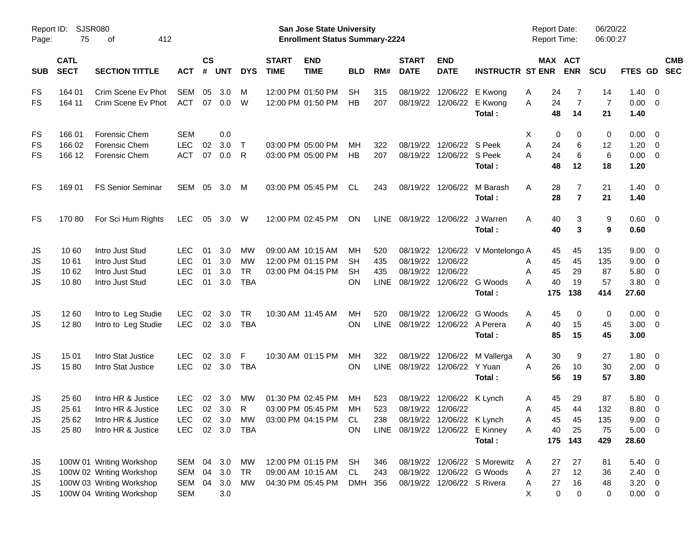| Report ID:<br>Page: | 75                         | SJSR080<br>412<br>оf     |                |                   |            |            |                             | <b>San Jose State University</b><br><b>Enrollment Status Summary-2224</b> |            |             |                             |                                 |                              | <b>Report Date:</b><br><b>Report Time:</b> |                | 06/20/22<br>06:00:27 |                |                          |                          |
|---------------------|----------------------------|--------------------------|----------------|-------------------|------------|------------|-----------------------------|---------------------------------------------------------------------------|------------|-------------|-----------------------------|---------------------------------|------------------------------|--------------------------------------------|----------------|----------------------|----------------|--------------------------|--------------------------|
| <b>SUB</b>          | <b>CATL</b><br><b>SECT</b> | <b>SECTION TITTLE</b>    | <b>ACT</b>     | <b>CS</b><br>$\#$ | <b>UNT</b> | <b>DYS</b> | <b>START</b><br><b>TIME</b> | <b>END</b><br><b>TIME</b>                                                 | <b>BLD</b> | RM#         | <b>START</b><br><b>DATE</b> | <b>END</b><br><b>DATE</b>       | <b>INSTRUCTR ST ENR</b>      | MAX ACT                                    | <b>ENR</b>     | <b>SCU</b>           | FTES GD        |                          | <b>CMB</b><br><b>SEC</b> |
| FS                  | 164 01                     | Crim Scene Ev Phot       | SEM            | 05                | 3.0        | М          |                             | 12:00 PM 01:50 PM                                                         | <b>SH</b>  | 315         | 08/19/22                    | 12/06/22                        | E Kwong                      | 24<br>A                                    | 7              | 14                   | 1.40           | - 0                      |                          |
| <b>FS</b>           | 164 11                     | Crim Scene Ev Phot       | ACT            |                   | 07 0.0     | W          |                             | 12:00 PM 01:50 PM                                                         | HB         | 207         | 08/19/22                    | 12/06/22                        | E Kwong                      | 24<br>A                                    | $\overline{7}$ | $\overline{7}$       | 0.00           | - 0                      |                          |
|                     |                            |                          |                |                   |            |            |                             |                                                                           |            |             |                             |                                 | Total:                       | 48                                         | 14             | 21                   | 1.40           |                          |                          |
| FS                  | 166 01                     | Forensic Chem            | <b>SEM</b>     |                   | 0.0        |            |                             |                                                                           |            |             |                             |                                 |                              | Х<br>0                                     | 0              | 0                    | 0.00           | $\overline{\mathbf{0}}$  |                          |
| FS                  | 166 02                     | Forensic Chem            | <b>LEC</b>     | 02                | 3.0        | $\top$     |                             | 03:00 PM 05:00 PM                                                         | MH         | 322         | 08/19/22                    | 12/06/22 S Peek                 |                              | A<br>24                                    | 6              | 12                   | 1.20           | $\overline{0}$           |                          |
| <b>FS</b>           | 166 12                     | Forensic Chem            | <b>ACT</b>     | 07                | 0.0        | R          |                             | 03:00 PM 05:00 PM                                                         | HB         | 207         | 08/19/22                    | 12/06/22 S Peek                 |                              | 24<br>Α                                    | 6              | 6                    | 0.00           | $\overline{\mathbf{0}}$  |                          |
|                     |                            |                          |                |                   |            |            |                             |                                                                           |            |             |                             |                                 | Total:                       | 48                                         | 12             | 18                   | 1.20           |                          |                          |
| FS                  | 169 01                     | <b>FS Senior Seminar</b> | SEM            | 05                | 3.0        | M          |                             | 03:00 PM 05:45 PM                                                         | CL         | 243         |                             | 08/19/22 12/06/22               | M Barash                     | Α<br>28                                    | 7              | 21                   | 1.40           | $\overline{\mathbf{0}}$  |                          |
|                     |                            |                          |                |                   |            |            |                             |                                                                           |            |             |                             |                                 | Total:                       | 28                                         | $\overline{7}$ | 21                   | 1.40           |                          |                          |
| FS                  | 17080                      | For Sci Hum Rights       | <b>LEC</b>     |                   | 05 3.0     | W          |                             | 12:00 PM 02:45 PM                                                         | <b>ON</b>  | LINE        | 08/19/22                    | 12/06/22                        | J Warren                     | A<br>40                                    | 3              | 9                    | $0.60 \quad 0$ |                          |                          |
|                     |                            |                          |                |                   |            |            |                             |                                                                           |            |             |                             |                                 | Total:                       | 40                                         | 3              | 9                    | 0.60           |                          |                          |
| JS                  | 10 60                      | Intro Just Stud          | <b>LEC</b>     | 01                | 3.0        | MW         |                             | 09:00 AM 10:15 AM                                                         | MH         | 520         | 08/19/22                    | 12/06/22                        | V Montelongo A               | 45                                         | 45             | 135                  | 9.00           | $\overline{\mathbf{0}}$  |                          |
| JS                  | 1061                       | Intro Just Stud          | <b>LEC</b>     | 01                | 3.0        | MW         |                             | 12:00 PM 01:15 PM                                                         | SН         | 435         | 08/19/22                    | 12/06/22                        |                              | 45<br>Α                                    | 45             | 135                  | 9.00           | $\overline{0}$           |                          |
| JS                  | 10 62                      | Intro Just Stud          | <b>LEC</b>     | 01                | 3.0        | <b>TR</b>  |                             | 03:00 PM 04:15 PM                                                         | <b>SH</b>  | 435         | 08/19/22                    | 12/06/22                        |                              | A<br>45                                    | 29             | 87                   | 5.80           | $\mathbf 0$              |                          |
| JS                  | 1080                       | Intro Just Stud          | <b>LEC</b>     | 01                | 3.0        | <b>TBA</b> |                             |                                                                           | <b>ON</b>  | <b>LINE</b> | 08/19/22                    | 12/06/22                        | G Woods                      | A<br>40                                    | 19             | 57                   | 3.80           | 0                        |                          |
|                     |                            |                          |                |                   |            |            |                             |                                                                           |            |             |                             |                                 | Total:                       | 175                                        | 138            | 414                  | 27.60          |                          |                          |
| JS                  | 12 60                      | Intro to Leg Studie      | <b>LEC</b>     | 02                | 3.0        | <b>TR</b>  |                             | 10:30 AM 11:45 AM                                                         | MH         | 520         | 08/19/22                    | 12/06/22                        | G Woods                      | 45<br>A                                    | 0              | 0                    | 0.00           | $\overline{\mathbf{0}}$  |                          |
| JS                  | 1280                       | Intro to Leg Studie      | <b>LEC</b>     |                   | 02 3.0     | TBA        |                             |                                                                           | <b>ON</b>  | <b>LINE</b> | 08/19/22                    | 12/06/22                        | A Perera                     | A<br>40                                    | 15             | 45                   | 3.00           | $\overline{\phantom{0}}$ |                          |
|                     |                            |                          |                |                   |            |            |                             |                                                                           |            |             |                             |                                 | Total:                       | 85                                         | 15             | 45                   | 3.00           |                          |                          |
| JS                  | 15 01                      | Intro Stat Justice       | <b>LEC</b>     | 02                | 3.0        | F          |                             | 10:30 AM 01:15 PM                                                         | MH         | 322         | 08/19/22                    | 12/06/22                        | M Vallerga                   | 30<br>A                                    | 9              | 27                   | 1.80           | $\overline{\mathbf{0}}$  |                          |
| JS                  | 1580                       | Intro Stat Justice       | <b>LEC</b>     |                   | 02 3.0     | TBA        |                             |                                                                           | <b>ON</b>  | <b>LINE</b> | 08/19/22                    | 12/06/22                        | Y Yuan                       | A<br>26                                    | 10             | 30                   | 2.00           | $\overline{\phantom{0}}$ |                          |
|                     |                            |                          |                |                   |            |            |                             |                                                                           |            |             |                             |                                 | Total:                       | 56                                         | 19             | 57                   | 3.80           |                          |                          |
| JS                  | 25 60                      | Intro HR & Justice       | <b>LEC</b>     | 02                | 3.0        | MW         |                             | 01:30 PM 02:45 PM                                                         | МH         | 523         | 08/19/22                    | 12/06/22 K Lynch                |                              | 45<br>A                                    | 29             | 87                   | 5.80           | $\overline{\mathbf{0}}$  |                          |
| <b>JS</b>           | 25 61                      | Intro HR & Justice       | <b>LEC</b>     | 02                | 3.0        | R          |                             | 03:00 PM 05:45 PM                                                         | MH         | 523         | 08/19/22                    | 12/06/22                        |                              | 45<br>Α                                    | 44             | 132                  | 8.80           | $\overline{0}$           |                          |
| JS                  | 25 62                      | Intro HR & Justice       | LEC            |                   | 02 3.0     |            | MW 03:00 PM 04:15 PM        |                                                                           | <b>CL</b>  | 238         |                             | 08/19/22 12/06/22 K Lynch       |                              | 45<br>A                                    | 45             | 135                  | $9.00 \t 0$    |                          |                          |
| JS                  | 25 80                      | Intro HR & Justice       | LEC 02 3.0 TBA |                   |            |            |                             |                                                                           | <b>ON</b>  |             |                             | LINE 08/19/22 12/06/22 E Kinney |                              | 40<br>A                                    | 25             | 75                   | $5.00 \t 0$    |                          |                          |
|                     |                            |                          |                |                   |            |            |                             |                                                                           |            |             |                             |                                 | Total:                       | 175                                        | 143            | 429                  | 28.60          |                          |                          |
| JS                  |                            | 100W 01 Writing Workshop | SEM 04         |                   | 3.0        | МW         |                             | 12:00 PM 01:15 PM                                                         | <b>SH</b>  | 346         |                             |                                 | 08/19/22 12/06/22 S Morewitz | A<br>27                                    | 27             | 81                   | $5.40 \quad 0$ |                          |                          |
| JS                  |                            | 100W 02 Writing Workshop | SEM            | 04                | 3.0        | TR         |                             | 09:00 AM 10:15 AM                                                         | CL         | 243         | 08/19/22                    |                                 | 12/06/22 G Woods             | 27<br>Α                                    | 12             | 36                   | $2.40 \quad 0$ |                          |                          |
| JS                  |                            | 100W 03 Writing Workshop | SEM 04         |                   | 3.0        | МW         |                             | 04:30 PM 05:45 PM                                                         | DMH 356    |             |                             | 08/19/22 12/06/22 S Rivera      |                              | 27<br>A                                    | 16             | 48                   | $3.20 \ 0$     |                          |                          |
| JS                  |                            | 100W 04 Writing Workshop | <b>SEM</b>     |                   | 3.0        |            |                             |                                                                           |            |             |                             |                                 |                              | X<br>0                                     | 0              | 0                    | $0.00 \t 0$    |                          |                          |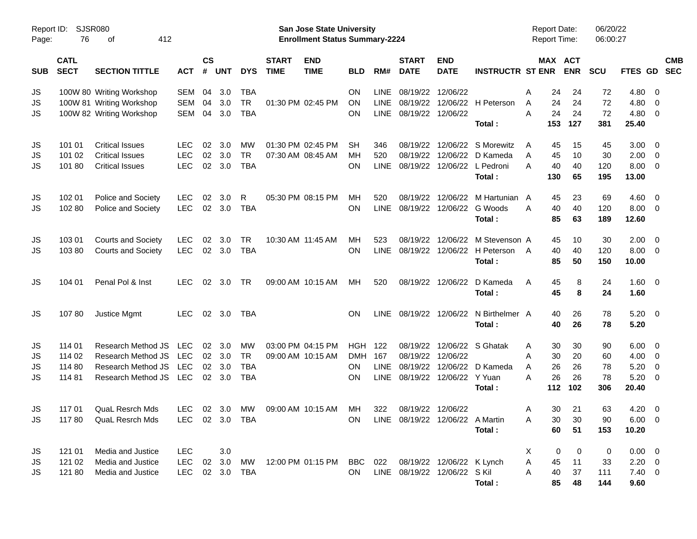| Page:      | SJSR080<br>Report ID:<br>76<br>412<br>оf |                                                  |                          |                    |            |                 |                             | <b>San Jose State University</b><br><b>Enrollment Status Summary-2224</b> |                 |             |                                    |                           |                                          |        | <b>Report Date:</b><br><b>Report Time:</b> |            | 06/20/22<br>06:00:27 |               |                                  |            |
|------------|------------------------------------------|--------------------------------------------------|--------------------------|--------------------|------------|-----------------|-----------------------------|---------------------------------------------------------------------------|-----------------|-------------|------------------------------------|---------------------------|------------------------------------------|--------|--------------------------------------------|------------|----------------------|---------------|----------------------------------|------------|
| <b>SUB</b> | <b>CATL</b><br><b>SECT</b>               | <b>SECTION TITTLE</b>                            | <b>ACT</b>               | $\mathsf{cs}$<br># | <b>UNT</b> | <b>DYS</b>      | <b>START</b><br><b>TIME</b> | <b>END</b><br><b>TIME</b>                                                 | BLD             | RM#         | <b>START</b><br><b>DATE</b>        | <b>END</b><br><b>DATE</b> | <b>INSTRUCTR ST ENR</b>                  |        | MAX ACT                                    | <b>ENR</b> | <b>SCU</b>           | FTES GD SEC   |                                  | <b>CMB</b> |
| JS         |                                          | 100W 80 Writing Workshop                         | <b>SEM</b>               | 04                 | 3.0        | <b>TBA</b>      |                             |                                                                           | ON              | LINE        | 08/19/22 12/06/22                  |                           |                                          | Α      | 24                                         | 24         | 72                   | 4.80          | - 0                              |            |
| JS         |                                          | 100W 81 Writing Workshop                         | <b>SEM</b>               | 04                 | 3.0        | <b>TR</b>       |                             | 01:30 PM 02:45 PM                                                         | <b>ON</b>       | LINE        |                                    |                           | 08/19/22 12/06/22 H Peterson             | A      | 24                                         | 24         | 72                   | 4.80          | $\mathbf 0$                      |            |
| JS         |                                          | 100W 82 Writing Workshop                         | <b>SEM</b>               | 04                 | 3.0        | <b>TBA</b>      |                             |                                                                           | ON              | LINE        | 08/19/22 12/06/22                  |                           | Total:                                   | A      | 24<br>153                                  | 24<br>127  | 72<br>381            | 4.80<br>25.40 | $\overline{0}$                   |            |
|            |                                          |                                                  |                          |                    |            |                 |                             |                                                                           |                 |             |                                    |                           |                                          |        |                                            |            |                      |               |                                  |            |
| JS         | 101 01<br>101 02                         | <b>Critical Issues</b><br><b>Critical Issues</b> | <b>LEC</b><br><b>LEC</b> | 02<br>02           | 3.0<br>3.0 | MW<br><b>TR</b> |                             | 01:30 PM 02:45 PM<br>07:30 AM 08:45 AM                                    | <b>SH</b><br>MН | 346<br>520  |                                    | 08/19/22 12/06/22         | 08/19/22 12/06/22 S Morewitz<br>D Kameda | A<br>A | 45<br>45                                   | 15<br>10   | 45<br>30             | 3.00<br>2.00  | $\overline{0}$<br>$\overline{0}$ |            |
| JS<br>JS   | 101 80                                   | <b>Critical Issues</b>                           | <b>LEC</b>               |                    | 02 3.0     | <b>TBA</b>      |                             |                                                                           | <b>ON</b>       | LINE        |                                    |                           | 08/19/22 12/06/22 L Pedroni              | Α      | 40                                         | 40         | 120                  | 8.00          | $\overline{0}$                   |            |
|            |                                          |                                                  |                          |                    |            |                 |                             |                                                                           |                 |             |                                    |                           | Total:                                   |        | 130                                        | 65         | 195                  | 13.00         |                                  |            |
| JS         | 102 01                                   | Police and Society                               | <b>LEC</b>               | 02                 | 3.0        | R               |                             | 05:30 PM 08:15 PM                                                         | MН              | 520         |                                    | 08/19/22 12/06/22         | M Hartunian A                            |        | 45                                         | 23         | 69                   | 4.60          | $\overline{0}$                   |            |
| JS         | 102 80                                   | Police and Society                               | <b>LEC</b>               | 02                 | 3.0        | <b>TBA</b>      |                             |                                                                           | <b>ON</b>       | <b>LINE</b> |                                    | 08/19/22 12/06/22         | G Woods                                  | A      | 40                                         | 40         | 120                  | 8.00          | $\overline{0}$                   |            |
|            |                                          |                                                  |                          |                    |            |                 |                             |                                                                           |                 |             |                                    |                           | Total:                                   |        | 85                                         | 63         | 189                  | 12.60         |                                  |            |
| JS         | 103 01                                   | <b>Courts and Society</b>                        | <b>LEC</b>               | 02                 | 3.0        | TR              | 10:30 AM 11:45 AM           |                                                                           | MН              | 523         |                                    | 08/19/22 12/06/22         | M Stevenson A                            |        | 45                                         | 10         | 30                   | 2.00          | $\overline{0}$                   |            |
| JS         | 10380                                    | <b>Courts and Society</b>                        | <b>LEC</b>               |                    | 02 3.0     | <b>TBA</b>      |                             |                                                                           | ON              | <b>LINE</b> |                                    |                           | 08/19/22 12/06/22 H Peterson             | A      | 40                                         | 40         | 120                  | 8.00          | $\overline{\mathbf{0}}$          |            |
|            |                                          |                                                  |                          |                    |            |                 |                             |                                                                           |                 |             |                                    |                           | Total:                                   |        | 85                                         | 50         | 150                  | 10.00         |                                  |            |
| JS         | 104 01                                   | Penal Pol & Inst                                 | LEC.                     |                    | 02 3.0     | TR              |                             | 09:00 AM 10:15 AM                                                         | MН              | 520         |                                    | 08/19/22 12/06/22         | D Kameda                                 | A      | 45                                         | 8          | 24                   | 1.60          | $\overline{\mathbf{0}}$          |            |
|            |                                          |                                                  |                          |                    |            |                 |                             |                                                                           |                 |             |                                    |                           | Total:                                   |        | 45                                         | 8          | 24                   | 1.60          |                                  |            |
| JS         | 10780                                    | Justice Mgmt                                     | <b>LEC</b>               |                    | 02 3.0     | TBA             |                             |                                                                           | <b>ON</b>       | LINE        |                                    | 08/19/22 12/06/22         | N Birthelmer A                           |        | 40                                         | 26         | 78                   | 5.20          | $\overline{\mathbf{0}}$          |            |
|            |                                          |                                                  |                          |                    |            |                 |                             |                                                                           |                 |             |                                    |                           | Total:                                   |        | 40                                         | 26         | 78                   | 5.20          |                                  |            |
| JS         | 114 01                                   | Research Method JS                               | LEC                      |                    | 02 3.0     | МW              |                             | 03:00 PM 04:15 PM                                                         | <b>HGH 122</b>  |             |                                    |                           | 08/19/22 12/06/22 S Ghatak               | A      | 30                                         | 30         | 90                   | 6.00          | $\overline{0}$                   |            |
| JS         | 114 02                                   | Research Method JS                               | <b>LEC</b>               |                    | 02 3.0     | <b>TR</b>       |                             | 09:00 AM 10:15 AM                                                         | <b>DMH</b>      | 167         | 08/19/22 12/06/22                  |                           |                                          | A      | 30                                         | 20         | 60                   | 4.00          | $\overline{0}$                   |            |
| JS         | 114 80                                   | Research Method JS                               | <b>LEC</b>               | 02                 | 3.0        | <b>TBA</b>      |                             |                                                                           | <b>ON</b>       | <b>LINE</b> |                                    |                           | 08/19/22 12/06/22 D Kameda               | A      | 26                                         | 26         | 78                   | 5.20          | $\overline{0}$                   |            |
| JS         | 11481                                    | Research Method JS                               | LEC                      |                    | 02 3.0     | <b>TBA</b>      |                             |                                                                           | ON              | <b>LINE</b> |                                    | 08/19/22 12/06/22 Y Yuan  |                                          | A      | 26                                         | 26         | 78                   | 5.20          | $\overline{0}$                   |            |
|            |                                          |                                                  |                          |                    |            |                 |                             |                                                                           |                 |             |                                    |                           | Total:                                   |        | 112                                        | 102        | 306                  | 20.40         |                                  |            |
| JS         | 117 01                                   | <b>QuaL Resrch Mds</b>                           | LEC.                     |                    | 02 3.0     | МW              |                             | 09:00 AM 10:15 AM                                                         | MН              | 322         | 08/19/22 12/06/22                  |                           |                                          | A      | 30                                         | 21         | 63                   | 4.20          | $\overline{\mathbf{0}}$          |            |
| <b>JS</b>  | 11780                                    | QuaL Resrch Mds                                  | LEC 02 3.0 TBA           |                    |            |                 |                             |                                                                           |                 |             | ON LINE 08/19/22 12/06/22 A Martin |                           |                                          | Α      |                                            | 30 30      | 90                   | $6.00 \t 0$   |                                  |            |
|            |                                          |                                                  |                          |                    |            |                 |                             |                                                                           |                 |             |                                    |                           | Total:                                   |        | 60                                         | 51         | 153                  | 10.20         |                                  |            |
| JS         | 121 01                                   | Media and Justice                                | <b>LEC</b>               |                    | 3.0        |                 |                             |                                                                           |                 |             |                                    |                           |                                          | X      | 0                                          | 0          | 0                    | $0.00 \t 0$   |                                  |            |
| JS         | 121 02                                   | Media and Justice                                | <b>LEC</b>               |                    | 02 3.0     | MW              |                             | 12:00 PM 01:15 PM                                                         | BBC 022         |             |                                    | 08/19/22 12/06/22 K Lynch |                                          | A      | 45                                         | 11         | 33                   | $2.20 \t 0$   |                                  |            |
| JS         | 121 80                                   | Media and Justice                                | LEC                      |                    |            | 02 3.0 TBA      |                             |                                                                           | <b>ON</b>       |             | LINE 08/19/22 12/06/22 S Kil       |                           |                                          | A      | 40                                         | 37         | 111                  | $7.40 \t 0$   |                                  |            |
|            |                                          |                                                  |                          |                    |            |                 |                             |                                                                           |                 |             |                                    |                           | Total:                                   |        | 85                                         | 48         | 144                  | 9.60          |                                  |            |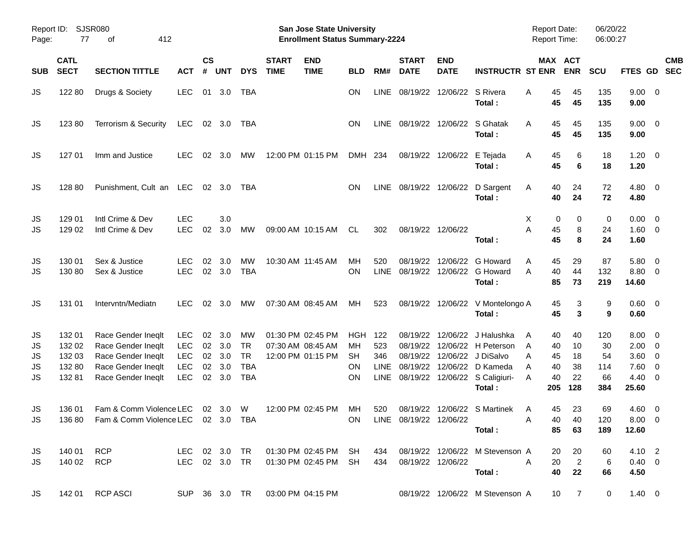| Report ID:<br>Page:        | 77                                            | SJSR080<br>412<br>оf                                                                                       |                                                             |                |                                          |                                                          |                             | San Jose State University<br><b>Enrollment Status Summary-2224</b> |                             |                                     |                             |                            |                                                                                                                                                              | Report Date:<br><b>Report Time:</b>                        |                                   | 06/20/22<br>06:00:27                |                                                      |                                                                                                           |  |
|----------------------------|-----------------------------------------------|------------------------------------------------------------------------------------------------------------|-------------------------------------------------------------|----------------|------------------------------------------|----------------------------------------------------------|-----------------------------|--------------------------------------------------------------------|-----------------------------|-------------------------------------|-----------------------------|----------------------------|--------------------------------------------------------------------------------------------------------------------------------------------------------------|------------------------------------------------------------|-----------------------------------|-------------------------------------|------------------------------------------------------|-----------------------------------------------------------------------------------------------------------|--|
| <b>SUB</b>                 | <b>CATL</b><br><b>SECT</b>                    | <b>SECTION TITTLE</b>                                                                                      | <b>ACT</b>                                                  | <b>CS</b><br># | <b>UNT</b>                               | <b>DYS</b>                                               | <b>START</b><br><b>TIME</b> | <b>END</b><br><b>TIME</b>                                          | <b>BLD</b>                  | RM#                                 | <b>START</b><br><b>DATE</b> | <b>END</b><br><b>DATE</b>  | <b>INSTRUCTR ST ENR</b>                                                                                                                                      | MAX ACT                                                    | <b>ENR</b>                        | <b>SCU</b>                          | FTES GD SEC                                          | <b>CMB</b>                                                                                                |  |
| JS                         | 122 80                                        | Drugs & Society                                                                                            | <b>LEC</b>                                                  | 01             | 3.0                                      | TBA                                                      |                             |                                                                    | <b>ON</b>                   | LINE                                |                             | 08/19/22 12/06/22 S Rivera | Total:                                                                                                                                                       | 45<br>A<br>45                                              | 45<br>45                          | 135<br>135                          | $9.00 \t 0$<br>9.00                                  |                                                                                                           |  |
| JS                         | 123 80                                        | Terrorism & Security                                                                                       | LEC                                                         |                | 02 3.0                                   | TBA                                                      |                             |                                                                    | ON                          | LINE                                | 08/19/22 12/06/22 S Ghatak  |                            | Total:                                                                                                                                                       | 45<br>A<br>45                                              | 45<br>45                          | 135<br>135                          | $9.00 \t 0$<br>9.00                                  |                                                                                                           |  |
| JS                         | 127 01                                        | Imm and Justice                                                                                            | <b>LEC</b>                                                  | 02             | 3.0                                      | МW                                                       |                             | 12:00 PM 01:15 PM                                                  | DMH 234                     |                                     |                             | 08/19/22 12/06/22          | E Tejada<br>Total:                                                                                                                                           | 45<br>A<br>45                                              | 6<br>6                            | 18<br>18                            | 1.20<br>1.20                                         | $\overline{\mathbf{0}}$                                                                                   |  |
| JS                         | 128 80                                        | Punishment, Cult an LEC 02 3.0                                                                             |                                                             |                |                                          | TBA                                                      |                             |                                                                    | <b>ON</b>                   |                                     |                             |                            | LINE 08/19/22 12/06/22 D Sargent<br>Total:                                                                                                                   | 40<br>A<br>40                                              | 24<br>24                          | 72<br>72                            | $4.80\ 0$<br>4.80                                    |                                                                                                           |  |
| JS<br>JS                   | 129 01<br>129 02                              | Intl Crime & Dev<br>Intl Crime & Dev                                                                       | <b>LEC</b><br><b>LEC</b>                                    | 02             | 3.0<br>3.0                               | MW                                                       |                             | 09:00 AM 10:15 AM                                                  | CL.                         | 302                                 | 08/19/22 12/06/22           |                            | Total:                                                                                                                                                       | X.<br>0<br>A<br>45<br>45                                   | 0<br>8<br>8                       | 0<br>24<br>24                       | 0.00<br>1.60 0<br>1.60                               | $\overline{\mathbf{0}}$                                                                                   |  |
| JS<br>JS                   | 130 01<br>130 80                              | Sex & Justice<br>Sex & Justice                                                                             | <b>LEC</b><br><b>LEC</b>                                    | 02             | 3.0<br>02 3.0                            | MW<br><b>TBA</b>                                         |                             | 10:30 AM 11:45 AM                                                  | MН<br>ON                    | 520<br><b>LINE</b>                  | 08/19/22                    |                            | 12/06/22 G Howard<br>08/19/22 12/06/22 G Howard<br>Total:                                                                                                    | 45<br>A<br>40<br>Α<br>85                                   | 29<br>44<br>73                    | 87<br>132<br>219                    | 5.80<br>8.80 0<br>14.60                              | $\overline{\mathbf{0}}$                                                                                   |  |
| JS                         | 131 01                                        | Intervntn/Mediatn                                                                                          | LEC.                                                        |                | $02 \quad 3.0$                           | MW                                                       |                             | 07:30 AM 08:45 AM                                                  | MН                          | 523                                 |                             |                            | 08/19/22 12/06/22 V Montelongo A<br>Total:                                                                                                                   | 45<br>45                                                   | 3<br>3                            | 9<br>9                              | $0.60 \quad 0$<br>0.60                               |                                                                                                           |  |
| JS<br>JS<br>JS<br>JS<br>JS | 132 01<br>132 02<br>132 03<br>132 80<br>13281 | Race Gender Ineqlt<br>Race Gender Ineqlt<br>Race Gender Ineqlt<br>Race Gender Ineqlt<br>Race Gender Ineqlt | <b>LEC</b><br><b>LEC</b><br>LEC<br><b>LEC</b><br><b>LEC</b> | 02<br>02       | 3.0<br>02 3.0<br>02 3.0<br>3.0<br>02 3.0 | МW<br><b>TR</b><br><b>TR</b><br><b>TBA</b><br><b>TBA</b> |                             | 01:30 PM 02:45 PM<br>07:30 AM 08:45 AM<br>12:00 PM 01:15 PM        | HGH<br>MН<br>SH<br>ΟN<br>ON | - 122<br>523<br>346<br>LINE<br>LINE | 08/19/22                    |                            | 12/06/22 J Halushka<br>08/19/22 12/06/22 H Peterson<br>08/19/22 12/06/22 J DiSalvo<br>08/19/22 12/06/22 D Kameda<br>08/19/22 12/06/22 S Caligiuri-<br>Total: | 40<br>A<br>A<br>40<br>A<br>45<br>40<br>Α<br>40<br>Α<br>205 | 40<br>10<br>18<br>38<br>22<br>128 | 120<br>30<br>54<br>114<br>66<br>384 | 8.00<br>$2.00 \t 0$<br>3.60<br>7.60<br>4.40<br>25.60 | $\overline{\mathbf{0}}$<br>$\overline{\phantom{0}}$<br>$\overline{\mathbf{0}}$<br>$\overline{\mathbf{0}}$ |  |
| JS                         | 136 01                                        | Fam & Comm Violence LEC 02 3.0<br>JS 136 80 Fam & Comm Violence LEC 02 3.0 TBA                             |                                                             |                |                                          | W                                                        |                             | 12:00 PM 02:45 PM                                                  | MН                          | 520                                 | ON LINE 08/19/22 12/06/22   |                            | 08/19/22 12/06/22 S Martinek<br><b>A</b><br>Total :                                                                                                          | 45<br>A                                                    | 23<br>40 40<br>85 63              | 69<br>120<br>189                    | $4.60$ 0<br>$8.00 \t 0$<br>12.60                     |                                                                                                           |  |
| JS<br>JS                   |                                               | 140 01 RCP<br>140 02 RCP                                                                                   |                                                             |                |                                          |                                                          |                             | LEC 02 3.0 TR  01:30 PM  02:45 PM  SH  434  08/19/22  12/06/22     |                             |                                     |                             |                            | LEC 02 3.0 TR  01:30 PM  02:45 PM  SH  434  08/19/22  12/06/22  M  Stevenson A<br>Total:                                                                     | <b>A</b>                                                   | 20 20<br>$20 \qquad 2$<br>40 22   | 60<br>6<br>66                       | 4.10 2<br>$0.40 \quad 0$<br>4.50                     |                                                                                                           |  |
| JS                         |                                               | 142 01 RCP ASCI                                                                                            |                                                             |                |                                          |                                                          |                             | SUP 36 3.0 TR 03:00 PM 04:15 PM                                    |                             |                                     |                             |                            | 08/19/22 12/06/22 M Stevenson A                                                                                                                              |                                                            | 10 7                              | $\overline{0}$                      | $1.40 \ 0$                                           |                                                                                                           |  |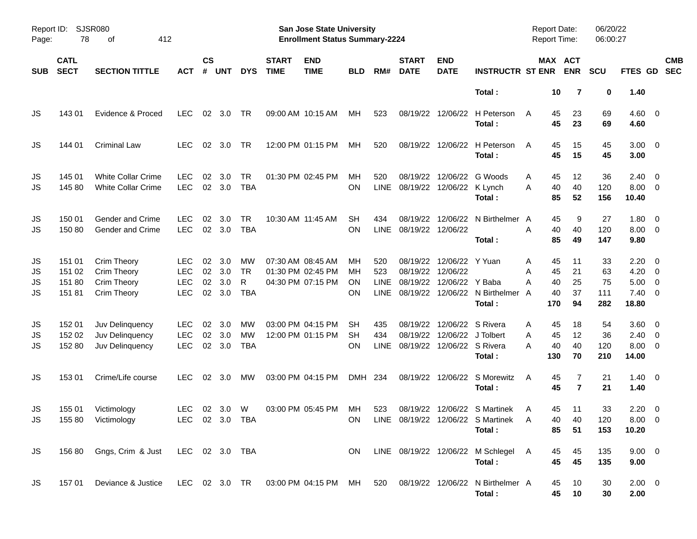| Page:                | Report ID: SJSR080<br>78            | 412<br>οf                                                                                         |                                                      |                      |                          |                                    |                             | <b>San Jose State University</b><br><b>Enrollment Status Summary-2224</b> |                       |                            |                                        |                                                  |                                                                                | Report Date:<br><b>Report Time:</b>             |                            | 06/20/22<br>06:00:27         |                                                                     |                          |
|----------------------|-------------------------------------|---------------------------------------------------------------------------------------------------|------------------------------------------------------|----------------------|--------------------------|------------------------------------|-----------------------------|---------------------------------------------------------------------------|-----------------------|----------------------------|----------------------------------------|--------------------------------------------------|--------------------------------------------------------------------------------|-------------------------------------------------|----------------------------|------------------------------|---------------------------------------------------------------------|--------------------------|
| <b>SUB</b>           | <b>CATL</b><br><b>SECT</b>          | <b>SECTION TITTLE</b>                                                                             | <b>ACT</b>                                           | <b>CS</b><br>#       | <b>UNT</b>               | <b>DYS</b>                         | <b>START</b><br><b>TIME</b> | <b>END</b><br><b>TIME</b>                                                 | <b>BLD</b>            | RM#                        | <b>START</b><br><b>DATE</b>            | <b>END</b><br><b>DATE</b>                        | <b>INSTRUCTR ST ENR</b>                                                        |                                                 | MAX ACT<br><b>ENR</b>      | <b>SCU</b>                   | <b>FTES GD</b>                                                      | <b>CMB</b><br><b>SEC</b> |
|                      |                                     |                                                                                                   |                                                      |                      |                          |                                    |                             |                                                                           |                       |                            |                                        |                                                  | Total:                                                                         | 10                                              | 7                          | 0                            | 1.40                                                                |                          |
| JS                   | 143 01                              | Evidence & Proced                                                                                 | <b>LEC</b>                                           | 02                   | 3.0                      | TR                                 |                             | 09:00 AM 10:15 AM                                                         | МH                    | 523                        |                                        | 08/19/22 12/06/22                                | H Peterson<br>Total:                                                           | 45<br>A<br>45                                   | 23<br>23                   | 69<br>69                     | $4.60$ 0<br>4.60                                                    |                          |
| JS                   | 144 01                              | <b>Criminal Law</b>                                                                               | <b>LEC</b>                                           | 02                   | 3.0                      | TR                                 |                             | 12:00 PM 01:15 PM                                                         | МH                    | 520                        |                                        | 08/19/22 12/06/22                                | H Peterson<br>Total:                                                           | 45<br>A<br>45                                   | 15<br>15                   | 45<br>45                     | $3.00 \ 0$<br>3.00                                                  |                          |
| JS<br>JS             | 145 01<br>145 80                    | <b>White Collar Crime</b><br><b>White Collar Crime</b>                                            | <b>LEC</b><br><b>LEC</b>                             | 02                   | 3.0<br>02 3.0            | TR<br><b>TBA</b>                   |                             | 01:30 PM 02:45 PM                                                         | МH<br>ΟN              | 520<br>LINE                | 08/19/22<br>08/19/22 12/06/22 K Lynch  | 12/06/22                                         | G Woods<br>Total:                                                              | 45<br>A<br>40<br>A<br>85                        | 12<br>40<br>52             | 36<br>120<br>156             | $2.40 \ 0$<br>$8.00 \t 0$<br>10.40                                  |                          |
| JS<br>JS             | 150 01<br>15080                     | Gender and Crime<br>Gender and Crime                                                              | <b>LEC</b><br><b>LEC</b>                             | 02                   | 3.0<br>02 3.0            | <b>TR</b><br><b>TBA</b>            |                             | 10:30 AM 11:45 AM                                                         | <b>SH</b><br>ON       | 434<br><b>LINE</b>         | 08/19/22<br>08/19/22 12/06/22          | 12/06/22                                         | N Birthelmer A<br>Total:                                                       | 45<br>40<br>A<br>85                             | 9<br>40<br>49              | 27<br>120<br>147             | $1.80 \ 0$<br>$8.00 \t 0$<br>9.80                                   |                          |
| JS<br>JS<br>JS<br>JS | 151 01<br>151 02<br>151 80<br>15181 | Crim Theory<br>Crim Theory<br><b>Crim Theory</b><br><b>Crim Theory</b>                            | <b>LEC</b><br><b>LEC</b><br><b>LEC</b><br><b>LEC</b> | 02<br>02<br>02<br>02 | 3.0<br>3.0<br>3.0<br>3.0 | MW<br><b>TR</b><br>R<br><b>TBA</b> | 07:30 AM 08:45 AM           | 01:30 PM 02:45 PM<br>04:30 PM 07:15 PM                                    | MН<br>MН<br>ΟN<br>ΟN  | 520<br>523<br>LINE<br>LINE | 08/19/22 12/06/22<br>08/19/22          | 08/19/22 12/06/22 Y Yuan<br>12/06/22 Y Baba      | 08/19/22 12/06/22 N Birthelmer<br>Total:                                       | 45<br>A<br>45<br>A<br>40<br>A<br>40<br>A<br>170 | 11<br>21<br>25<br>37<br>94 | 33<br>63<br>75<br>111<br>282 | $2.20 \t 0$<br>$4.20 \ 0$<br>$5.00 \t 0$<br>$7.40 \quad 0$<br>18.80 |                          |
| JS<br>JS<br>JS       | 152 01<br>152 02<br>152 80          | Juv Delinquency<br>Juv Delinquency<br>Juv Delinquency                                             | <b>LEC</b><br><b>LEC</b><br><b>LEC</b>               | 02<br>02<br>02       | 3.0<br>3.0<br>3.0        | MW<br><b>MW</b><br><b>TBA</b>      |                             | 03:00 PM 04:15 PM<br>12:00 PM 01:15 PM                                    | SH<br><b>SH</b><br>ΟN | 435<br>434<br><b>LINE</b>  | 08/19/22<br>08/19/22 12/06/22 S Rivera | 12/06/22 S Rivera<br>08/19/22 12/06/22 J Tolbert | Total:                                                                         | 45<br>Α<br>45<br>A<br>40<br>А<br>130            | 18<br>12<br>40<br>70       | 54<br>36<br>120<br>210       | $3.60 \ 0$<br>$2.40 \ 0$<br>$8.00 \t 0$<br>14.00                    |                          |
| JS                   | 153 01                              | Crime/Life course                                                                                 | <b>LEC</b>                                           | 02 <sub>o</sub>      | 3.0                      | <b>MW</b>                          |                             | 03:00 PM 04:15 PM                                                         | DMH 234               |                            |                                        |                                                  | 08/19/22 12/06/22 S Morewitz<br>Total:                                         | 45<br>A<br>45                                   | 7<br>$\overline{7}$        | 21<br>21                     | $1.40 \ 0$<br>1.40                                                  |                          |
| JS<br><b>JS</b>      | 155 01                              | Victimology<br>155 80 Victimology                                                                 | <b>LEC</b><br>LEC 02 3.0 TBA                         |                      | $02 \quad 3.0$           | W                                  |                             | 03:00 PM 05:45 PM                                                         | МH                    | 523                        |                                        |                                                  | 08/19/22 12/06/22 S Martinek<br>ON LINE 08/19/22 12/06/22 S Martinek<br>Total: | 45<br>A<br><sup>A</sup><br>85                   | 11<br>40<br>40<br>51       | 33<br>120<br>153             | $2.20 \t 0$<br>$8.00 \t 0$<br>10.20                                 |                          |
| JS                   |                                     | 156 80 Gngs, Crim & Just LEC 02 3.0 TBA                                                           |                                                      |                      |                          |                                    |                             |                                                                           | ON.                   |                            |                                        |                                                  | LINE 08/19/22 12/06/22 M Schlegel A<br>Total:                                  | 45<br>45                                        | 45<br>45                   | 135<br>135                   | $9.00 \t 0$<br>9.00                                                 |                          |
| JS                   |                                     | 157 01 Deviance & Justice LEC 02 3.0 TR 03:00 PM 04:15 PM MH 520 08/19/22 12/06/22 N Birthelmer A |                                                      |                      |                          |                                    |                             |                                                                           |                       |                            |                                        |                                                  | Total:                                                                         | 45<br>45                                        | 10<br>10                   | 30<br>30                     | $2.00 \t 0$<br>2.00                                                 |                          |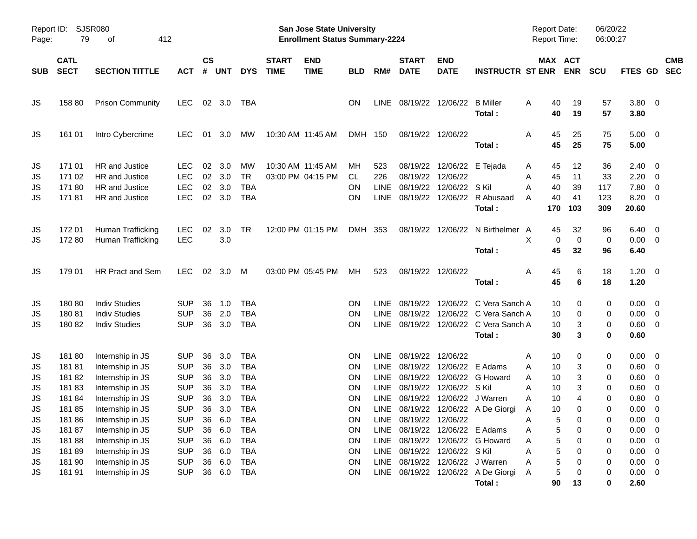| Report ID:<br>Page:                           | 79                                                          | <b>SJSR080</b><br>412<br>оf                                                                                                              |                                                                                                |                                  |                                                  |                                                                                         |                             | <b>San Jose State University</b><br><b>Enrollment Status Summary-2224</b> |                                        |                                                                  |                                                                                 |                                                          |                                                                                                       | <b>Report Date:</b><br>Report Time:                                                |                                 | 06/20/22<br>06:00:27            |                                                                          |                                                                                                             |            |
|-----------------------------------------------|-------------------------------------------------------------|------------------------------------------------------------------------------------------------------------------------------------------|------------------------------------------------------------------------------------------------|----------------------------------|--------------------------------------------------|-----------------------------------------------------------------------------------------|-----------------------------|---------------------------------------------------------------------------|----------------------------------------|------------------------------------------------------------------|---------------------------------------------------------------------------------|----------------------------------------------------------|-------------------------------------------------------------------------------------------------------|------------------------------------------------------------------------------------|---------------------------------|---------------------------------|--------------------------------------------------------------------------|-------------------------------------------------------------------------------------------------------------|------------|
| <b>SUB</b>                                    | <b>CATL</b><br><b>SECT</b>                                  | <b>SECTION TITTLE</b>                                                                                                                    | <b>ACT</b>                                                                                     | $\mathsf{cs}$<br>#               | <b>UNT</b>                                       | <b>DYS</b>                                                                              | <b>START</b><br><b>TIME</b> | <b>END</b><br><b>TIME</b>                                                 | <b>BLD</b>                             | RM#                                                              | <b>START</b><br><b>DATE</b>                                                     | <b>END</b><br><b>DATE</b>                                | <b>INSTRUCTR ST ENR</b>                                                                               | MAX ACT                                                                            | <b>ENR</b>                      | <b>SCU</b>                      | FTES GD SEC                                                              |                                                                                                             | <b>CMB</b> |
| JS                                            | 158 80                                                      | <b>Prison Community</b>                                                                                                                  | <b>LEC</b>                                                                                     |                                  | 02 3.0                                           | TBA                                                                                     |                             |                                                                           | <b>ON</b>                              | LINE                                                             |                                                                                 | 08/19/22 12/06/22 B Miller                               | Total:                                                                                                | 40<br>A<br>40                                                                      | 19<br>19                        | 57<br>57                        | $3.80 \ 0$<br>3.80                                                       |                                                                                                             |            |
| JS                                            | 161 01                                                      | Intro Cybercrime                                                                                                                         | <b>LEC</b>                                                                                     |                                  | 01 3.0                                           | MW                                                                                      |                             | 10:30 AM 11:45 AM                                                         | DMH 150                                |                                                                  |                                                                                 | 08/19/22 12/06/22                                        | Total:                                                                                                | 45<br>A<br>45                                                                      | 25<br>25                        | 75<br>75                        | $5.00 \quad 0$<br>5.00                                                   |                                                                                                             |            |
| JS<br>JS<br>JS<br>JS                          | 171 01<br>171 02<br>17180<br>17181                          | HR and Justice<br>HR and Justice<br>HR and Justice<br>HR and Justice                                                                     | <b>LEC</b><br><b>LEC</b><br><b>LEC</b><br><b>LEC</b>                                           | 02<br>02<br>02                   | 3.0<br>3.0<br>3.0<br>02 3.0                      | MW<br><b>TR</b><br><b>TBA</b><br><b>TBA</b>                                             |                             | 10:30 AM 11:45 AM<br>03:00 PM 04:15 PM                                    | МH<br>CL.<br>ON<br>ON                  | 523<br>226<br><b>LINE</b><br><b>LINE</b>                         | 08/19/22<br>08/19/22<br>08/19/22                                                | 08/19/22 12/06/22 E Tejada<br>12/06/22<br>12/06/22 S Kil | 12/06/22 R Abusaad<br>Total:                                                                          | 45<br>A<br>45<br>Α<br>Α<br>40<br>40<br>A<br>170                                    | 12<br>11<br>39<br>41<br>103     | 36<br>33<br>117<br>123<br>309   | 2.40<br>2.20<br>7.80<br>8.20<br>20.60                                    | $\overline{\mathbf{0}}$<br>$\overline{\mathbf{0}}$<br>$\overline{0}$<br>$\overline{\mathbf{0}}$             |            |
| JS<br>JS                                      | 172 01<br>17280                                             | Human Trafficking<br>Human Trafficking                                                                                                   | LEC<br><b>LEC</b>                                                                              | 02                               | 3.0<br>3.0                                       | TR                                                                                      |                             | 12:00 PM 01:15 PM                                                         | DMH 353                                |                                                                  |                                                                                 |                                                          | 08/19/22 12/06/22 N Birthelmer A<br>Total:                                                            | 45<br>X<br>0<br>45                                                                 | 32<br>0<br>32                   | 96<br>0<br>96                   | 6.40<br>$0.00 \t 0$<br>6.40                                              | $\overline{\mathbf{0}}$                                                                                     |            |
| JS                                            | 179 01                                                      | <b>HR Pract and Sem</b>                                                                                                                  | <b>LEC</b>                                                                                     |                                  | $02 \quad 3.0$                                   | M                                                                                       |                             | 03:00 PM 05:45 PM                                                         | МH                                     | 523                                                              |                                                                                 | 08/19/22 12/06/22                                        | Total:                                                                                                | 45<br>Α<br>45                                                                      | 6<br>6                          | 18<br>18                        | $1.20 \t 0$<br>1.20                                                      |                                                                                                             |            |
| JS<br>JS<br>JS                                | 18080<br>18081<br>18082                                     | <b>Indiv Studies</b><br><b>Indiv Studies</b><br><b>Indiv Studies</b>                                                                     | <b>SUP</b><br><b>SUP</b><br><b>SUP</b>                                                         | 36<br>36<br>36                   | 1.0<br>2.0<br>3.0                                | <b>TBA</b><br><b>TBA</b><br><b>TBA</b>                                                  |                             |                                                                           | ON<br>ON<br>ON                         | <b>LINE</b><br><b>LINE</b>                                       | 08/19/22<br>08/19/22                                                            |                                                          | 12/06/22 C Vera Sanch A<br>12/06/22 C Vera Sanch A<br>LINE 08/19/22 12/06/22 C Vera Sanch A<br>Total: | 10<br>10<br>10<br>30                                                               | 0<br>0<br>3<br>3                | 0<br>0<br>0<br>0                | $0.00 \quad 0$<br>$0.00 \t 0$<br>$0.60 \t 0$<br>0.60                     |                                                                                                             |            |
| JS<br>JS<br>JS<br>JS<br>JS<br>JS<br><b>JS</b> | 18180<br>18181<br>18182<br>18183<br>18184<br>18185<br>18186 | Internship in JS<br>Internship in JS<br>Internship in JS<br>Internship in JS<br>Internship in JS<br>Internship in JS<br>Internship in JS | <b>SUP</b><br><b>SUP</b><br><b>SUP</b><br><b>SUP</b><br><b>SUP</b><br><b>SUP</b><br><b>SUP</b> | 36<br>36<br>36<br>36<br>36<br>36 | 3.0<br>3.0<br>3.0<br>3.0<br>3.0<br>3.0<br>36 6.0 | TBA<br><b>TBA</b><br><b>TBA</b><br><b>TBA</b><br><b>TBA</b><br><b>TBA</b><br><b>TBA</b> |                             |                                                                           | ON<br>ON<br>ON<br>ON<br>ON<br>ON<br>ON | LINE<br><b>LINE</b><br><b>LINE</b><br><b>LINE</b><br><b>LINE</b> | 08/19/22 12/06/22<br>08/19/22<br>08/19/22<br>08/19/22<br>LINE 08/19/22 12/06/22 | 12/06/22<br>12/06/22 S Kil<br>08/19/22 12/06/22 J Warren | 12/06/22 E Adams<br>G Howard<br>LINE 08/19/22 12/06/22 A De Giorgi                                    | 10<br>Α<br>10<br>Α<br>10<br>Α<br>Α<br>10<br>10<br>Α<br>10<br>Α<br>$\,$ 5 $\,$<br>Α | 0<br>3<br>3<br>3<br>4<br>0<br>0 | 0<br>0<br>0<br>0<br>0<br>0<br>0 | 0.00<br>0.60<br>0.60<br>0.60<br>0.80<br>0.00<br>$0.00 \t 0$              | $\overline{\phantom{0}}$<br>$\overline{\mathbf{0}}$<br>$\overline{0}$<br>$\overline{0}$<br>$\mathbf 0$<br>0 |            |
| JS<br>JS<br>JS<br>JS<br>JS                    | 18187<br>18188<br>18189<br>181 90<br>181 91                 | Internship in JS<br>Internship in JS<br>Internship in JS<br>Internship in JS<br>Internship in JS                                         | <b>SUP</b><br><b>SUP</b><br><b>SUP</b><br><b>SUP</b><br><b>SUP</b>                             | 36<br>36<br>36<br>36<br>36       | 6.0<br>6.0<br>6.0<br>6.0<br>6.0                  | <b>TBA</b><br><b>TBA</b><br><b>TBA</b><br><b>TBA</b><br><b>TBA</b>                      |                             |                                                                           | ON<br>ON<br>ON<br>ON<br>ON             | LINE                                                             | LINE 08/19/22 12/06/22 E Adams<br>LINE 08/19/22 12/06/22 S Kil                  | 08/19/22 12/06/22 J Warren                               | LINE 08/19/22 12/06/22 G Howard<br>LINE 08/19/22 12/06/22 A De Giorgi<br>Total:                       | 5<br>Α<br>5<br>Α<br>5<br>Α<br>5<br>Α<br>5<br>A<br>90                               | 0<br>0<br>0<br>0<br>0<br>13     | 0<br>0<br>0<br>0<br>0<br>0      | 0.00<br>$0.00 \t 0$<br>$0.00 \t 0$<br>$0.00 \t 0$<br>$0.00 \t 0$<br>2.60 | $\overline{\mathbf{0}}$                                                                                     |            |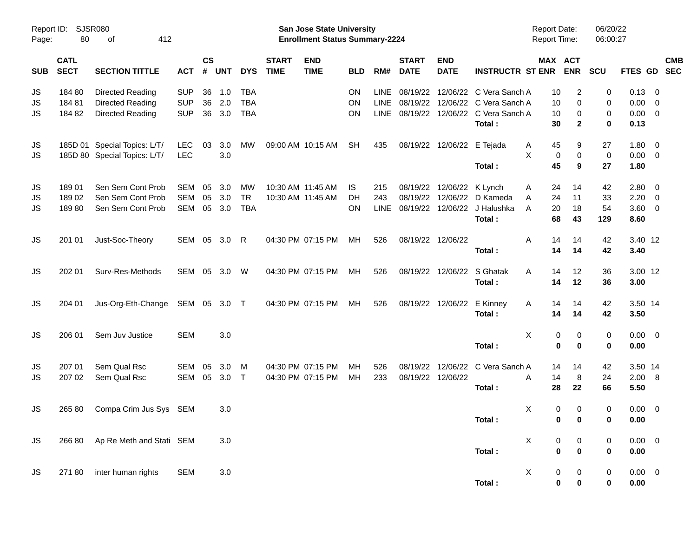| Report ID:<br>Page: | 80                         | SJSR080<br>412<br>οf            |              |                    |            |              |                             | San Jose State University<br><b>Enrollment Status Summary-2224</b> |            |             |                             |                           |                          | <b>Report Date:</b><br><b>Report Time:</b> |                       | 06/20/22<br>06:00:27 |              |                |                          |
|---------------------|----------------------------|---------------------------------|--------------|--------------------|------------|--------------|-----------------------------|--------------------------------------------------------------------|------------|-------------|-----------------------------|---------------------------|--------------------------|--------------------------------------------|-----------------------|----------------------|--------------|----------------|--------------------------|
| <b>SUB</b>          | <b>CATL</b><br><b>SECT</b> | <b>SECTION TITTLE</b>           | <b>ACT</b>   | $\mathsf{cs}$<br># | <b>UNT</b> | <b>DYS</b>   | <b>START</b><br><b>TIME</b> | <b>END</b><br><b>TIME</b>                                          | <b>BLD</b> | RM#         | <b>START</b><br><b>DATE</b> | <b>END</b><br><b>DATE</b> | <b>INSTRUCTR ST ENR</b>  |                                            | MAX ACT<br><b>ENR</b> | <b>SCU</b>           | FTES GD      |                | <b>CMB</b><br><b>SEC</b> |
| JS                  | 184 80                     | Directed Reading                | <b>SUP</b>   | 36                 | 1.0        | <b>TBA</b>   |                             |                                                                    | ON         | <b>LINE</b> | 08/19/22                    | 12/06/22                  | C Vera Sanch A           | 10                                         | $\overline{c}$        | 0                    | 0.13         | 0              |                          |
| JS                  | 18481                      | Directed Reading                | <b>SUP</b>   | 36                 | 2.0        | <b>TBA</b>   |                             |                                                                    | ON         | LINE        | 08/19/22                    | 12/06/22                  | C Vera Sanch A           | 10                                         | 0                     | 0                    | 0.00         | 0              |                          |
| JS                  | 184 82                     | Directed Reading                | <b>SUP</b>   | 36                 | 3.0        | <b>TBA</b>   |                             |                                                                    | ON         | <b>LINE</b> | 08/19/22                    | 12/06/22                  | C Vera Sanch A<br>Total: | 10<br>30                                   | 0<br>$\mathbf{2}$     | 0<br>0               | 0.00<br>0.13 | 0              |                          |
| JS                  |                            | 185D 01 Special Topics: L/T/    | <b>LEC</b>   | 03                 | 3.0        | MW           |                             | 09:00 AM 10:15 AM                                                  | <b>SH</b>  | 435         |                             | 08/19/22 12/06/22         | E Tejada                 | Α<br>45                                    | 9                     | 27                   | 1.80         | 0              |                          |
| JS                  |                            | 185D 80 Special Topics: L/T/    | <b>LEC</b>   |                    | 3.0        |              |                             |                                                                    |            |             |                             |                           |                          | X<br>0                                     | $\pmb{0}$             | 0                    | 0.00         | 0              |                          |
|                     |                            |                                 |              |                    |            |              |                             |                                                                    |            |             |                             |                           | Total:                   | 45                                         | 9                     | 27                   | 1.80         |                |                          |
| JS                  | 18901                      | Sen Sem Cont Prob               | <b>SEM</b>   | 05                 | 3.0        | <b>MW</b>    | 10:30 AM 11:45 AM           |                                                                    | IS.        | 215         | 08/19/22                    | 12/06/22                  | K Lynch                  | 24<br>A                                    | 14                    | 42                   | 2.80         | 0              |                          |
| JS                  | 18902                      | Sen Sem Cont Prob               | <b>SEM</b>   | 05                 | 3.0        | <b>TR</b>    |                             | 10:30 AM 11:45 AM                                                  | DH         | 243         | 08/19/22                    | 12/06/22                  | D Kameda                 | 24<br>Α                                    | 11                    | 33                   | 2.20         | 0              |                          |
| JS                  | 18980                      | Sen Sem Cont Prob               | <b>SEM</b>   | 05                 | 3.0        | <b>TBA</b>   |                             |                                                                    | <b>ON</b>  | <b>LINE</b> | 08/19/22                    | 12/06/22                  | J Halushka               | A<br>20                                    | 18                    | 54                   | 3.60         | 0              |                          |
|                     |                            |                                 |              |                    |            |              |                             |                                                                    |            |             |                             |                           | Total:                   | 68                                         | 43                    | 129                  | 8.60         |                |                          |
| JS                  | 201 01                     | Just-Soc-Theory                 | SEM 05 3.0   |                    |            | $\mathsf{R}$ |                             | 04:30 PM 07:15 PM                                                  | МH         | 526         |                             | 08/19/22 12/06/22         |                          | A<br>14                                    | 14                    | 42                   | 3.40 12      |                |                          |
|                     |                            |                                 |              |                    |            |              |                             |                                                                    |            |             |                             |                           | Total:                   | 14                                         | 14                    | 42                   | 3.40         |                |                          |
| <b>JS</b>           | 202 01                     | Surv-Res-Methods                | SEM          |                    | 05 3.0     | W            |                             | 04:30 PM 07:15 PM                                                  | МH         | 526         |                             | 08/19/22 12/06/22         | S Ghatak                 | A<br>14                                    | 12                    | 36                   | 3.00 12      |                |                          |
|                     |                            |                                 |              |                    |            |              |                             |                                                                    |            |             |                             |                           | Total:                   | 14                                         | 12                    | 36                   | 3.00         |                |                          |
| JS                  | 204 01                     | Jus-Org-Eth-Change              | SEM 05 3.0 T |                    |            |              |                             | 04:30 PM 07:15 PM                                                  | МH         | 526         | 08/19/22                    | 12/06/22                  | E Kinney                 | A<br>14                                    | 14                    | 42                   | 3.50 14      |                |                          |
|                     |                            |                                 |              |                    |            |              |                             |                                                                    |            |             |                             |                           | Total:                   | 14                                         | 14                    | 42                   | 3.50         |                |                          |
| JS                  | 206 01                     | Sem Juv Justice                 | <b>SEM</b>   |                    | 3.0        |              |                             |                                                                    |            |             |                             |                           |                          | X<br>0                                     | $\pmb{0}$             | 0                    | $0.00 \t 0$  |                |                          |
|                     |                            |                                 |              |                    |            |              |                             |                                                                    |            |             |                             |                           | Total:                   | 0                                          | 0                     | 0                    | 0.00         |                |                          |
| JS                  | 207 01                     | Sem Qual Rsc                    | <b>SEM</b>   | 05                 | 3.0        | M            |                             | 04:30 PM 07:15 PM                                                  | MН         | 526         | 08/19/22                    | 12/06/22                  | C Vera Sanch A           | 14                                         | 14                    | 42                   | 3.50 14      |                |                          |
| JS                  | 207 02                     | Sem Qual Rsc                    | <b>SEM</b>   | 05                 | 3.0        | Т            |                             | 04:30 PM 07:15 PM                                                  | MН         | 233         |                             | 08/19/22 12/06/22         |                          | Α<br>14                                    | 8                     | 24                   | 2.00         | $_{8}$         |                          |
|                     |                            |                                 |              |                    |            |              |                             |                                                                    |            |             |                             |                           | Total:                   | 28                                         | 22                    | 66                   | 5.50         |                |                          |
| JS                  | 265 80                     | Compa Crim Jus Sys SEM          |              |                    | 3.0        |              |                             |                                                                    |            |             |                             |                           |                          | X<br>0                                     | 0                     | 0                    | 0.00         | $\overline{0}$ |                          |
|                     |                            |                                 |              |                    |            |              |                             |                                                                    |            |             |                             |                           | Total:                   |                                            | 0<br>$\mathbf 0$      | <sup>0</sup>         | 0.00         |                |                          |
| JS                  |                            | 266 80 Ap Re Meth and Stati SEM |              |                    | 3.0        |              |                             |                                                                    |            |             |                             |                           |                          | X<br>0                                     | 0                     | 0                    | $0.00 \t 0$  |                |                          |
|                     |                            |                                 |              |                    |            |              |                             |                                                                    |            |             |                             |                           | Total:                   | 0                                          | $\pmb{0}$             | 0                    | $0.00\,$     |                |                          |
| JS                  | 27180                      | inter human rights              | <b>SEM</b>   |                    | 3.0        |              |                             |                                                                    |            |             |                             |                           |                          | X<br>0                                     | 0                     | 0                    | $0.00 \t 0$  |                |                          |
|                     |                            |                                 |              |                    |            |              |                             |                                                                    |            |             |                             |                           | Total:                   | 0                                          | $\pmb{0}$             | 0                    | $0.00\,$     |                |                          |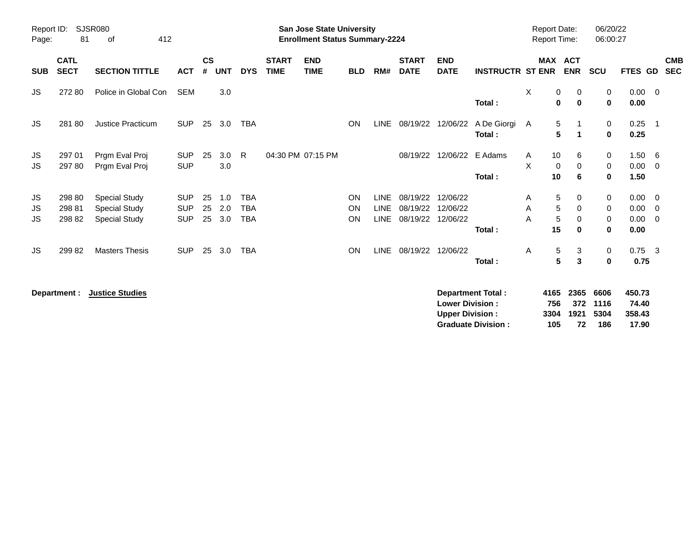| Report ID:<br>Page: | 81                         | SJSR080<br>412<br>of                                                 |                                        |                    |                   |                                        |                             | <b>San Jose State University</b><br><b>Enrollment Status Summary-2224</b> |                              |                                           |                                  |                                  |                         | <b>Report Date:</b><br><b>Report Time:</b> |                                            | 06/20/22<br>06:00:27    |                                     |                                                    |
|---------------------|----------------------------|----------------------------------------------------------------------|----------------------------------------|--------------------|-------------------|----------------------------------------|-----------------------------|---------------------------------------------------------------------------|------------------------------|-------------------------------------------|----------------------------------|----------------------------------|-------------------------|--------------------------------------------|--------------------------------------------|-------------------------|-------------------------------------|----------------------------------------------------|
| <b>SUB</b>          | <b>CATL</b><br><b>SECT</b> | <b>SECTION TITTLE</b>                                                | <b>ACT</b>                             | $\mathsf{cs}$<br># | <b>UNT</b>        | <b>DYS</b>                             | <b>START</b><br><b>TIME</b> | <b>END</b><br><b>TIME</b>                                                 | <b>BLD</b>                   | RM#                                       | <b>START</b><br><b>DATE</b>      | <b>END</b><br><b>DATE</b>        | <b>INSTRUCTR ST ENR</b> | MAX                                        | <b>ACT</b><br><b>ENR</b>                   | <b>SCU</b>              | <b>FTES GD</b>                      | <b>CMB</b><br><b>SEC</b>                           |
| JS                  | 27280                      | Police in Global Con                                                 | SEM                                    |                    | 3.0               |                                        |                             |                                                                           |                              |                                           |                                  |                                  | Total:                  | X                                          | 0<br>0<br>$\mathbf 0$<br>$\mathbf 0$       | 0<br>$\bf{0}$           | $0.00 \t 0$<br>0.00                 |                                                    |
| JS.                 | 28180                      | <b>Justice Practicum</b>                                             | <b>SUP</b>                             | 25                 | 3.0               | <b>TBA</b>                             |                             |                                                                           | <b>ON</b>                    | <b>LINE</b>                               | 08/19/22                         | 12/06/22                         | A De Giorgi A<br>Total: |                                            | 5<br>-1<br>5<br>$\blacktriangleleft$       | 0<br>0                  | 0.25<br>0.25                        | $\overline{\phantom{0}}$ 1                         |
| JS.<br>JS.          | 297 01<br>297 80           | Prgm Eval Proj<br>Prgm Eval Proj                                     | <b>SUP</b><br><b>SUP</b>               | 25                 | 3.0<br>3.0        | R.                                     |                             | 04:30 PM 07:15 PM                                                         |                              |                                           | 08/19/22                         | 12/06/22                         | E Adams<br>Total:       | 10<br>A<br>X<br>10                         | 6<br>$\mathbf 0$<br>0<br>6                 | 0<br>0<br>0             | $1.50\ 6$<br>0.00<br>1.50           | - 0                                                |
| JS<br>JS<br>JS      | 298 80<br>298 81<br>298 82 | <b>Special Study</b><br><b>Special Study</b><br><b>Special Study</b> | <b>SUP</b><br><b>SUP</b><br><b>SUP</b> | 25<br>25<br>25     | 1.0<br>2.0<br>3.0 | <b>TBA</b><br><b>TBA</b><br><b>TBA</b> |                             |                                                                           | <b>ON</b><br><b>ON</b><br>ON | <b>LINE</b><br><b>LINE</b><br><b>LINE</b> | 08/19/22<br>08/19/22<br>08/19/22 | 12/06/22<br>12/06/22<br>12/06/22 | Total:                  | A<br>Α<br>A<br>15                          | 5<br>0<br>5<br>0<br>5<br>0<br>$\mathbf{0}$ | 0<br>0<br>0<br>$\bf{0}$ | $0.00 \t 0$<br>0.00<br>0.00<br>0.00 | $\overline{\mathbf{0}}$<br>$\overline{\mathbf{0}}$ |
| JS.                 | 29982                      | <b>Masters Thesis</b>                                                | <b>SUP</b>                             | 25                 | 3.0               | <b>TBA</b>                             |                             |                                                                           | <b>ON</b>                    | <b>LINE</b>                               | 08/19/22                         | 12/06/22                         | Total:                  | A                                          | 5<br>3<br>5<br>$\mathbf{3}$                | 0<br>0                  | $0.75$ 3<br>0.75                    |                                                    |

**Department : Justice Studies 450.73 Lower Division : 756 372 1116 74.40 Upper Division : 3304 1921 5304 358.43 Graduate Division : 105 72 186 17.90**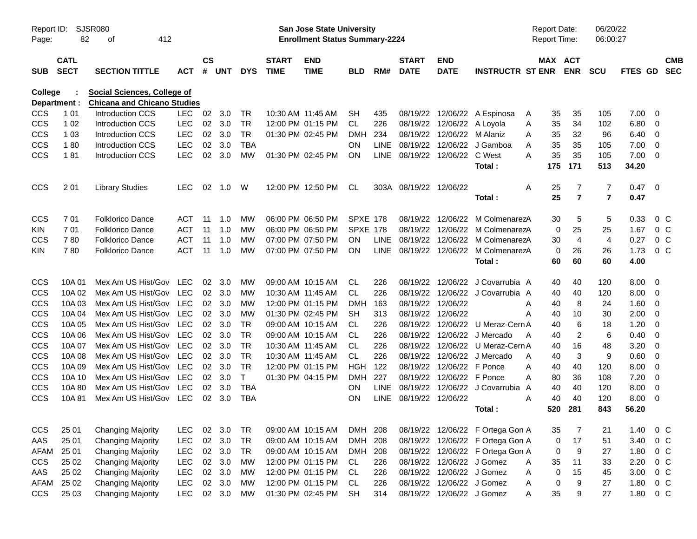| Report ID:<br>Page:            | 82                         | SJSR080<br>412<br>of                                                     |            |               |        |              |                             | San Jose State University<br><b>Enrollment Status Summary-2224</b> |                 |      |                             |                               |                                                |   |         | <b>Report Date:</b><br><b>Report Time:</b> | 06/20/22<br>06:00:27 |              |                          |                          |
|--------------------------------|----------------------------|--------------------------------------------------------------------------|------------|---------------|--------|--------------|-----------------------------|--------------------------------------------------------------------|-----------------|------|-----------------------------|-------------------------------|------------------------------------------------|---|---------|--------------------------------------------|----------------------|--------------|--------------------------|--------------------------|
| <b>SUB</b>                     | <b>CATL</b><br><b>SECT</b> | <b>SECTION TITTLE</b>                                                    | <b>ACT</b> | $\mathsf{cs}$ | # UNT  | <b>DYS</b>   | <b>START</b><br><b>TIME</b> | <b>END</b><br><b>TIME</b>                                          | <b>BLD</b>      | RM#  | <b>START</b><br><b>DATE</b> | <b>END</b><br><b>DATE</b>     | <b>INSTRUCTR ST ENR</b>                        |   |         | MAX ACT<br><b>ENR</b>                      | <b>SCU</b>           | FTES GD      |                          | <b>CMB</b><br><b>SEC</b> |
| <b>College</b><br>Department : |                            | <b>Social Sciences, College of</b><br><b>Chicana and Chicano Studies</b> |            |               |        |              |                             |                                                                    |                 |      |                             |                               |                                                |   |         |                                            |                      |              |                          |                          |
| <b>CCS</b>                     | 1 0 1                      | <b>Introduction CCS</b>                                                  | <b>LEC</b> | 02            | 3.0    | TR           | 10:30 AM 11:45 AM           |                                                                    | SН              | 435  |                             |                               | 08/19/22 12/06/22 A Espinosa                   | A | 35      | 35                                         | 105                  | 7.00         | 0                        |                          |
| CCS                            | 1 0 2                      | <b>Introduction CCS</b>                                                  | <b>LEC</b> | 02            | 3.0    | <b>TR</b>    |                             | 12:00 PM 01:15 PM                                                  | CL.             | 226  |                             | 08/19/22 12/06/22 A Loyola    |                                                | Α | 35      | 34                                         | 102                  | 6.80         | - 0                      |                          |
| CCS                            | 1 0 3                      | <b>Introduction CCS</b>                                                  | <b>LEC</b> | 02            | 3.0    | <b>TR</b>    |                             | 01:30 PM 02:45 PM                                                  | <b>DMH</b>      | 234  |                             | 08/19/22 12/06/22 M Alaniz    |                                                | Α | 35      | 32                                         | 96                   | 6.40         | - 0                      |                          |
| CCS                            | 180                        | <b>Introduction CCS</b>                                                  | <b>LEC</b> | 02            | 3.0    | <b>TBA</b>   |                             |                                                                    | ON.             | LINE |                             |                               | 08/19/22 12/06/22 J Gamboa                     | A | 35      | 35                                         | 105                  | 7.00         | 0                        |                          |
| CCS                            | 181                        | <b>Introduction CCS</b>                                                  | <b>LEC</b> | 02            | 3.0    | MW           | 01:30 PM 02:45 PM           |                                                                    | <b>ON</b>       |      |                             | LINE 08/19/22 12/06/22 C West |                                                | Α | 35      | 35                                         | 105                  | 7.00         | - 0                      |                          |
|                                |                            |                                                                          |            |               |        |              |                             |                                                                    |                 |      |                             |                               | Total:                                         |   | 175     | 171                                        | 513                  | 34.20        |                          |                          |
| <b>CCS</b>                     | 201                        | <b>Library Studies</b>                                                   | <b>LEC</b> | 02            | 1.0    | W            |                             | 12:00 PM 12:50 PM                                                  | CL              |      | 303A 08/19/22 12/06/22      |                               |                                                | Α | 25      | 7                                          | 7                    | 0.47         | $\overline{\phantom{0}}$ |                          |
|                                |                            |                                                                          |            |               |        |              |                             |                                                                    |                 |      |                             |                               | Total:                                         |   | 25      | $\overline{7}$                             | $\overline{7}$       | 0.47         |                          |                          |
| CCS                            | 701                        | <b>Folklorico Dance</b>                                                  | ACT        | 11            | 1.0    | <b>MW</b>    | 06:00 PM 06:50 PM           |                                                                    | <b>SPXE 178</b> |      |                             | 08/19/22 12/06/22             | M ColmenarezA                                  |   | 30      | 5                                          | 5                    | 0.33         | $0\,C$                   |                          |
| KIN                            | 701                        | <b>Folklorico Dance</b>                                                  | <b>ACT</b> | 11            | 1.0    | <b>MW</b>    | 06:00 PM 06:50 PM           |                                                                    | <b>SPXE 178</b> |      |                             |                               | 08/19/22 12/06/22 M ColmenarezA                |   | 0       | 25                                         | 25                   | 1.67         | 0 <sup>C</sup>           |                          |
| CCS                            | 780                        | <b>Folklorico Dance</b>                                                  | <b>ACT</b> | 11            | 1.0    | <b>MW</b>    | 07:00 PM 07:50 PM           |                                                                    | <b>ON</b>       |      |                             |                               | LINE 08/19/22 12/06/22 M ColmenarezA           |   | 30      | 4                                          | 4                    | 0.27         | 0 <sup>o</sup>           |                          |
| <b>KIN</b>                     | 780                        | <b>Folklorico Dance</b>                                                  | <b>ACT</b> | 11            | 1.0    | MW           |                             | 07:00 PM 07:50 PM                                                  | ON              |      |                             |                               | LINE 08/19/22 12/06/22 M ColmenarezA<br>Total: |   | 0<br>60 | 26<br>60                                   | 26<br>60             | 1.73<br>4.00 | 0 <sup>o</sup>           |                          |
| <b>CCS</b>                     | 10A 01                     | Mex Am US Hist/Gov LEC                                                   |            | 02            | 3.0    | МW           |                             | 09:00 AM 10:15 AM                                                  | CL              | 226  |                             |                               | 08/19/22 12/06/22 J Covarrubia A               |   | 40      | 40                                         | 120                  | 8.00         | - 0                      |                          |
| CCS                            | 10A 02                     | Mex Am US Hist/Gov LEC                                                   |            | 02            | 3.0    | MW           | 10:30 AM 11:45 AM           |                                                                    | CL              | 226  |                             |                               | 08/19/22 12/06/22 J Covarrubia A               |   | 40      | 40                                         | 120                  | 8.00         | - 0                      |                          |
| CCS                            | 10A03                      | Mex Am US Hist/Gov LEC                                                   |            | 02            | 3.0    | MW           |                             | 12:00 PM 01:15 PM                                                  | <b>DMH</b>      | 163  | 08/19/22 12/06/22           |                               |                                                | Α | 40      | 8                                          | 24                   | 1.60         | 0                        |                          |
| CCS                            | 10A 04                     | Mex Am US Hist/Gov LEC                                                   |            | 02            | 3.0    | <b>MW</b>    | 01:30 PM 02:45 PM           |                                                                    | <b>SH</b>       | 313  | 08/19/22 12/06/22           |                               |                                                | A | 40      | 10                                         | 30                   | 2.00         | 0                        |                          |
| CCS                            | 10A 05                     | Mex Am US Hist/Gov LEC                                                   |            | 02            | 3.0    | <b>TR</b>    |                             | 09:00 AM 10:15 AM                                                  | CL              | 226  |                             |                               | 08/19/22 12/06/22 U Meraz-Cern A               |   | 40      | 6                                          | 18                   | 1.20         | 0                        |                          |
| CCS                            | 10A 06                     | Mex Am US Hist/Gov LEC                                                   |            | 02            | 3.0    | <b>TR</b>    |                             | 09:00 AM 10:15 AM                                                  | CL.             | 226  |                             |                               | 08/19/22 12/06/22 J Mercado                    | A | 40      | $\overline{2}$                             | 6                    | 0.40         | 0                        |                          |
| CCS                            | 10A 07                     | Mex Am US Hist/Gov                                                       | <b>LEC</b> | 02            | 3.0    | <b>TR</b>    | 10:30 AM 11:45 AM           |                                                                    | CL.             | 226  |                             |                               | 08/19/22 12/06/22 U Meraz-Cern A               |   | 40      | 16                                         | 48                   | 3.20         | 0                        |                          |
| CCS                            | 10A 08                     | Mex Am US Hist/Gov                                                       | <b>LEC</b> | 02            | 3.0    | <b>TR</b>    | 10:30 AM 11:45 AM           |                                                                    | CL.             | 226  |                             |                               | 08/19/22 12/06/22 J Mercado                    | A | 40      | 3                                          | 9                    | 0.60         | 0                        |                          |
| CCS                            | 10A 09                     | Mex Am US Hist/Gov                                                       | <b>LEC</b> | 02            | 3.0    | <b>TR</b>    | 12:00 PM 01:15 PM           |                                                                    | <b>HGH</b>      | 122  |                             | 08/19/22 12/06/22 F Ponce     |                                                | Α | 40      | 40                                         | 120                  | 8.00         | 0                        |                          |
| CCS                            | 10A 10                     | Mex Am US Hist/Gov                                                       | <b>LEC</b> | 02            | 3.0    | $\mathsf{T}$ |                             | 01:30 PM 04:15 PM                                                  | <b>DMH</b>      | 227  |                             | 08/19/22 12/06/22 F Ponce     |                                                | A | 80      | 36                                         | 108                  | 7.20         | 0                        |                          |
| CCS                            | 10A 80                     | Mex Am US Hist/Gov                                                       | <b>LEC</b> | 02            | 3.0    | <b>TBA</b>   |                             |                                                                    | <b>ON</b>       | LINE |                             |                               | 08/19/22 12/06/22 J Covarrubia A               |   | 40      | 40                                         | 120                  | 8.00         | 0                        |                          |
| CCS                            | 10A81                      | Mex Am US Hist/Gov                                                       | LEC        | 02            | 3.0    | <b>TBA</b>   |                             |                                                                    | ON              |      | LINE 08/19/22 12/06/22      |                               |                                                | Α | 40      | 40                                         | 120                  | 8.00         | 0                        |                          |
|                                |                            |                                                                          |            |               |        |              |                             |                                                                    |                 |      |                             |                               | <b>Total :</b>                                 |   | 520     | 281                                        | 843                  | 56.20        |                          |                          |
| <b>CCS</b>                     | 25 01                      | <b>Changing Majority</b>                                                 | LEC.       | 02            | 3.0    | TR           |                             | 09:00 AM 10:15 AM                                                  | DMH 208         |      |                             |                               | 08/19/22 12/06/22 F Ortega Gon A               |   | 35      | 7                                          | 21                   | 1.40         | 0 <sup>C</sup>           |                          |
| AAS                            | 25 01                      | <b>Changing Majority</b>                                                 | LEC        | 02            | 3.0    | <b>TR</b>    |                             | 09:00 AM 10:15 AM                                                  | <b>DMH</b>      | 208  |                             |                               | 08/19/22 12/06/22 F Ortega Gon A               |   | 0       | 17                                         | 51                   | 3.40         | $0\quad C$               |                          |
| <b>AFAM</b>                    | 25 01                      | <b>Changing Majority</b>                                                 | <b>LEC</b> |               | 02 3.0 | <b>TR</b>    |                             | 09:00 AM 10:15 AM                                                  | DMH 208         |      |                             |                               | 08/19/22 12/06/22 F Ortega Gon A               |   | 0       | 9                                          | 27                   | 1.80         | $0\quad C$               |                          |
| <b>CCS</b>                     | 25 02                      | <b>Changing Majority</b>                                                 | LEC        |               | 02 3.0 | <b>MW</b>    |                             | 12:00 PM 01:15 PM                                                  | CL              | 226  |                             | 08/19/22 12/06/22 J Gomez     |                                                | Α | 35      | 11                                         | 33                   | 2.20         | $0\quad C$               |                          |
| AAS                            | 25 02                      | <b>Changing Majority</b>                                                 | LEC        | 02            | 3.0    | <b>MW</b>    |                             | 12:00 PM 01:15 PM                                                  | CL              | 226  |                             | 08/19/22 12/06/22 J Gomez     |                                                | Α | 0       | 15                                         | 45                   | 3.00         | $0\,C$                   |                          |
| <b>AFAM</b>                    | 25 02                      | <b>Changing Majority</b>                                                 | LEC        |               | 02 3.0 | <b>MW</b>    |                             | 12:00 PM 01:15 PM                                                  | CL              | 226  |                             | 08/19/22 12/06/22 J Gomez     |                                                | Α | 0       | $\boldsymbol{9}$                           | 27                   | 1.80         | $0\,C$                   |                          |
| <b>CCS</b>                     | 25 03                      | <b>Changing Majority</b>                                                 | <b>LEC</b> |               | 02 3.0 | MW           |                             | 01:30 PM 02:45 PM                                                  | <b>SH</b>       | 314  |                             | 08/19/22 12/06/22 J Gomez     |                                                | Α | 35      | 9                                          | 27                   | 1.80         | $0\,C$                   |                          |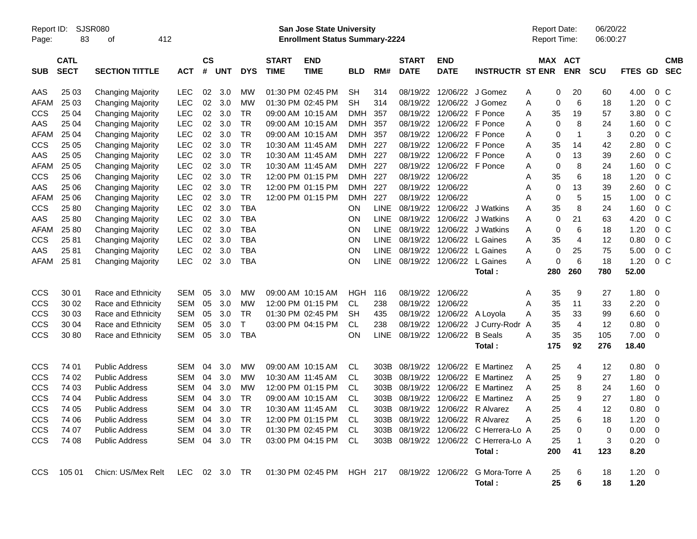| Report ID:<br>Page: | 83                         | SJSR080<br>412<br>οf     |               |                    |            |            |                             | <b>San Jose State University</b><br><b>Enrollment Status Summary-2224</b> |            |             |                             |                           |                                                            |                | <b>Report Date:</b><br>Report Time: |                       | 06/20/22<br>06:00:27 |             |                |                          |
|---------------------|----------------------------|--------------------------|---------------|--------------------|------------|------------|-----------------------------|---------------------------------------------------------------------------|------------|-------------|-----------------------------|---------------------------|------------------------------------------------------------|----------------|-------------------------------------|-----------------------|----------------------|-------------|----------------|--------------------------|
| <b>SUB</b>          | <b>CATL</b><br><b>SECT</b> | <b>SECTION TITTLE</b>    | <b>ACT</b>    | $\mathsf{cs}$<br># | <b>UNT</b> | <b>DYS</b> | <b>START</b><br><b>TIME</b> | <b>END</b><br><b>TIME</b>                                                 | <b>BLD</b> | RM#         | <b>START</b><br><b>DATE</b> | <b>END</b><br><b>DATE</b> | <b>INSTRUCTR ST ENR</b>                                    |                |                                     | MAX ACT<br><b>ENR</b> | <b>SCU</b>           | FTES GD     |                | <b>CMB</b><br><b>SEC</b> |
| AAS                 | 25 03                      | <b>Changing Majority</b> | <b>LEC</b>    | 02                 | 3.0        | <b>MW</b>  |                             | 01:30 PM 02:45 PM                                                         | <b>SH</b>  | 314         | 08/19/22                    | 12/06/22                  | J Gomez                                                    | A              | 0                                   | 20                    | 60                   | 4.00        | 0 <sup>o</sup> |                          |
| <b>AFAM</b>         | 25 03                      | <b>Changing Majority</b> | <b>LEC</b>    | 02                 | 3.0        | <b>MW</b>  |                             | 01:30 PM 02:45 PM                                                         | <b>SH</b>  | 314         | 08/19/22                    | 12/06/22                  | J Gomez                                                    | Α              | 0                                   | 6                     | 18                   | 1.20        | $0\,C$         |                          |
| <b>CCS</b>          | 25 04                      | <b>Changing Majority</b> | <b>LEC</b>    | 02                 | 3.0        | <b>TR</b>  |                             | 09:00 AM 10:15 AM                                                         | <b>DMH</b> | 357         | 08/19/22                    | 12/06/22                  | F Ponce                                                    | A              | 35                                  | 19                    | 57                   | 3.80        | $0\,C$         |                          |
| AAS                 | 25 04                      | <b>Changing Majority</b> | <b>LEC</b>    | 02                 | 3.0        | <b>TR</b>  |                             | 09:00 AM 10:15 AM                                                         | <b>DMH</b> | 357         | 08/19/22                    | 12/06/22                  | F Ponce                                                    | A              | $\mathbf 0$                         | 8                     | 24                   | 1.60        | $0\,C$         |                          |
| <b>AFAM</b>         | 25 04                      | <b>Changing Majority</b> | <b>LEC</b>    | 02                 | 3.0        | <b>TR</b>  |                             | 09:00 AM 10:15 AM                                                         | <b>DMH</b> | 357         | 08/19/22                    | 12/06/22 F Ponce          |                                                            | Α              | 0                                   | 1                     | 3                    | 0.20        | $0\,C$         |                          |
| <b>CCS</b>          | 25 05                      | <b>Changing Majority</b> | <b>LEC</b>    | 02                 | 3.0        | <b>TR</b>  | 10:30 AM 11:45 AM           |                                                                           | <b>DMH</b> | 227         | 08/19/22                    | 12/06/22 F Ponce          |                                                            | Α              | 35                                  | 14                    | 42                   | 2.80        | $0\,C$         |                          |
| AAS                 | 25 05                      | <b>Changing Majority</b> | <b>LEC</b>    | 02                 | 3.0        | <b>TR</b>  |                             | 10:30 AM 11:45 AM                                                         | <b>DMH</b> | 227         | 08/19/22                    | 12/06/22 F Ponce          |                                                            | Α              | $\mathbf 0$                         | 13                    | 39                   | 2.60        | $0\,C$         |                          |
| <b>AFAM</b>         | 25 05                      | <b>Changing Majority</b> | <b>LEC</b>    | 02                 | 3.0        | <b>TR</b>  |                             | 10:30 AM 11:45 AM                                                         | <b>DMH</b> | 227         | 08/19/22                    | 12/06/22 F Ponce          |                                                            | Α              | $\mathbf 0$                         | 8                     | 24                   | 1.60        | $0\,C$         |                          |
| <b>CCS</b>          | 25 06                      | <b>Changing Majority</b> | <b>LEC</b>    | 02                 | 3.0        | <b>TR</b>  |                             | 12:00 PM 01:15 PM                                                         | <b>DMH</b> | 227         | 08/19/22                    | 12/06/22                  |                                                            | Α              | 35                                  | 6                     | 18                   | 1.20        | $0\,C$         |                          |
| AAS                 | 25 06                      | <b>Changing Majority</b> | <b>LEC</b>    | 02                 | 3.0        | <b>TR</b>  |                             | 12:00 PM 01:15 PM                                                         | <b>DMH</b> | 227         | 08/19/22                    | 12/06/22                  |                                                            | Α              | $\mathbf 0$                         | 13                    | 39                   | 2.60        | $0\,C$         |                          |
| <b>AFAM</b>         | 25 06                      | <b>Changing Majority</b> | <b>LEC</b>    | 02                 | 3.0        | <b>TR</b>  |                             | 12:00 PM 01:15 PM                                                         | <b>DMH</b> | 227         | 08/19/22                    | 12/06/22                  |                                                            | Α              | 0                                   | 5                     | 15                   | 1.00        | $0\,C$         |                          |
| <b>CCS</b>          | 25 80                      | <b>Changing Majority</b> | <b>LEC</b>    | 02                 | 3.0        | <b>TBA</b> |                             |                                                                           | <b>ON</b>  | <b>LINE</b> | 08/19/22                    | 12/06/22                  | J Watkins                                                  | A              | 35                                  | 8                     | 24                   | 1.60        | $0\,C$         |                          |
| AAS                 | 25 80                      | <b>Changing Majority</b> | <b>LEC</b>    | 02                 | 3.0        | <b>TBA</b> |                             |                                                                           | <b>ON</b>  | <b>LINE</b> | 08/19/22                    | 12/06/22                  | J Watkins                                                  | Α              | $\mathbf 0$                         | 21                    | 63                   | 4.20        | $0\,C$         |                          |
| <b>AFAM</b>         | 25 80                      | <b>Changing Majority</b> | <b>LEC</b>    | 02                 | 3.0        | <b>TBA</b> |                             |                                                                           | ON         | <b>LINE</b> | 08/19/22                    | 12/06/22                  | J Watkins                                                  | A              | $\mathbf 0$                         | 6                     | 18                   | 1.20        | $0\,C$         |                          |
| <b>CCS</b>          | 25 81                      | <b>Changing Majority</b> | <b>LEC</b>    | 02                 | 3.0        | <b>TBA</b> |                             |                                                                           | ON         | <b>LINE</b> | 08/19/22                    | 12/06/22                  | L Gaines                                                   | Α              | 35                                  | 4                     | 12                   | 0.80        | $0\,C$         |                          |
| AAS                 | 25 81                      | <b>Changing Majority</b> | <b>LEC</b>    | 02                 | 3.0        | <b>TBA</b> |                             |                                                                           | ON         | <b>LINE</b> | 08/19/22                    | 12/06/22                  | L Gaines                                                   | Α              | $\mathbf 0$                         | 25                    | 75                   | 5.00        | $0\,C$         |                          |
| <b>AFAM</b>         | 2581                       | <b>Changing Majority</b> | <b>LEC</b>    | 02                 | 3.0        | <b>TBA</b> |                             |                                                                           | ON         | <b>LINE</b> | 08/19/22                    | 12/06/22                  | L Gaines                                                   | А              | 0                                   | 6                     | 18                   | 1.20        | $0\,C$         |                          |
|                     |                            |                          |               |                    |            |            |                             |                                                                           |            |             |                             |                           | Total:                                                     |                | 280                                 | 260                   | 780                  | 52.00       |                |                          |
| CCS                 | 30 01                      | Race and Ethnicity       | SEM           | 05                 | 3.0        | МW         |                             | 09:00 AM 10:15 AM                                                         | <b>HGH</b> | 116         | 08/19/22                    | 12/06/22                  |                                                            | Α              | 35                                  | 9                     | 27                   | 1.80        | 0              |                          |
| <b>CCS</b>          | 30 02                      | Race and Ethnicity       | <b>SEM</b>    | 05                 | 3.0        | <b>MW</b>  |                             | 12:00 PM 01:15 PM                                                         | <b>CL</b>  | 238         | 08/19/22                    | 12/06/22                  |                                                            | Α              | 35                                  | 11                    | 33                   | 2.20        | 0              |                          |
| <b>CCS</b>          | 30 03                      | Race and Ethnicity       | <b>SEM</b>    | 05                 | 3.0        | <b>TR</b>  |                             | 01:30 PM 02:45 PM                                                         | <b>SH</b>  | 435         | 08/19/22                    | 12/06/22                  | A Loyola                                                   | A              | 35                                  | 33                    | 99                   | 6.60        | 0              |                          |
| CCS                 | 30 04                      | Race and Ethnicity       | <b>SEM</b>    | 05                 | 3.0        | т          |                             | 03:00 PM 04:15 PM                                                         | <b>CL</b>  | 238         | 08/19/22                    | 12/06/22                  | J Curry-Rodr                                               | $\overline{A}$ | 35                                  | 4                     | 12                   | 0.80        | 0              |                          |
| <b>CCS</b>          | 30 80                      | Race and Ethnicity       | <b>SEM</b>    | 05                 | 3.0        | <b>TBA</b> |                             |                                                                           | <b>ON</b>  | <b>LINE</b> | 08/19/22                    | 12/06/22                  | <b>B</b> Seals                                             | Α              | 35                                  | 35                    | 105                  | 7.00        | $\overline{0}$ |                          |
|                     |                            |                          |               |                    |            |            |                             |                                                                           |            |             |                             |                           | Total:                                                     |                | 175                                 | 92                    | 276                  | 18.40       |                |                          |
| <b>CCS</b>          | 74 01                      | <b>Public Address</b>    | <b>SEM</b>    | 04                 | 3.0        | МW         |                             | 09:00 AM 10:15 AM                                                         | CL.        | 303B        | 08/19/22                    | 12/06/22                  | E Martinez                                                 | Α              | 25                                  | 4                     | 12                   | 0.80        | $\overline{0}$ |                          |
| <b>CCS</b>          | 74 02                      | <b>Public Address</b>    | <b>SEM</b>    | 04                 | 3.0        | <b>MW</b>  |                             | 10:30 AM 11:45 AM                                                         | CL         | 303B        | 08/19/22                    | 12/06/22                  | <b>E</b> Martinez                                          | A              | 25                                  | 9                     | 27                   | 1.80        | 0              |                          |
| <b>CCS</b>          | 74 03                      | <b>Public Address</b>    | <b>SEM</b>    | 04                 | 3.0        | МW         |                             | 12:00 PM 01:15 PM                                                         | <b>CL</b>  | 303B        | 08/19/22                    | 12/06/22                  | <b>E</b> Martinez                                          | Α              | 25                                  | 8                     | 24                   | 1.60        | 0              |                          |
| <b>CCS</b>          | 74 04                      | <b>Public Address</b>    | <b>SEM</b>    | 04                 | 3.0        | <b>TR</b>  |                             | 09:00 AM 10:15 AM                                                         | <b>CL</b>  | 303B        | 08/19/22                    | 12/06/22                  | <b>E</b> Martinez                                          | Α              | 25                                  | 9                     | 27                   | 1.80        | 0              |                          |
| <b>CCS</b>          | 74 05                      | <b>Public Address</b>    | <b>SEM</b>    | 04                 | 3.0        | <b>TR</b>  |                             | 10:30 AM 11:45 AM                                                         | <b>CL</b>  | 303B        | 08/19/22                    | 12/06/22                  | R Alvarez                                                  | Α              | 25                                  | 4                     | 12                   | 0.80        | 0              |                          |
| <b>CCS</b>          | 74 06                      | <b>Public Address</b>    | SEM 04        |                    | 3.0        | TR         |                             | 12:00 PM 01:15 PM CL                                                      |            |             |                             |                           | 303B 08/19/22 12/06/22 R Alvarez                           | Α              | 25                                  | 6                     | 18                   | $1.20 \t 0$ |                |                          |
| <b>CCS</b>          | 74 07                      | <b>Public Address</b>    | SEM 04 3.0    |                    |            | TR         |                             | 01:30 PM 02:45 PM                                                         | - CL       |             |                             |                           | 303B 08/19/22 12/06/22 C Herrera-Lo A                      |                | 25                                  | 0                     | 0                    | $0.00 \t 0$ |                |                          |
| <b>CCS</b>          | 74 08                      | <b>Public Address</b>    | SEM 04 3.0    |                    |            | TR         |                             | 03:00 PM 04:15 PM CL                                                      |            |             |                             |                           | 303B 08/19/22 12/06/22 C Herrera-Lo A                      |                | 25                                  | $\mathbf 1$           | 3                    | $0.20 \ 0$  |                |                          |
|                     |                            |                          |               |                    |            |            |                             |                                                                           |            |             |                             |                           | Total:                                                     |                | 200                                 | 41                    | 123                  | 8.20        |                |                          |
| <b>CCS</b>          | 105 01                     | Chicn: US/Mex Relt       | LEC 02 3.0 TR |                    |            |            |                             |                                                                           |            |             |                             |                           | 01:30 PM 02:45 PM HGH 217 08/19/22 12/06/22 G Mora-Torre A |                | 25                                  | 6                     | 18                   | $1.20 \t 0$ |                |                          |
|                     |                            |                          |               |                    |            |            |                             |                                                                           |            |             |                             |                           | Total:                                                     |                | 25                                  | 6                     | 18                   | 1.20        |                |                          |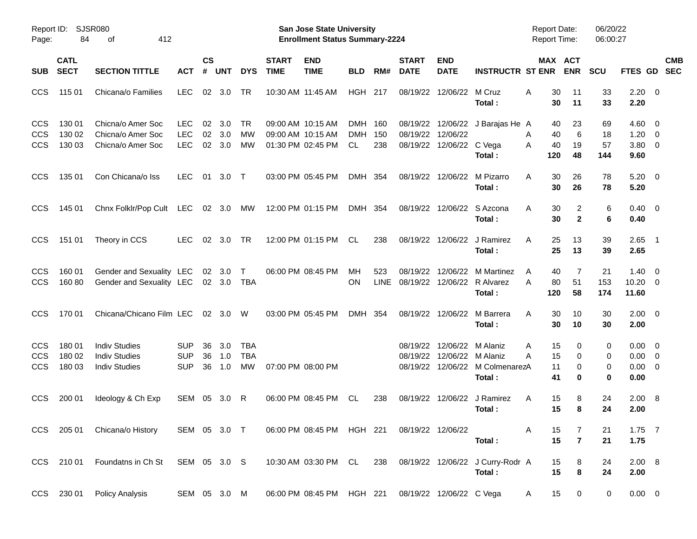| Page:                                  | Report ID: SJSR080<br>84   | 412<br>οf                                                            |                                        |                    |                   |                                       |                             | San Jose State University<br><b>Enrollment Status Summary-2224</b> |                              |             |                                  |                                      |                                                          | <b>Report Date:</b><br><b>Report Time:</b> |                       | 06/20/22<br>06:00:27  |                                                      |                          |            |
|----------------------------------------|----------------------------|----------------------------------------------------------------------|----------------------------------------|--------------------|-------------------|---------------------------------------|-----------------------------|--------------------------------------------------------------------|------------------------------|-------------|----------------------------------|--------------------------------------|----------------------------------------------------------|--------------------------------------------|-----------------------|-----------------------|------------------------------------------------------|--------------------------|------------|
| <b>SUB</b>                             | <b>CATL</b><br><b>SECT</b> | <b>SECTION TITTLE</b>                                                | ACT                                    | $\mathsf{cs}$<br># | <b>UNT</b>        | <b>DYS</b>                            | <b>START</b><br><b>TIME</b> | <b>END</b><br><b>TIME</b>                                          | <b>BLD</b>                   | RM#         | <b>START</b><br><b>DATE</b>      | <b>END</b><br><b>DATE</b>            | <b>INSTRUCTR ST ENR</b>                                  |                                            | MAX ACT<br><b>ENR</b> | <b>SCU</b>            | FTES GD SEC                                          |                          | <b>CMB</b> |
| <b>CCS</b>                             | 115 01                     | Chicana/o Families                                                   | <b>LEC</b>                             | 02                 | 3.0               | TR                                    |                             | 10:30 AM 11:45 AM                                                  | <b>HGH 217</b>               |             | 08/19/22                         | 12/06/22                             | M Cruz<br>Total:                                         | 30<br>A<br>30                              | 11<br>11              | 33<br>33              | $2.20 \t 0$<br>2.20                                  |                          |            |
| CCS<br><b>CCS</b><br><b>CCS</b>        | 130 01<br>130 02<br>130 03 | Chicna/o Amer Soc<br>Chicna/o Amer Soc<br>Chicna/o Amer Soc          | <b>LEC</b><br><b>LEC</b><br><b>LEC</b> | 02<br>02<br>02     | 3.0<br>3.0<br>3.0 | <b>TR</b><br>МW<br>MW                 |                             | 09:00 AM 10:15 AM<br>09:00 AM 10:15 AM<br>01:30 PM 02:45 PM        | DMH 160<br><b>DMH</b><br>CL. | 150<br>238  | 08/19/22                         | 12/06/22<br>08/19/22 12/06/22 C Vega | 08/19/22 12/06/22 J Barajas He A<br>Total:               | 40<br>40<br>Α<br>40<br>A<br>120            | 23<br>6<br>19<br>48   | 69<br>18<br>57<br>144 | $4.60 \quad 0$<br>$1.20 \t 0$<br>$3.80\ 0$<br>9.60   |                          |            |
| <b>CCS</b>                             | 135 01                     | Con Chicana/o Iss                                                    | <b>LEC</b>                             | 01                 | $3.0$ T           |                                       |                             | 03:00 PM 05:45 PM                                                  | DMH 354                      |             | 08/19/22                         | 12/06/22                             | M Pizarro<br>Total:                                      | 30<br>A<br>30                              | 26<br>26              | 78<br>78              | $5.20 \ 0$<br>5.20                                   |                          |            |
| <b>CCS</b>                             | 145 01                     | Chnx Folklr/Pop Cult LEC 02 3.0                                      |                                        |                    |                   | МW                                    |                             | 12:00 PM 01:15 PM                                                  | DMH 354                      |             |                                  | 08/19/22 12/06/22                    | S Azcona<br>Total:                                       | 30<br>A<br>30                              | 2<br>$\mathbf{2}$     | 6<br>6                | $0.40 \quad 0$<br>0.40                               |                          |            |
| <b>CCS</b>                             | 151 01                     | Theory in CCS                                                        | LEC.                                   | 02                 | 3.0               | TR                                    |                             | 12:00 PM 01:15 PM                                                  | CL.                          | 238         |                                  | 08/19/22 12/06/22                    | J Ramirez<br>Total:                                      | 25<br>A<br>25                              | 13<br>13              | 39<br>39              | 2.65<br>2.65                                         | $\overline{\phantom{0}}$ |            |
| <b>CCS</b><br><b>CCS</b>               | 160 01<br>160 80           | Gender and Sexuality LEC<br>Gender and Sexuality LEC                 |                                        |                    | 02 3.0<br>02 3.0  | $\top$<br>TBA                         |                             | 06:00 PM 08:45 PM                                                  | МH<br>OΝ                     | 523<br>LINE | 08/19/22                         | 12/06/22                             | M Martinez<br>08/19/22 12/06/22 R Alvarez<br>Total:      | 40<br>A<br>80<br>A<br>120                  | 7<br>51<br>58         | 21<br>153<br>174      | $1.40 \quad 0$<br>$10.20 \t 0$<br>11.60              |                          |            |
| <b>CCS</b>                             | 170 01                     | Chicana/Chicano Film LEC                                             |                                        |                    | 02 3.0 W          |                                       |                             | 03:00 PM 05:45 PM                                                  | DMH 354                      |             |                                  | 08/19/22 12/06/22                    | M Barrera<br>Total:                                      | 30<br>A<br>30                              | 10<br>10              | 30<br>30              | $2.00 \t 0$<br>2.00                                  |                          |            |
| <b>CCS</b><br><b>CCS</b><br><b>CCS</b> | 180 01<br>180 02<br>180 03 | <b>Indiv Studies</b><br><b>Indiv Studies</b><br><b>Indiv Studies</b> | <b>SUP</b><br><b>SUP</b><br><b>SUP</b> | 36<br>36<br>36     | 3.0<br>1.0<br>1.0 | <b>TBA</b><br><b>TBA</b><br><b>MW</b> |                             | 07:00 PM 08:00 PM                                                  |                              |             | 08/19/22<br>08/19/22<br>08/19/22 | 12/06/22<br>12/06/22                 | M Alaniz<br>M Alaniz<br>12/06/22 M ColmenarezA<br>Total: | 15<br>Α<br>15<br>A<br>11<br>41             | 0<br>0<br>0<br>0      | 0<br>0<br>0<br>0      | $0.00 \quad 0$<br>$0.00 \t 0$<br>$0.00 \t 0$<br>0.00 |                          |            |
| <b>CCS</b>                             | 200 01                     | Ideology & Ch Exp                                                    | SEM 05                                 |                    | 3.0               | R                                     |                             | 06:00 PM 08:45 PM                                                  | CL.                          | 238         | 08/19/22                         | 12/06/22                             | J Ramirez<br>Total:                                      | 15<br>A<br>15                              | 8<br>8                | 24<br>24              | $2.00 \ 8$<br>2.00                                   |                          |            |
|                                        |                            | CCS 205 01 Chicana/o History                                         |                                        |                    |                   | SEM 05 3.0 T                          |                             | 06:00 PM 08:45 PM HGH 221                                          |                              |             | 08/19/22 12/06/22                |                                      | Total:                                                   | 15<br>A<br>15                              | 7<br>$\overline{7}$   | 21<br>21              | $1.75$ 7<br>1.75                                     |                          |            |
|                                        |                            | CCS 210 01 Foundatns in Ch St SEM 05 3.0 S                           |                                        |                    |                   |                                       |                             | 10:30 AM 03:30 PM CL 238                                           |                              |             |                                  |                                      | 08/19/22 12/06/22 J Curry-Rodr A<br>Total:               | 15<br>15                                   | 8<br>8                | 24<br>24              | 2.00 8<br>2.00                                       |                          |            |
|                                        |                            | CCS 230 01 Policy Analysis                                           | SEM 05 3.0 M                           |                    |                   |                                       |                             | 06:00 PM 08:45 PM HGH 221 08/19/22 12/06/22 C Vega                 |                              |             |                                  |                                      |                                                          | 15<br>A                                    | $\overline{0}$        | $\mathbf 0$           | $0.00 \t 0$                                          |                          |            |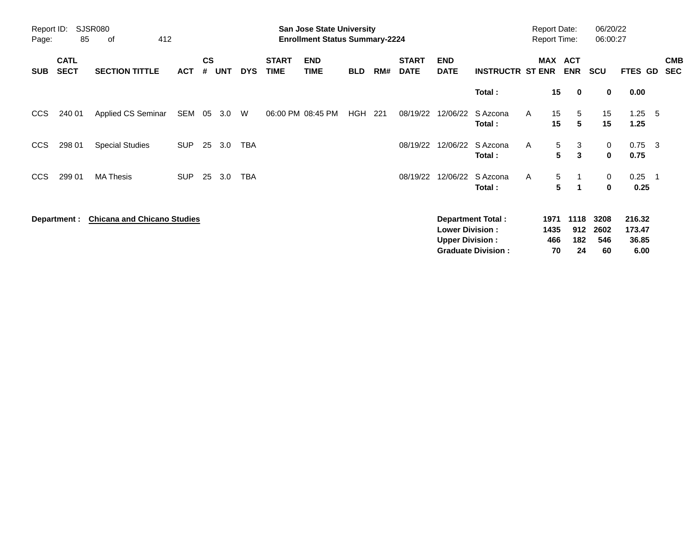| Report ID:<br>Page: | 85                         | <b>SJSR080</b><br>412<br>οf        |            |                    |            |            |                             | <b>San Jose State University</b><br><b>Enrollment Status Summary-2224</b> |            |     |                             |                                                  |                                                       |                     | <b>Report Date:</b><br><b>Report Time:</b> | 06/20/22<br>06:00:27      |                                   |     |                          |
|---------------------|----------------------------|------------------------------------|------------|--------------------|------------|------------|-----------------------------|---------------------------------------------------------------------------|------------|-----|-----------------------------|--------------------------------------------------|-------------------------------------------------------|---------------------|--------------------------------------------|---------------------------|-----------------------------------|-----|--------------------------|
| <b>SUB</b>          | <b>CATL</b><br><b>SECT</b> | <b>SECTION TITTLE</b>              | <b>ACT</b> | $\mathsf{cs}$<br># | <b>UNT</b> | <b>DYS</b> | <b>START</b><br><b>TIME</b> | <b>END</b><br><b>TIME</b>                                                 | <b>BLD</b> | RM# | <b>START</b><br><b>DATE</b> | <b>END</b><br><b>DATE</b>                        | <b>INSTRUCTR ST ENR</b>                               | MAX                 | <b>ACT</b><br><b>ENR</b>                   | <b>SCU</b>                | FTES GD                           |     | <b>CMB</b><br><b>SEC</b> |
|                     |                            |                                    |            |                    |            |            |                             |                                                                           |            |     |                             |                                                  | Total:                                                |                     | 15<br>$\mathbf 0$                          | 0                         | 0.00                              |     |                          |
| CCS                 | 240 01                     | Applied CS Seminar                 | SEM        | 05                 | 3.0        | W          |                             | 06:00 PM 08:45 PM                                                         | HGH        | 221 | 08/19/22                    | 12/06/22                                         | S Azcona<br>Total:                                    | A                   | 15<br>5<br>15<br>5                         | 15<br>15                  | 1.25<br>1.25                      | - 5 |                          |
| CCS                 | 298 01                     | <b>Special Studies</b>             | <b>SUP</b> | 25                 | 3.0        | <b>TBA</b> |                             |                                                                           |            |     | 08/19/22                    | 12/06/22                                         | S Azcona<br>Total:                                    | A                   | 5<br>3<br>5<br>3                           | 0<br>$\mathbf 0$          | $0.75$ 3<br>0.75                  |     |                          |
| <b>CCS</b>          | 299 01                     | <b>MA Thesis</b>                   | <b>SUP</b> | 25                 | 3.0        | <b>TBA</b> |                             |                                                                           |            |     | 08/19/22                    | 12/06/22                                         | S Azcona<br>Total:                                    | A                   | 5<br>$\overline{1}$<br>5<br>1              | 0<br>0                    | 0.25<br>0.25                      |     |                          |
|                     | Department :               | <b>Chicana and Chicano Studies</b> |            |                    |            |            |                             |                                                                           |            |     |                             | <b>Lower Division:</b><br><b>Upper Division:</b> | <b>Department Total:</b><br><b>Graduate Division:</b> | 1971<br>1435<br>466 | 1118<br>912<br>182<br>70<br>24             | 3208<br>2602<br>546<br>60 | 216.32<br>173.47<br>36.85<br>6.00 |     |                          |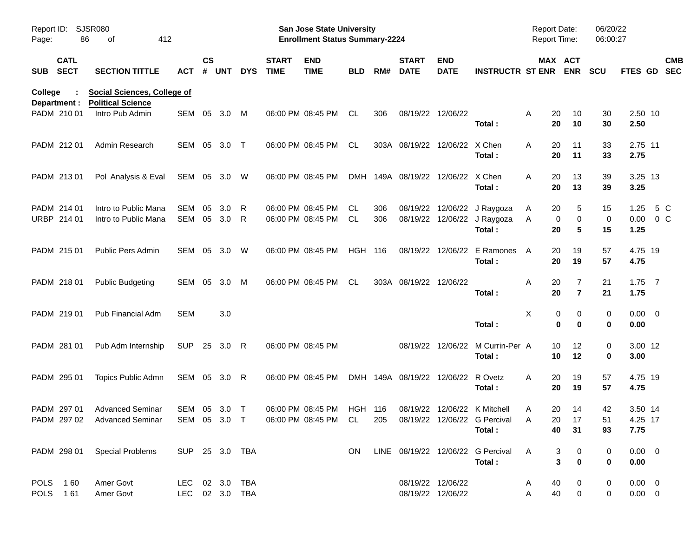| Report ID:<br>Page: | 86                         | SJSR080<br>412<br>οf                                           |                                  |                    |            |            |                             | San Jose State University<br><b>Enrollment Status Summary-2224</b> |                |            |                                    |                                        |                                                                                                                   | Report Date:<br><b>Report Time:</b>   |                                       | 06/20/22<br>06:00:27 |                               |                          |
|---------------------|----------------------------|----------------------------------------------------------------|----------------------------------|--------------------|------------|------------|-----------------------------|--------------------------------------------------------------------|----------------|------------|------------------------------------|----------------------------------------|-------------------------------------------------------------------------------------------------------------------|---------------------------------------|---------------------------------------|----------------------|-------------------------------|--------------------------|
|                     | <b>CATL</b><br>SUB SECT    | <b>SECTION TITTLE</b>                                          | <b>ACT</b>                       | $\mathsf{cs}$<br># | <b>UNT</b> | <b>DYS</b> | <b>START</b><br><b>TIME</b> | <b>END</b><br><b>TIME</b>                                          | <b>BLD</b>     | RM#        | <b>START</b><br><b>DATE</b>        | <b>END</b><br><b>DATE</b>              | <b>INSTRUCTR ST ENR</b>                                                                                           |                                       | MAX ACT<br><b>ENR</b>                 | <b>SCU</b>           | <b>FTES GD</b>                | <b>CMB</b><br><b>SEC</b> |
| College             | Department :               | <b>Social Sciences, College of</b><br><b>Political Science</b> |                                  |                    |            |            |                             |                                                                    |                |            |                                    |                                        |                                                                                                                   |                                       |                                       |                      |                               |                          |
|                     | PADM 210 01                | Intro Pub Admin                                                | SEM                              | 05                 | 3.0        | M          |                             | 06:00 PM 08:45 PM                                                  | CL             | 306        |                                    | 08/19/22 12/06/22                      | Total:                                                                                                            | 20<br>A<br>20                         | 10<br>10                              | 30<br>30             | 2.50 10<br>2.50               |                          |
|                     | PADM 212 01                | Admin Research                                                 | SEM 05                           |                    | 3.0        | $\top$     |                             | 06:00 PM 08:45 PM                                                  | CL             |            | 303A 08/19/22 12/06/22 X Chen      |                                        | Total:                                                                                                            | A<br>20<br>20                         | 11<br>11                              | 33<br>33             | 2.75 11<br>2.75               |                          |
|                     | PADM 213 01                | Pol Analysis & Eval                                            | SEM 05 3.0 W                     |                    |            |            |                             | 06:00 PM 08:45 PM                                                  | <b>DMH</b>     |            | 149A 08/19/22 12/06/22 X Chen      |                                        | Total:                                                                                                            | A<br>20<br>20                         | 13<br>13                              | 39<br>39             | 3.25 13<br>3.25               |                          |
|                     | PADM 214 01<br>URBP 214 01 | Intro to Public Mana<br>Intro to Public Mana                   | SEM<br>SEM 05                    | 05                 | 3.0<br>3.0 | R<br>R     |                             | 06:00 PM 08:45 PM<br>06:00 PM 08:45 PM                             | CL<br>CL       | 306<br>306 |                                    |                                        | 08/19/22 12/06/22 J Raygoza<br>08/19/22 12/06/22 J Raygoza<br>Total:                                              | A<br>20<br>Α<br>20                    | 5<br>0<br>0<br>5                      | 15<br>0<br>15        | 1.25<br>$0.00 \t 0 C$<br>1.25 | 5 C                      |
|                     | PADM 215 01                | <b>Public Pers Admin</b>                                       | SEM 05                           |                    | 3.0        | W          |                             | 06:00 PM 08:45 PM                                                  | <b>HGH 116</b> |            |                                    |                                        | 08/19/22 12/06/22 E Ramones<br>Total:                                                                             | A<br>20<br>20                         | 19<br>19                              | 57<br>57             | 4.75 19<br>4.75               |                          |
|                     | PADM 218 01                | <b>Public Budgeting</b>                                        | SEM 05                           |                    | 3.0        | M          |                             | 06:00 PM 08:45 PM                                                  | CL             |            | 303A 08/19/22 12/06/22             |                                        | Total:                                                                                                            | Α<br>20<br>20                         | 7<br>$\overline{7}$                   | 21<br>21             | $1.75$ 7<br>1.75              |                          |
|                     | PADM 219 01                | Pub Financial Adm                                              | SEM                              |                    | 3.0        |            |                             |                                                                    |                |            |                                    |                                        | Total:                                                                                                            | Χ                                     | 0<br>0<br>0<br>$\bf{0}$               | 0<br>$\bf{0}$        | $0.00 \t 0$<br>0.00           |                          |
|                     | PADM 281 01                | Pub Adm Internship                                             | <b>SUP</b>                       |                    | 25 3.0 R   |            |                             | 06:00 PM 08:45 PM                                                  |                |            |                                    |                                        | 08/19/22 12/06/22 M Currin-Per A<br>Total:                                                                        | 10<br>10                              | 12<br>12                              | 0<br>0               | 3.00 12<br>3.00               |                          |
|                     | PADM 295 01                | Topics Public Admn                                             | SEM 05 3.0 R                     |                    |            |            |                             | 06:00 PM 08:45 PM                                                  |                |            | DMH 149A 08/19/22 12/06/22 R Ovetz |                                        | Total:                                                                                                            | 20<br>A<br>20                         | 19<br>19                              | 57<br>57             | 4.75 19<br>4.75               |                          |
|                     | PADM 297 01                | <b>Advanced Seminar</b><br>PADM 297 02 Advanced Seminar        | SEM 05 3.0                       |                    |            | $\top$     |                             | 06:00 PM 08:45 PM                                                  | <b>HGH 116</b> |            |                                    |                                        | 08/19/22 12/06/22 K Mitchell<br>SEM 05 3.0 T  06:00 PM 08:45 PM CL  205  08/19/22  12/06/22  G Percival<br>Total: | 20<br>A<br>20<br>$\overline{A}$<br>40 | 14<br>17<br>31                        | 42<br>51<br>93       | 3.50 14<br>4.25 17<br>7.75    |                          |
|                     |                            | PADM 298 01 Special Problems                                   | SUP 25 3.0 TBA                   |                    |            |            |                             |                                                                    | ON.            |            |                                    |                                        | LINE 08/19/22 12/06/22 G Percival<br>Total:                                                                       | A                                     | 3<br>0<br>$\mathbf{3}$<br>$\mathbf 0$ | 0<br>0               | $0.00 \t 0$<br>0.00           |                          |
|                     | POLS 160<br>POLS 161       | Amer Govt<br>Amer Govt                                         | LEC 02 3.0 TBA<br>LEC 02 3.0 TBA |                    |            |            |                             |                                                                    |                |            |                                    | 08/19/22 12/06/22<br>08/19/22 12/06/22 |                                                                                                                   | 40<br>A<br>40<br>Α                    | 0<br>$\mathbf 0$                      | 0<br>0               | $0.00 \t 0$<br>$0.00 \t 0$    |                          |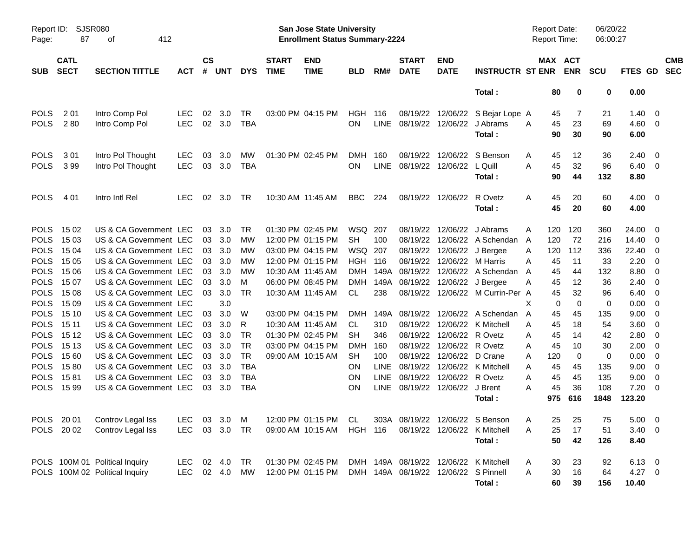| Report ID:<br>Page:                                                                    | 87                                                 | <b>SJSR080</b><br>412<br>οf                                                                                                                              |                          |                      |                                              |                                                     |                                        | San Jose State University<br><b>Enrollment Status Summary-2224</b>                                    |                                                                               |                                           |                                                                                    |                                                          |                                                                                                                             |                            | Report Date:<br><b>Report Time:</b> |                                           | 06/20/22<br>06:00:27                       |                                                 |                                                                                         |                          |
|----------------------------------------------------------------------------------------|----------------------------------------------------|----------------------------------------------------------------------------------------------------------------------------------------------------------|--------------------------|----------------------|----------------------------------------------|-----------------------------------------------------|----------------------------------------|-------------------------------------------------------------------------------------------------------|-------------------------------------------------------------------------------|-------------------------------------------|------------------------------------------------------------------------------------|----------------------------------------------------------|-----------------------------------------------------------------------------------------------------------------------------|----------------------------|-------------------------------------|-------------------------------------------|--------------------------------------------|-------------------------------------------------|-----------------------------------------------------------------------------------------|--------------------------|
| <b>SUB</b>                                                                             | <b>CATL</b><br><b>SECT</b>                         | <b>SECTION TITTLE</b>                                                                                                                                    | <b>ACT</b>               | $\mathsf{cs}$<br>#   | <b>UNT</b>                                   | <b>DYS</b>                                          | <b>START</b><br><b>TIME</b>            | <b>END</b><br><b>TIME</b>                                                                             | <b>BLD</b>                                                                    | RM#                                       | <b>START</b><br><b>DATE</b>                                                        | <b>END</b><br><b>DATE</b>                                | <b>INSTRUCTR ST ENR</b>                                                                                                     |                            | MAX ACT                             | <b>ENR</b>                                | <b>SCU</b>                                 | <b>FTES GD</b>                                  |                                                                                         | <b>CMB</b><br><b>SEC</b> |
|                                                                                        |                                                    |                                                                                                                                                          |                          |                      |                                              |                                                     |                                        |                                                                                                       |                                                                               |                                           |                                                                                    |                                                          | Total:                                                                                                                      |                            | 80                                  | 0                                         | 0                                          | 0.00                                            |                                                                                         |                          |
| <b>POLS</b><br><b>POLS</b>                                                             | 2 0 1<br>280                                       | Intro Comp Pol<br>Intro Comp Pol                                                                                                                         | <b>LEC</b><br><b>LEC</b> | 02                   | 3.0<br>02 3.0                                | TR<br><b>TBA</b>                                    |                                        | 03:00 PM 04:15 PM                                                                                     | HGH<br><b>ON</b>                                                              | 116                                       | 08/19/22<br>LINE 08/19/22 12/06/22                                                 | 12/06/22                                                 | S Bejar Lope A<br>J Abrams<br>Total:                                                                                        | A                          | 45<br>45<br>90                      | 7<br>23<br>30                             | 21<br>69<br>90                             | 1.40<br>4.60<br>6.00                            | $\overline{0}$<br>- 0                                                                   |                          |
| <b>POLS</b><br><b>POLS</b>                                                             | 301<br>399                                         | Intro Pol Thought<br>Intro Pol Thought                                                                                                                   | <b>LEC</b><br><b>LEC</b> | 03<br>03             | 3.0<br>3.0                                   | MW<br><b>TBA</b>                                    |                                        | 01:30 PM 02:45 PM                                                                                     | <b>DMH</b><br><b>ON</b>                                                       | 160                                       | 08/19/22<br>LINE 08/19/22 12/06/22                                                 | 12/06/22                                                 | S Benson<br>L Quill<br>Total:                                                                                               | A<br>A                     | 45<br>45<br>90                      | 12<br>32<br>44                            | 36<br>96<br>132                            | 2.40<br>6.40<br>8.80                            | - 0<br>$\overline{\mathbf{0}}$                                                          |                          |
| <b>POLS</b>                                                                            | 4 0 1                                              | Intro Intl Rel                                                                                                                                           | <b>LEC</b>               | 02                   | 3.0                                          | TR                                                  |                                        | 10:30 AM 11:45 AM                                                                                     | <b>BBC</b>                                                                    | 224                                       | 08/19/22 12/06/22                                                                  |                                                          | R Ovetz<br>Total:                                                                                                           | A                          | 45<br>45                            | 20<br>20                                  | 60<br>60                                   | 4.00<br>4.00                                    | $\overline{\mathbf{0}}$                                                                 |                          |
| <b>POLS</b><br><b>POLS</b><br><b>POLS</b><br><b>POLS</b><br><b>POLS</b><br><b>POLS</b> | 15 02<br>15 03<br>15 04<br>15 05<br>15 06<br>15 07 | US & CA Government LEC<br>US & CA Government LEC<br>US & CA Government LEC<br>US & CA Government LEC<br>US & CA Government LEC<br>US & CA Government LEC |                          | 03<br>03<br>03<br>03 | 3.0<br>03 3.0<br>03 3.0<br>3.0<br>3.0<br>3.0 | TR<br>МW<br>МW<br>МW<br>МW<br>M                     | 10:30 AM 11:45 AM                      | 01:30 PM 02:45 PM<br>12:00 PM 01:15 PM<br>03:00 PM 04:15 PM<br>12:00 PM 01:15 PM<br>06:00 PM 08:45 PM | WSQ 207<br><b>SH</b><br>WSQ 207<br><b>HGH 116</b><br><b>DMH</b><br><b>DMH</b> | 100<br>149A                               | 08/19/22<br>08/19/22<br>08/19/22<br>08/19/22<br>149A 08/19/22<br>08/19/22 12/06/22 | 12/06/22<br>12/06/22<br>12/06/22<br>12/06/22<br>12/06/22 | J Abrams<br>A Schendan<br>J Bergee<br>M Harris<br>A Schendan<br>J Bergee                                                    | A<br>A<br>A<br>A<br>A<br>A | 120<br>120<br>120<br>45<br>45<br>45 | 120<br>72<br>112<br>11<br>44<br>12        | 360<br>216<br>336<br>33<br>132<br>36       | 24.00<br>14.40<br>22.40<br>2.20<br>8.80<br>2.40 | - 0<br>- 0<br>$\overline{0}$<br>- 0<br>- 0<br>0                                         |                          |
| <b>POLS</b><br><b>POLS</b><br><b>POLS</b><br><b>POLS</b><br><b>POLS</b><br><b>POLS</b> | 15 08<br>15 09<br>15 10<br>15 11<br>15 12<br>15 13 | US & CA Government LEC<br>US & CA Government LEC<br>US & CA Government LEC<br>US & CA Government LEC<br>US & CA Government LEC<br>US & CA Government LEC |                          | 03<br>03<br>03<br>03 | 3.0<br>3.0<br>3.0<br>3.0<br>3.0<br>03 3.0    | TR<br>W<br>R<br>TR<br><b>TR</b>                     | 10:30 AM 11:45 AM<br>10:30 AM 11:45 AM | 03:00 PM 04:15 PM<br>01:30 PM 02:45 PM<br>03:00 PM 04:15 PM                                           | CL<br>DMH<br>CL<br><b>SH</b><br><b>DMH</b>                                    | 238<br>310<br>346<br>160                  | 08/19/22<br>08/19/22                                                               | 12/06/22<br>12/06/22                                     | 08/19/22 12/06/22 M Currin-Per A<br>149A 08/19/22 12/06/22 A Schendan<br>08/19/22 12/06/22 K Mitchell<br>R Ovetz<br>R Ovetz | X<br>A<br>A<br>A<br>A      | 45<br>0<br>45<br>45<br>45<br>45     | 32<br>$\mathbf 0$<br>45<br>18<br>14<br>10 | 96<br>$\mathbf 0$<br>135<br>54<br>42<br>30 | 6.40<br>0.00<br>9.00<br>3.60<br>2.80<br>2.00    | 0<br>$\overline{0}$<br>$\overline{0}$<br>$\mathbf{0}$<br>$\mathbf{0}$<br>$\overline{0}$ |                          |
| <b>POLS</b><br><b>POLS</b><br><b>POLS</b><br><b>POLS</b>                               | 15 60<br>1580<br>1581<br>15 99                     | US & CA Government LEC<br>US & CA Government LEC<br>US & CA Government LEC<br>US & CA Government LEC                                                     |                          | 03<br>03             | 03 3.0<br>3.0<br>3.0<br>03 3.0               | <b>TR</b><br><b>TBA</b><br><b>TBA</b><br><b>TBA</b> |                                        | 09:00 AM 10:15 AM                                                                                     | <b>SH</b><br><b>ON</b><br><b>ON</b><br><b>ON</b>                              | 100<br><b>LINE</b><br><b>LINE</b><br>LINE | 08/19/22<br>08/19/22 12/06/22                                                      | 08/19/22 12/06/22<br>12/06/22                            | D Crane<br>08/19/22 12/06/22 K Mitchell<br>R Ovetz<br>J Brent<br>Total:                                                     | A<br>A<br>A<br>A           | 120<br>45<br>45<br>45<br>975        | 0<br>45<br>45<br>36<br>616                | $\mathbf 0$<br>135<br>135<br>108<br>1848   | 0.00<br>9.00<br>9.00<br>7.20<br>123.20          | $\overline{0}$<br>$\mathbf{0}$<br>0<br>$\overline{0}$                                   |                          |
|                                                                                        | POLS 2002                                          | POLS 20 01 Controv Legal Iss<br>Controv Legal Iss                                                                                                        | LEC.                     |                      | 03 3.0 TR                                    |                                                     |                                        | LEC 03 3.0 M 12:00 PM 01:15 PM CL 303A 08/19/22 12/06/22 S Benson<br>09:00 AM 10:15 AM HGH 116        |                                                                               |                                           |                                                                                    |                                                          | 08/19/22 12/06/22 K Mitchell<br>Total:                                                                                      | $\mathsf{A}$<br>A          | 25<br>25<br>50                      | 25<br>17<br>42                            | 75<br>51<br>126                            | $5.00 \t 0$<br>$3.40 \ 0$<br>8.40               |                                                                                         |                          |
|                                                                                        |                                                    | POLS 100M 01 Political Inquiry<br>POLS 100M 02 Political Inquiry                                                                                         | LEC 02 4.0<br>LEC.       |                      | 02 4.0                                       | TR<br>MW                                            |                                        | 01:30 PM 02:45 PM<br>12:00 PM 01:15 PM                                                                |                                                                               |                                           | DMH 149A 08/19/22 12/06/22 S Pinnell                                               |                                                          | DMH 149A 08/19/22 12/06/22 K Mitchell<br>Total:                                                                             | A<br>A                     | 30<br>30<br>60                      | 23<br>16<br>39                            | 92<br>64<br>156                            | $6.13 \quad 0$<br>$4.27$ 0<br>10.40             |                                                                                         |                          |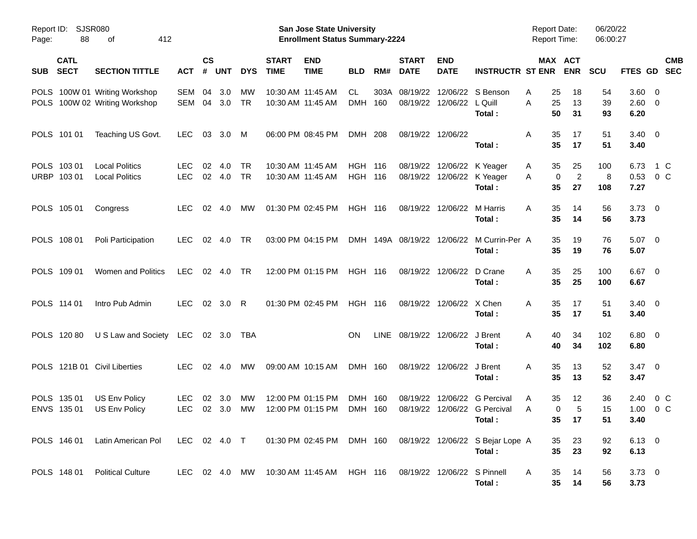| Page:      | Report ID: SJSR080<br>88   | 412<br>οf                                                      |                          |                    |               |                        |                             | <b>San Jose State University</b><br><b>Enrollment Status Summary-2224</b> |                                  |             |                             |                           |                                                                                         | <b>Report Date:</b><br><b>Report Time:</b> |                                                  | 06/20/22<br>06:00:27 |                               |                          |
|------------|----------------------------|----------------------------------------------------------------|--------------------------|--------------------|---------------|------------------------|-----------------------------|---------------------------------------------------------------------------|----------------------------------|-------------|-----------------------------|---------------------------|-----------------------------------------------------------------------------------------|--------------------------------------------|--------------------------------------------------|----------------------|-------------------------------|--------------------------|
| <b>SUB</b> | <b>CATL</b><br><b>SECT</b> | <b>SECTION TITTLE</b>                                          | <b>ACT</b>               | $\mathsf{cs}$<br># | <b>UNT</b>    | <b>DYS</b>             | <b>START</b><br><b>TIME</b> | <b>END</b><br><b>TIME</b>                                                 | <b>BLD</b>                       | RM#         | <b>START</b><br><b>DATE</b> | <b>END</b><br><b>DATE</b> | <b>INSTRUCTR ST ENR</b>                                                                 |                                            | MAX ACT<br><b>ENR</b>                            | <b>SCU</b>           | <b>FTES GD</b>                | <b>CMB</b><br><b>SEC</b> |
|            |                            | POLS 100W 01 Writing Workshop<br>POLS 100W 02 Writing Workshop | SEM<br>SEM               | 04<br>04           | 3.0<br>3.0    | МW<br><b>TR</b>        |                             | 10:30 AM 11:45 AM<br>10:30 AM 11:45 AM                                    | CL.<br><b>DMH</b>                | 303A<br>160 | 08/19/22<br>08/19/22        | 12/06/22                  | 12/06/22 S Benson<br>L Quill<br>Total:                                                  | A<br>A                                     | 25<br>18<br>25<br>13<br>50<br>31                 | 54<br>39<br>93       | 3.60 0<br>$2.60 \t 0$<br>6.20 |                          |
|            | POLS 101 01                | Teaching US Govt.                                              | <b>LEC</b>               | 03                 | 3.0           | M                      |                             | 06:00 PM 08:45 PM                                                         | DMH 208                          |             |                             | 08/19/22 12/06/22         | Total:                                                                                  | Α                                          | 35<br>17<br>35<br>17                             | 51<br>51             | $3.40 \quad 0$<br>3.40        |                          |
|            | POLS 103 01<br>URBP 103 01 | <b>Local Politics</b><br><b>Local Politics</b>                 | <b>LEC</b><br><b>LEC</b> | 02                 | 4.0<br>02 4.0 | <b>TR</b><br><b>TR</b> |                             | 10:30 AM 11:45 AM<br>10:30 AM 11:45 AM                                    | <b>HGH 116</b><br><b>HGH 116</b> |             | 08/19/22<br>08/19/22        | 12/06/22 K Yeager         | 12/06/22 K Yeager<br>Total:                                                             | A<br>A                                     | 25<br>35<br>$\overline{2}$<br>0<br>35<br>27      | 100<br>8<br>108      | 6.73<br>$0.53$ 0 C<br>7.27    | 1 C                      |
|            | POLS 105 01                | Congress                                                       | <b>LEC</b>               | 02                 | 4.0           | МW                     |                             | 01:30 PM 02:45 PM                                                         | <b>HGH 116</b>                   |             | 08/19/22                    | 12/06/22                  | M Harris<br>Total:                                                                      | Α                                          | 35<br>14<br>35<br>14                             | 56<br>56             | $3.73 \quad 0$<br>3.73        |                          |
|            | POLS 108 01                | Poli Participation                                             | <b>LEC</b>               | 02                 | 4.0           | <b>TR</b>              |                             | 03:00 PM 04:15 PM                                                         |                                  |             | DMH 149A 08/19/22 12/06/22  |                           | M Currin-Per A<br>Total:                                                                |                                            | 35<br>19<br>35<br>19                             | 76<br>76             | $5.07$ 0<br>5.07              |                          |
|            | POLS 109 01                | Women and Politics                                             | <b>LEC</b>               |                    | 02 4.0        | TR                     |                             | 12:00 PM 01:15 PM                                                         | <b>HGH 116</b>                   |             |                             | 08/19/22 12/06/22         | D Crane<br>Total:                                                                       | A                                          | 35<br>25<br>35<br>25                             | 100<br>100           | $6.67$ 0<br>6.67              |                          |
|            | POLS 114 01                | Intro Pub Admin                                                | <b>LEC</b>               |                    | 02 3.0        | R                      |                             | 01:30 PM 02:45 PM                                                         | <b>HGH 116</b>                   |             |                             | 08/19/22 12/06/22 X Chen  | Total:                                                                                  | A                                          | 35<br>17<br>35<br>17                             | 51<br>51             | $3.40 \quad 0$<br>3.40        |                          |
|            | POLS 120 80                | U S Law and Society LEC                                        |                          |                    | 02 3.0        | TBA                    |                             |                                                                           | <b>ON</b>                        | LINE        | 08/19/22 12/06/22           |                           | J Brent<br>Total:                                                                       | 40<br>A                                    | 34<br>40<br>34                                   | 102<br>102           | $6.80$ 0<br>6.80              |                          |
|            |                            | POLS 121B 01 Civil Liberties                                   | <b>LEC</b>               |                    | 02 4.0        | МW                     |                             | 09:00 AM 10:15 AM                                                         | DMH 160                          |             |                             | 08/19/22 12/06/22         | J Brent<br>Total :                                                                      | A                                          | 35<br>13<br>35<br>13                             | 52<br>52             | $3.47 \quad 0$<br>3.47        |                          |
|            | POLS 135 01<br>ENVS 135 01 | US Env Policy<br><b>US Env Policy</b>                          | <b>LEC</b><br><b>LEC</b> | 02                 | 3.0<br>02 3.0 | МW<br>МW               |                             | 12:00 PM 01:15 PM<br>12:00 PM 01:15 PM                                    | DMH 160<br>DMH 160               |             | 08/19/22<br>08/19/22        |                           | 12/06/22 G Percival<br>12/06/22 G Percival<br>Total:                                    | A<br>A                                     | 35<br>$12 \,$<br>5<br>0<br>35 <sub>o</sub><br>17 | 36<br>15<br>51       | 2.40<br>1.00<br>3.40          | 0 C<br>0 <sup>o</sup>    |
|            | POLS 146 01                | Latin American Pol                                             |                          |                    |               |                        |                             |                                                                           |                                  |             |                             |                           | LEC 02 4.0 T  01:30 PM 02:45 PM  DMH  160  08/19/22  12/06/22  S Bejar Lope A<br>Total: |                                            | 23<br>35<br>35 <sub>5</sub><br>23                | 92<br>92             | $6.13 \quad 0$<br>6.13        |                          |
|            | POLS 148 01                | <b>Political Culture</b>                                       |                          |                    |               |                        |                             | LEC 02 4.0 MW 10:30 AM 11:45 AM HGH 116                                   |                                  |             | 08/19/22 12/06/22 S Pinnell |                           | Total:                                                                                  | A                                          | 35<br>14<br>$35\phantom{a}$<br>14                | 56<br>56             | $3.73 \ 0$<br>3.73            |                          |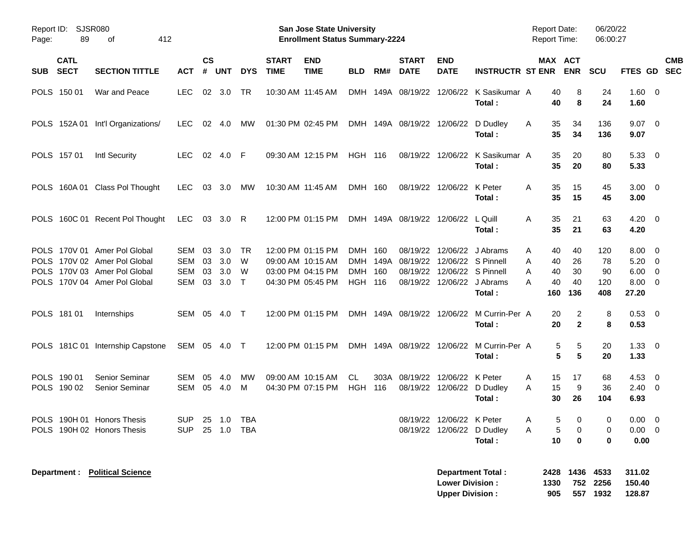| Report ID:<br>89<br>Page:                                | <b>SJSR080</b><br>412<br>οf                                                                                                                 |                                        |                      |                          |                                  |                             | <b>San Jose State University</b><br><b>Enrollment Status Summary-2224</b>        |                                     |            |                                     |                                                                                 |                                                                          | <b>Report Date:</b><br><b>Report Time:</b> |                                                                | 06/20/22<br>06:00:27               |                                                                                    |                           |
|----------------------------------------------------------|---------------------------------------------------------------------------------------------------------------------------------------------|----------------------------------------|----------------------|--------------------------|----------------------------------|-----------------------------|----------------------------------------------------------------------------------|-------------------------------------|------------|-------------------------------------|---------------------------------------------------------------------------------|--------------------------------------------------------------------------|--------------------------------------------|----------------------------------------------------------------|------------------------------------|------------------------------------------------------------------------------------|---------------------------|
| <b>CATL</b><br><b>SECT</b><br><b>SUB</b>                 | <b>SECTION TITTLE</b>                                                                                                                       | <b>ACT</b>                             | $\mathsf{cs}$<br>#   | <b>UNT</b>               | <b>DYS</b>                       | <b>START</b><br><b>TIME</b> | <b>END</b><br><b>TIME</b>                                                        | <b>BLD</b>                          | RM#        | <b>START</b><br><b>DATE</b>         | <b>END</b><br><b>DATE</b>                                                       | <b>INSTRUCTR ST ENR</b>                                                  |                                            | MAX ACT<br><b>ENR</b>                                          | <b>SCU</b>                         |                                                                                    | <b>CMB</b><br>FTES GD SEC |
| POLS 150 01                                              | War and Peace                                                                                                                               | <b>LEC</b>                             |                      | 02 3.0                   | TR                               |                             | 10:30 AM 11:45 AM                                                                |                                     |            |                                     |                                                                                 | DMH 149A 08/19/22 12/06/22 K Sasikumar A<br>Total:                       |                                            | 40<br>8<br>40<br>8                                             | 24<br>24                           | $1.60 \t 0$<br>1.60                                                                |                           |
|                                                          | POLS 152A 01 Int'l Organizations/                                                                                                           | <b>LEC</b>                             |                      | 02 4.0                   | МW                               | 01:30 PM 02:45 PM           |                                                                                  |                                     |            | DMH 149A 08/19/22 12/06/22 D Dudley |                                                                                 | Total:                                                                   | A                                          | 35<br>34<br>35<br>34                                           | 136<br>136                         | $9.07$ 0<br>9.07                                                                   |                           |
| POLS 157 01                                              | Intl Security                                                                                                                               | LEC.                                   |                      | 02 4.0                   | - F                              |                             | 09:30 AM 12:15 PM                                                                | <b>HGH 116</b>                      |            |                                     |                                                                                 | 08/19/22 12/06/22 K Sasikumar A<br>Total:                                |                                            | 35<br>20<br>35<br>20                                           | 80<br>80                           | 5.3300<br>5.33                                                                     |                           |
|                                                          | POLS 160A 01 Class Pol Thought                                                                                                              | <b>LEC</b>                             |                      | 03 3.0                   | МW                               | 10:30 AM 11:45 AM           |                                                                                  | DMH 160                             |            |                                     | 08/19/22 12/06/22 K Peter                                                       | Total:                                                                   | A                                          | 35<br>15<br>35<br>15                                           | 45<br>45                           | $3.00 \ 0$<br>3.00                                                                 |                           |
|                                                          | POLS 160C 01 Recent Pol Thought                                                                                                             | LEC                                    |                      | 03 3.0 R                 |                                  |                             | 12:00 PM 01:15 PM                                                                |                                     |            | DMH 149A 08/19/22 12/06/22 L Quill  |                                                                                 | Total:                                                                   | A                                          | 35<br>21<br>35<br>21                                           | 63<br>63                           | $4.20 \ 0$<br>4.20                                                                 |                           |
| POLS 181 01                                              | POLS 170V 01 Amer Pol Global<br>POLS 170V 02 Amer Pol Global<br>POLS 170V 03 Amer Pol Global<br>POLS 170V 04 Amer Pol Global<br>Internships | SEM<br>SEM<br>SEM<br>SEM<br>SEM 05 4.0 | 03<br>03<br>03<br>03 | 3.0<br>3.0<br>3.0<br>3.0 | TR<br>W<br>W<br>$\top$<br>$\top$ | 09:00 AM 10:15 AM           | 12:00 PM 01:15 PM<br>03:00 PM 04:15 PM<br>04:30 PM 05:45 PM<br>12:00 PM 01:15 PM | DMH<br><b>DMH</b><br><b>HGH 116</b> | 160<br>160 | 08/19/22<br>DMH 149A 08/19/22       | 12/06/22 S Pinnell<br>08/19/22 12/06/22 S Pinnell<br>08/19/22 12/06/22 J Abrams | 12/06/22 J Abrams<br>Total:<br>DMH 149A 08/19/22 12/06/22 M Currin-Per A | A<br>Α<br>A<br>A<br>160                    | 40<br>40<br>40<br>26<br>30<br>40<br>40<br>40<br>136<br>2<br>20 | 120<br>78<br>90<br>120<br>408<br>8 | $8.00 \quad 0$<br>$5.20 \ 0$<br>$6.00 \quad 0$<br>$8.00 \t 0$<br>27.20<br>$0.53$ 0 |                           |
|                                                          | POLS 181C 01 Internship Capstone                                                                                                            | SEM 05 4.0 T                           |                      |                          |                                  |                             | 12:00 PM 01:15 PM                                                                |                                     |            |                                     |                                                                                 | Total:<br>DMH 149A 08/19/22 12/06/22 M Currin-Per A<br>Total:            |                                            | $\mathbf{2}$<br>20<br>5<br>5<br>5<br>5                         | 8<br>20<br>20                      | 0.53<br>$1.33 \ 0$<br>1.33                                                         |                           |
| POLS 190 01<br>POLS 190 02                               | Senior Seminar<br>Senior Seminar                                                                                                            | SEM<br>SEM                             | 05<br>05             | 4.0<br>4.0               | MW<br>M                          | 09:00 AM 10:15 AM           | 04:30 PM 07:15 PM                                                                | CL.<br><b>HGH 116</b>               |            | 303A 08/19/22                       | 12/06/22 K Peter                                                                | 08/19/22 12/06/22 D Dudley<br>Total:                                     | A<br>A                                     | 17<br>15<br>15<br>9<br>30<br>26                                | 68<br>36<br>104                    | $4.53$ 0<br>$2.40 \ 0$<br>6.93                                                     |                           |
| POLS 190H 01 Honors Thesis<br>POLS 190H 02 Honors Thesis |                                                                                                                                             | SUP 25 1.0 TBA<br><b>SUP</b>           |                      |                          | 25 1.0 TBA                       |                             |                                                                                  |                                     |            |                                     | 08/19/22 12/06/22 K Peter<br>08/19/22 12/06/22 D Dudley                         | Total:                                                                   | A<br>A                                     | $5\qquad 0$<br>5<br>0<br>10<br>$\mathbf 0$                     | $\overline{0}$<br>0<br>0           | $0.00 \t 0$<br>$0.00 \t 0$<br>0.00                                                 |                           |
| Department :                                             | <b>Political Science</b>                                                                                                                    |                                        |                      |                          |                                  |                             |                                                                                  |                                     |            |                                     | <b>Lower Division:</b><br><b>Upper Division:</b>                                | Department Total :                                                       | 1330<br>905                                | 2428 1436 4533                                                 | 752 2256<br>557 1932               | 311.02<br>150.40<br>128.87                                                         |                           |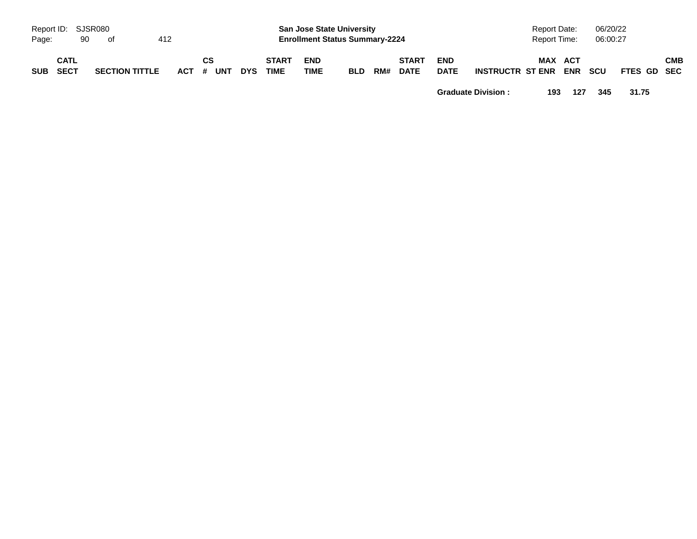| Report ID: SJSR080<br>Page: | 90                  | of                    | 412 |                 |            |                             | <b>San Jose State University</b><br><b>Enrollment Status Summary-2224</b> |            |     |                             |                           |                         | <b>Report Date:</b><br><b>Report Time:</b> |                | 06/20/22<br>06:00:27 |             |     |
|-----------------------------|---------------------|-----------------------|-----|-----------------|------------|-----------------------------|---------------------------------------------------------------------------|------------|-----|-----------------------------|---------------------------|-------------------------|--------------------------------------------|----------------|----------------------|-------------|-----|
| <b>SUB</b>                  | <b>CATL</b><br>SECT | <b>SECTION TITTLE</b> |     | CS<br>ACT # UNT | <b>DYS</b> | <b>START</b><br><b>TIME</b> | <b>END</b><br><b>TIME</b>                                                 | <b>BLD</b> | RM# | <b>START</b><br><b>DATE</b> | <b>END</b><br><b>DATE</b> | <b>INSTRUCTR ST ENR</b> |                                            | MAX ACT<br>ENR | <b>SCU</b>           | FTES GD SEC | СМВ |

**Graduate Division : 193 127 345 31.75**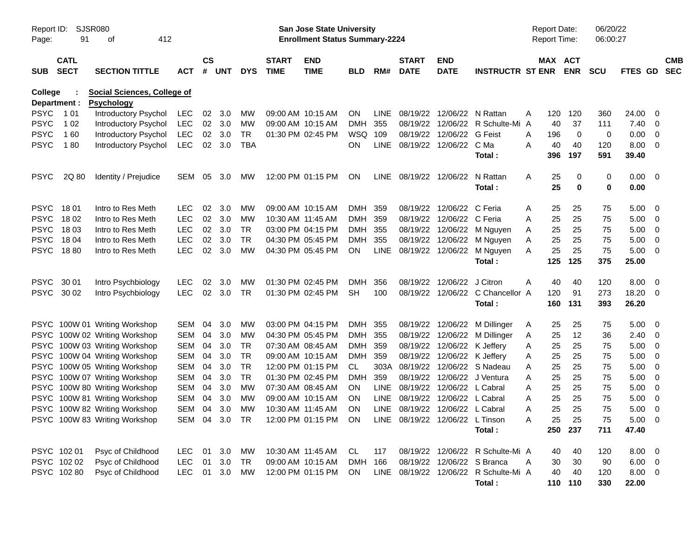| Report ID:<br>Page:     | SJSR080<br>91              | 412<br>οf                                        |               |               |        |            |                             | San Jose State University<br><b>Enrollment Status Summary-2224</b> |            |             |                                 |                             |                                       | <b>Report Date:</b><br><b>Report Time:</b> |     |                       | 06/20/22<br>06:00:27 |                |                |                          |
|-------------------------|----------------------------|--------------------------------------------------|---------------|---------------|--------|------------|-----------------------------|--------------------------------------------------------------------|------------|-------------|---------------------------------|-----------------------------|---------------------------------------|--------------------------------------------|-----|-----------------------|----------------------|----------------|----------------|--------------------------|
| <b>SUB</b>              | <b>CATL</b><br><b>SECT</b> | <b>SECTION TITTLE</b>                            | <b>ACT</b>    | $\mathsf{cs}$ | # UNT  | <b>DYS</b> | <b>START</b><br><b>TIME</b> | <b>END</b><br><b>TIME</b>                                          | <b>BLD</b> | RM#         | <b>START</b><br><b>DATE</b>     | <b>END</b><br><b>DATE</b>   | <b>INSTRUCTR ST ENR</b>               |                                            |     | MAX ACT<br><b>ENR</b> | <b>SCU</b>           | <b>FTES GD</b> |                | <b>CMB</b><br><b>SEC</b> |
| College<br>Department : |                            | Social Sciences, College of<br><b>Psychology</b> |               |               |        |            |                             |                                                                    |            |             |                                 |                             |                                       |                                            |     |                       |                      |                |                |                          |
| <b>PSYC</b>             | 1 0 1                      | Introductory Psychol                             | LEC           | 02            | 3.0    | мw         |                             | 09:00 AM 10:15 AM                                                  | <b>ON</b>  | <b>LINE</b> |                                 | 08/19/22 12/06/22 N Rattan  |                                       | Α                                          | 120 | 120                   | 360                  | 24.00          | 0              |                          |
| <b>PSYC</b>             | 1 0 2                      | <b>Introductory Psychol</b>                      | <b>LEC</b>    | 02            | 3.0    | MW         |                             | 09:00 AM 10:15 AM                                                  | <b>DMH</b> | 355         |                                 |                             | 08/19/22 12/06/22 R Schulte-Mi        | A                                          | 40  | 37                    | 111                  | 7.40           | $\overline{0}$ |                          |
| <b>PSYC</b>             | 160                        | Introductory Psychol                             | <b>LEC</b>    | 02            | 3.0    | TR         |                             | 01:30 PM 02:45 PM                                                  | WSQ        | 109         |                                 | 08/19/22 12/06/22           | <b>G</b> Feist                        | A                                          | 196 | 0                     | 0                    | 0.00           | 0              |                          |
| <b>PSYC</b>             | 180                        | <b>Introductory Psychol</b>                      | <b>LEC</b>    | 02            | 3.0    | <b>TBA</b> |                             |                                                                    | <b>ON</b>  |             | LINE 08/19/22 12/06/22          |                             | C Ma                                  | A                                          | 40  | 40                    | 120                  | 8.00           | 0              |                          |
|                         |                            |                                                  |               |               |        |            |                             |                                                                    |            |             |                                 |                             | Total:                                |                                            | 396 | 197                   | 591                  | 39.40          |                |                          |
| <b>PSYC</b>             | 2Q 80                      | Identity / Prejudice                             | SEM           | 05            | 3.0    | <b>MW</b>  |                             | 12:00 PM 01:15 PM                                                  | <b>ON</b>  |             | LINE 08/19/22 12/06/22          |                             | N Rattan                              | A                                          | 25  | 0                     | 0                    | 0.00           | - 0            |                          |
|                         |                            |                                                  |               |               |        |            |                             |                                                                    |            |             |                                 |                             | Total:                                |                                            | 25  | 0                     | 0                    | 0.00           |                |                          |
| <b>PSYC</b>             | 18 01                      | Intro to Res Meth                                | <b>LEC</b>    | 02            | 3.0    | МW         |                             | 09:00 AM 10:15 AM                                                  | DMH        | 359         |                                 | 08/19/22 12/06/22           | C Feria                               | A                                          | 25  | 25                    | 75                   | 5.00           | 0              |                          |
| <b>PSYC</b>             | 18 02                      | Intro to Res Meth                                | <b>LEC</b>    | 02            | 3.0    | MW         |                             | 10:30 AM 11:45 AM                                                  | DMH        | 359         |                                 | 08/19/22 12/06/22 C Feria   |                                       | Α                                          | 25  | 25                    | 75                   | 5.00           | $\overline{0}$ |                          |
| <b>PSYC</b>             | 18 03                      | Intro to Res Meth                                | <b>LEC</b>    | 02            | 3.0    | TR         |                             | 03:00 PM 04:15 PM                                                  | DMH        | 355         |                                 |                             | 08/19/22 12/06/22 M Nguyen            | A                                          | 25  | 25                    | 75                   | 5.00           | 0              |                          |
| <b>PSYC</b>             | 18 04                      | Intro to Res Meth                                | <b>LEC</b>    | 02            | 3.0    | TR         |                             | 04:30 PM 05:45 PM                                                  | <b>DMH</b> | 355         |                                 |                             | 08/19/22 12/06/22 M Nguyen            | A                                          | 25  | 25                    | 75                   | 5.00           | 0              |                          |
| <b>PSYC</b>             | 1880                       | Intro to Res Meth                                | <b>LEC</b>    | 02            | 3.0    | MW         |                             | 04:30 PM 05:45 PM                                                  | ON         | LINE        |                                 |                             | 08/19/22 12/06/22 M Nguyen            | Α                                          | 25  | 25                    | 75                   | 5.00           | 0              |                          |
|                         |                            |                                                  |               |               |        |            |                             |                                                                    |            |             |                                 |                             | Total:                                |                                            | 125 | 125                   | 375                  | 25.00          |                |                          |
| <b>PSYC</b>             | 30 01                      | Intro Psychbiology                               | <b>LEC</b>    | 02            | 3.0    | МW         |                             | 01:30 PM 02:45 PM                                                  | <b>DMH</b> | 356         |                                 | 08/19/22 12/06/22           | J Citron                              | A                                          | 40  | 40                    | 120                  | 8.00           | - 0            |                          |
| PSYC 30 02              |                            | Intro Psychbiology                               | <b>LEC</b>    | 02            | 3.0    | TR         |                             | 01:30 PM 02:45 PM                                                  | <b>SH</b>  | 100         |                                 |                             | 08/19/22 12/06/22 C Chancellor A      |                                            | 120 | 91                    | 273                  | 18.20          | $\mathbf 0$    |                          |
|                         |                            |                                                  |               |               |        |            |                             |                                                                    |            |             |                                 |                             | Total:                                |                                            | 160 | 131                   | 393                  | 26.20          |                |                          |
|                         |                            | PSYC 100W 01 Writing Workshop                    | SEM           | 04            | 3.0    | <b>MW</b>  |                             | 03:00 PM 04:15 PM                                                  | DMH 355    |             |                                 |                             | 08/19/22 12/06/22 M Dillinger         | A                                          | 25  | 25                    | 75                   | 5.00           | - 0            |                          |
|                         |                            | PSYC 100W 02 Writing Workshop                    | <b>SEM</b>    | 04            | 3.0    | MW         |                             | 04:30 PM 05:45 PM                                                  | DMH        | 355         |                                 |                             | 08/19/22 12/06/22 M Dillinger         | A                                          | 25  | 12                    | 36                   | 2.40           | $\mathbf 0$    |                          |
|                         |                            | PSYC 100W 03 Writing Workshop                    | <b>SEM</b>    | 04            | 3.0    | TR         |                             | 07:30 AM 08:45 AM                                                  | DMH        | 359         |                                 | 08/19/22 12/06/22 K Jeffery |                                       | A                                          | 25  | 25                    | 75                   | 5.00           | $\mathbf 0$    |                          |
|                         |                            | PSYC 100W 04 Writing Workshop                    | <b>SEM</b>    | 04            | 3.0    | TR         |                             | 09:00 AM 10:15 AM                                                  | DMH        | 359         |                                 | 08/19/22 12/06/22 K Jeffery |                                       | A                                          | 25  | 25                    | 75                   | 5.00           | 0              |                          |
|                         |                            | PSYC 100W 05 Writing Workshop                    | <b>SEM</b>    | 04            | 3.0    | TR         |                             | 12:00 PM 01:15 PM                                                  | CL         | 303A        |                                 |                             | 08/19/22 12/06/22 S Nadeau            | Α                                          | 25  | 25                    | 75                   | 5.00           | 0              |                          |
|                         |                            | PSYC 100W 07 Writing Workshop                    | <b>SEM</b>    | 04            | 3.0    | TR         |                             | 01:30 PM 02:45 PM                                                  | <b>DMH</b> | 359         |                                 | 08/19/22 12/06/22           | J Ventura                             | Α                                          | 25  | 25                    | 75                   | 5.00           | 0              |                          |
|                         |                            | PSYC 100W 80 Writing Workshop                    | SEM           | 04            | 3.0    | MW         |                             | 07:30 AM 08:45 AM                                                  | <b>ON</b>  | <b>LINE</b> |                                 | 08/19/22 12/06/22 L Cabral  |                                       | Α                                          | 25  | 25                    | 75                   | 5.00           | 0              |                          |
|                         |                            | PSYC 100W 81 Writing Workshop                    | <b>SEM</b>    | 04            | 3.0    | MW         |                             | 09:00 AM 10:15 AM                                                  | <b>ON</b>  | <b>LINE</b> |                                 | 08/19/22 12/06/22 L Cabral  |                                       | Α                                          | 25  | 25                    | 75                   | 5.00           | 0              |                          |
|                         |                            | PSYC 100W 82 Writing Workshop                    | SEM           | 04            | 3.0    | MW         |                             | 10:30 AM 11:45 AM                                                  | ON         |             | LINE 08/19/22 12/06/22 L Cabral |                             |                                       | Α                                          | 25  | 25                    | 75                   | 5.00           | 0              |                          |
|                         |                            | PSYC 100W 83 Writing Workshop                    | SEM 04 3.0 TR |               |        |            |                             | 12:00 PM 01:15 PM ON                                               |            |             | LINE 08/19/22 12/06/22 L Tinson |                             |                                       | Α                                          | 25  | 25                    | 75                   | $5.00 \t 0$    |                |                          |
|                         |                            |                                                  |               |               |        |            |                             |                                                                    |            |             |                                 |                             | Total:                                |                                            |     | 250 237               | 711                  | 47.40          |                |                          |
|                         | PSYC 102 01                | Psyc of Childhood                                | LEC.          |               | 01 3.0 | MW         |                             | 10:30 AM 11:45 AM                                                  | CL.        | 117         |                                 |                             | 08/19/22 12/06/22 R Schulte-Mi A      |                                            | 40  | 40                    | 120                  | $8.00 \t 0$    |                |                          |
|                         | PSYC 102 02                | Psyc of Childhood                                | <b>LEC</b>    | 01            | 3.0    | TR         |                             | 09:00 AM 10:15 AM                                                  | DMH        | 166         |                                 | 08/19/22 12/06/22 S Branca  |                                       | A                                          | 30  | 30                    | 90                   | $6.00 \t 0$    |                |                          |
|                         | PSYC 102 80                | Psyc of Childhood                                | <b>LEC</b>    |               | 01 3.0 | MW         |                             | 12:00 PM 01:15 PM                                                  | ON         |             |                                 |                             | LINE 08/19/22 12/06/22 R Schulte-Mi A |                                            | 40  | 40                    | 120                  | $8.00 \t 0$    |                |                          |
|                         |                            |                                                  |               |               |        |            |                             |                                                                    |            |             |                                 |                             | Total:                                |                                            |     | 110 110               | 330                  | 22.00          |                |                          |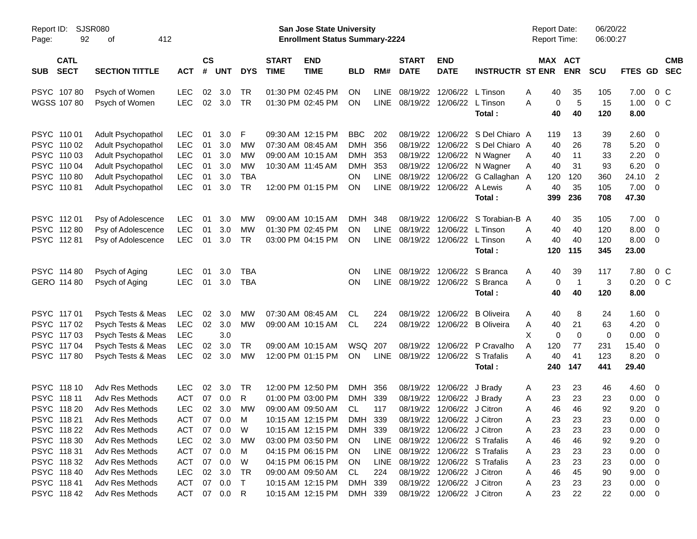| Report ID:<br>92<br>Page:                | SJSR080<br>412<br>οf  |            |                    |                  |            |                             | <b>San Jose State University</b><br><b>Enrollment Status Summary-2224</b> |            |             |                                   |                              |                              | <b>Report Date:</b><br><b>Report Time:</b> |                       | 06/20/22<br>06:00:27 |             |                          |
|------------------------------------------|-----------------------|------------|--------------------|------------------|------------|-----------------------------|---------------------------------------------------------------------------|------------|-------------|-----------------------------------|------------------------------|------------------------------|--------------------------------------------|-----------------------|----------------------|-------------|--------------------------|
| <b>CATL</b><br><b>SECT</b><br><b>SUB</b> | <b>SECTION TITTLE</b> | <b>ACT</b> | $\mathsf{cs}$<br># | <b>UNT</b>       | <b>DYS</b> | <b>START</b><br><b>TIME</b> | <b>END</b><br><b>TIME</b>                                                 | <b>BLD</b> | RM#         | <b>START</b><br><b>DATE</b>       | <b>END</b><br><b>DATE</b>    | <b>INSTRUCTR ST ENR</b>      |                                            | MAX ACT<br><b>ENR</b> | <b>SCU</b>           | FTES GD     | <b>CMB</b><br><b>SEC</b> |
| PSYC 10780                               | Psych of Women        | <b>LEC</b> | 02                 | 3.0              | <b>TR</b>  |                             | 01:30 PM 02:45 PM                                                         | ΟN         | <b>LINE</b> | 08/19/22                          | 12/06/22                     | L Tinson                     | Α                                          | 40<br>35              | 105                  | 7.00        | $0\,C$                   |
| WGSS 107 80                              | Psych of Women        | <b>LEC</b> | 02                 | 3.0              | <b>TR</b>  |                             | 01:30 PM 02:45 PM                                                         | ON         | LINE        | 08/19/22                          | 12/06/22                     | L Tinson                     | А                                          | 5<br>0                | 15                   | 1.00        | $0\,C$                   |
|                                          |                       |            |                    |                  |            |                             |                                                                           |            |             |                                   |                              | Total:                       |                                            | 40<br>40              | 120                  | 8.00        |                          |
| PSYC 110 01                              | Adult Psychopathol    | <b>LEC</b> | 01                 | 3.0 <sub>2</sub> | F          |                             | 09:30 AM 12:15 PM                                                         | <b>BBC</b> | 202         | 08/19/22                          | 12/06/22                     | S Del Chiaro A               | 119                                        | 13                    | 39                   | 2.60        | $\overline{\mathbf{0}}$  |
| PSYC 110 02                              | Adult Psychopathol    | <b>LEC</b> | 01                 | 3.0              | МW         |                             | 07:30 AM 08:45 AM                                                         | <b>DMH</b> | 356         | 08/19/22                          |                              | 12/06/22 S Del Chiaro A      |                                            | 26<br>40              | 78                   | 5.20        | $\overline{\mathbf{0}}$  |
| PSYC 110 03                              | Adult Psychopathol    | <b>LEC</b> | 01                 | 3.0              | МW         |                             | 09:00 AM 10:15 AM                                                         | <b>DMH</b> | 353         | 08/19/22                          |                              | 12/06/22 N Wagner            | Α                                          | 11<br>40              | 33                   | 2.20        | $\overline{\mathbf{0}}$  |
| PSYC 110 04                              | Adult Psychopathol    | <b>LEC</b> | 01                 | 3.0              | МW         |                             | 10:30 AM 11:45 AM                                                         | <b>DMH</b> | 353         |                                   |                              | 08/19/22 12/06/22 N Wagner   | Α                                          | 40<br>31              | 93                   | 6.20        | $\overline{\mathbf{0}}$  |
| PSYC 11080                               | Adult Psychopathol    | <b>LEC</b> | 01                 | 3.0              | <b>TBA</b> |                             |                                                                           | OΝ         | LINE        | 08/19/22                          |                              | 12/06/22 G Callaghan A       | 120                                        | 120                   | 360                  | 24.10       | 2                        |
| PSYC 11081                               | Adult Psychopathol    | <b>LEC</b> | 01                 | 3.0              | <b>TR</b>  |                             | 12:00 PM 01:15 PM                                                         | <b>ON</b>  | LINE        | 08/19/22                          | 12/06/22 A Lewis             |                              | Α                                          | 40<br>35              | 105                  | 7.00        | $\overline{\mathbf{0}}$  |
|                                          |                       |            |                    |                  |            |                             |                                                                           |            |             |                                   |                              | Total :                      | 399                                        | 236                   | 708                  | 47.30       |                          |
| PSYC 11201                               | Psy of Adolescence    | <b>LEC</b> | 01                 | 3.0              | МW         |                             | 09:00 AM 10:15 AM                                                         | <b>DMH</b> | 348         | 08/19/22                          | 12/06/22                     | S Torabian-B A               |                                            | 40<br>35              | 105                  | 7.00        | $\overline{\mathbf{0}}$  |
| PSYC 11280                               | Psy of Adolescence    | <b>LEC</b> | 01                 | 3.0              | МW         |                             | 01:30 PM 02:45 PM                                                         | <b>ON</b>  | LINE        | 08/19/22                          | 12/06/22                     | L Tinson                     | A                                          | 40<br>40              | 120                  | 8.00        | - 0                      |
| PSYC 11281                               | Psy of Adolescence    | <b>LEC</b> | 01                 | 3.0              | <b>TR</b>  |                             | 03:00 PM 04:15 PM                                                         | ON         | LINE        |                                   | 08/19/22 12/06/22            | L Tinson                     | А                                          | 40<br>40              | 120                  | 8.00        | $\overline{\mathbf{0}}$  |
|                                          |                       |            |                    |                  |            |                             |                                                                           |            |             |                                   |                              | Total :                      | 120                                        | 115                   | 345                  | 23.00       |                          |
| PSYC 114 80                              | Psych of Aging        | <b>LEC</b> | 01                 | 3.0              | <b>TBA</b> |                             |                                                                           | OΝ         | LINE        |                                   | 08/19/22 12/06/22            | S Branca                     | Α                                          | 40<br>39              | 117                  | 7.80        | $0\,C$                   |
| GERO 114 80                              | Psych of Aging        | <b>LEC</b> | 01                 | 3.0              | <b>TBA</b> |                             |                                                                           | OΝ         | LINE        |                                   | 08/19/22 12/06/22 S Branca   |                              | А                                          | $\overline{1}$<br>0   | 3                    | 0.20        | $0\,C$                   |
|                                          |                       |            |                    |                  |            |                             |                                                                           |            |             |                                   |                              | Total :                      |                                            | 40<br>40              | 120                  | 8.00        |                          |
| PSYC 117 01                              | Psych Tests & Meas    | <b>LEC</b> | 02                 | 3.0              | МW         |                             | 07:30 AM 08:45 AM                                                         | CL         | 224         | 08/19/22                          | 12/06/22                     | <b>B</b> Oliveira            | Α                                          | 40<br>8               | 24                   | 1.60        | $\overline{\mathbf{0}}$  |
| PSYC 11702                               | Psych Tests & Meas    | <b>LEC</b> | 02                 | 3.0              | МW         |                             | 09:00 AM 10:15 AM                                                         | CL         | 224         |                                   | 08/19/22 12/06/22            | <b>B</b> Oliveira            | Α                                          | 21<br>40              | 63                   | 4.20        | $\overline{\mathbf{0}}$  |
| PSYC 11703                               | Psych Tests & Meas    | <b>LEC</b> |                    | 3.0              |            |                             |                                                                           |            |             |                                   |                              |                              | X                                          | 0<br>0                | 0                    | 0.00        | $\overline{\mathbf{0}}$  |
| PSYC 117 04                              | Psych Tests & Meas    | <b>LEC</b> | 02                 | 3.0              | <b>TR</b>  |                             | 09:00 AM 10:15 AM                                                         | WSQ        | 207         |                                   | 08/19/22 12/06/22            | P Cravalho                   | A<br>120                                   | 77                    | 231                  | 15.40       | $\overline{\mathbf{0}}$  |
| PSYC 11780                               | Psych Tests & Meas    | <b>LEC</b> | 02                 | 3.0              | МW         |                             | 12:00 PM 01:15 PM                                                         | <b>ON</b>  | LINE        |                                   | 08/19/22 12/06/22 S Trafalis |                              | А                                          | 40<br>41              | 123                  | 8.20        | $\overline{\phantom{0}}$ |
|                                          |                       |            |                    |                  |            |                             |                                                                           |            |             |                                   |                              | Total :                      | 240                                        | 147                   | 441                  | 29.40       |                          |
| PSYC 118 10                              | Adv Res Methods       | <b>LEC</b> | 02                 | 3.0              | TR         |                             | 12:00 PM 12:50 PM                                                         | <b>DMH</b> | 356         | 08/19/22                          | 12/06/22                     | J Brady                      | Α                                          | 23<br>23              | 46                   | 4.60        | $\overline{\mathbf{0}}$  |
| PSYC 118 11                              | Adv Res Methods       | <b>ACT</b> | 07                 | 0.0              | R          |                             | 01:00 PM 03:00 PM                                                         | <b>DMH</b> | 339         | 08/19/22                          | 12/06/22                     | J Brady                      | Α                                          | 23<br>23              | 23                   | 0.00        | $\overline{\mathbf{0}}$  |
| PSYC 118 20                              | Adv Res Methods       | <b>LEC</b> | 02                 | 3.0              | МW         |                             | 09:00 AM 09:50 AM                                                         | <b>CL</b>  | 117         |                                   | 08/19/22 12/06/22 J Citron   |                              | Α                                          | 46<br>46              | 92                   | 9.20        | 0                        |
| PSYC 118 21                              | Adv Res Methods       | <b>ACT</b> |                    | 07 0.0           | M          |                             | 10:15 AM 12:15 PM                                                         | DMH 339    |             |                                   | 08/19/22 12/06/22 J Citron   |                              | Α                                          | 23<br>23              | 23                   | 0.00        | $\overline{\mathbf{0}}$  |
| PSYC 118 22                              | Adv Res Methods       | ACT        | 07                 | 0.0              | W          |                             | 10:15 AM 12:15 PM                                                         | DMH 339    |             |                                   | 08/19/22 12/06/22 J Citron   |                              | Α                                          | 23<br>23              | 23                   | 0.00        | $\overline{\phantom{0}}$ |
| PSYC 118 30                              | Adv Res Methods       | <b>LEC</b> | 02                 | 3.0              | МW         |                             | 03:00 PM 03:50 PM                                                         | <b>ON</b>  |             | LINE 08/19/22 12/06/22 S Trafalis |                              |                              | A                                          | 46<br>46              | 92                   | 9.20        | $\overline{\phantom{0}}$ |
| PSYC 11831                               | Adv Res Methods       | ACT        | 07                 | 0.0              | M          |                             | 04:15 PM 06:15 PM                                                         | <b>ON</b>  | LINE        |                                   |                              | 08/19/22 12/06/22 S Trafalis | Α                                          | 23<br>23              | 23                   | 0.00        | $\overline{\phantom{0}}$ |
| PSYC 11832                               | Adv Res Methods       | ACT        | 07                 | 0.0              | W          |                             | 04:15 PM 06:15 PM                                                         | <b>ON</b>  | LINE        |                                   |                              | 08/19/22 12/06/22 S Trafalis | Α                                          | 23<br>23              | 23                   | 0.00        | $\overline{\phantom{0}}$ |
| PSYC 118 40                              | Adv Res Methods       | <b>LEC</b> | 02                 | 3.0              | TR         |                             | 09:00 AM 09:50 AM                                                         | CL.        | 224         |                                   | 08/19/22 12/06/22 J Citron   |                              | Α                                          | 46<br>45              | 90                   | 9.00        | $\overline{\phantom{0}}$ |
| PSYC 11841                               | Adv Res Methods       | ACT        | 07                 | 0.0              | $\top$     |                             | 10:15 AM 12:15 PM                                                         | DMH 339    |             |                                   | 08/19/22 12/06/22 J Citron   |                              | Α                                          | 23<br>23              | 23                   | $0.00 \t 0$ |                          |
| PSYC 118 42                              | Adv Res Methods       | ACT        |                    | 07  0.0  R       |            |                             | 10:15 AM 12:15 PM                                                         | DMH 339    |             |                                   | 08/19/22 12/06/22 J Citron   |                              | A                                          | 23<br>22              | 22                   | $0.00 \t 0$ |                          |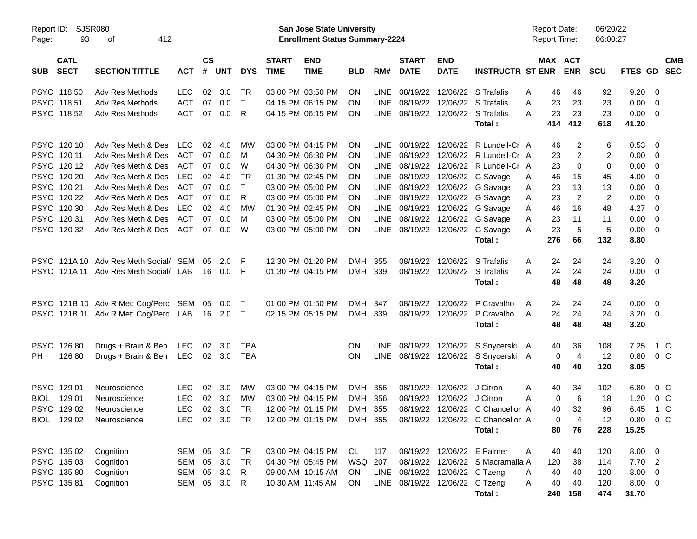| Report ID:<br>Page: | <b>SJSR080</b><br>93       |                                               |               |               |           |            | San Jose State University<br><b>Enrollment Status Summary-2224</b> |                           |            |             |                             |                                | <b>Report Date:</b><br><b>Report Time:</b>                 |         | 06/20/22<br>06:00:27  |                |             |                          |  |
|---------------------|----------------------------|-----------------------------------------------|---------------|---------------|-----------|------------|--------------------------------------------------------------------|---------------------------|------------|-------------|-----------------------------|--------------------------------|------------------------------------------------------------|---------|-----------------------|----------------|-------------|--------------------------|--|
| <b>SUB</b>          | <b>CATL</b><br><b>SECT</b> | <b>SECTION TITTLE</b>                         | <b>ACT</b>    | $\mathsf{cs}$ | # UNT     | <b>DYS</b> | <b>START</b><br><b>TIME</b>                                        | <b>END</b><br><b>TIME</b> | <b>BLD</b> | RM#         | <b>START</b><br><b>DATE</b> | <b>END</b><br><b>DATE</b>      | <b>INSTRUCTR ST ENR</b>                                    |         | MAX ACT<br><b>ENR</b> | <b>SCU</b>     | FTES GD SEC | <b>CMB</b>               |  |
|                     | PSYC 118 50                | Adv Res Methods                               | <b>LEC</b>    | 02            | 3.0       | TR         |                                                                    | 03:00 PM 03:50 PM         | ON.        | <b>LINE</b> |                             | 08/19/22 12/06/22 S Trafalis   |                                                            | 46<br>A | 46                    | 92             | $9.20 \ 0$  |                          |  |
|                     | PSYC 11851                 | Adv Res Methods                               | <b>ACT</b>    | 07            | 0.0       | $\top$     |                                                                    | 04:15 PM 06:15 PM         | ON.        |             |                             |                                | LINE 08/19/22 12/06/22 S Trafalis                          | 23<br>A | 23                    | 23             | $0.00 \t 0$ |                          |  |
|                     | PSYC 11852                 | Adv Res Methods                               | ACT           | 07            | 0.0       | R          |                                                                    | 04:15 PM 06:15 PM         | ON.        |             |                             |                                | LINE 08/19/22 12/06/22 S Trafalis                          | 23<br>A | 23                    | 23             | $0.00 \t 0$ |                          |  |
|                     |                            |                                               |               |               |           |            |                                                                    |                           |            |             |                             |                                | Total:                                                     | 414     | 412                   | 618            | 41.20       |                          |  |
|                     | PSYC 120 10                | Adv Res Meth & Des                            | <b>LEC</b>    | 02            | 4.0       | <b>MW</b>  |                                                                    | 03:00 PM 04:15 PM         | <b>ON</b>  | LINE        |                             |                                | 08/19/22 12/06/22 R Lundell-Cr A                           | 46      | 2                     | 6              | 0.53        | - 0                      |  |
|                     | PSYC 12011                 | Adv Res Meth & Des                            | ACT           | 07            | 0.0       | M          |                                                                    | 04:30 PM 06:30 PM         | ON.        |             |                             |                                | LINE 08/19/22 12/06/22 R Lundell-Cr A                      | 23      | 2                     | 2              | $0.00 \t 0$ |                          |  |
|                     | PSYC 12012                 | Adv Res Meth & Des                            | ACT           | 07            | 0.0       | W          |                                                                    | 04:30 PM 06:30 PM         | <b>ON</b>  | LINE        |                             |                                | 08/19/22 12/06/22 R Lundell-Cr A                           | 23      | 0                     | 0              | $0.00 \t 0$ |                          |  |
|                     | PSYC 120 20                | Adv Res Meth & Des                            | LEC           | 02            | 4.0       | <b>TR</b>  |                                                                    | 01:30 PM 02:45 PM         | <b>ON</b>  |             |                             |                                | LINE 08/19/22 12/06/22 G Savage                            | 46<br>A | 15                    | 45             | 4.00        | $\overline{\phantom{0}}$ |  |
|                     | PSYC 120 21                | Adv Res Meth & Des                            | ACT           | 07            | 0.0       | $\top$     |                                                                    | 03:00 PM 05:00 PM         | <b>ON</b>  |             |                             |                                | LINE 08/19/22 12/06/22 G Savage                            | 23<br>A | 13                    | 13             | 0.00        | $\overline{\phantom{0}}$ |  |
|                     | PSYC 120 22                | Adv Res Meth & Des                            | ACT           | 07            | 0.0       | R          |                                                                    | 03:00 PM 05:00 PM         | <b>ON</b>  |             |                             |                                | LINE 08/19/22 12/06/22 G Savage                            | 23<br>A | $\overline{2}$        | $\overline{2}$ | 0.00        | $\overline{\mathbf{0}}$  |  |
|                     | PSYC 120 30                | Adv Res Meth & Des                            | LEC           | 02            | 4.0       | MW         |                                                                    | 01:30 PM 02:45 PM         | <b>ON</b>  |             |                             |                                | LINE 08/19/22 12/06/22 G Savage                            | 46<br>A | 16                    | 48             | $4.27 \t 0$ |                          |  |
|                     | PSYC 12031                 | Adv Res Meth & Des                            | ACT           | 07            | 0.0       | M          |                                                                    | 03:00 PM 05:00 PM         | ON.        |             |                             |                                | LINE 08/19/22 12/06/22 G Savage                            | 23<br>A | 11                    | 11             | $0.00 \t 0$ |                          |  |
|                     | PSYC 120 32                | Adv Res Meth & Des                            | ACT           | 07            | 0.0       | W          |                                                                    | 03:00 PM 05:00 PM         | <b>ON</b>  |             |                             |                                | LINE 08/19/22 12/06/22 G Savage                            | 23<br>A | 5                     | 5              | $0.00 \t 0$ |                          |  |
|                     |                            |                                               |               |               |           |            |                                                                    |                           |            |             |                             |                                | Total:                                                     | 276     | 66                    | 132            | 8.80        |                          |  |
|                     |                            | PSYC 121A 10 Adv Res Meth Social/ SEM         |               | 05            | 2.0       | E          |                                                                    | 12:30 PM 01:20 PM         | DMH        | 355         |                             |                                | 08/19/22 12/06/22 S Trafalis                               | A       | 24<br>24              | 24             | $3.20 \ 0$  |                          |  |
|                     |                            | PSYC 121A 11 Adv Res Meth Social/ LAB         |               |               | 16  0.0   | -F         |                                                                    | 01:30 PM 04:15 PM         | DMH 339    |             |                             |                                | 08/19/22 12/06/22 S Trafalis                               | 24<br>A | 24                    | 24             | $0.00 \t 0$ |                          |  |
|                     |                            |                                               |               |               |           |            |                                                                    |                           |            |             |                             |                                | Total:                                                     | 48      | 48                    | 48             | 3.20        |                          |  |
|                     |                            | PSYC 121B 10 Adv R Met: Cog/Perc SEM 05       |               |               | $0.0$ T   |            |                                                                    | 01:00 PM 01:50 PM         | DMH 347    |             |                             | 08/19/22 12/06/22              | P Cravalho                                                 | A       | 24<br>24              | 24             | $0.00 \t 0$ |                          |  |
|                     |                            | PSYC 121B 11 Adv R Met: Cog/Perc LAB 16 2.0 T |               |               |           |            |                                                                    | 02:15 PM 05:15 PM         | DMH 339    |             |                             |                                | 08/19/22 12/06/22 P Cravalho                               | 24<br>A | 24                    | 24             | $3.20 \ 0$  |                          |  |
|                     |                            |                                               |               |               |           |            |                                                                    |                           |            |             |                             |                                | Total:                                                     | 48      | 48                    | 48             | 3.20        |                          |  |
|                     | PSYC 12680                 | Drugs + Brain & Beh                           | LEC           | 02            | 3.0       | <b>TBA</b> |                                                                    |                           | ON.        | LINE        |                             |                                | 08/19/22 12/06/22 S Snycerski A                            |         | 36<br>40              | 108            | 7.25        | 1 C                      |  |
| PH.                 | 126 80                     | Drugs + Brain & Beh LEC                       |               |               | 02 3.0    | <b>TBA</b> |                                                                    |                           | <b>ON</b>  |             |                             |                                | LINE 08/19/22 12/06/22 S Snycerski A                       |         | $\overline{4}$<br>0   | 12             | 0.80        | $0\,$ C                  |  |
|                     |                            |                                               |               |               |           |            |                                                                    |                           |            |             |                             |                                | Total:                                                     | 40      | 40                    | 120            | 8.05        |                          |  |
|                     | PSYC 129 01                | Neuroscience                                  | <b>LEC</b>    | 02            | 3.0       | MW         |                                                                    | 03:00 PM 04:15 PM         | DMH 356    |             |                             | 08/19/22 12/06/22 J Citron     |                                                            | 40<br>A | 34                    | 102            | 6.80        | $0\,C$                   |  |
|                     | BIOL 129 01                | Neuroscience                                  | <b>LEC</b>    | 02            | 3.0       | MW         |                                                                    | 03:00 PM 04:15 PM         | DMH 356    |             |                             | 08/19/22 12/06/22 J Citron     |                                                            | A       | 6<br>0                | 18             | 1.20        | 0 <sup>C</sup>           |  |
|                     | PSYC 129 02                | Neuroscience                                  | <b>LEC</b>    |               | 02 3.0    | TR         |                                                                    | 12:00 PM 01:15 PM         | DMH 355    |             |                             |                                | 08/19/22 12/06/22 C Chancellor A                           | 40      | 32                    | 96             | 6.45        | 1 C                      |  |
|                     |                            | BIOL 129 02 Neuroscience                      | LEC           |               | 02 3.0 TR |            |                                                                    |                           |            |             |                             |                                | 12:00 PM 01:15 PM DMH 355 08/19/22 12/06/22 C Chancellor A |         | 0<br>-4               | 12             |             | $0.80 \t 0 C$            |  |
|                     |                            |                                               |               |               |           |            |                                                                    |                           |            |             |                             |                                | Total:                                                     | 80      | 76                    | 228            | 15.25       |                          |  |
|                     | PSYC 135 02                | Cognition                                     | SEM 05 3.0 TR |               |           |            |                                                                    | 03:00 PM 04:15 PM         | CL.        | 117         |                             | 08/19/22 12/06/22 E Palmer     |                                                            | 40<br>A | 40                    | 120            | $8.00 \t 0$ |                          |  |
|                     | PSYC 135 03                | Cognition                                     | SEM 05        |               | 3.0       | TR         |                                                                    | 04:30 PM 05:45 PM         | WSQ 207    |             |                             |                                | 08/19/22 12/06/22 S Macramalla A                           | 120     | 38                    | 114            | 7.702       |                          |  |
|                     | PSYC 135 80                | Cognition                                     | SEM 05        |               | 3.0       | R          |                                                                    | 09:00 AM 10:15 AM         | ON.        |             |                             | LINE 08/19/22 12/06/22 C Tzeng |                                                            | 40<br>A | 40                    | 120            | $8.00 \t 0$ |                          |  |
|                     | PSYC 13581                 | Cognition                                     | SEM 05 3.0    |               |           | R.         |                                                                    | 10:30 AM 11:45 AM         | ON         |             |                             | LINE 08/19/22 12/06/22 C Tzeng |                                                            | 40<br>A | 40                    | 120            | $8.00 \t 0$ |                          |  |
|                     |                            |                                               |               |               |           |            |                                                                    |                           |            |             |                             |                                | Total:                                                     |         | 240 158               | 474            | 31.70       |                          |  |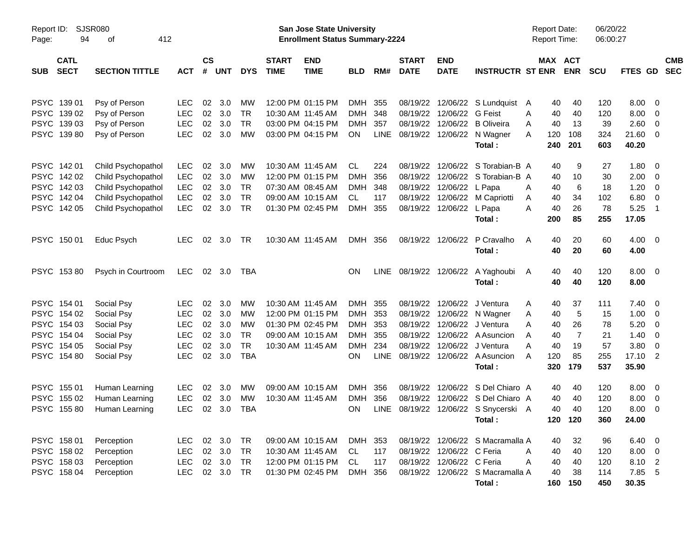| Report ID:<br>94<br>Page:                | <b>SJSR080</b><br>412<br>οf |            |                    |            |            |                             | San Jose State University<br><b>Enrollment Status Summary-2224</b> |            |             |                             |                           |                                             | <b>Report Date:</b><br><b>Report Time:</b> |                       | 06/20/22<br>06:00:27 |                     |                          |            |
|------------------------------------------|-----------------------------|------------|--------------------|------------|------------|-----------------------------|--------------------------------------------------------------------|------------|-------------|-----------------------------|---------------------------|---------------------------------------------|--------------------------------------------|-----------------------|----------------------|---------------------|--------------------------|------------|
| <b>CATL</b><br><b>SECT</b><br><b>SUB</b> | <b>SECTION TITTLE</b>       | <b>ACT</b> | $\mathsf{cs}$<br># | <b>UNT</b> | <b>DYS</b> | <b>START</b><br><b>TIME</b> | <b>END</b><br><b>TIME</b>                                          | <b>BLD</b> | RM#         | <b>START</b><br><b>DATE</b> | <b>END</b><br><b>DATE</b> | <b>INSTRUCTR ST ENR</b>                     |                                            | MAX ACT<br><b>ENR</b> | <b>SCU</b>           | FTES GD SEC         |                          | <b>CMB</b> |
| PSYC 139 01                              | Psy of Person               | <b>LEC</b> | 02                 | 3.0        | MW         |                             | 12:00 PM 01:15 PM                                                  | DMH 355    |             |                             |                           | 08/19/22 12/06/22 S Lundquist A             | 40                                         | 40                    | 120                  | 8.00                | $\overline{\phantom{0}}$ |            |
| PSYC 139 02                              | Psy of Person               | <b>LEC</b> | 02                 | 3.0        | <b>TR</b>  |                             | 10:30 AM 11:45 AM                                                  | <b>DMH</b> | 348         |                             | 08/19/22 12/06/22 G Feist |                                             | Α<br>40                                    | 40                    | 120                  | 8.00                | $\overline{\mathbf{0}}$  |            |
| PSYC 139 03                              | Psy of Person               | <b>LEC</b> | 02                 | 3.0        | <b>TR</b>  |                             | 03:00 PM 04:15 PM                                                  | <b>DMH</b> | 357         |                             |                           | 08/19/22 12/06/22 B Oliveira                | 40<br>Α                                    | 13                    | 39                   | 2.60                | $\overline{0}$           |            |
| PSYC 139 80                              | Psy of Person               | <b>LEC</b> | 02                 | 3.0        | <b>MW</b>  |                             | 03:00 PM 04:15 PM                                                  | ON         | <b>LINE</b> |                             |                           | 08/19/22 12/06/22 N Wagner<br>Total:        | Α<br>120<br>240                            | 108<br>201            | 324<br>603           | 21.60<br>40.20      | $\overline{\mathbf{0}}$  |            |
| PSYC 14201                               | Child Psychopathol          | <b>LEC</b> | 02                 | 3.0        | MW         |                             | 10:30 AM 11:45 AM                                                  | CL         | 224         |                             |                           | 08/19/22 12/06/22 S Torabian-B A            | 40                                         | 9                     | 27                   | 1.80                | $\overline{\mathbf{0}}$  |            |
| PSYC 142 02                              | Child Psychopathol          | <b>LEC</b> | 02                 | 3.0        | MW         |                             | 12:00 PM 01:15 PM                                                  | <b>DMH</b> | 356         |                             |                           | 08/19/22 12/06/22 S Torabian-B A            | 40                                         | 10                    | 30                   | 2.00                | $\overline{\phantom{0}}$ |            |
| PSYC 142 03                              | Child Psychopathol          | <b>LEC</b> | 02                 | 3.0        | <b>TR</b>  |                             | 07:30 AM 08:45 AM                                                  | <b>DMH</b> | 348         |                             | 08/19/22 12/06/22 L Papa  |                                             | Α<br>40                                    | 6                     | 18                   | 1.20                | $\overline{\mathbf{0}}$  |            |
| PSYC 142 04                              | Child Psychopathol          | <b>LEC</b> | 02                 | 3.0        | <b>TR</b>  |                             | 09:00 AM 10:15 AM                                                  | CL.        | 117         |                             |                           | 08/19/22 12/06/22 M Capriotti               | 40<br>A                                    | 34                    | 102                  | 6.80                | $\overline{\mathbf{0}}$  |            |
| PSYC 142 05                              | Child Psychopathol          | <b>LEC</b> | 02                 | 3.0        | <b>TR</b>  |                             | 01:30 PM 02:45 PM                                                  | DMH        | 355         |                             | 08/19/22 12/06/22 L Papa  | Total:                                      | Α<br>40<br>200                             | 26<br>85              | 78<br>255            | 5.25<br>17.05       | - 1                      |            |
| PSYC 150 01                              | Educ Psych                  | LEC.       | 02                 | 3.0        | TR         |                             | 10:30 AM 11:45 AM                                                  | DMH 356    |             |                             | 08/19/22 12/06/22         | P Cravalho<br>Total :                       | 40<br>A<br>40                              | 20<br>20              | 60<br>60             | $4.00 \ 0$<br>4.00  |                          |            |
| PSYC 15380                               | Psych in Courtroom          | LEC.       |                    | 02 3.0     | TBA        |                             |                                                                    | <b>ON</b>  |             |                             |                           | LINE 08/19/22 12/06/22 A Yaghoubi<br>Total: | 40<br>A<br>40                              | 40<br>40              | 120<br>120           | $8.00 \t 0$<br>8.00 |                          |            |
| PSYC 154 01                              | Social Psy                  | LEC.       | 02                 | 3.0        | MW         |                             | 10:30 AM 11:45 AM                                                  | DMH 355    |             |                             |                           | 08/19/22 12/06/22 J Ventura                 | 40<br>Α                                    | 37                    | 111                  | 7.40                | $\overline{\phantom{0}}$ |            |
| PSYC 154 02                              | Social Psy                  | <b>LEC</b> | 02                 | 3.0        | MW         |                             | 12:00 PM 01:15 PM                                                  | DMH 353    |             |                             |                           | 08/19/22 12/06/22 N Wagner                  | Α<br>40                                    | 5                     | 15                   | 1.00                | $\overline{\phantom{0}}$ |            |
| PSYC 154 03                              | Social Psy                  | <b>LEC</b> | 02                 | 3.0        | <b>MW</b>  |                             | 01:30 PM 02:45 PM                                                  | DMH 353    |             |                             |                           | 08/19/22 12/06/22 J Ventura                 | 40<br>Α                                    | 26                    | 78                   | 5.20                | $\overline{\mathbf{0}}$  |            |
| PSYC 154 04                              | Social Psy                  | <b>LEC</b> | 02                 | 3.0        | <b>TR</b>  |                             | 09:00 AM 10:15 AM                                                  | DMH        | 355         |                             |                           | 08/19/22 12/06/22 A Asuncion                | 40<br>Α                                    | $\overline{7}$        | 21                   | 1.40                | $\overline{\mathbf{0}}$  |            |
| PSYC 154 05                              | Social Psy                  | <b>LEC</b> | 02                 | 3.0        | <b>TR</b>  |                             | 10:30 AM 11:45 AM                                                  | <b>DMH</b> | 234         |                             |                           | 08/19/22 12/06/22 J Ventura                 | Α<br>40                                    | 19                    | 57                   | 3.80                | $\overline{\mathbf{0}}$  |            |
| PSYC 154 80                              | Social Psy                  | <b>LEC</b> |                    | 02 3.0     | <b>TBA</b> |                             |                                                                    | ON.        | LINE        |                             |                           | 08/19/22 12/06/22 A Asuncion<br>Total:      | 120<br>A<br>320                            | 85<br>179             | 255<br>537           | 17.10 2<br>35.90    |                          |            |
| PSYC 155 01                              | Human Learning              | LEC.       | 02                 | 3.0        | MW         |                             | 09:00 AM 10:15 AM                                                  | DMH        | 356         |                             |                           | 08/19/22 12/06/22 S Del Chiaro A            | 40                                         | 40                    | 120                  | 8.00                | $\overline{\phantom{0}}$ |            |
| PSYC 155 02                              | Human Learning              | <b>LEC</b> | 02                 | 3.0        | MW         |                             | 10:30 AM 11:45 AM                                                  | <b>DMH</b> | 356         | 08/19/22                    |                           | 12/06/22 S Del Chiaro A                     | 40                                         | 40                    | 120                  | 8.00                | $\overline{0}$           |            |
| PSYC 15580                               | Human Learning              | <b>LEC</b> | 02                 | 3.0        | <b>TBA</b> |                             |                                                                    | OΝ         | LINE        |                             |                           | 08/19/22 12/06/22 S Snycerski A             | 40                                         | 40                    | 120                  | 8.00                | $\overline{\mathbf{0}}$  |            |
|                                          |                             |            |                    |            |            |                             |                                                                    |            |             |                             |                           | Total:                                      |                                            | 120 120               | 360                  | 24.00               |                          |            |
| PSYC 158 01                              | Perception                  | LEC.       |                    | 02 3.0 TR  |            |                             | 09:00 AM 10:15 AM                                                  | DMH 353    |             |                             |                           | 08/19/22 12/06/22 S Macramalla A            | 40                                         | 32                    | 96                   | $6.40\quad 0$       |                          |            |
| PSYC 158 02                              | Perception                  | <b>LEC</b> |                    | 02 3.0     | <b>TR</b>  |                             | 10:30 AM 11:45 AM                                                  | CL.        | 117         |                             | 08/19/22 12/06/22 C Feria |                                             | 40<br>A                                    | 40                    | 120                  | $8.00 \t 0$         |                          |            |
| PSYC 158 03                              | Perception                  | <b>LEC</b> |                    | 02 3.0     | <b>TR</b>  |                             | 12:00 PM 01:15 PM                                                  | CL.        | 117         |                             | 08/19/22 12/06/22 C Feria |                                             | Α<br>40                                    | 40                    | 120                  | 8.10 2              |                          |            |
| PSYC 158 04                              | Perception                  | <b>LEC</b> |                    | 02 3.0 TR  |            |                             | 01:30 PM 02:45 PM                                                  | DMH 356    |             |                             |                           | 08/19/22 12/06/22 S Macramalla A            | 40                                         | 38                    | 114                  | 7.85 5              |                          |            |
|                                          |                             |            |                    |            |            |                             |                                                                    |            |             |                             |                           | Total:                                      |                                            | 160 150               | 450                  | 30.35               |                          |            |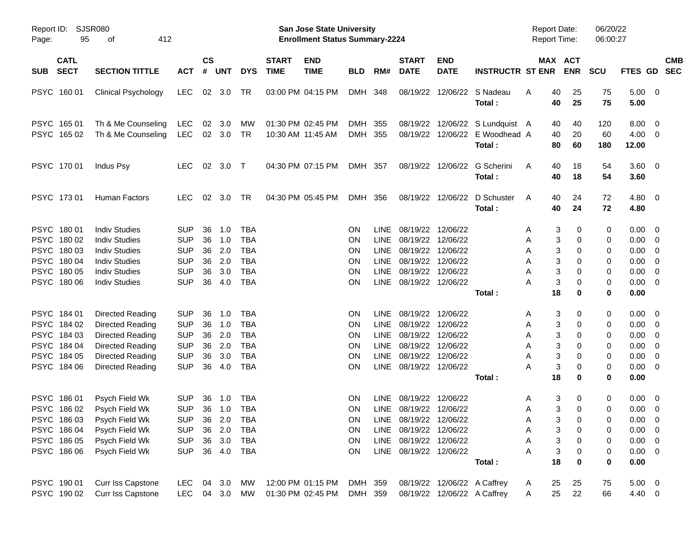| Report ID:<br>95<br>Page:                                                              | <b>SJSR080</b><br>412<br>оf                                                                                          |                                                                                  |                                  |                                        |                                                                           |                             | San Jose State University<br><b>Enrollment Status Summary-2224</b> |                                                        |                                             |                                                                                                                                                     |                                                            |                                                                             | <b>Report Date:</b><br><b>Report Time:</b> |                                                                                  | 06/20/22<br>06:00:27            |                                                                                                   |                                                                                        |
|----------------------------------------------------------------------------------------|----------------------------------------------------------------------------------------------------------------------|----------------------------------------------------------------------------------|----------------------------------|----------------------------------------|---------------------------------------------------------------------------|-----------------------------|--------------------------------------------------------------------|--------------------------------------------------------|---------------------------------------------|-----------------------------------------------------------------------------------------------------------------------------------------------------|------------------------------------------------------------|-----------------------------------------------------------------------------|--------------------------------------------|----------------------------------------------------------------------------------|---------------------------------|---------------------------------------------------------------------------------------------------|----------------------------------------------------------------------------------------|
| <b>CATL</b><br><b>SECT</b><br><b>SUB</b>                                               | <b>SECTION TITTLE</b>                                                                                                | <b>ACT</b>                                                                       | $\mathsf{cs}$<br>#               | <b>UNT</b>                             | <b>DYS</b>                                                                | <b>START</b><br><b>TIME</b> | <b>END</b><br><b>TIME</b>                                          | <b>BLD</b>                                             | RM#                                         | <b>START</b><br><b>DATE</b>                                                                                                                         | <b>END</b><br><b>DATE</b>                                  | <b>INSTRUCTR ST ENR</b>                                                     |                                            | MAX ACT<br><b>ENR</b>                                                            | <b>SCU</b>                      |                                                                                                   | <b>CMB</b><br>FTES GD SEC                                                              |
| PSYC 160 01                                                                            | <b>Clinical Psychology</b>                                                                                           | <b>LEC</b>                                                                       |                                  | 02 3.0                                 | TR                                                                        |                             | 03:00 PM 04:15 PM                                                  | DMH 348                                                |                                             |                                                                                                                                                     |                                                            | 08/19/22 12/06/22 S Nadeau<br>Total:                                        | A                                          | 40<br>25<br>40<br>25                                                             | 75<br>75                        | $5.00 \t 0$<br>5.00                                                                               |                                                                                        |
| PSYC 165 01<br>PSYC 165 02                                                             | Th & Me Counseling<br>Th & Me Counseling                                                                             | LEC<br><b>LEC</b>                                                                | 02                               | 3.0<br>02 3.0                          | MW<br><b>TR</b>                                                           |                             | 01:30 PM 02:45 PM<br>10:30 AM 11:45 AM                             | DMH 355<br>DMH 355                                     |                                             |                                                                                                                                                     |                                                            | 08/19/22 12/06/22 S Lundquist A<br>08/19/22 12/06/22 E Woodhead A<br>Total: |                                            | 40<br>40<br>40<br>20<br>80<br>60                                                 | 120<br>60<br>180                | 8.00<br>$4.00 \ 0$<br>12.00                                                                       | $\overline{\mathbf{0}}$                                                                |
| PSYC 170 01                                                                            | Indus Psy                                                                                                            | LEC.                                                                             | 02                               | 3.0 T                                  |                                                                           |                             | 04:30 PM 07:15 PM                                                  | DMH 357                                                |                                             |                                                                                                                                                     | 08/19/22 12/06/22                                          | G Scherini<br>Total:                                                        | A                                          | 40<br>18<br>40<br>18                                                             | 54<br>54                        | 3.60 0<br>3.60                                                                                    |                                                                                        |
| PSYC 173 01                                                                            | Human Factors                                                                                                        | <b>LEC</b>                                                                       | 02                               | 3.0                                    | TR                                                                        |                             | 04:30 PM 05:45 PM                                                  | DMH 356                                                |                                             |                                                                                                                                                     | 08/19/22 12/06/22                                          | D Schuster<br>Total:                                                        | A                                          | 40<br>24<br>40<br>24                                                             | 72<br>72                        | $4.80\ 0$<br>4.80                                                                                 |                                                                                        |
| PSYC 180 01<br>PSYC 180 02<br>PSYC 180 03<br>PSYC 180 04<br>PSYC 180 05                | <b>Indiv Studies</b><br><b>Indiv Studies</b><br><b>Indiv Studies</b><br><b>Indiv Studies</b><br><b>Indiv Studies</b> | <b>SUP</b><br><b>SUP</b><br><b>SUP</b><br><b>SUP</b><br><b>SUP</b>               | 36<br>36<br>36<br>36<br>36       | 1.0<br>1.0<br>2.0<br>2.0<br>3.0        | TBA<br><b>TBA</b><br><b>TBA</b><br><b>TBA</b><br><b>TBA</b>               |                             |                                                                    | ΟN<br>ON.<br>ON<br><b>ON</b><br><b>ON</b>              | <b>LINE</b><br>LINE<br>LINE<br>LINE<br>LINE | 08/19/22 12/06/22<br>08/19/22 12/06/22<br>08/19/22 12/06/22<br>08/19/22 12/06/22<br>08/19/22 12/06/22                                               |                                                            |                                                                             | A<br>A<br>A<br>A<br>A                      | 3<br>0<br>3<br>0<br>3<br>0<br>3<br>0<br>3<br>0                                   | 0<br>0<br>0<br>0<br>0           | 0.00<br>$0.00 \t 0$<br>0.00<br>0.00<br>0.00                                                       | - 0<br>$\overline{\phantom{0}}$<br>- 0<br>$\overline{\mathbf{0}}$                      |
| PSYC 180 06                                                                            | <b>Indiv Studies</b>                                                                                                 | <b>SUP</b>                                                                       | 36                               | 4.0                                    | <b>TBA</b>                                                                |                             |                                                                    | ON.                                                    |                                             | LINE 08/19/22 12/06/22                                                                                                                              |                                                            | Total:                                                                      | А                                          | 3<br>0<br>18<br>0                                                                | 0<br>0                          | 0.00 0<br>0.00                                                                                    |                                                                                        |
| PSYC 184 01<br>PSYC 184 02<br>PSYC 184 03<br>PSYC 184 04<br>PSYC 184 05<br>PSYC 184 06 | Directed Reading<br>Directed Reading<br>Directed Reading<br>Directed Reading<br>Directed Reading<br>Directed Reading | <b>SUP</b><br><b>SUP</b><br><b>SUP</b><br><b>SUP</b><br><b>SUP</b><br><b>SUP</b> | 36<br>36<br>36<br>36<br>36<br>36 | 1.0<br>1.0<br>2.0<br>2.0<br>3.0<br>4.0 | TBA<br><b>TBA</b><br><b>TBA</b><br><b>TBA</b><br><b>TBA</b><br><b>TBA</b> |                             |                                                                    | <b>ON</b><br>ON<br>ON<br><b>ON</b><br>ΟN<br>ΟN         | <b>LINE</b><br>LINE<br>LINE<br>LINE<br>LINE | 08/19/22 12/06/22<br>08/19/22 12/06/22<br>08/19/22 12/06/22<br>08/19/22 12/06/22<br>08/19/22 12/06/22<br>LINE 08/19/22 12/06/22                     |                                                            | Total:                                                                      | A<br>A<br>A<br>A<br>A<br>Α                 | 3<br>0<br>3<br>0<br>3<br>0<br>3<br>0<br>3<br>0<br>3<br>0<br>18<br>0              | 0<br>0<br>0<br>0<br>0<br>0<br>0 | 0.00<br>$0.00 \t 0$<br>0.00<br>0.00<br>0.00<br>0.00 0<br>0.00                                     | $\overline{\phantom{0}}$<br>- 0<br>$\overline{\mathbf{0}}$<br>$\overline{\phantom{0}}$ |
| PSYC 186 01<br>PSYC 186 02<br>PSYC 186 03<br>PSYC 186 04<br>PSYC 186 05<br>PSYC 186 06 | Psych Field Wk<br>Psych Field Wk<br>Psych Field Wk<br>Psych Field Wk<br>Psych Field Wk<br>Psych Field Wk             | <b>SUP</b><br><b>SUP</b><br><b>SUP</b><br><b>SUP</b><br><b>SUP</b>               | 36<br>36<br>36<br>36             | 1.0<br>1.0<br>2.0<br>3.0               | TBA<br><b>TBA</b><br>SUP 36 2.0 TBA<br>TBA<br><b>TBA</b><br>36  4.0  TBA  |                             |                                                                    | ON<br>ON.<br>ON<br><b>ON</b><br><b>ON</b><br><b>ON</b> | <b>LINE</b>                                 | 08/19/22 12/06/22<br>LINE 08/19/22 12/06/22<br>LINE 08/19/22 12/06/22<br>LINE 08/19/22 12/06/22<br>LINE 08/19/22 12/06/22<br>LINE 08/19/22 12/06/22 |                                                            | Total:                                                                      | A<br>A<br>A<br>Α<br>Α<br>A                 | 3<br>0<br>3<br>0<br>3 <sup>7</sup><br>0<br>3<br>0<br>3<br>0<br>3<br>0<br>18<br>0 | 0<br>0<br>0<br>0<br>0<br>0<br>0 | $0.00 \quad 0$<br>$0.00 \t 0$<br>$0.00 \t 0$<br>$0.00 \t 0$<br>$0.00 \t 0$<br>$0.00 \t 0$<br>0.00 |                                                                                        |
| PSYC 190 01<br>PSYC 190 02                                                             | Curr Iss Capstone<br>Curr Iss Capstone                                                                               | <b>LEC</b><br><b>LEC</b>                                                         |                                  | 04 3.0                                 | МW<br>04 3.0 MW                                                           |                             | 12:00 PM 01:15 PM<br>01:30 PM 02:45 PM                             | DMH 359<br>DMH 359                                     |                                             |                                                                                                                                                     | 08/19/22 12/06/22 A Caffrey<br>08/19/22 12/06/22 A Caffrey |                                                                             | A<br>A                                     | 25<br>25<br>25<br>22                                                             | 75<br>66                        | $5.00 \t 0$<br>4.40 0                                                                             |                                                                                        |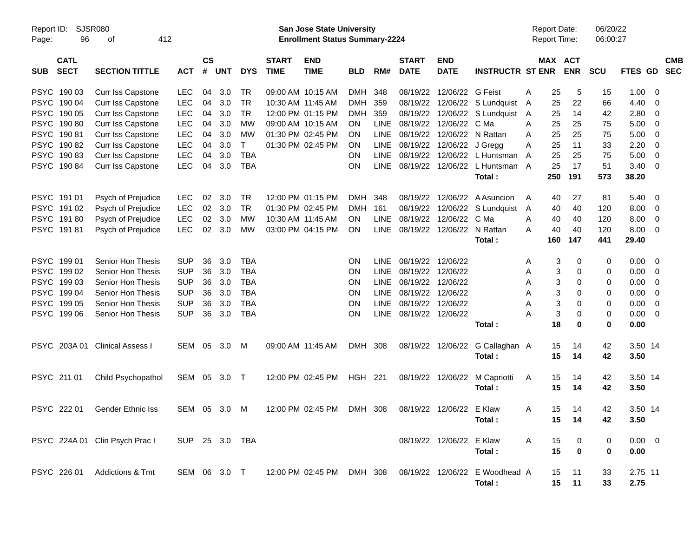| Report ID:<br>96<br>Page:                | <b>SJSR080</b><br>412<br>οf            |                   |                |            |            |                             | <b>San Jose State University</b><br><b>Enrollment Status Summary-2224</b> |                          |             |                             |                           |                                | <b>Report Date:</b><br><b>Report Time:</b> |          |                       | 06/20/22<br>06:00:27 |              |          |                          |
|------------------------------------------|----------------------------------------|-------------------|----------------|------------|------------|-----------------------------|---------------------------------------------------------------------------|--------------------------|-------------|-----------------------------|---------------------------|--------------------------------|--------------------------------------------|----------|-----------------------|----------------------|--------------|----------|--------------------------|
| <b>CATL</b><br><b>SECT</b><br><b>SUB</b> | <b>SECTION TITTLE</b>                  | <b>ACT</b>        | <b>CS</b><br># | <b>UNT</b> | <b>DYS</b> | <b>START</b><br><b>TIME</b> | <b>END</b><br><b>TIME</b>                                                 | <b>BLD</b>               | RM#         | <b>START</b><br><b>DATE</b> | <b>END</b><br><b>DATE</b> | <b>INSTRUCTR ST ENR</b>        |                                            |          | MAX ACT<br><b>ENR</b> | <b>SCU</b>           | FTES GD      |          | <b>CMB</b><br><b>SEC</b> |
| PSYC 190 03<br>PSYC 190 04               | Curr Iss Capstone<br>Curr Iss Capstone | LEC<br><b>LEC</b> | 04<br>04       | 3.0<br>3.0 | TR<br>TR   |                             | 09:00 AM 10:15 AM<br>10:30 AM 11:45 AM                                    | <b>DMH</b><br><b>DMH</b> | 348<br>359  | 08/19/22<br>08/19/22        | 12/06/22 G Feist          | 12/06/22 S Lundquist           | Α<br>A                                     | 25<br>25 | 5<br>22               | 15<br>66             | 1.00<br>4.40 | - 0<br>0 |                          |
| PSYC 190 05                              | Curr Iss Capstone                      | <b>LEC</b>        | 04             | 3.0        | <b>TR</b>  |                             | 12:00 PM 01:15 PM                                                         | <b>DMH</b>               | 359         | 08/19/22                    |                           | 12/06/22 S Lundquist           | A                                          | 25       | 14                    | 42                   | 2.80         | 0        |                          |
| PSYC 190 80                              | Curr Iss Capstone                      | <b>LEC</b>        | 04             | 3.0        | <b>MW</b>  |                             | 09:00 AM 10:15 AM                                                         | OΝ                       | <b>LINE</b> | 08/19/22                    | 12/06/22                  | C Ma                           | A                                          | 25       | 25                    | 75                   | 5.00         | 0        |                          |
| PSYC 19081                               | Curr Iss Capstone                      | <b>LEC</b>        | 04             | 3.0        | MW         |                             | 01:30 PM 02:45 PM                                                         | OΝ                       | <b>LINE</b> | 08/19/22                    |                           | 12/06/22 N Rattan              | A                                          | 25       | 25                    | 75                   | 5.00         | 0        |                          |
| PSYC 19082                               | Curr Iss Capstone                      | <b>LEC</b>        | 04             | 3.0        | T          |                             | 01:30 PM 02:45 PM                                                         | <b>ON</b>                | <b>LINE</b> | 08/19/22                    | 12/06/22 J Gregg          |                                | A                                          | 25       | 11                    | 33                   | 2.20         | 0        |                          |
| PSYC 19083                               | Curr Iss Capstone                      | <b>LEC</b>        | 04             | 3.0        | <b>TBA</b> |                             |                                                                           | ΟN                       | <b>LINE</b> | 08/19/22                    |                           | 12/06/22 L Huntsman            | $\overline{A}$                             | 25       | 25                    | 75                   | 5.00         | 0        |                          |
| PSYC 190 84                              | Curr Iss Capstone                      | <b>LEC</b>        | 04             | 3.0        | <b>TBA</b> |                             |                                                                           | ON                       | <b>LINE</b> | 08/19/22                    |                           | 12/06/22 L Huntsman A          |                                            | 25       | 17                    | 51                   | 3.40         | 0        |                          |
|                                          |                                        |                   |                |            |            |                             |                                                                           |                          |             |                             |                           | Total:                         |                                            | 250      | 191                   | 573                  | 38.20        |          |                          |
| PSYC 191 01                              | Psych of Prejudice                     | <b>LEC</b>        | 02             | 3.0        | TR         |                             | 12:00 PM 01:15 PM                                                         | <b>DMH</b>               | 348         | 08/19/22                    | 12/06/22                  | A Asuncion                     | A                                          | 40       | 27                    | 81                   | 5.40         | - 0      |                          |
| PSYC 191 02                              | Psych of Prejudice                     | <b>LEC</b>        | 02             | 3.0        | TR         |                             | 01:30 PM 02:45 PM                                                         | <b>DMH</b>               | 161         | 08/19/22                    | 12/06/22                  | S Lundquist                    | A                                          | 40       | 40                    | 120                  | 8.00         | 0        |                          |
| PSYC 19180                               | Psych of Prejudice                     | <b>LEC</b>        | 02             | 3.0        | <b>MW</b>  |                             | 10:30 AM 11:45 AM                                                         | OΝ                       | <b>LINE</b> | 08/19/22                    | 12/06/22 C Ma             |                                | A                                          | 40       | 40                    | 120                  | 8.00         | 0        |                          |
| PSYC 19181                               | <b>Psych of Prejudice</b>              | <b>LEC</b>        | 02             | 3.0        | <b>MW</b>  |                             | 03:00 PM 04:15 PM                                                         | <b>ON</b>                | LINE        | 08/19/22                    |                           | 12/06/22 N Rattan              | A                                          | 40       | 40                    | 120                  | 8.00         | 0        |                          |
|                                          |                                        |                   |                |            |            |                             |                                                                           |                          |             |                             |                           | Total :                        |                                            | 160      | 147                   | 441                  | 29.40        |          |                          |
| PSYC 199 01                              | Senior Hon Thesis                      | <b>SUP</b>        | 36             | 3.0        | <b>TBA</b> |                             |                                                                           | ΟN                       | <b>LINE</b> |                             | 08/19/22 12/06/22         |                                | Α                                          | 3        | 0                     | 0                    | 0.00         | - 0      |                          |
| PSYC 199 02                              | Senior Hon Thesis                      | <b>SUP</b>        | 36             | 3.0        | <b>TBA</b> |                             |                                                                           | ΟN                       | <b>LINE</b> | 08/19/22                    | 12/06/22                  |                                | Α                                          | 3        | 0                     | 0                    | 0.00         | 0        |                          |
| PSYC 199 03                              | Senior Hon Thesis                      | <b>SUP</b>        | 36             | 3.0        | <b>TBA</b> |                             |                                                                           | ΟN                       | <b>LINE</b> | 08/19/22                    | 12/06/22                  |                                | Α                                          | 3        | 0                     | 0                    | 0.00         | 0        |                          |
| PSYC 199 04                              | Senior Hon Thesis                      | <b>SUP</b>        | 36             | 3.0        | <b>TBA</b> |                             |                                                                           | ΟN                       | <b>LINE</b> | 08/19/22                    | 12/06/22                  |                                | Α                                          | 3        | 0                     | 0                    | 0.00         | 0        |                          |
| PSYC 199 05                              | Senior Hon Thesis                      | <b>SUP</b>        | 36             | 3.0        | <b>TBA</b> |                             |                                                                           | ΟN                       | <b>LINE</b> | 08/19/22                    | 12/06/22                  |                                | A                                          | 3        | 0                     | 0                    | 0.00         | 0        |                          |
| PSYC 199 06                              | Senior Hon Thesis                      | <b>SUP</b>        | 36             | 3.0        | <b>TBA</b> |                             |                                                                           | ON                       | <b>LINE</b> |                             | 08/19/22 12/06/22         |                                | Α                                          | 3        | 0                     | 0                    | 0.00         | 0        |                          |
|                                          |                                        |                   |                |            |            |                             |                                                                           |                          |             |                             |                           | Total:                         |                                            | 18       | 0                     | 0                    | 0.00         |          |                          |
| PSYC 203A01                              | <b>Clinical Assess I</b>               | SEM 05            |                | 3.0        | M          |                             | 09:00 AM 11:45 AM                                                         | DMH 308                  |             |                             | 08/19/22 12/06/22         | G Callaghan A                  |                                            | 15       | 14                    | 42                   | 3.50 14      |          |                          |
|                                          |                                        |                   |                |            |            |                             |                                                                           |                          |             |                             |                           | Total:                         |                                            | 15       | 14                    | 42                   | 3.50         |          |                          |
| PSYC 211 01                              | Child Psychopathol                     | SEM 05            |                | 3.0        | $\top$     |                             | 12:00 PM 02:45 PM                                                         | <b>HGH 221</b>           |             |                             | 08/19/22 12/06/22         | M Capriotti                    | A                                          | 15       | 14                    | 42                   | 3.50 14      |          |                          |
|                                          |                                        |                   |                |            |            |                             |                                                                           |                          |             |                             |                           | Total:                         |                                            | 15       | 14                    | 42                   | 3.50         |          |                          |
| PSYC 222 01                              | Gender Ethnic Iss                      | SEM 05            |                | - 3.0      | M          |                             | 12:00 PM 02:45 PM                                                         | DMH 308                  |             |                             | 08/19/22 12/06/22 E Klaw  |                                | A                                          | 15       | 14                    | 42                   | 3.50 14      |          |                          |
|                                          |                                        |                   |                |            |            |                             |                                                                           |                          |             |                             |                           | Total:                         |                                            | 15       | 14                    | 42                   | 3.50         |          |                          |
|                                          | PSYC 224A 01 Clin Psych Prac I         | SUP 25 3.0 TBA    |                |            |            |                             |                                                                           |                          |             |                             | 08/19/22 12/06/22 E Klaw  |                                | A                                          | 15       | 0                     | 0                    | $0.00 \t 0$  |          |                          |
|                                          |                                        |                   |                |            |            |                             |                                                                           |                          |             |                             |                           | Total:                         |                                            | 15       | $\mathbf 0$           | 0                    | 0.00         |          |                          |
|                                          |                                        |                   |                |            |            |                             |                                                                           |                          |             |                             |                           |                                |                                            |          |                       |                      |              |          |                          |
| PSYC 226 01                              | <b>Addictions &amp; Tmt</b>            | SEM 06 3.0 T      |                |            |            |                             | 12:00 PM_02:45 PM                                                         | DMH 308                  |             |                             |                           | 08/19/22 12/06/22 E Woodhead A |                                            | 15       | 11                    | 33                   | 2.75 11      |          |                          |
|                                          |                                        |                   |                |            |            |                             |                                                                           |                          |             |                             |                           | Total:                         |                                            | 15       | 11                    | 33                   | 2.75         |          |                          |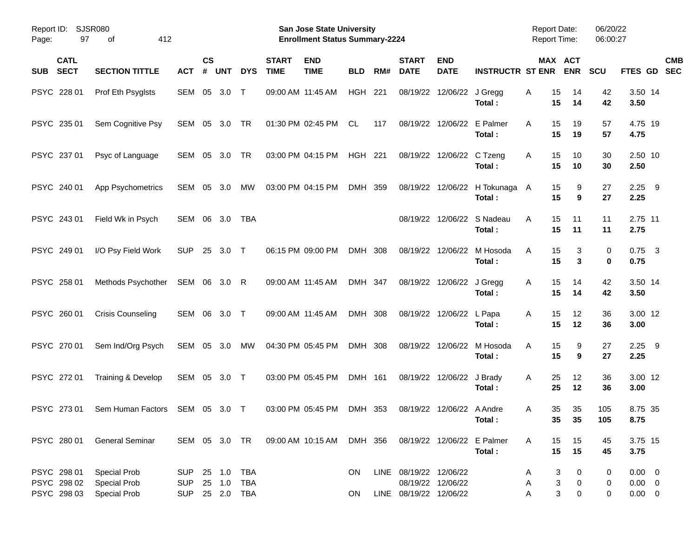| Report ID: SJSR080<br>97<br>Page:         | 412<br>οf                                                         |                                     |                    |            |                     |                             | San Jose State University<br><b>Enrollment Status Summary-2224</b> |                |     |                                                  |                           |                                        | <b>Report Date:</b><br>Report Time: |                                                    | 06/20/22<br>06:00:27 |                                           |                          |
|-------------------------------------------|-------------------------------------------------------------------|-------------------------------------|--------------------|------------|---------------------|-----------------------------|--------------------------------------------------------------------|----------------|-----|--------------------------------------------------|---------------------------|----------------------------------------|-------------------------------------|----------------------------------------------------|----------------------|-------------------------------------------|--------------------------|
| <b>CATL</b><br><b>SECT</b><br><b>SUB</b>  | <b>SECTION TITTLE</b>                                             | <b>ACT</b>                          | $\mathsf{cs}$<br># | <b>UNT</b> | <b>DYS</b>          | <b>START</b><br><b>TIME</b> | <b>END</b><br><b>TIME</b>                                          | <b>BLD</b>     | RM# | <b>START</b><br><b>DATE</b>                      | <b>END</b><br><b>DATE</b> | <b>INSTRUCTR ST ENR</b>                |                                     | MAX ACT<br><b>ENR</b>                              | <b>SCU</b>           | FTES GD                                   | <b>CMB</b><br><b>SEC</b> |
| PSYC 228 01                               | Prof Eth Psyglsts                                                 | SEM 05                              |                    | 3.0        | $\top$              |                             | 09:00 AM 11:45 AM                                                  | HGH            | 221 | 08/19/22                                         | 12/06/22 J Gregg          | Total:                                 | 15<br>A<br>15                       | 14<br>14                                           | 42<br>42             | 3.50 14<br>3.50                           |                          |
| PSYC 235 01                               | Sem Cognitive Psy                                                 | SEM                                 | 05                 | 3.0        | TR                  |                             | 01:30 PM 02:45 PM                                                  | CL.            | 117 |                                                  | 08/19/22 12/06/22         | E Palmer<br>Total:                     | 15<br>Α<br>15                       | 19<br>19                                           | 57<br>57             | 4.75 19<br>4.75                           |                          |
| PSYC 237 01                               | Psyc of Language                                                  | SEM 05                              |                    | 3.0        | TR                  |                             | 03:00 PM 04:15 PM                                                  | <b>HGH 221</b> |     |                                                  | 08/19/22 12/06/22 C Tzeng | Total:                                 | 15<br>A<br>15                       | 10<br>10                                           | 30<br>30             | 2.50 10<br>2.50                           |                          |
| PSYC 240 01                               | App Psychometrics                                                 | SEM                                 | 05                 | 3.0        | MW                  |                             | 03:00 PM 04:15 PM                                                  | DMH 359        |     |                                                  |                           | 08/19/22 12/06/22 H Tokunaga<br>Total: | 15<br>A<br>15                       | 9<br>9                                             | 27<br>27             | 2.25<br>2.25                              | - 9                      |
| PSYC 243 01                               | Field Wk in Psych                                                 | SEM 06                              |                    | 3.0        | TBA                 |                             |                                                                    |                |     |                                                  | 08/19/22 12/06/22         | S Nadeau<br>Total:                     | 15<br>A<br>15                       | 11<br>11                                           | 11<br>11             | 2.75 11<br>2.75                           |                          |
| PSYC 249 01                               | I/O Psy Field Work                                                | <b>SUP</b>                          | 25                 | $3.0$ T    |                     |                             | 06:15 PM 09:00 PM                                                  | DMH 308        |     |                                                  | 08/19/22 12/06/22         | M Hosoda<br>Total:                     | 15<br>A<br>15                       | 3<br>3                                             | 0<br>0               | 0.75<br>0.75                              | $\overline{\mathbf{3}}$  |
| PSYC 258 01                               | Methods Psychother                                                | SEM 06 3.0 R                        |                    |            |                     |                             | 09:00 AM 11:45 AM                                                  | DMH 347        |     |                                                  | 08/19/22 12/06/22 J Gregg | Total:                                 | 15<br>Α<br>15                       | 14<br>14                                           | 42<br>42             | 3.50 14<br>3.50                           |                          |
| PSYC 260 01                               | <b>Crisis Counseling</b>                                          | SEM 06                              |                    | 3.0        | $\top$              |                             | 09:00 AM 11:45 AM                                                  | DMH 308        |     |                                                  | 08/19/22 12/06/22 L Papa  | Total:                                 | 15<br>Α<br>15                       | 12<br>12                                           | 36<br>36             | 3.00 12<br>3.00                           |                          |
| PSYC 270 01                               | Sem Ind/Org Psych                                                 | SEM 05                              |                    | 3.0        | MW                  |                             | 04:30 PM 05:45 PM                                                  | DMH 308        |     |                                                  | 08/19/22 12/06/22         | M Hosoda<br>Total:                     | 15<br>A<br>15                       | 9<br>9                                             | 27<br>27             | 2.25<br>2.25                              | - 9                      |
| PSYC 272 01                               | Training & Develop                                                | SEM 05                              |                    | 3.0 T      |                     |                             | 03:00 PM 05:45 PM                                                  | DMH 161        |     |                                                  | 08/19/22 12/06/22 J Brady | Total:                                 | 25<br>A<br>25                       | 12<br>12                                           | 36<br>36             | 3.00 12<br>3.00                           |                          |
| PSYC 273 01                               | Sem Human Factors                                                 | SEM 05                              |                    | 3.0 T      |                     |                             | 03:00 PM 05:45 PM                                                  | DMH 353        |     |                                                  | 08/19/22 12/06/22 A Andre | Total:                                 | 35<br>A                             | 35<br>35 <sub>5</sub><br>35                        | 105<br>105           | 8.75 35<br>8.75                           |                          |
|                                           | PSYC 280 01 General Seminar                                       |                                     |                    |            |                     |                             | SEM 05 3.0 TR 09:00 AM 10:15 AM DMH 356 08/19/22 12/06/22 E Palmer |                |     |                                                  |                           | Total:                                 | 15<br>A<br>15                       | 15<br>15                                           | 45<br>45             | 3.75 15<br>3.75                           |                          |
| PSYC 298 01<br>PSYC 298 02<br>PSYC 298 03 | <b>Special Prob</b><br><b>Special Prob</b><br><b>Special Prob</b> | SUP 25 1.0 TBA<br>SUP<br><b>SUP</b> |                    | 25 1.0     | TBA<br>25  2.0  TBA |                             |                                                                    | ON.<br>ON.     |     | LINE 08/19/22 12/06/22<br>LINE 08/19/22 12/06/22 | 08/19/22 12/06/22         |                                        | A<br>Α<br>Α                         | 3<br>0<br>$\ensuremath{\mathsf{3}}$<br>0<br>3<br>0 | 0<br>0<br>0          | $0.00 \t 0$<br>$0.00 \t 0$<br>$0.00 \t 0$ |                          |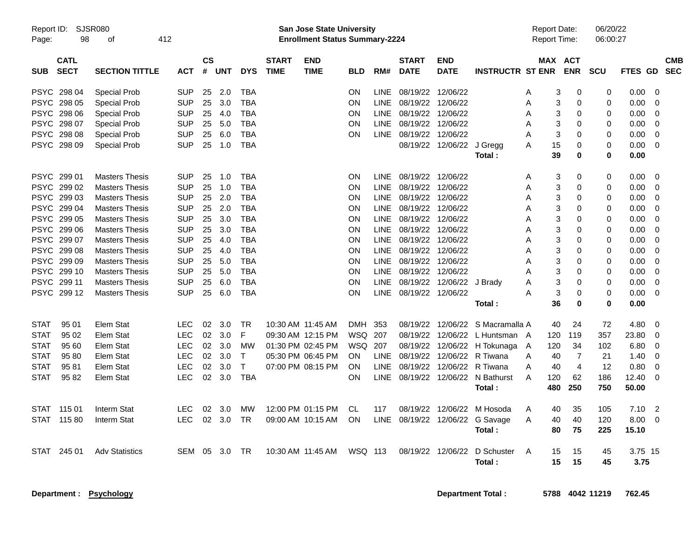| Report ID:<br>Page: | SJSR080<br>98              | οf                    | 412        |                 |            |            |                             | San Jose State University<br><b>Enrollment Status Summary-2224</b> |            |             |                             |                           |                         | <b>Report Date:</b><br><b>Report Time:</b> |                       | 06/20/22<br>06:00:27 |                |                |                          |
|---------------------|----------------------------|-----------------------|------------|-----------------|------------|------------|-----------------------------|--------------------------------------------------------------------|------------|-------------|-----------------------------|---------------------------|-------------------------|--------------------------------------------|-----------------------|----------------------|----------------|----------------|--------------------------|
| <b>SUB</b>          | <b>CATL</b><br><b>SECT</b> | <b>SECTION TITTLE</b> | АСТ        | CS<br>#         | <b>UNT</b> | <b>DYS</b> | <b>START</b><br><b>TIME</b> | <b>END</b><br><b>TIME</b>                                          | BLD        | RM#         | <b>START</b><br><b>DATE</b> | <b>END</b><br><b>DATE</b> | <b>INSTRUCTR ST ENR</b> |                                            | MAX ACT<br><b>ENR</b> | <b>SCU</b>           | <b>FTES GD</b> |                | <b>CMB</b><br><b>SEC</b> |
| PSYC                | 298 04                     | <b>Special Prob</b>   | <b>SUP</b> | 25              | 2.0        | TBA        |                             |                                                                    | ΟN         | <b>LINE</b> | 08/19/22                    | 12/06/22                  |                         | A                                          | 3<br>0                | 0                    | 0.00           | 0              |                          |
|                     | PSYC 298 05                | <b>Special Prob</b>   | <b>SUP</b> | 25              | 3.0        | <b>TBA</b> |                             |                                                                    | ΟN         | <b>LINE</b> | 08/19/22 12/06/22           |                           |                         | A                                          | $\boldsymbol{0}$<br>3 | $\mathbf 0$          | 0.00           | $\overline{0}$ |                          |
| PSYC                | 298 06                     | <b>Special Prob</b>   | <b>SUP</b> | 25              | 4.0        | <b>TBA</b> |                             |                                                                    | ON         | <b>LINE</b> | 08/19/22 12/06/22           |                           |                         | A                                          | 3<br>0                | 0                    | 0.00           | $\mathbf 0$    |                          |
|                     | PSYC 298 07                | <b>Special Prob</b>   | <b>SUP</b> | 25              | 5.0        | <b>TBA</b> |                             |                                                                    | ΟN         | <b>LINE</b> | 08/19/22                    | 12/06/22                  |                         | A                                          | 3<br>$\mathbf 0$      | $\mathbf 0$          | 0.00           | $\overline{0}$ |                          |
| PSYC                | 298 08                     | <b>Special Prob</b>   | <b>SUP</b> | 25              | 6.0        | <b>TBA</b> |                             |                                                                    | ON         | <b>LINE</b> | 08/19/22                    | 12/06/22                  |                         | A                                          | 3<br>0                | 0                    | 0.00           | $\mathbf 0$    |                          |
|                     | PSYC 298 09                | Special Prob          | <b>SUP</b> | 25              | 1.0        | <b>TBA</b> |                             |                                                                    |            |             |                             | 08/19/22 12/06/22         | J Gregg                 | A<br>15                                    | $\mathbf 0$           | 0                    | 0.00           | $\Omega$       |                          |
|                     |                            |                       |            |                 |            |            |                             |                                                                    |            |             |                             |                           | Total:                  | 39                                         | $\mathbf 0$           | 0                    | 0.00           |                |                          |
|                     | PSYC 299 01                | <b>Masters Thesis</b> | <b>SUP</b> | 25              | 1.0        | <b>TBA</b> |                             |                                                                    | ON         | <b>LINE</b> | 08/19/22 12/06/22           |                           |                         | A                                          | 3<br>$\mathbf 0$      | 0                    | 0.00           | 0              |                          |
| PSYC                | 299 02                     | <b>Masters Thesis</b> | <b>SUP</b> | 25              | 1.0        | <b>TBA</b> |                             |                                                                    | ON         | <b>LINE</b> | 08/19/22                    | 12/06/22                  |                         | A                                          | $\mathbf 0$<br>3      | $\mathbf 0$          | 0.00           | $\mathbf 0$    |                          |
| <b>PSYC</b>         | 299 03                     | <b>Masters Thesis</b> | <b>SUP</b> | 25              | 2.0        | <b>TBA</b> |                             |                                                                    | ΟN         | <b>LINE</b> | 08/19/22                    | 12/06/22                  |                         | A                                          | 3<br>$\mathbf 0$      | 0                    | 0.00           | 0              |                          |
| <b>PSYC</b>         | 299 04                     | <b>Masters Thesis</b> | <b>SUP</b> | 25              | 2.0        | <b>TBA</b> |                             |                                                                    | ON         | <b>LINE</b> | 08/19/22                    | 12/06/22                  |                         | А                                          | 3<br>$\mathbf 0$      | $\mathbf 0$          | 0.00           | $\mathbf 0$    |                          |
|                     | PSYC 29905                 | <b>Masters Thesis</b> | <b>SUP</b> | 25              | 3.0        | <b>TBA</b> |                             |                                                                    | ON         | <b>LINE</b> | 08/19/22                    | 12/06/22                  |                         | А                                          | 3<br>$\mathbf 0$      | $\mathbf 0$          | 0.00           | $\mathbf 0$    |                          |
| PSYC                | 299 06                     | <b>Masters Thesis</b> | <b>SUP</b> | 25              | 3.0        | TBA        |                             |                                                                    | ΟN         | LINE        | 08/19/22 12/06/22           |                           |                         | Α                                          | 3<br>$\mathbf 0$      | $\mathbf 0$          | 0.00           | 0              |                          |
| <b>PSYC</b>         | 299 07                     | <b>Masters Thesis</b> | <b>SUP</b> | 25              | 4.0        | <b>TBA</b> |                             |                                                                    | ΟN         | <b>LINE</b> | 08/19/22 12/06/22           |                           |                         | A                                          | 3<br>$\mathbf 0$      | 0                    | 0.00           | $\mathbf 0$    |                          |
| <b>PSYC</b>         | 299 08                     | <b>Masters Thesis</b> | <b>SUP</b> | 25              | 4.0        | <b>TBA</b> |                             |                                                                    | ON         | <b>LINE</b> | 08/19/22                    | 12/06/22                  |                         | А                                          | 3<br>$\mathbf 0$      | $\mathbf 0$          | 0.00           | $\mathbf 0$    |                          |
|                     | PSYC 299 09                | <b>Masters Thesis</b> | <b>SUP</b> | 25              | 5.0        | <b>TBA</b> |                             |                                                                    | ON         | <b>LINE</b> | 08/19/22 12/06/22           |                           |                         | A                                          | 3<br>$\mathbf 0$      | $\mathbf 0$          | 0.00           | $\mathbf 0$    |                          |
|                     | PSYC 299 10                | <b>Masters Thesis</b> | <b>SUP</b> | 25              | 5.0        | <b>TBA</b> |                             |                                                                    | ΟN         | <b>LINE</b> | 08/19/22 12/06/22           |                           |                         | A                                          | 3<br>0                | 0                    | 0.00           | $\mathbf 0$    |                          |
| PSYC                | 299 11                     | <b>Masters Thesis</b> | <b>SUP</b> | 25              | 6.0        | <b>TBA</b> |                             |                                                                    | ΟN         | <b>LINE</b> |                             | 08/19/22 12/06/22         | J Brady                 | A                                          | 3<br>$\mathbf 0$      | $\mathbf 0$          | 0.00           | $\overline{0}$ |                          |
|                     | PSYC 299 12                | <b>Masters Thesis</b> | <b>SUP</b> | 25              | 6.0        | <b>TBA</b> |                             |                                                                    | ON         | <b>LINE</b> | 08/19/22 12/06/22           |                           |                         | А                                          | 3<br>$\mathbf 0$      | 0                    | 0.00           | $\mathbf 0$    |                          |
|                     |                            |                       |            |                 |            |            |                             |                                                                    |            |             |                             |                           | Total:                  | 36                                         | $\bf{0}$              | $\mathbf 0$          | 0.00           |                |                          |
| <b>STAT</b>         | 95 01                      | <b>Elem Stat</b>      | LEC        | 02              | 3.0        | <b>TR</b>  |                             | 10:30 AM 11:45 AM                                                  | <b>DMH</b> | 353         | 08/19/22                    | 12/06/22                  | S Macramalla A          | 40                                         | 24                    | 72                   | 4.80           | $\mathbf 0$    |                          |
| <b>STAT</b>         | 95 02                      | Elem Stat             | <b>LEC</b> | 02              | 3.0        | F          |                             | 09:30 AM 12:15 PM                                                  | <b>WSQ</b> | 207         | 08/19/22                    | 12/06/22                  | L Huntsman A            | 120                                        | 119                   | 357                  | 23.80          | $\mathbf 0$    |                          |
| <b>STAT</b>         | 95 60                      | Elem Stat             | <b>LEC</b> | 02              | 3.0        | MW         |                             | 01:30 PM 02:45 PM                                                  | WSQ        | 207         | 08/19/22                    | 12/06/22                  | H Tokunaga              | 120<br>A                                   | 34                    | 102                  | 6.80           | 0              |                          |
| <b>STAT</b>         | 9580                       | Elem Stat             | <b>LEC</b> | 02              | 3.0        | T          |                             | 05:30 PM 06:45 PM                                                  | <b>ON</b>  | <b>LINE</b> | 08/19/22                    | 12/06/22                  | R Tiwana                | A<br>40                                    | $\overline{7}$        | 21                   | 1.40           | $\mathbf 0$    |                          |
| STAT                | 9581                       | Elem Stat             | <b>LEC</b> | 02              | 3.0        | $\top$     |                             | 07:00 PM 08:15 PM                                                  | ON         | <b>LINE</b> | 08/19/22                    | 12/06/22                  | R Tiwana                | A<br>40                                    | $\overline{4}$        | 12                   | 0.80           | $\mathbf 0$    |                          |
| <b>STAT</b>         | 95 82                      | Elem Stat             | <b>LEC</b> | 02 <sub>2</sub> | 3.0        | <b>TBA</b> |                             |                                                                    | ΟN         | LINE        |                             | 08/19/22 12/06/22         | N Bathurst              | A<br>120                                   | 62                    | 186                  | 12.40          | 0              |                          |
|                     |                            |                       |            |                 |            |            |                             |                                                                    |            |             |                             |                           | Total:                  | 480                                        | 250                   | 750                  | 50.00          |                |                          |
| STAT                | 115 01                     | Interm Stat           | <b>LEC</b> | 02              | 3.0        | МW         |                             | 12:00 PM 01:15 PM                                                  | CL         | 117         | 08/19/22                    | 12/06/22                  | M Hosoda                | 40<br>A                                    | 35                    | 105                  | 7.10           | $\overline{2}$ |                          |
| STAT                | 11580                      | Interm Stat           | LEC        | 02              | 3.0        | TR         |                             | 09:00 AM 10:15 AM                                                  | ON         | <b>LINE</b> | 08/19/22 12/06/22           |                           | G Savage                | A<br>40                                    | 40                    | 120                  | 8.00           | $\overline{0}$ |                          |
|                     |                            |                       |            |                 |            |            |                             |                                                                    |            |             |                             |                           | Total:                  | 80                                         | 75                    | 225                  | 15.10          |                |                          |
| STAT                | 245 01                     | <b>Adv Statistics</b> | SEM        | 05              | 3.0        | TR         |                             | 10:30 AM 11:45 AM                                                  | WSQ 113    |             | 08/19/22                    | 12/06/22                  | D Schuster              | A<br>15                                    | 15                    | 45                   | 3.75 15        |                |                          |
|                     |                            |                       |            |                 |            |            |                             |                                                                    |            |             |                             |                           | <b>Total:</b>           | 15                                         | 15                    | 45                   | 3.75           |                |                          |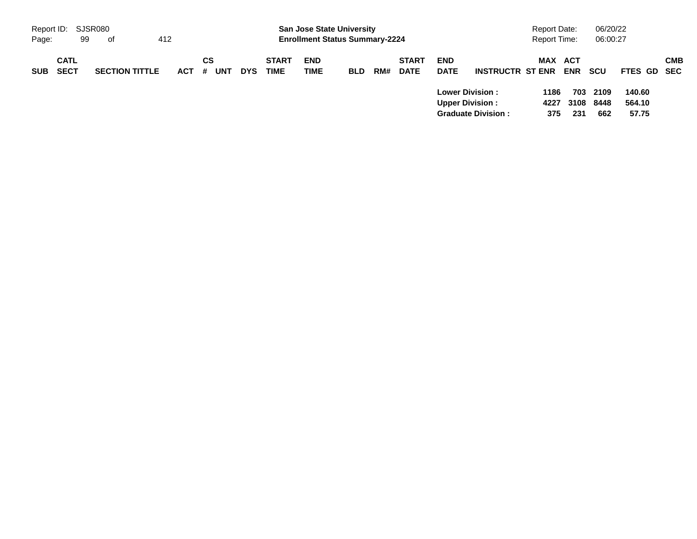| Report ID: SJSR080 |                            |    |                       |     |         |    |     |            |                             | <b>San Jose State University</b>      |            |     |                             |                           |                                                                               | <b>Report Date:</b> |                    | 06/20/22            |                           |            |
|--------------------|----------------------------|----|-----------------------|-----|---------|----|-----|------------|-----------------------------|---------------------------------------|------------|-----|-----------------------------|---------------------------|-------------------------------------------------------------------------------|---------------------|--------------------|---------------------|---------------------------|------------|
| Page:              |                            | 99 | of                    | 412 |         |    |     |            |                             | <b>Enrollment Status Summary-2224</b> |            |     |                             |                           |                                                                               | <b>Report Time:</b> |                    | 06:00:27            |                           |            |
| <b>SUB</b>         | <b>CATL</b><br><b>SECT</b> |    | <b>SECTION TITTLE</b> |     | $ACT$ # | СS | UNT | <b>DYS</b> | <b>START</b><br><b>TIME</b> | <b>END</b><br><b>TIME</b>             | <b>BLD</b> | RM# | <b>START</b><br><b>DATE</b> | <b>END</b><br><b>DATE</b> | <b>INSTRUCTR ST ENR</b>                                                       | <b>MAX ACT</b>      | <b>ENR</b>         | scu                 | FTES GD SEC               | <b>CMB</b> |
|                    |                            |    |                       |     |         |    |     |            |                             |                                       |            |     |                             |                           | <b>Lower Division:</b><br><b>Upper Division:</b><br><b>Graduate Division:</b> | 1186<br>4227<br>375 | 703<br>3108<br>231 | 2109<br>8448<br>662 | 140.60<br>564.10<br>57.75 |            |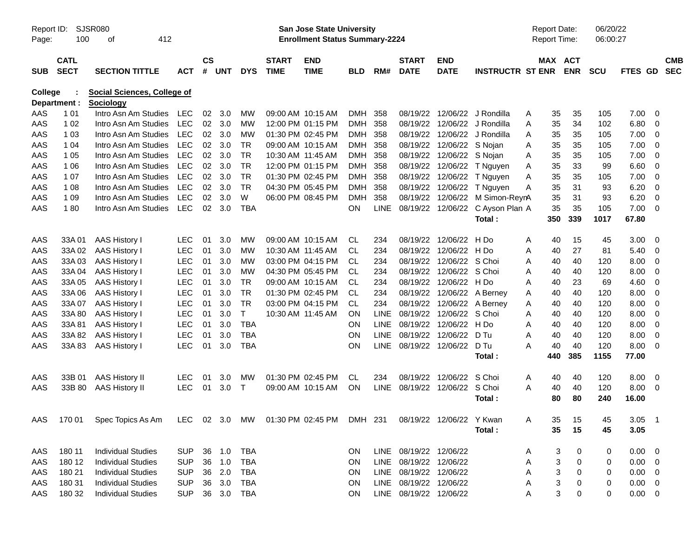| Report ID:<br>Page: | 100                        | <b>SJSR080</b><br>412<br>οf                     |            |           |        |              |                             | <b>San Jose State University</b><br><b>Enrollment Status Summary-2224</b> |            |             |                             |                           |                         | <b>Report Date:</b><br><b>Report Time:</b> |                |            | 06/20/22<br>06:00:27 |               |                |                          |
|---------------------|----------------------------|-------------------------------------------------|------------|-----------|--------|--------------|-----------------------------|---------------------------------------------------------------------------|------------|-------------|-----------------------------|---------------------------|-------------------------|--------------------------------------------|----------------|------------|----------------------|---------------|----------------|--------------------------|
| <b>SUB</b>          | <b>CATL</b><br><b>SECT</b> | <b>SECTION TITTLE</b>                           | <b>ACT</b> | <b>CS</b> | # UNT  | <b>DYS</b>   | <b>START</b><br><b>TIME</b> | <b>END</b><br><b>TIME</b>                                                 | <b>BLD</b> | RM#         | <b>START</b><br><b>DATE</b> | <b>END</b><br><b>DATE</b> | <b>INSTRUCTR ST ENR</b> |                                            | <b>MAX ACT</b> | <b>ENR</b> | <b>SCU</b>           | FTES GD       |                | <b>CMB</b><br><b>SEC</b> |
| College             | Department :               | <b>Social Sciences, College of</b><br>Sociology |            |           |        |              |                             |                                                                           |            |             |                             |                           |                         |                                            |                |            |                      |               |                |                          |
| AAS                 | 1 0 1                      | Intro Asn Am Studies                            | LEC        | 02        | 3.0    | МW           |                             | 09:00 AM 10:15 AM                                                         | DMH        | 358         | 08/19/22                    | 12/06/22                  | J Rondilla              | A                                          | 35             | 35         | 105                  | 7.00          | -0             |                          |
| AAS                 | 1 0 2                      | Intro Asn Am Studies                            | LEC        | 02        | 3.0    | <b>MW</b>    |                             | 12:00 PM 01:15 PM                                                         | <b>DMH</b> | 358         | 08/19/22                    |                           | 12/06/22 J Rondilla     | A                                          | 35             | 34         | 102                  | 6.80          | -0             |                          |
| AAS                 | 1 0 3                      | Intro Asn Am Studies                            | <b>LEC</b> | 02        | 3.0    | <b>MW</b>    |                             | 01:30 PM 02:45 PM                                                         | DMH        | 358         | 08/19/22                    |                           | 12/06/22 J Rondilla     | A                                          | 35             | 35         | 105                  | 7.00          | -0             |                          |
| AAS                 | 1 04                       | Intro Asn Am Studies                            | <b>LEC</b> | 02        | 3.0    | <b>TR</b>    |                             | 09:00 AM 10:15 AM                                                         | DMH 358    |             | 08/19/22                    | 12/06/22 S Nojan          |                         | A                                          | 35             | 35         | 105                  | 7.00          | -0             |                          |
| AAS                 | 1 0 5                      | Intro Asn Am Studies                            | <b>LEC</b> | 02        | 3.0    | <b>TR</b>    |                             | 10:30 AM 11:45 AM                                                         | DMH 358    |             | 08/19/22                    | 12/06/22 S Nojan          |                         | A                                          | 35             | 35         | 105                  | 7.00          | $\overline{0}$ |                          |
| AAS                 | 1 0 6                      | Intro Asn Am Studies                            | <b>LEC</b> | 02        | 3.0    | <b>TR</b>    |                             | 12:00 PM 01:15 PM                                                         | DMH 358    |             | 08/19/22                    | 12/06/22                  | T Nguyen                | A                                          | 35             | 33         | 99                   | 6.60          | $\overline{0}$ |                          |
| AAS                 | 1 0 7                      | Intro Asn Am Studies                            | <b>LEC</b> | 02        | 3.0    | <b>TR</b>    |                             | 01:30 PM 02:45 PM                                                         | DMH        | 358         | 08/19/22                    | 12/06/22                  | T Nguyen                | Α                                          | 35             | 35         | 105                  | 7.00          | -0             |                          |
| AAS                 | 1 0 8                      | Intro Asn Am Studies                            | <b>LEC</b> | 02        | 3.0    | <b>TR</b>    |                             | 04:30 PM 05:45 PM                                                         | DMH        | 358         | 08/19/22                    | 12/06/22                  | T Nguyen                | A                                          | 35             | 31         | 93                   | 6.20          | -0             |                          |
| AAS                 | 1 0 9                      | Intro Asn Am Studies                            | <b>LEC</b> | 02        | 3.0    | W            |                             | 06:00 PM 08:45 PM                                                         | <b>DMH</b> | 358         | 08/19/22                    | 12/06/22                  | M Simon-ReynA           |                                            | 35             | 31         | 93                   | 6.20          | $\overline{0}$ |                          |
| AAS                 | 180                        | Intro Asn Am Studies                            | <b>LEC</b> |           | 02 3.0 | <b>TBA</b>   |                             |                                                                           | ON         | <b>LINE</b> | 08/19/22                    | 12/06/22                  | C Ayson Plan A          |                                            | 35             | 35         | 105                  | 7.00          | $\Omega$       |                          |
|                     |                            |                                                 |            |           |        |              |                             |                                                                           |            |             |                             |                           | Total:                  |                                            | 350            | 339        | 1017                 | 67.80         |                |                          |
| AAS                 | 33A01                      | <b>AAS History I</b>                            | <b>LEC</b> | 01        | 3.0    | <b>MW</b>    |                             | 09:00 AM 10:15 AM                                                         | CL.        | 234         | 08/19/22                    | 12/06/22                  | H Do                    | A                                          | 40             | 15         | 45                   | 3.00          | - 0            |                          |
| AAS                 | 33A 02                     | <b>AAS History I</b>                            | <b>LEC</b> | 01        | 3.0    | <b>MW</b>    |                             | 10:30 AM 11:45 AM                                                         | <b>CL</b>  | 234         | 08/19/22                    | 12/06/22                  | H Do                    | A                                          | 40             | 27         | 81                   | 5.40          | -0             |                          |
| AAS                 | 33A03                      | <b>AAS History I</b>                            | <b>LEC</b> | 01        | 3.0    | <b>MW</b>    |                             | 03:00 PM 04:15 PM                                                         | CL.        | 234         | 08/19/22                    | 12/06/22                  | S Choi                  | A                                          | 40             | 40         | 120                  | 8.00          | -0             |                          |
| AAS                 | 33A 04                     | <b>AAS History I</b>                            | <b>LEC</b> | 01        | 3.0    | <b>MW</b>    |                             | 04:30 PM 05:45 PM                                                         | <b>CL</b>  | 234         | 08/19/22                    | 12/06/22                  | S Choi                  | A                                          | 40             | 40         | 120                  | 8.00          | -0             |                          |
| AAS                 | 33A 05                     | <b>AAS History I</b>                            | <b>LEC</b> | 01        | 3.0    | <b>TR</b>    |                             | 09:00 AM 10:15 AM                                                         | <b>CL</b>  | 234         | 08/19/22                    | 12/06/22                  | H Do                    | A                                          | 40             | 23         | 69                   | 4.60          | -0             |                          |
| AAS                 | 33A 06                     | <b>AAS History I</b>                            | <b>LEC</b> | 01        | 3.0    | <b>TR</b>    |                             | 01:30 PM 02:45 PM                                                         | <b>CL</b>  | 234         | 08/19/22                    | 12/06/22                  | A Berney                | A                                          | 40             | 40         | 120                  | 8.00          | -0             |                          |
| AAS                 | 33A 07                     | <b>AAS History I</b>                            | <b>LEC</b> | 01        | 3.0    | <b>TR</b>    |                             | 03:00 PM 04:15 PM                                                         | CL         | 234         | 08/19/22                    | 12/06/22                  | A Berney                | Α                                          | 40             | 40         | 120                  | 8.00          | -0             |                          |
| AAS                 | 33A 80                     | <b>AAS History I</b>                            | <b>LEC</b> | 01        | 3.0    | Т            |                             | 10:30 AM 11:45 AM                                                         | ΟN         | <b>LINE</b> | 08/19/22                    | 12/06/22                  | S Choi                  | A                                          | 40             | 40         | 120                  | 8.00          | -0             |                          |
| AAS                 | 33A81                      | <b>AAS History I</b>                            | <b>LEC</b> | 01        | 3.0    | <b>TBA</b>   |                             |                                                                           | ΟN         | <b>LINE</b> | 08/19/22                    | 12/06/22                  | H Do                    | A                                          | 40             | 40         | 120                  | 8.00          | -0             |                          |
| AAS                 | 33A 82                     | <b>AAS History I</b>                            | <b>LEC</b> | 01        | 3.0    | <b>TBA</b>   |                             |                                                                           | ΟN         | <b>LINE</b> | 08/19/22                    | 12/06/22                  | D Tu                    | A                                          | 40             | 40         | 120                  | 8.00          | -0             |                          |
| AAS                 | 33A 83                     | AAS History I                                   | <b>LEC</b> | 01        | 3.0    | <b>TBA</b>   |                             |                                                                           | ON         | LINE        | 08/19/22                    | 12/06/22                  | D Tu<br>Total:          | A                                          | 40<br>440      | 40<br>385  | 120<br>1155          | 8.00<br>77.00 | $\overline{0}$ |                          |
| AAS                 | 33B 01                     | <b>AAS History II</b>                           | LEC        | 01        | 3.0    | МW           |                             | 01:30 PM 02:45 PM                                                         | CL.        | 234         | 08/19/22                    | 12/06/22                  | S Choi                  | A                                          | 40             | 40         | 120                  | 8.00          | - 0            |                          |
| AAS                 | 33B 80                     | <b>AAS History II</b>                           | <b>LEC</b> | 01        | 3.0    | $\mathsf{T}$ |                             | 09:00 AM 10:15 AM                                                         | ON         | <b>LINE</b> | 08/19/22                    | 12/06/22                  | S Choi                  | A                                          | 40             | 40         | 120                  | 8.00          | - 0            |                          |
|                     |                            |                                                 |            |           |        |              |                             |                                                                           |            |             |                             |                           | Total :                 |                                            | 80             | 80         | 240                  | 16.00         |                |                          |
| AAS                 | 170 01                     | Spec Topics As Am                               |            |           |        |              |                             | LEC 02 3.0 MW 01:30 PM 02:45 PM DMH 231 08/19/22 12/06/22                 |            |             |                             |                           | Y Kwan                  | Α                                          | 35             | 15         | 45                   | 3.05          | $\overline{1}$ |                          |
|                     |                            |                                                 |            |           |        |              |                             |                                                                           |            |             |                             |                           | Total:                  |                                            | 35             | 15         | 45                   | 3.05          |                |                          |
| AAS                 | 180 11                     | <b>Individual Studies</b>                       | <b>SUP</b> |           | 36 1.0 | <b>TBA</b>   |                             |                                                                           | ON.        |             | LINE 08/19/22 12/06/22      |                           |                         | A                                          | 3              | 0          | 0                    | $0.00 \t 0$   |                |                          |
| AAS                 | 180 12                     | <b>Individual Studies</b>                       | <b>SUP</b> | 36        | 1.0    | <b>TBA</b>   |                             |                                                                           | ON         |             | LINE 08/19/22 12/06/22      |                           |                         | Α                                          | 3              | $\,0\,$    | 0                    | $0.00 \t 0$   |                |                          |
| AAS                 | 180 21                     | <b>Individual Studies</b>                       | <b>SUP</b> | 36        | 2.0    | TBA          |                             |                                                                           | ON         |             | LINE 08/19/22 12/06/22      |                           |                         | Α                                          | 3              | 0          | 0                    | $0.00 \t 0$   |                |                          |
| AAS                 | 180 31                     | <b>Individual Studies</b>                       | <b>SUP</b> |           | 36 3.0 | TBA          |                             |                                                                           | <b>ON</b>  |             | LINE 08/19/22 12/06/22      |                           |                         | A                                          | 3              | 0          | 0                    | $0.00 \t 0$   |                |                          |
| AAS                 | 180 32                     | <b>Individual Studies</b>                       | <b>SUP</b> |           |        | 36 3.0 TBA   |                             |                                                                           | ON.        |             | LINE 08/19/22 12/06/22      |                           |                         | Α                                          | 3              | $\pmb{0}$  | 0                    | $0.00 \t 0$   |                |                          |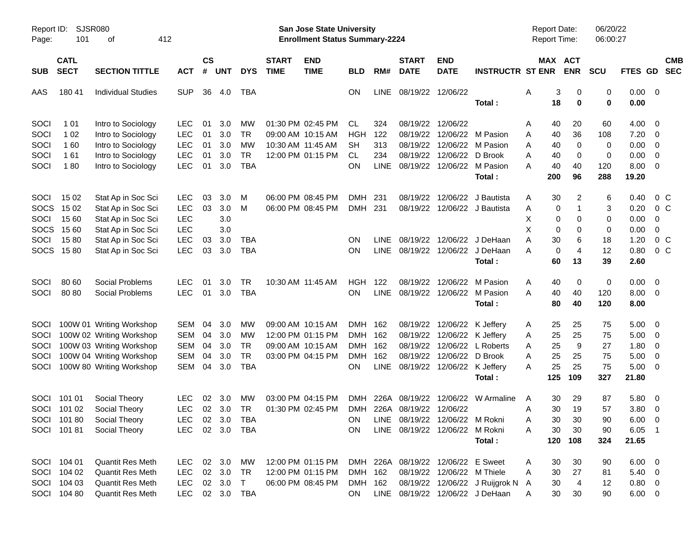| Report ID:<br>Page: | SJSR080<br>101             | οf                        | 412        |                    |            |                |                             | San Jose State University<br><b>Enrollment Status Summary-2224</b> |            |             |                             |                                |                                   | <b>Report Date:</b><br><b>Report Time:</b> |                       | 06/20/22<br>06:00:27 |                |                          |                          |
|---------------------|----------------------------|---------------------------|------------|--------------------|------------|----------------|-----------------------------|--------------------------------------------------------------------|------------|-------------|-----------------------------|--------------------------------|-----------------------------------|--------------------------------------------|-----------------------|----------------------|----------------|--------------------------|--------------------------|
| <b>SUB</b>          | <b>CATL</b><br><b>SECT</b> | <b>SECTION TITTLE</b>     | <b>ACT</b> | $\mathsf{cs}$<br># | <b>UNT</b> | <b>DYS</b>     | <b>START</b><br><b>TIME</b> | <b>END</b><br><b>TIME</b>                                          | BLD        | RM#         | <b>START</b><br><b>DATE</b> | <b>END</b><br><b>DATE</b>      | <b>INSTRUCTR ST ENR</b>           |                                            | MAX ACT<br><b>ENR</b> | <b>SCU</b>           | FTES GD        |                          | <b>CMB</b><br><b>SEC</b> |
| AAS                 | 180 41                     | <b>Individual Studies</b> | <b>SUP</b> | 36                 | 4.0        | TBA            |                             |                                                                    | ON.        | <b>LINE</b> |                             | 08/19/22 12/06/22              | Total:                            | Α<br>18                                    | 3<br>0<br>$\bf{0}$    | 0<br>$\bf{0}$        | 0.00<br>0.00   | $\overline{\phantom{0}}$ |                          |
| SOCI                | 1 0 1                      | Intro to Sociology        | <b>LEC</b> | 01                 | 3.0        | МW             |                             | 01:30 PM 02:45 PM                                                  | CL         | 324         |                             | 08/19/22 12/06/22              |                                   | 40<br>Α                                    | 20                    | 60                   | 4.00           | - 0                      |                          |
| SOCI                | 1 0 2                      | Intro to Sociology        | <b>LEC</b> | 01                 | 3.0        | <b>TR</b>      |                             | 09:00 AM 10:15 AM                                                  | HGH        | 122         |                             | 08/19/22 12/06/22              | M Pasion                          | 40<br>A                                    | 36                    | 108                  | 7.20           | $\overline{\mathbf{0}}$  |                          |
| SOCI                | 160                        | Intro to Sociology        | <b>LEC</b> | 01                 | 3.0        | <b>MW</b>      |                             | 10:30 AM 11:45 AM                                                  | SH         | 313         |                             |                                | 08/19/22 12/06/22 M Pasion        | 40<br>A                                    | $\mathbf 0$           | 0                    | 0.00           | $\overline{\mathbf{0}}$  |                          |
| SOCI                | 161                        | Intro to Sociology        | <b>LEC</b> | 01                 | 3.0        | <b>TR</b>      |                             | 12:00 PM 01:15 PM                                                  | CL.        | 234         |                             | 08/19/22 12/06/22 D Brook      |                                   | Α<br>40                                    | 0                     | 0                    | 0.00           | $\overline{\mathbf{0}}$  |                          |
| SOCI                | 180                        | Intro to Sociology        | <b>LEC</b> | 01                 | 3.0        | <b>TBA</b>     |                             |                                                                    | OΝ         | <b>LINE</b> |                             |                                | 08/19/22 12/06/22 M Pasion        | 40<br>A                                    | 40                    | 120                  | 8.00           | - 0                      |                          |
|                     |                            |                           |            |                    |            |                |                             |                                                                    |            |             |                             |                                | Total:                            | 200                                        | 96                    | 288                  | 19.20          |                          |                          |
| SOCI                | 15 02                      | Stat Ap in Soc Sci        | <b>LEC</b> | 03                 | 3.0        | M              |                             | 06:00 PM 08:45 PM                                                  | <b>DMH</b> | 231         | 08/19/22                    | 12/06/22                       | J Bautista                        | Α                                          | 30<br>2               | 6                    | 0.40           | $0\,$ C                  |                          |
| <b>SOCS</b>         | 15 02                      | Stat Ap in Soc Sci        | <b>LEC</b> | 03                 | 3.0        | M              |                             | 06:00 PM 08:45 PM                                                  | <b>DMH</b> | 231         |                             |                                | 08/19/22 12/06/22 J Bautista      | Α                                          | 0                     | 3                    | 0.20           | $0\,C$                   |                          |
| SOCI                | 15 60                      | Stat Ap in Soc Sci        | <b>LEC</b> |                    | 3.0        |                |                             |                                                                    |            |             |                             |                                |                                   | Х                                          | 0<br>0                | 0                    | 0.00           | 0                        |                          |
| <b>SOCS</b>         | 15 60                      | Stat Ap in Soc Sci        | <b>LEC</b> |                    | 3.0        |                |                             |                                                                    |            |             |                             |                                |                                   | X                                          | 0<br>0                | 0                    | 0.00           | 0                        |                          |
| SOCI                | 1580                       | Stat Ap in Soc Sci        | <b>LEC</b> | 03                 | 3.0        | TBA            |                             |                                                                    | ΟN         | <b>LINE</b> |                             |                                | 08/19/22 12/06/22 J DeHaan        | 30<br>Α                                    | 6                     | 18                   | 1.20           | $0\,C$                   |                          |
|                     | SOCS 1580                  | Stat Ap in Soc Sci        | <b>LEC</b> | 03                 | 3.0        | <b>TBA</b>     |                             |                                                                    | ΟN         | <b>LINE</b> |                             |                                | 08/19/22 12/06/22 J DeHaan        | А                                          | 0<br>4                | 12                   | 0.80           | $0\,C$                   |                          |
|                     |                            |                           |            |                    |            |                |                             |                                                                    |            |             |                             |                                | Total:                            | 60                                         | 13                    | 39                   | 2.60           |                          |                          |
| SOCI                | 80 60                      | Social Problems           | <b>LEC</b> | 01                 | 3.0        | <b>TR</b>      |                             | 10:30 AM 11:45 AM                                                  | HGH        | 122         |                             | 08/19/22 12/06/22              | M Pasion                          | 40<br>Α                                    | 0                     | 0                    | 0.00           | - 0                      |                          |
| SOCI                | 80 80                      | Social Problems           | <b>LEC</b> | 01                 | 3.0        | <b>TBA</b>     |                             |                                                                    | ΟN         | <b>LINE</b> |                             |                                | 08/19/22 12/06/22 M Pasion        | 40<br>А                                    | 40                    | 120                  | 8.00           | $\overline{\phantom{0}}$ |                          |
|                     |                            |                           |            |                    |            |                |                             |                                                                    |            |             |                             |                                | Total:                            | 80                                         | 40                    | 120                  | 8.00           |                          |                          |
| <b>SOCI</b>         |                            | 100W 01 Writing Workshop  | <b>SEM</b> | 04                 | 3.0        | MW             |                             | 09:00 AM 10:15 AM                                                  | DMH 162    |             |                             | 08/19/22 12/06/22 K Jeffery    |                                   | 25<br>A                                    | 25                    | 75                   | 5.00           | - 0                      |                          |
| SOCI                |                            | 100W 02 Writing Workshop  | <b>SEM</b> | 04                 | 3.0        | MW             |                             | 12:00 PM 01:15 PM                                                  | <b>DMH</b> | 162         |                             | 08/19/22 12/06/22 K Jeffery    |                                   | 25<br>Α                                    | 25                    | 75                   | 5.00           | $\overline{\mathbf{0}}$  |                          |
| SOCI                |                            | 100W 03 Writing Workshop  | <b>SEM</b> | 04                 | 3.0        | <b>TR</b>      |                             | 09:00 AM 10:15 AM                                                  | <b>DMH</b> | 162         |                             | 08/19/22 12/06/22              | L Roberts                         | 25<br>A                                    | 9                     | 27                   | 1.80           | $\overline{\mathbf{0}}$  |                          |
| SOCI                |                            | 100W 04 Writing Workshop  | <b>SEM</b> | 04                 | 3.0        | <b>TR</b>      |                             | 03:00 PM 04:15 PM                                                  | <b>DMH</b> | 162         |                             | 08/19/22 12/06/22 D Brook      |                                   | 25<br>Α                                    | 25                    | 75                   | 5.00           | $\overline{\mathbf{0}}$  |                          |
| SOCI                |                            | 100W 80 Writing Workshop  | <b>SEM</b> | 04                 | 3.0        | <b>TBA</b>     |                             |                                                                    | ON         | LINE        |                             | 08/19/22 12/06/22 K Jeffery    |                                   | 25<br>A                                    | 25                    | 75                   | 5.00           | - 0                      |                          |
|                     |                            |                           |            |                    |            |                |                             |                                                                    |            |             |                             |                                | Total:                            | 125                                        | 109                   | 327                  | 21.80          |                          |                          |
| SOCI                | 101 01                     | Social Theory             | <b>LEC</b> | 02                 | 3.0        | MW.            |                             | 03:00 PM 04:15 PM                                                  | <b>DMH</b> |             |                             |                                | 226A 08/19/22 12/06/22 W Armaline | A                                          | 29<br>30              | 87                   | 5.80           | $\overline{\mathbf{0}}$  |                          |
|                     | SOCI 101 02                | Social Theory             | <b>LEC</b> | 02                 | 3.0        | <b>TR</b>      |                             | 01:30 PM 02:45 PM                                                  | <b>DMH</b> |             | 226A 08/19/22 12/06/22      |                                |                                   | 30<br>Α                                    | 19                    | 57                   | 3.80           | 0                        |                          |
|                     | SOCI 101 80                | Social Theory             | <b>LEC</b> |                    |            | 02 3.0 TBA     |                             |                                                                    | ON         |             |                             | LINE 08/19/22 12/06/22 M Rokni |                                   | A                                          | 30 <sub>o</sub><br>30 | 90                   | $6.00 \t 0$    |                          |                          |
|                     | SOCI 10181                 | Social Theory             |            |                    |            | LEC 02 3.0 TBA |                             |                                                                    | ON.        |             |                             | LINE 08/19/22 12/06/22 M Rokni |                                   | 30<br>A                                    | 30                    | 90                   | $6.05$ 1       |                          |                          |
|                     |                            |                           |            |                    |            |                |                             |                                                                    |            |             |                             |                                | Total:                            | 120                                        | 108                   | 324                  | 21.65          |                          |                          |
|                     | SOCI 104 01                | Quantit Res Meth          | LEC        |                    |            | 02 3.0 MW      |                             | 12:00 PM 01:15 PM DMH 226A 08/19/22 12/06/22 E Sweet               |            |             |                             |                                |                                   | 30<br>A                                    | 30                    | 90                   | $6.00 \quad 0$ |                          |                          |
|                     | SOCI 104 02                | Quantit Res Meth          | LEC        |                    | 02 3.0     | TR.            |                             | 12:00 PM 01:15 PM                                                  | DMH 162    |             |                             | 08/19/22 12/06/22 M Thiele     |                                   | 30<br>A                                    | 27                    | 81                   | $5.40 \quad 0$ |                          |                          |
|                     | SOCI 104 03                | Quantit Res Meth          | LEC        |                    | 02 3.0     | $\top$         |                             | 06:00 PM 08:45 PM                                                  | DMH 162    |             |                             |                                | 08/19/22 12/06/22 J Ruijgrok N    | 30<br>A                                    | 4                     | 12                   | $0.80 \ 0$     |                          |                          |
|                     | SOCI 104 80                | Quantit Res Meth          |            |                    |            | LEC 02 3.0 TBA |                             |                                                                    | <b>ON</b>  |             |                             |                                | LINE 08/19/22 12/06/22 J DeHaan   | A                                          | 30<br>30              | 90                   | $6.00 \t 0$    |                          |                          |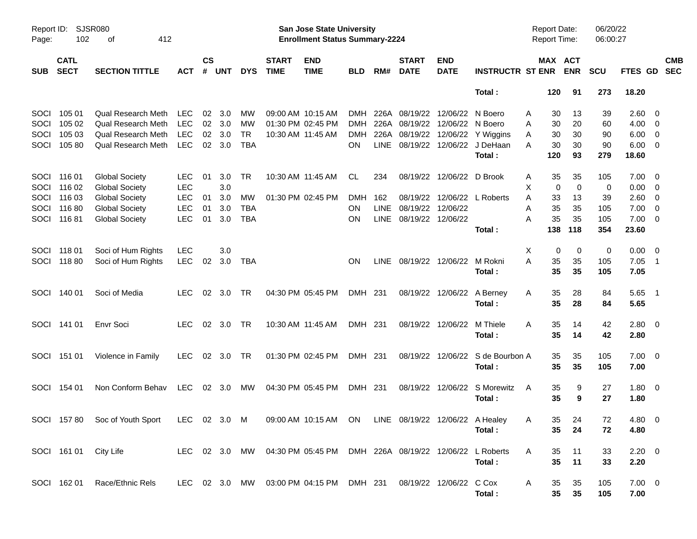| Report ID:<br>Page: | 102                           | SJSR080<br>412<br>οf                                                                             |                                        |                |                   |                                |                             | San Jose State University<br><b>Enrollment Status Summary-2224</b>   |                          |                     |                                           |                            |                                                                 | <b>Report Date:</b><br><b>Report Time:</b> |                       | 06/20/22<br>06:00:27    |                                               |                          |
|---------------------|-------------------------------|--------------------------------------------------------------------------------------------------|----------------------------------------|----------------|-------------------|--------------------------------|-----------------------------|----------------------------------------------------------------------|--------------------------|---------------------|-------------------------------------------|----------------------------|-----------------------------------------------------------------|--------------------------------------------|-----------------------|-------------------------|-----------------------------------------------|--------------------------|
| <b>SUB</b>          | <b>CATL</b><br><b>SECT</b>    | <b>SECTION TITTLE</b>                                                                            | АСТ                                    | <b>CS</b><br># | <b>UNT</b>        | <b>DYS</b>                     | <b>START</b><br><b>TIME</b> | <b>END</b><br><b>TIME</b>                                            | <b>BLD</b>               | RM#                 | <b>START</b><br><b>DATE</b>               | <b>END</b><br><b>DATE</b>  | <b>INSTRUCTR ST ENR</b>                                         |                                            | MAX ACT<br><b>ENR</b> | <b>SCU</b>              | <b>FTES GD</b>                                | <b>CMB</b><br><b>SEC</b> |
|                     |                               |                                                                                                  |                                        |                |                   |                                |                             |                                                                      |                          |                     |                                           |                            | Total:                                                          | 120                                        | 91                    | 273                     | 18.20                                         |                          |
| SOCI<br>SOCI        | 105 01<br>105 02              | Qual Research Meth<br><b>Qual Research Meth</b>                                                  | <b>LEC</b><br><b>LEC</b>               | 02             | 3.0<br>02 3.0     | МW<br><b>MW</b>                |                             | 09:00 AM 10:15 AM<br>01:30 PM 02:45 PM                               | <b>DMH</b><br><b>DMH</b> | 226A                | 08/19/22<br>226A 08/19/22                 | 12/06/22<br>12/06/22       | N Boero<br>N Boero                                              | 30<br>Α<br>30<br>A                         | 13<br>20              | 39<br>60                | $2.60 \quad 0$<br>$4.00 \ 0$                  |                          |
| SOCI<br><b>SOCI</b> | 105 03<br>105 80              | Qual Research Meth<br><b>Qual Research Meth</b>                                                  | <b>LEC</b><br>LEC                      | 02             | 3.0<br>02 3.0     | <b>TR</b><br><b>TBA</b>        |                             | 10:30 AM 11:45 AM                                                    | <b>DMH</b><br>OΝ         |                     | 226A 08/19/22                             |                            | 12/06/22 Y Wiggins<br>LINE 08/19/22 12/06/22 J DeHaan<br>Total: | 30<br>A<br>30<br>A<br>120                  | 30<br>30<br>93        | 90<br>90<br>279         | $6.00 \t 0$<br>$6.00 \t 0$<br>18.60           |                          |
| SOCI                | SOCI 116 01<br>116 02         | <b>Global Society</b><br><b>Global Society</b>                                                   | LEC.<br><b>LEC</b>                     | 01             | 3.0<br>3.0        | TR                             |                             | 10:30 AM 11:45 AM                                                    | CL                       | 234                 | 08/19/22                                  | 12/06/22 D Brook           |                                                                 | 35<br>A<br>X<br>0                          | 35<br>$\mathbf 0$     | 105<br>$\mathbf 0$      | $7.00 \t 0$<br>$0.00 \t 0$                    |                          |
| SOCI<br>SOCI        | 116 03<br>11680<br>SOCI 11681 | <b>Global Society</b><br><b>Global Society</b><br><b>Global Society</b>                          | <b>LEC</b><br><b>LEC</b><br><b>LEC</b> | 01<br>01<br>01 | 3.0<br>3.0<br>3.0 | MW<br><b>TBA</b><br><b>TBA</b> |                             | 01:30 PM 02:45 PM                                                    | <b>DMH</b><br>OΝ<br>OΝ   | 162<br>LINE<br>LINE | 08/19/22<br>08/19/22<br>08/19/22 12/06/22 | 12/06/22                   | 12/06/22 L Roberts<br>Total:                                    | 33<br>A<br>35<br>Α<br>35<br>Α<br>138       | 13<br>35<br>35<br>118 | 39<br>105<br>105<br>354 | 2.60 0<br>$7.00 \t 0$<br>$7.00 \t 0$<br>23.60 |                          |
| SOCI                | 11801<br>SOCI 118 80          | Soci of Hum Rights<br>Soci of Hum Rights                                                         | <b>LEC</b><br><b>LEC</b>               | 02             | 3.0<br>3.0        | TBA                            |                             |                                                                      | <b>ON</b>                |                     | LINE 08/19/22 12/06/22 M Rokni            |                            |                                                                 | X<br>0<br>Α<br>35                          | $\mathbf 0$<br>35     | 0<br>105                | $0.00 \t 0$<br>$7.05$ 1                       |                          |
|                     |                               |                                                                                                  |                                        |                |                   |                                |                             |                                                                      |                          |                     |                                           |                            | Total :                                                         | 35                                         | 35                    | 105                     | 7.05                                          |                          |
|                     | SOCI 140 01                   | Soci of Media                                                                                    | <b>LEC</b>                             |                | 02 3.0            | TR                             |                             | 04:30 PM 05:45 PM                                                    | DMH 231                  |                     |                                           | 08/19/22 12/06/22 A Berney | Total:                                                          | 35<br>A<br>35                              | 28<br>28              | 84<br>84                | $5.65$ 1<br>5.65                              |                          |
|                     | SOCI 141 01                   | <b>Envr Soci</b>                                                                                 | LEC.                                   |                | 02 3.0            | TR                             |                             | 10:30 AM 11:45 AM                                                    | DMH 231                  |                     |                                           | 08/19/22 12/06/22          | M Thiele<br>Total:                                              | 35<br>A<br>35                              | 14<br>14              | 42<br>42                | $2.80 \t 0$<br>2.80                           |                          |
|                     | SOCI 151 01                   | Violence in Family                                                                               | LEC.                                   |                | 02 3.0 TR         |                                |                             | 01:30 PM 02:45 PM                                                    | DMH 231                  |                     |                                           |                            | 08/19/22 12/06/22 S de Bourbon A<br>Total:                      | 35<br>35                                   | 35<br>35              | 105<br>105              | $7.00 \t 0$<br>7.00                           |                          |
|                     | SOCI 154 01                   | Non Conform Behav                                                                                | LEC.                                   |                | 02 3.0            | MW                             |                             | 04:30 PM 05:45 PM                                                    | DMH 231                  |                     |                                           |                            | 08/19/22 12/06/22 S Morewitz<br>Total:                          | 35<br>A<br>35                              | 9<br>9                | 27<br>27                | $1.80 \ 0$<br>1.80                            |                          |
|                     |                               | SOCI 157 80 Soc of Youth Sport LEC 02 3.0 M 09:00 AM 10:15 AM ON LINE 08/19/22 12/06/22 A Healey |                                        |                |                   |                                |                             |                                                                      |                          |                     |                                           |                            | Total :                                                         | A<br>35                                    | 35<br>24<br>24        | $72\,$<br>72            | 4.80 0<br>4.80                                |                          |
|                     |                               | SOCI 161 01 City Life                                                                            |                                        |                |                   |                                |                             | LEC 02 3.0 MW 04:30 PM 05:45 PM DMH 226A 08/19/22 12/06/22 L Roberts |                          |                     |                                           |                            | Total:                                                          | A<br>35<br>35                              | 11<br>11              | 33<br>33                | $2.20 \t 0$<br>2.20                           |                          |
|                     |                               | SOCI 162 01 Race/Ethnic Rels                                                                     |                                        |                |                   |                                |                             | LEC 02 3.0 MW 03:00 PM 04:15 PM DMH 231                              |                          |                     | 08/19/22 12/06/22 C Cox                   |                            | Total :                                                         | A<br>35<br>35 <sub>5</sub>                 | 35<br>35              | 105<br>105              | $7.00 \t 0$<br>7.00                           |                          |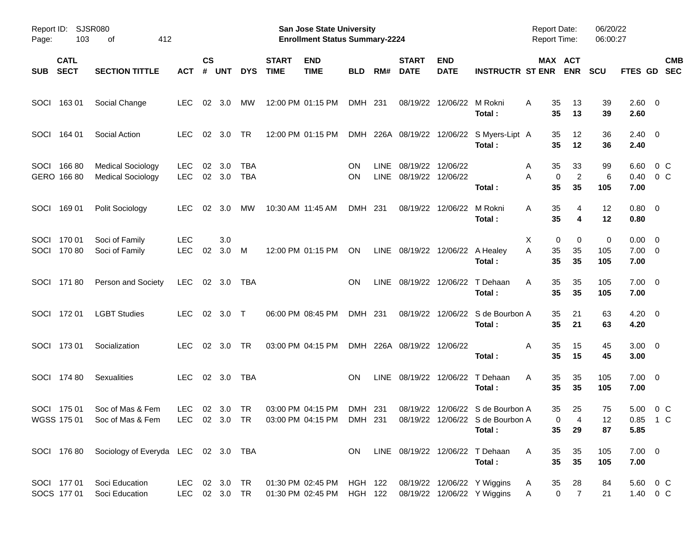| Report ID:<br>Page: | 103                        | SJSR080<br>412<br>οf                                                                                                      |                          |                    |                |                          |                             | <b>San Jose State University</b><br><b>Enrollment Status Summary-2224</b>                                                            |                        |             |                                             |                                 |                                                     | <b>Report Date:</b><br><b>Report Time:</b> |                                        | 06/20/22<br>06:00:27 |                                       |                          |
|---------------------|----------------------------|---------------------------------------------------------------------------------------------------------------------------|--------------------------|--------------------|----------------|--------------------------|-----------------------------|--------------------------------------------------------------------------------------------------------------------------------------|------------------------|-------------|---------------------------------------------|---------------------------------|-----------------------------------------------------|--------------------------------------------|----------------------------------------|----------------------|---------------------------------------|--------------------------|
| <b>SUB</b>          | <b>CATL</b><br><b>SECT</b> | <b>SECTION TITTLE</b>                                                                                                     | АСТ                      | $\mathsf{cs}$<br># | <b>UNT</b>     | <b>DYS</b>               | <b>START</b><br><b>TIME</b> | <b>END</b><br><b>TIME</b>                                                                                                            | <b>BLD</b>             | RM#         | <b>START</b><br><b>DATE</b>                 | <b>END</b><br><b>DATE</b>       | <b>INSTRUCTR ST ENR</b>                             |                                            | MAX ACT<br><b>ENR</b>                  | <b>SCU</b>           | FTES GD                               | <b>CMB</b><br><b>SEC</b> |
|                     | SOCI 163 01                | Social Change                                                                                                             | <b>LEC</b>               |                    | 02 3.0         | МW                       |                             | 12:00 PM 01:15 PM                                                                                                                    | DMH 231                |             |                                             | 08/19/22 12/06/22 M Rokni       | Total:                                              | 35<br>A<br>35                              | 13<br>13                               | 39<br>39             | 2.60 0<br>2.60                        |                          |
|                     | SOCI 164 01                | Social Action                                                                                                             | LEC.                     |                    | 02 3.0         | TR                       |                             | 12:00 PM 01:15 PM                                                                                                                    |                        |             |                                             |                                 | DMH 226A 08/19/22 12/06/22 S Myers-Lipt A<br>Total: | 35<br>35                                   | 12<br>12                               | 36<br>36             | $2.40 \ 0$<br>2.40                    |                          |
|                     | SOCI 166 80<br>GERO 166 80 | <b>Medical Sociology</b><br><b>Medical Sociology</b>                                                                      | LEC<br><b>LEC</b>        | 02                 | 3.0<br>02 3.0  | <b>TBA</b><br><b>TBA</b> |                             |                                                                                                                                      | <b>ON</b><br><b>ON</b> | <b>LINE</b> | 08/19/22 12/06/22<br>LINE 08/19/22 12/06/22 |                                 | Total:                                              | 35<br>A<br>A<br>35                         | 33<br>$\overline{c}$<br>0<br>35        | 99<br>6<br>105       | 6.60<br>0.40<br>7.00                  | $0\,C$<br>0 C            |
|                     | SOCI 169 01                | Polit Sociology                                                                                                           | LEC.                     |                    | $02 \quad 3.0$ | МW                       |                             | 10:30 AM 11:45 AM                                                                                                                    | DMH 231                |             |                                             | 08/19/22 12/06/22 M Rokni       | Total:                                              | 35<br>A<br>35                              | 4<br>4                                 | 12<br>12             | $0.80 \ 0$<br>0.80                    |                          |
|                     | SOCI 170 01<br>SOCI 170 80 | Soci of Family<br>Soci of Family                                                                                          | <b>LEC</b><br><b>LEC</b> | 02                 | 3.0<br>3.0     | - M                      |                             | 12:00 PM 01:15 PM                                                                                                                    | ON                     |             |                                             | LINE 08/19/22 12/06/22 A Healey | Total:                                              | X<br>0<br>35<br>Α<br>35                    | 0<br>35<br>35                          | 0<br>105<br>105      | $0.00 \quad 0$<br>$7.00 \t 0$<br>7.00 |                          |
|                     | SOCI 171 80                | Person and Society                                                                                                        | LEC                      |                    | 02 3.0         | TBA                      |                             |                                                                                                                                      | ON.                    |             |                                             |                                 | LINE 08/19/22 12/06/22 T Dehaan<br>Total:           | 35<br>A<br>35                              | 35<br>35                               | 105<br>105           | $7.00 \t 0$<br>7.00                   |                          |
|                     | SOCI 172 01                | <b>LGBT Studies</b>                                                                                                       | <b>LEC</b>               |                    | 02 3.0 T       |                          |                             | 06:00 PM 08:45 PM                                                                                                                    | DMH 231                |             |                                             |                                 | 08/19/22 12/06/22 S de Bourbon A<br>Total:          | 35<br>35                                   | 21<br>21                               | 63<br>63             | $4.20 \ 0$<br>4.20                    |                          |
|                     | SOCI 173 01                | Socialization                                                                                                             | <b>LEC</b>               |                    | 02 3.0         | TR                       |                             | 03:00 PM 04:15 PM                                                                                                                    |                        |             | DMH 226A 08/19/22 12/06/22                  |                                 | Total :                                             | Α<br>35<br>35                              | 15<br>15                               | 45<br>45             | $3.00 \ 0$<br>3.00                    |                          |
|                     | SOCI 174 80                | Sexualities                                                                                                               | <b>LEC</b>               |                    | 02 3.0         | TBA                      |                             |                                                                                                                                      | ON.                    |             |                                             |                                 | LINE 08/19/22 12/06/22 T Dehaan<br>Total:           | 35<br>A<br>35                              | 35<br>35                               | 105<br>105           | $7.00 \t 0$<br>7.00                   |                          |
|                     | SOCI 175 01                | Soc of Mas & Fem<br>WGSS 175 01 Soc of Mas & Fem LEC 02 3.0 TR 03:00 PM 04:15 PM DMH 231 08/19/22 12/06/22 S de Bourbon A | LEC.                     |                    | 02 3.0         | TR                       |                             | 03:00 PM 04:15 PM                                                                                                                    | DMH 231                |             |                                             |                                 | 08/19/22 12/06/22 S de Bourbon A<br>Total :         | 35<br>35                                   | 25<br>$\mathbf 0$<br>29                | 75<br>12<br>87       | 5.00 0 C<br>0.85 1 C<br>5.85          |                          |
|                     |                            | SOCI 176 80 Sociology of Everyda LEC 02 3.0 TBA                                                                           |                          |                    |                |                          |                             |                                                                                                                                      | ON                     |             |                                             |                                 | LINE 08/19/22 12/06/22 T Dehaan<br>Total:           | A<br>35<br>35                              | 35<br>35                               | 105<br>105           | $7.00 \t 0$<br>7.00                   |                          |
|                     | SOCI 177 01<br>SOCS 177 01 | Soci Education<br>Soci Education                                                                                          |                          |                    |                | LEC 02 3.0 TR            |                             | LEC 02 3.0 TR  01:30 PM  02:45 PM  HGH  122  08/19/22  12/06/22  Y  Wiggins<br>01:30 PM 02:45 PM HGH 122 08/19/22 12/06/22 Y Wiggins |                        |             |                                             |                                 |                                                     | 35<br>A<br>A                               | 28<br>$\overline{0}$<br>$\overline{7}$ | 84<br>21             | 5.60 0 C<br>1.40 0 C                  |                          |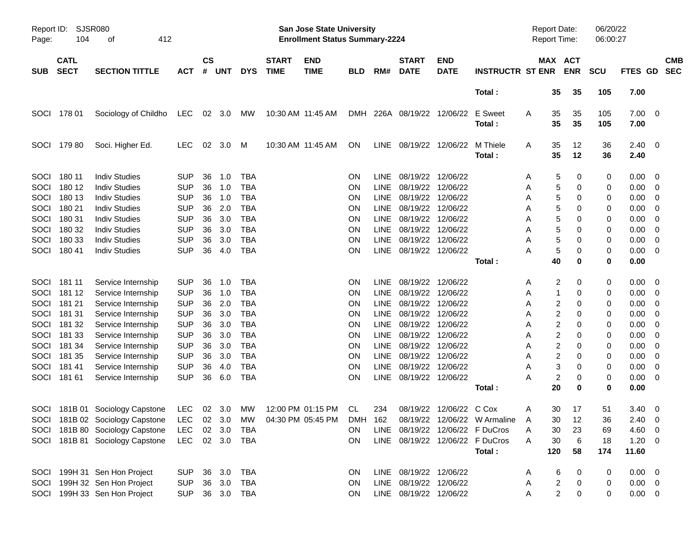| Report ID:<br>Page: | <b>SJSR080</b><br>104      | 412<br>οf                                                       |                          |                |            |                          |                             | <b>San Jose State University</b><br><b>Enrollment Status Summary-2224</b> |                 |                     |                                        |                           |                                      | <b>Report Date:</b><br>Report Time: |                         |            | 06/20/22<br>06:00:27 |              |                         |                          |
|---------------------|----------------------------|-----------------------------------------------------------------|--------------------------|----------------|------------|--------------------------|-----------------------------|---------------------------------------------------------------------------|-----------------|---------------------|----------------------------------------|---------------------------|--------------------------------------|-------------------------------------|-------------------------|------------|----------------------|--------------|-------------------------|--------------------------|
| <b>SUB</b>          | <b>CATL</b><br><b>SECT</b> | <b>SECTION TITTLE</b>                                           | <b>ACT</b>               | <b>CS</b><br># | UNT        | <b>DYS</b>               | <b>START</b><br><b>TIME</b> | <b>END</b><br><b>TIME</b>                                                 | <b>BLD</b>      | RM#                 | <b>START</b><br><b>DATE</b>            | <b>END</b><br><b>DATE</b> | <b>INSTRUCTR ST ENR</b>              |                                     | MAX ACT                 | <b>ENR</b> | <b>SCU</b>           | FTES GD      |                         | <b>CMB</b><br><b>SEC</b> |
|                     |                            |                                                                 |                          |                |            |                          |                             |                                                                           |                 |                     |                                        |                           | Total:                               |                                     | 35                      | 35         | 105                  | 7.00         |                         |                          |
| SOCI                | 178 01                     | Sociology of Childho                                            | <b>LEC</b>               |                | 02 3.0     | МW                       | 10:30 AM 11:45 AM           |                                                                           | <b>DMH</b>      |                     | 226A 08/19/22 12/06/22                 |                           | E Sweet<br>Total:                    | Α                                   | 35<br>35                | 35<br>35   | 105<br>105           | 7.00<br>7.00 | $\overline{\mathbf{0}}$ |                          |
| SOCI                | 17980                      | Soci. Higher Ed.                                                | <b>LEC</b>               | 02             | 3.0        | M                        | 10:30 AM 11:45 AM           |                                                                           | <b>ON</b>       | LINE                |                                        | 08/19/22 12/06/22         | M Thiele<br>Total:                   | A                                   | 35<br>35                | 12<br>12   | 36<br>36             | 2.40<br>2.40 | - 0                     |                          |
| SOCI                | 180 11                     | <b>Indiv Studies</b>                                            | <b>SUP</b>               | 36             | 1.0        | <b>TBA</b>               |                             |                                                                           | <b>ON</b>       | <b>LINE</b>         | 08/19/22 12/06/22                      |                           |                                      | A                                   | 5                       | 0          | 0                    | 0.00         | $\overline{0}$          |                          |
| SOCI                | 180 12                     | <b>Indiv Studies</b>                                            | <b>SUP</b>               | 36             | 1.0        | <b>TBA</b>               |                             |                                                                           | <b>ON</b>       | <b>LINE</b>         | 08/19/22 12/06/22                      |                           |                                      | Α                                   | 5                       | 0          | 0                    | 0.00         | $\overline{0}$          |                          |
| SOCI                | 180 13                     | <b>Indiv Studies</b>                                            | <b>SUP</b>               | 36             | 1.0        | <b>TBA</b>               |                             |                                                                           | ON              | <b>LINE</b>         | 08/19/22 12/06/22                      |                           |                                      | Α                                   | 5                       | 0          | 0                    | 0.00         | 0                       |                          |
| SOCI                | 180 21                     | <b>Indiv Studies</b>                                            | <b>SUP</b>               | 36             | 2.0        | <b>TBA</b>               |                             |                                                                           | <b>ON</b>       | LINE                | 08/19/22 12/06/22                      |                           |                                      | Α                                   | 5                       | 0          | 0                    | 0.00         | 0                       |                          |
| SOCI                | 180 31                     | <b>Indiv Studies</b>                                            | <b>SUP</b>               | 36             | 3.0        | <b>TBA</b>               |                             |                                                                           | <b>ON</b>       | LINE                | 08/19/22 12/06/22                      |                           |                                      | Α                                   | 5                       | 0          | 0                    | 0.00         | 0                       |                          |
| SOCI<br>SOCI        | 180 32<br>180 33           | <b>Indiv Studies</b><br><b>Indiv Studies</b>                    | <b>SUP</b><br><b>SUP</b> | 36<br>36       | 3.0<br>3.0 | <b>TBA</b><br><b>TBA</b> |                             |                                                                           | <b>ON</b>       | <b>LINE</b><br>LINE | 08/19/22 12/06/22<br>08/19/22 12/06/22 |                           |                                      | Α                                   | 5<br>5                  | 0<br>0     | 0                    | 0.00<br>0.00 | 0<br>0                  |                          |
| SOCI                | 18041                      | <b>Indiv Studies</b>                                            | <b>SUP</b>               | 36             | 4.0        | <b>TBA</b>               |                             |                                                                           | <b>ON</b><br>ON | <b>LINE</b>         | 08/19/22 12/06/22                      |                           |                                      | Α<br>А                              | 5                       | 0          | 0<br>0               | 0.00         | 0                       |                          |
|                     |                            |                                                                 |                          |                |            |                          |                             |                                                                           |                 |                     |                                        |                           | Total:                               |                                     | 40                      | 0          | 0                    | 0.00         |                         |                          |
|                     |                            |                                                                 |                          |                |            |                          |                             |                                                                           |                 |                     |                                        |                           |                                      |                                     |                         |            |                      |              |                         |                          |
| SOCI                | 181 11                     | Service Internship                                              | <b>SUP</b>               | 36             | 1.0        | <b>TBA</b>               |                             |                                                                           | ON              | <b>LINE</b>         | 08/19/22 12/06/22                      |                           |                                      | A                                   | 2                       | 0          | 0                    | 0.00         | $\overline{\mathbf{0}}$ |                          |
| SOCI                | 181 12                     | Service Internship                                              | <b>SUP</b>               | 36             | 1.0        | <b>TBA</b>               |                             |                                                                           | <b>ON</b>       | <b>LINE</b>         | 08/19/22 12/06/22                      |                           |                                      | Α                                   | 1                       | 0          | 0                    | 0.00         | $\overline{0}$          |                          |
| SOCI                | 181 21                     | Service Internship                                              | <b>SUP</b>               | 36             | 2.0        | <b>TBA</b>               |                             |                                                                           | ΟN              | <b>LINE</b>         | 08/19/22 12/06/22                      |                           |                                      | Α                                   | $\overline{\mathbf{c}}$ | 0          | 0                    | 0.00         | 0                       |                          |
| SOCI                | 181 31                     | Service Internship                                              | <b>SUP</b>               | 36             | 3.0        | <b>TBA</b>               |                             |                                                                           | <b>ON</b>       | LINE                | 08/19/22 12/06/22                      |                           |                                      | Α                                   | 2                       | 0          | 0                    | 0.00         | 0                       |                          |
| SOCI                | 181 32                     | Service Internship                                              | <b>SUP</b>               | 36             | 3.0        | <b>TBA</b>               |                             |                                                                           | ON              | LINE                | 08/19/22 12/06/22                      |                           |                                      | Α                                   | 2                       | 0          | 0                    | 0.00         | 0                       |                          |
| SOCI                | 181 33                     | Service Internship                                              | <b>SUP</b>               | 36             | 3.0        | <b>TBA</b>               |                             |                                                                           | <b>ON</b>       | <b>LINE</b>         | 08/19/22 12/06/22                      |                           |                                      | Α                                   | 2                       | 0          | 0                    | 0.00         | 0                       |                          |
| SOCI                | 181 34                     | Service Internship                                              | <b>SUP</b>               | 36             | 3.0        | <b>TBA</b>               |                             |                                                                           | <b>ON</b>       | LINE                | 08/19/22 12/06/22                      |                           |                                      | Α                                   | 2                       | 0          | 0                    | 0.00         | 0                       |                          |
| SOCI                | 181 35                     | Service Internship                                              | <b>SUP</b>               | 36             | 3.0        | <b>TBA</b>               |                             |                                                                           | <b>ON</b>       | LINE                | 08/19/22 12/06/22                      |                           |                                      | Α                                   | 2                       | 0          | 0                    | 0.00         | 0                       |                          |
| SOCI                | 181 41                     | Service Internship                                              | <b>SUP</b>               | 36             | 4.0        | <b>TBA</b>               |                             |                                                                           | <b>ON</b>       | LINE                | 08/19/22 12/06/22                      |                           |                                      | Α                                   | 3                       | 0          | 0                    | 0.00         | 0                       |                          |
| SOCI                | 181 61                     | Service Internship                                              | <b>SUP</b>               | 36             | 6.0        | <b>TBA</b>               |                             |                                                                           | ON              | <b>LINE</b>         | 08/19/22 12/06/22                      |                           | Total:                               | А                                   | 2<br>20                 | 0<br>0     | 0<br>0               | 0.00<br>0.00 | 0                       |                          |
|                     |                            |                                                                 |                          |                |            |                          |                             |                                                                           |                 |                     |                                        |                           |                                      |                                     |                         |            |                      |              |                         |                          |
|                     |                            | SOCI 181B 01 Sociology Capstone                                 | <b>LEC</b>               | 02             | 3.0        | МW                       |                             | 12:00 PM 01:15 PM                                                         | CL              | 234                 |                                        | 08/19/22 12/06/22 C Cox   |                                      | A                                   | 30                      | 17         | 51                   | 3.40         | $\overline{\mathbf{0}}$ |                          |
|                     |                            | SOCI 181B 02 Sociology Capstone LEC 02 3.0 MW 04:30 PM 05:45 PM |                          |                |            |                          |                             |                                                                           |                 |                     |                                        |                           | DMH 162 08/19/22 12/06/22 W Armaline | Α                                   | 30 12                   |            | 36                   | $2.40 \ 0$   |                         |                          |
|                     |                            | SOCI 181B 80 Sociology Capstone                                 | LEC.                     |                | 02 3.0     | TBA                      |                             |                                                                           | ON.             |                     |                                        |                           | LINE 08/19/22 12/06/22 F DuCros      | Α                                   | 30                      | 23         | 69                   | $4.60 \ 0$   |                         |                          |
|                     |                            | SOCI 181B 81 Sociology Capstone                                 | <b>LEC</b>               |                |            | 02 3.0 TBA               |                             |                                                                           | <b>ON</b>       |                     |                                        |                           | LINE 08/19/22 12/06/22 F DuCros      | Α                                   | 30                      | 6          | 18                   | $1.20 \t 0$  |                         |                          |
|                     |                            |                                                                 |                          |                |            |                          |                             |                                                                           |                 |                     |                                        |                           | Total:                               | 120                                 |                         | 58         | 174                  | 11.60        |                         |                          |
|                     |                            | SOCI 199H 31 Sen Hon Project                                    | <b>SUP</b>               |                | 36 3.0     | TBA                      |                             |                                                                           | <b>ON</b>       |                     | LINE 08/19/22 12/06/22                 |                           |                                      | A                                   | 6                       |            | 0                    | $0.00 \t 0$  |                         |                          |
|                     |                            | SOCI 199H 32 Sen Hon Project                                    | <b>SUP</b>               |                | 36 3.0     | <b>TBA</b>               |                             |                                                                           | <b>ON</b>       |                     | LINE 08/19/22 12/06/22                 |                           |                                      | A                                   | $\overline{\mathbf{c}}$ | 0          | 0                    | $0.00 \t 0$  |                         |                          |
|                     |                            | SOCI 199H 33 Sen Hon Project                                    | <b>SUP</b>               |                |            | 36 3.0 TBA               |                             |                                                                           | <b>ON</b>       |                     | LINE 08/19/22 12/06/22                 |                           |                                      | Α                                   | $\overline{c}$          | 0          | 0                    | $0.00 \t 0$  |                         |                          |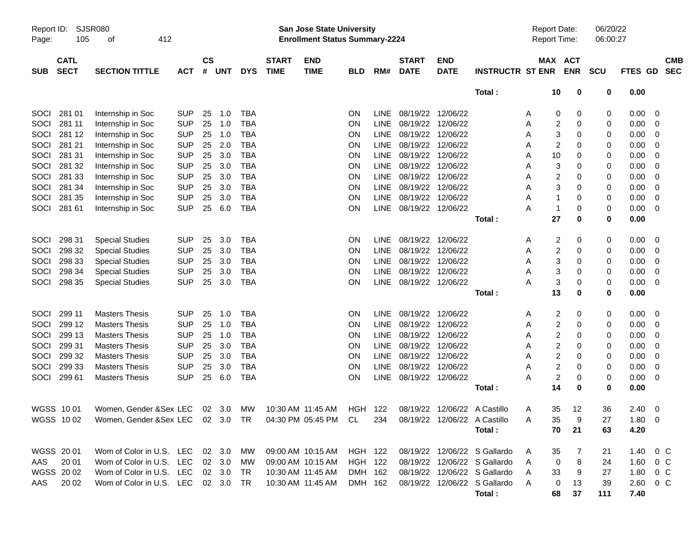| Report ID:<br>Page: | 105                        | SJSR080<br>412<br>οf                                       |            |                    |                |            |                             | <b>San Jose State University</b><br><b>Enrollment Status Summary-2224</b> |            |             |                             |                           |                              | <b>Report Date:</b><br>Report Time: |                       | 06/20/22<br>06:00:27 |               |        |                          |
|---------------------|----------------------------|------------------------------------------------------------|------------|--------------------|----------------|------------|-----------------------------|---------------------------------------------------------------------------|------------|-------------|-----------------------------|---------------------------|------------------------------|-------------------------------------|-----------------------|----------------------|---------------|--------|--------------------------|
| <b>SUB</b>          | <b>CATL</b><br><b>SECT</b> | <b>SECTION TITTLE</b>                                      | <b>ACT</b> | $\mathsf{cs}$<br># | <b>UNT</b>     | <b>DYS</b> | <b>START</b><br><b>TIME</b> | <b>END</b><br><b>TIME</b>                                                 | <b>BLD</b> | RM#         | <b>START</b><br><b>DATE</b> | <b>END</b><br><b>DATE</b> | <b>INSTRUCTR ST ENR</b>      |                                     | MAX ACT<br><b>ENR</b> | <b>SCU</b>           | FTES GD       |        | <b>CMB</b><br><b>SEC</b> |
|                     |                            |                                                            |            |                    |                |            |                             |                                                                           |            |             |                             |                           | Total:                       | 10                                  | 0                     | 0                    | 0.00          |        |                          |
| SOCI                | 281 01                     | Internship in Soc                                          | <b>SUP</b> | 25                 | 1.0            | <b>TBA</b> |                             |                                                                           | ON         | <b>LINE</b> | 08/19/22                    | 12/06/22                  |                              | 0<br>A                              | 0                     | 0                    | 0.00          | - 0    |                          |
| SOCI                | 281 11                     | Internship in Soc                                          | <b>SUP</b> | 25                 | 1.0            | <b>TBA</b> |                             |                                                                           | ON         | <b>LINE</b> | 08/19/22                    | 12/06/22                  |                              | Α                                   | 2<br>0                | 0                    | 0.00          | 0      |                          |
| SOCI                | 281 12                     | Internship in Soc                                          | <b>SUP</b> | 25                 | 1.0            | <b>TBA</b> |                             |                                                                           | ON         | <b>LINE</b> | 08/19/22                    | 12/06/22                  |                              | A                                   | 3<br>0                | 0                    | 0.00          | 0      |                          |
| SOCI                | 281 21                     | Internship in Soc                                          | <b>SUP</b> | 25                 | 2.0            | <b>TBA</b> |                             |                                                                           | ON         | <b>LINE</b> | 08/19/22                    | 12/06/22                  |                              | A                                   | 2<br>0                | 0                    | 0.00          | 0      |                          |
| SOCI                | 281 31                     | Internship in Soc                                          | <b>SUP</b> | 25                 | 3.0            | <b>TBA</b> |                             |                                                                           | ON         | <b>LINE</b> | 08/19/22                    | 12/06/22                  |                              | 10<br>Α                             | 0                     | 0                    | 0.00          | 0      |                          |
| SOCI                | 281 32                     | Internship in Soc                                          | <b>SUP</b> | 25                 | 3.0            | <b>TBA</b> |                             |                                                                           | ON         | <b>LINE</b> | 08/19/22                    | 12/06/22                  |                              | Α                                   | 3<br>0                | 0                    | 0.00          | 0      |                          |
| SOCI                | 281 33                     | Internship in Soc                                          | <b>SUP</b> | 25                 | 3.0            | <b>TBA</b> |                             |                                                                           | ON         | <b>LINE</b> | 08/19/22                    | 12/06/22                  |                              | Α                                   | 2<br>0                | 0                    | 0.00          | 0      |                          |
| SOCI                | 281 34                     | Internship in Soc                                          | <b>SUP</b> | 25                 | 3.0            | <b>TBA</b> |                             |                                                                           | ON         | <b>LINE</b> | 08/19/22                    | 12/06/22                  |                              | Α                                   | 3<br>0                | 0                    | 0.00          | 0      |                          |
| SOCI                | 281 35                     | Internship in Soc                                          | <b>SUP</b> | 25                 | 3.0            | <b>TBA</b> |                             |                                                                           | <b>ON</b>  | LINE        | 08/19/22                    | 12/06/22                  |                              | Α                                   | 0                     | 0                    | 0.00          | 0      |                          |
| SOCI                | 281 61                     | Internship in Soc                                          | <b>SUP</b> | 25                 | 6.0            | <b>TBA</b> |                             |                                                                           | <b>ON</b>  | LINE        | 08/19/22                    | 12/06/22                  |                              | 1<br>A                              | 0                     | 0                    | 0.00          | 0      |                          |
|                     |                            |                                                            |            |                    |                |            |                             |                                                                           |            |             |                             |                           | Total:                       | 27                                  | 0                     | 0                    | 0.00          |        |                          |
| SOCI                | 298 31                     | <b>Special Studies</b>                                     | <b>SUP</b> | 25                 | 3.0            | <b>TBA</b> |                             |                                                                           | ON         | <b>LINE</b> | 08/19/22                    | 12/06/22                  |                              | A                                   | 2<br>0                | 0                    | 0.00          | - 0    |                          |
| SOCI                | 298 32                     | <b>Special Studies</b>                                     | <b>SUP</b> | 25                 | 3.0            | <b>TBA</b> |                             |                                                                           | ON         | <b>LINE</b> | 08/19/22                    | 12/06/22                  |                              | Α                                   | 2<br>0                | 0                    | 0.00          | 0      |                          |
| SOCI                | 298 33                     | <b>Special Studies</b>                                     | <b>SUP</b> | 25                 | 3.0            | <b>TBA</b> |                             |                                                                           | ON         | <b>LINE</b> | 08/19/22                    | 12/06/22                  |                              | A                                   | 3<br>0                | 0                    | 0.00          | 0      |                          |
| SOCI                | 298 34                     | <b>Special Studies</b>                                     | <b>SUP</b> | 25                 | 3.0            | <b>TBA</b> |                             |                                                                           | ON         | <b>LINE</b> | 08/19/22                    | 12/06/22                  |                              | Α                                   | 3<br>0                | 0                    | 0.00          | 0      |                          |
| SOCI                | 298 35                     | <b>Special Studies</b>                                     | <b>SUP</b> | 25                 | 3.0            | <b>TBA</b> |                             |                                                                           | <b>ON</b>  | LINE        | 08/19/22                    | 12/06/22                  |                              | A                                   | 3<br>0                | 0                    | 0.00          | 0      |                          |
|                     |                            |                                                            |            |                    |                |            |                             |                                                                           |            |             |                             |                           | Total:                       | 13                                  | 0                     | 0                    | 0.00          |        |                          |
| SOCI                | 299 11                     | <b>Masters Thesis</b>                                      | <b>SUP</b> | 25                 | 1.0            | <b>TBA</b> |                             |                                                                           | ON         | <b>LINE</b> | 08/19/22                    | 12/06/22                  |                              | A                                   | 2<br>0                | 0                    | 0.00          | - 0    |                          |
| SOCI                | 299 12                     | <b>Masters Thesis</b>                                      | <b>SUP</b> | 25                 | 1.0            | <b>TBA</b> |                             |                                                                           | ON         | <b>LINE</b> | 08/19/22                    | 12/06/22                  |                              | A                                   | 2<br>0                | 0                    | 0.00          | 0      |                          |
| SOCI                | 299 13                     | <b>Masters Thesis</b>                                      | <b>SUP</b> | 25                 | 1.0            | <b>TBA</b> |                             |                                                                           | ON         | <b>LINE</b> | 08/19/22                    | 12/06/22                  |                              | Α                                   | 2<br>0                | 0                    | 0.00          | 0      |                          |
| SOCI                | 299 31                     | <b>Masters Thesis</b>                                      | <b>SUP</b> | 25                 | 3.0            | <b>TBA</b> |                             |                                                                           | ON         | <b>LINE</b> | 08/19/22                    | 12/06/22                  |                              | Α                                   | 2<br>0                | 0                    | 0.00          | 0      |                          |
| SOCI                | 299 32                     | <b>Masters Thesis</b>                                      | <b>SUP</b> | 25                 | 3.0            | <b>TBA</b> |                             |                                                                           | ON         | LINE        | 08/19/22                    | 12/06/22                  |                              | Α                                   | 2<br>0                | 0                    | 0.00          | 0      |                          |
| SOCI                | 299 33                     | <b>Masters Thesis</b>                                      | <b>SUP</b> | 25                 | 3.0            | <b>TBA</b> |                             |                                                                           | ON         | LINE        | 08/19/22                    | 12/06/22                  |                              | A                                   | 2<br>0                | 0                    | 0.00          | 0      |                          |
| SOCI                | 299 61                     | <b>Masters Thesis</b>                                      | <b>SUP</b> | 25                 | 6.0            | <b>TBA</b> |                             |                                                                           | ON         | LINE        | 08/19/22                    | 12/06/22                  |                              | A                                   | 2<br>0                | 0                    | 0.00          | 0      |                          |
|                     |                            |                                                            |            |                    |                |            |                             |                                                                           |            |             |                             |                           | Total:                       | 14                                  | 0                     | 0                    | 0.00          |        |                          |
|                     | WGSS 1001                  | Women, Gender & Sex LEC                                    |            |                    | 02 3.0         | MW         |                             | 10:30 AM 11:45 AM                                                         | HGH 122    |             | 08/19/22                    |                           | 12/06/22 A Castillo          | 35<br>A                             | 12                    | 36                   | 2.40          | - 0    |                          |
|                     | WGSS 1002                  | Women, Gender & Sex LEC 02 3.0 TR 04:30 PM 05:45 PM CL 234 |            |                    |                |            |                             |                                                                           |            |             |                             |                           | 08/19/22 12/06/22 A Castillo | 35<br>A                             | 9                     | 27                   | 1.80 0        |        |                          |
|                     |                            |                                                            |            |                    |                |            |                             |                                                                           |            |             |                             |                           | Total:                       | 70                                  | 21                    | 63                   | 4.20          |        |                          |
|                     | WGSS 2001                  | Wom of Color in U.S. LEC                                   |            |                    | $02 \quad 3.0$ | MW         |                             | 09:00 AM 10:15 AM                                                         | HGH 122    |             |                             |                           | 08/19/22 12/06/22 S Gallardo | 35<br>A                             | 7                     | 21                   | $1.40 \t 0 C$ |        |                          |
| AAS                 | 20 01                      | Wom of Color in U.S. LEC                                   |            |                    | 02 3.0         | MW         |                             | 09:00 AM 10:15 AM                                                         | HGH 122    |             |                             |                           | 08/19/22 12/06/22 S Gallardo | 0<br>A                              | 8                     | 24                   | $1.60 \t 0 C$ |        |                          |
|                     | WGSS 2002                  | Wom of Color in U.S. LEC                                   |            |                    | 02 3.0         | TR         |                             | 10:30 AM 11:45 AM                                                         | DMH 162    |             |                             |                           | 08/19/22 12/06/22 S Gallardo | 33<br>A                             | 9                     | 27                   | 1.80 0 C      |        |                          |
| AAS                 | 20 02                      | Wom of Color in U.S. LEC 02 3.0                            |            |                    |                | TR         |                             | 10:30 AM 11:45 AM                                                         | DMH 162    |             |                             |                           | 08/19/22 12/06/22 S Gallardo | A<br>0                              | 13                    | 39                   | 2.60          | $0\,C$ |                          |
|                     |                            |                                                            |            |                    |                |            |                             |                                                                           |            |             |                             |                           | Total:                       | 68                                  | 37                    | 111                  | 7.40          |        |                          |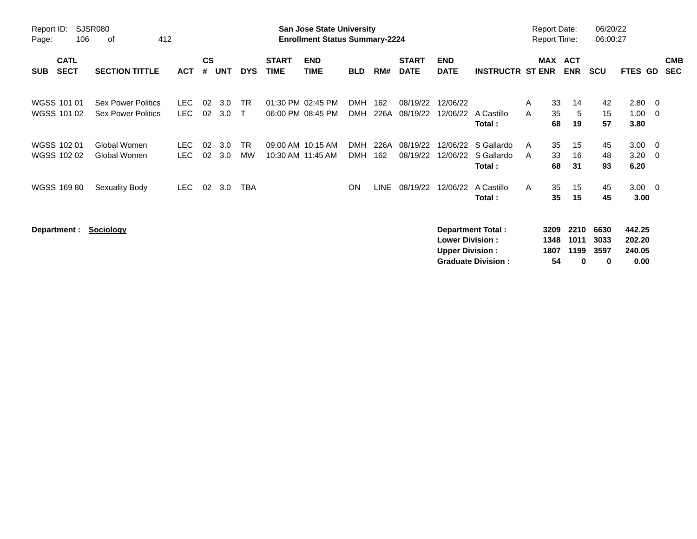| Report ID:<br>Page: | 106                        | SJSR080<br>412<br>οf                                   |                    |                    |            |                           |                             | San Jose State University<br><b>Enrollment Status Summary-2224</b> |                          |             |                             |                                                  |                                                       |        |                            | <b>Report Date:</b><br><b>Report Time:</b> | 06/20/22<br>06:00:27      |                                    |                                                     |                          |
|---------------------|----------------------------|--------------------------------------------------------|--------------------|--------------------|------------|---------------------------|-----------------------------|--------------------------------------------------------------------|--------------------------|-------------|-----------------------------|--------------------------------------------------|-------------------------------------------------------|--------|----------------------------|--------------------------------------------|---------------------------|------------------------------------|-----------------------------------------------------|--------------------------|
| <b>SUB</b>          | <b>CATL</b><br><b>SECT</b> | <b>SECTION TITTLE</b>                                  | <b>ACT</b>         | $\mathsf{cs}$<br># | <b>UNT</b> | <b>DYS</b>                | <b>START</b><br><b>TIME</b> | <b>END</b><br><b>TIME</b>                                          | <b>BLD</b>               | RM#         | <b>START</b><br><b>DATE</b> | <b>END</b><br><b>DATE</b>                        | <b>INSTRUCTR ST ENR</b>                               |        | MAX                        | <b>ACT</b><br><b>ENR</b>                   | <b>SCU</b>                | <b>FTES GD</b>                     |                                                     | <b>CMB</b><br><b>SEC</b> |
|                     | WGSS 101 01<br>WGSS 101 02 | <b>Sex Power Politics</b><br><b>Sex Power Politics</b> | LEC.<br><b>LEC</b> | 02<br>02           | 3.0<br>3.0 | <b>TR</b><br>$\mathsf{T}$ |                             | 01:30 PM 02:45 PM<br>06:00 PM 08:45 PM                             | <b>DMH</b><br><b>DMH</b> | 162<br>226A | 08/19/22<br>08/19/22        | 12/06/22<br>12/06/22                             | A Castillo<br>Total:                                  | A<br>A | 33<br>35<br>68             | 14<br>5<br>19                              | 42<br>15<br>57            | 2.80<br>1.00<br>3.80               | $\overline{\phantom{0}}$<br>$\overline{\mathbf{0}}$ |                          |
|                     | WGSS 102 01<br>WGSS 102 02 | Global Women<br>Global Women                           | LEC.<br><b>LEC</b> | 02<br>02           | 3.0<br>3.0 | <b>TR</b><br><b>MW</b>    |                             | 09:00 AM 10:15 AM<br>10:30 AM 11:45 AM                             | <b>DMH</b><br><b>DMH</b> | 226A<br>162 | 08/19/22<br>08/19/22        | 12/06/22<br>12/06/22                             | S Gallardo<br>S Gallardo<br>Total:                    | A<br>A | 35<br>33<br>68             | 15<br>16<br>31                             | 45<br>48<br>93            | 3.00<br>3.20<br>6.20               | $\overline{\phantom{0}}$<br>- 0                     |                          |
|                     | WGSS 169 80                | Sexuality Body                                         | <b>LEC</b>         | 02                 | 3.0        | TBA                       |                             |                                                                    | <b>ON</b>                | <b>LINE</b> | 08/19/22                    | 12/06/22                                         | A Castillo<br>Total:                                  | A      | 35<br>35                   | 15<br>15                                   | 45<br>45                  | $3.00 \ 0$<br>3.00                 |                                                     |                          |
|                     | Department :               | <b>Sociology</b>                                       |                    |                    |            |                           |                             |                                                                    |                          |             |                             | <b>Lower Division:</b><br><b>Upper Division:</b> | <b>Department Total:</b><br><b>Graduate Division:</b> |        | 3209<br>1348<br>1807<br>54 | 2210<br>1011<br>1199<br>0                  | 6630<br>3033<br>3597<br>0 | 442.25<br>202.20<br>240.05<br>0.00 |                                                     |                          |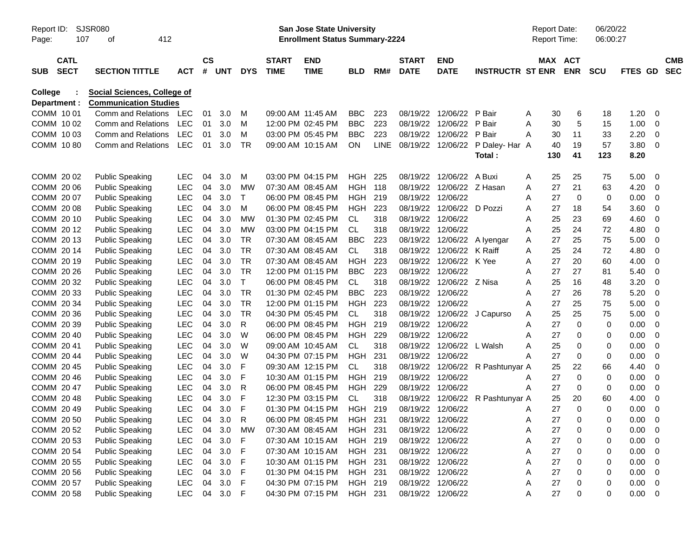| Report ID:<br>Page: | 107                        | <b>SJSR080</b><br>412<br>οf  |            |           |       |            |                             | <b>San Jose State University</b><br><b>Enrollment Status Summary-2224</b> |            |             |                             |                           |                         |   | <b>Report Date:</b><br>Report Time: |             | 06/20/22<br>06:00:27 |         |             |                          |
|---------------------|----------------------------|------------------------------|------------|-----------|-------|------------|-----------------------------|---------------------------------------------------------------------------|------------|-------------|-----------------------------|---------------------------|-------------------------|---|-------------------------------------|-------------|----------------------|---------|-------------|--------------------------|
| <b>SUB</b>          | <b>CATL</b><br><b>SECT</b> | <b>SECTION TITTLE</b>        | <b>ACT</b> | <b>CS</b> | # UNT | <b>DYS</b> | <b>START</b><br><b>TIME</b> | <b>END</b><br><b>TIME</b>                                                 | <b>BLD</b> | RM#         | <b>START</b><br><b>DATE</b> | <b>END</b><br><b>DATE</b> | <b>INSTRUCTR ST ENR</b> |   | MAX ACT<br><b>ENR</b>               | <b>SCU</b>  |                      | FTES GD |             | <b>CMB</b><br><b>SEC</b> |
| College             |                            | Social Sciences, College of  |            |           |       |            |                             |                                                                           |            |             |                             |                           |                         |   |                                     |             |                      |         |             |                          |
|                     | Department :               | <b>Communication Studies</b> |            |           |       |            |                             |                                                                           |            |             |                             |                           |                         |   |                                     |             |                      |         |             |                          |
|                     | COMM 1001                  | Comm and Relations           | LEC        | 01        | 3.0   | м          |                             | 09:00 AM 11:45 AM                                                         | <b>BBC</b> | 223         | 08/19/22                    | 12/06/22                  | P Bair                  | A | 30                                  | 6           | 18                   | 1.20    | 0           |                          |
|                     | COMM 10 02                 | <b>Comm and Relations</b>    | <b>LEC</b> | 01        | 3.0   | м          |                             | 12:00 PM 02:45 PM                                                         | <b>BBC</b> | 223         | 08/19/22                    | 12/06/22                  | P Bair                  | Α | 30                                  | 5           | 15                   | 1.00    | 0           |                          |
|                     | COMM 1003                  | <b>Comm and Relations</b>    | <b>LEC</b> | 01        | 3.0   | М          |                             | 03:00 PM 05:45 PM                                                         | <b>BBC</b> | 223         | 08/19/22                    | 12/06/22                  | P Bair                  | A | 30                                  | 11          | 33                   | 2.20    | 0           |                          |
|                     | COMM 1080                  | Comm and Relations           | <b>LEC</b> | 01        | 3.0   | <b>TR</b>  |                             | 09:00 AM 10:15 AM                                                         | ON         | <b>LINE</b> | 08/19/22                    | 12/06/22                  | P Daley- Har A          |   | 40                                  | 19          | 57                   | 3.80    | 0           |                          |
|                     |                            |                              |            |           |       |            |                             |                                                                           |            |             |                             |                           | Total :                 |   | 130                                 | 41          | 123                  | 8.20    |             |                          |
|                     | COMM 20 02                 | <b>Public Speaking</b>       | <b>LEC</b> | 04        | 3.0   | м          |                             | 03:00 PM 04:15 PM                                                         | HGH        | 225         | 08/19/22                    | 12/06/22                  | A Buxi                  | A | 25                                  | 25          | 75                   | 5.00    | 0           |                          |
|                     | COMM 20 06                 | <b>Public Speaking</b>       | <b>LEC</b> | 04        | 3.0   | MW         |                             | 07:30 AM 08:45 AM                                                         | <b>HGH</b> | 118         | 08/19/22                    | 12/06/22                  | Z Hasan                 | A | 27                                  | 21          | 63                   | 4.20    | 0           |                          |
|                     | COMM 20 07                 | <b>Public Speaking</b>       | <b>LEC</b> | 04        | 3.0   | $\top$     |                             | 06:00 PM 08:45 PM                                                         | <b>HGH</b> | 219         | 08/19/22                    | 12/06/22                  |                         | Α | 27                                  | 0           | 0                    | 0.00    | 0           |                          |
|                     | COMM 2008                  | <b>Public Speaking</b>       | <b>LEC</b> | 04        | 3.0   | М          |                             | 06:00 PM 08:45 PM                                                         | <b>HGH</b> | 223         | 08/19/22                    | 12/06/22                  | D Pozzi                 | A | 27                                  | 18          | 54                   | 3.60    | 0           |                          |
|                     | COMM 20 10                 | <b>Public Speaking</b>       | LEC        | 04        | 3.0   | MW         |                             | 01:30 PM 02:45 PM                                                         | <b>CL</b>  | 318         | 08/19/22                    | 12/06/22                  |                         | A | 25                                  | 23          | 69                   | 4.60    | 0           |                          |
|                     | COMM 2012                  | <b>Public Speaking</b>       | LEC        | 04        | 3.0   | MW         |                             | 03:00 PM 04:15 PM                                                         | <b>CL</b>  | 318         | 08/19/22                    | 12/06/22                  |                         | A | 25                                  | 24          | 72                   | 4.80    | 0           |                          |
|                     | COMM 2013                  | <b>Public Speaking</b>       | LEC        | 04        | 3.0   | <b>TR</b>  |                             | 07:30 AM 08:45 AM                                                         | <b>BBC</b> | 223         | 08/19/22                    | 12/06/22                  | A Ivengar               | Α | 27                                  | 25          | 75                   | 5.00    | 0           |                          |
|                     | COMM 2014                  | <b>Public Speaking</b>       | LEC        | 04        | 3.0   | <b>TR</b>  |                             | 07:30 AM 08:45 AM                                                         | <b>CL</b>  | 318         | 08/19/22                    | 12/06/22                  | K Raiff                 | A | 25                                  | 24          | 72                   | 4.80    | 0           |                          |
|                     | COMM 20 19                 | <b>Public Speaking</b>       | LEC        | 04        | 3.0   | <b>TR</b>  |                             | 07:30 AM 08:45 AM                                                         | <b>HGH</b> | 223         | 08/19/22                    | 12/06/22                  | K Yee                   | A | 27                                  | 20          | 60                   | 4.00    | 0           |                          |
|                     | COMM 20 26                 | <b>Public Speaking</b>       | LEC        | 04        | 3.0   | <b>TR</b>  |                             | 12:00 PM 01:15 PM                                                         | <b>BBC</b> | 223         | 08/19/22                    | 12/06/22                  |                         | Α | 27                                  | 27          | 81                   | 5.40    | 0           |                          |
|                     | COMM 20 32                 | <b>Public Speaking</b>       | LEC        | 04        | 3.0   | $\top$     |                             | 06:00 PM 08:45 PM                                                         | <b>CL</b>  | 318         | 08/19/22                    | 12/06/22 Z Nisa           |                         | A | 25                                  | 16          | 48                   | 3.20    | 0           |                          |
|                     | COMM 20 33                 | <b>Public Speaking</b>       | LEC        | 04        | 3.0   | <b>TR</b>  |                             | 01:30 PM 02:45 PM                                                         | <b>BBC</b> | 223         | 08/19/22                    | 12/06/22                  |                         | A | 27                                  | 26          | 78                   | 5.20    | 0           |                          |
|                     | COMM 20 34                 | <b>Public Speaking</b>       | <b>LEC</b> | 04        | 3.0   | <b>TR</b>  |                             | 12:00 PM 01:15 PM                                                         | <b>HGH</b> | 223         | 08/19/22                    | 12/06/22                  |                         | Α | 27                                  | 25          | 75                   | 5.00    | $\mathbf 0$ |                          |
|                     | COMM 20 36                 | <b>Public Speaking</b>       | <b>LEC</b> | 04        | 3.0   | <b>TR</b>  |                             | 04:30 PM 05:45 PM                                                         | <b>CL</b>  | 318         | 08/19/22                    | 12/06/22                  | J Capurso               | Α | 25                                  | 25          | 75                   | 5.00    | $\mathbf 0$ |                          |
|                     | COMM 20 39                 | <b>Public Speaking</b>       | <b>LEC</b> | 04        | 3.0   | R          |                             | 06:00 PM 08:45 PM                                                         | <b>HGH</b> | 219         | 08/19/22                    | 12/06/22                  |                         | A | 27                                  | 0           | 0                    | 0.00    | 0           |                          |
|                     | COMM 20 40                 | <b>Public Speaking</b>       | <b>LEC</b> | 04        | 3.0   | W          |                             | 06:00 PM 08:45 PM                                                         | <b>HGH</b> | 229         | 08/19/22                    | 12/06/22                  |                         | Α | 27                                  | 0           | 0                    | 0.00    | 0           |                          |
|                     | COMM 2041                  | <b>Public Speaking</b>       | <b>LEC</b> | 04        | 3.0   | W          |                             | 09:00 AM 10:45 AM                                                         | <b>CL</b>  | 318         | 08/19/22                    | 12/06/22                  | L Walsh                 | Α | 25                                  | 0           | 0                    | 0.00    | 0           |                          |
|                     | COMM 20 44                 | <b>Public Speaking</b>       | <b>LEC</b> | 04        | 3.0   | W          |                             | 04:30 PM 07:15 PM                                                         | <b>HGH</b> | 231         | 08/19/22                    | 12/06/22                  |                         |   | 27                                  | $\mathbf 0$ | 0                    | 0.00    | 0           |                          |
|                     | COMM 20 45                 | <b>Public Speaking</b>       | <b>LEC</b> | 04        | 3.0   | F          |                             | 09:30 AM 12:15 PM                                                         | <b>CL</b>  | 318         | 08/19/22                    | 12/06/22                  | R Pashtunyar A          |   | 25                                  | 22          | 66                   | 4.40    | 0           |                          |
|                     | COMM 20 46                 | <b>Public Speaking</b>       | <b>LEC</b> | 04        | 3.0   | F          |                             | 10:30 AM 01:15 PM                                                         | <b>HGH</b> | 219         | 08/19/22                    | 12/06/22                  |                         | A | 27                                  | $\mathbf 0$ | 0                    | 0.00    | 0           |                          |
|                     | COMM 20 47                 | <b>Public Speaking</b>       | <b>LEC</b> | 04        | 3.0   | R          |                             | 06:00 PM 08:45 PM                                                         | <b>HGH</b> | 229         | 08/19/22                    | 12/06/22                  |                         | Α | 27                                  | 0           | 0                    | 0.00    | 0           |                          |
|                     | COMM 2048                  | <b>Public Speaking</b>       | <b>LEC</b> | 04        | 3.0   | F          |                             | 12:30 PM 03:15 PM                                                         | СL         | 318         | 08/19/22                    | 12/06/22                  | R Pashtunyar A          |   | 25                                  | 20          | 60                   | 4.00    | 0           |                          |
|                     | COMM 20 49                 | <b>Public Speaking</b>       | LEC        | 04        | 3.0   | F          |                             | 01:30 PM 04:15 PM                                                         | HGH 219    |             | 08/19/22 12/06/22           |                           |                         | A | 27                                  | $\Omega$    | 0                    | 0.00    | 0           |                          |
|                     | COMM 20 50                 | <b>Public Speaking</b>       | LEC        | 04        | 3.0   | R          |                             | 06:00 PM 08:45 PM                                                         | HGH 231    |             |                             | 08/19/22 12/06/22         |                         | A | 27                                  | 0           | 0                    | 0.00    | 0           |                          |
|                     | COMM 20 52                 | <b>Public Speaking</b>       | <b>LEC</b> | 04        | 3.0   | <b>MW</b>  |                             | 07:30 AM 08:45 AM                                                         | HGH 231    |             |                             | 08/19/22 12/06/22         |                         | Α | 27                                  | 0           | 0                    | 0.00    | 0           |                          |
|                     | COMM 20 53                 | <b>Public Speaking</b>       | <b>LEC</b> | 04        | 3.0   | F          |                             | 07:30 AM 10:15 AM                                                         | HGH 219    |             |                             | 08/19/22 12/06/22         |                         | Α | 27                                  | 0           | 0                    | 0.00    | 0           |                          |
|                     | COMM 20 54                 | <b>Public Speaking</b>       | LEC        | 04        | 3.0   | F          |                             | 07:30 AM 10:15 AM                                                         | HGH 231    |             |                             | 08/19/22 12/06/22         |                         | Α | 27                                  | 0           | 0                    | 0.00    | 0           |                          |
|                     | COMM 20 55                 | <b>Public Speaking</b>       | LEC        | 04        | 3.0   | F          |                             | 10:30 AM 01:15 PM                                                         | HGH 231    |             |                             | 08/19/22 12/06/22         |                         | Α | 27                                  | 0           | 0                    | 0.00    | 0           |                          |
|                     | COMM 20 56                 | <b>Public Speaking</b>       | LEC        | 04        | 3.0   | F          |                             | 01:30 PM 04:15 PM                                                         | HGH 231    |             |                             | 08/19/22 12/06/22         |                         | Α | 27                                  | 0           | 0                    | 0.00    | 0           |                          |
|                     | COMM 20 57                 | <b>Public Speaking</b>       | LEC        | 04        | 3.0   | F          |                             | 04:30 PM 07:15 PM                                                         | HGH 219    |             |                             | 08/19/22 12/06/22         |                         | A | 27                                  | 0           | 0                    | 0.00    | 0           |                          |
|                     | COMM 20 58                 | <b>Public Speaking</b>       | LEC        | 04        | 3.0   | F          |                             | 04:30 PM 07:15 PM                                                         | HGH 231    |             |                             | 08/19/22 12/06/22         |                         | A | 27                                  | 0           | 0                    | 0.00    | $\mathbf 0$ |                          |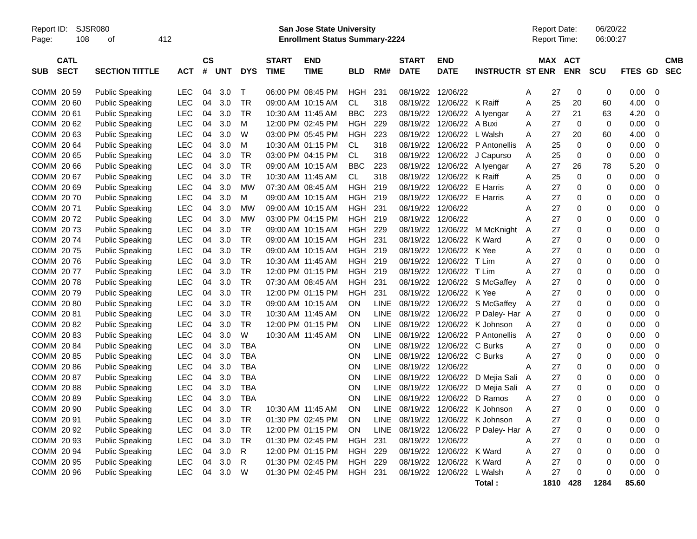Report ID: SJSR080 **San Jose State University** Report Date: 06/20/22

Page: 108 of 412 **Enrollment Status Summary-2224** Report Time: 06:00:27

|            | <b>CATL</b> |                        |            | <b>CS</b> |            |            | <b>START</b>      | <b>END</b>        |            |             | <b>START</b>      | <b>END</b>       |                         |                | <b>MAX ACT</b> |             |             |         | <b>CMB</b>  |
|------------|-------------|------------------------|------------|-----------|------------|------------|-------------------|-------------------|------------|-------------|-------------------|------------------|-------------------------|----------------|----------------|-------------|-------------|---------|-------------|
| <b>SUB</b> | <b>SECT</b> | <b>SECTION TITTLE</b>  | <b>ACT</b> | #         | <b>UNT</b> | <b>DYS</b> | <b>TIME</b>       | <b>TIME</b>       | <b>BLD</b> | RM#         | <b>DATE</b>       | <b>DATE</b>      | <b>INSTRUCTR ST ENR</b> |                |                | <b>ENR</b>  | <b>SCU</b>  | FTES GD | <b>SEC</b>  |
|            |             |                        |            |           |            |            |                   |                   |            |             |                   |                  |                         |                |                |             |             |         |             |
|            | COMM 20 59  | <b>Public Speaking</b> | LEC        | 04        | 3.0        | Т          |                   | 06:00 PM 08:45 PM | HGH        | 231         | 08/19/22          | 12/06/22         |                         | A              | 27             | 0           | 0           | 0.00    | 0           |
|            | COMM 2060   | <b>Public Speaking</b> | <b>LEC</b> | 04        | 3.0        | <b>TR</b>  |                   | 09:00 AM 10:15 AM | <b>CL</b>  | 318         | 08/19/22          | 12/06/22         | K Raiff                 | A              | 25             | 20          | 60          | 4.00    | 0           |
|            | COMM 2061   | <b>Public Speaking</b> | <b>LEC</b> | 04        | 3.0        | <b>TR</b>  |                   | 10:30 AM 11:45 AM | <b>BBC</b> | 223         | 08/19/22          | 12/06/22         | A Iyengar               | A              | 27             | 21          | 63          | 4.20    | $\mathbf 0$ |
|            | COMM 2062   | <b>Public Speaking</b> | <b>LEC</b> | 04        | 3.0        | M          |                   | 12:00 PM 02:45 PM | <b>HGH</b> | 229         | 08/19/22          | 12/06/22         | A Buxi                  | A              | 27             | $\mathbf 0$ | $\mathbf 0$ | 0.00    | $\mathbf 0$ |
|            | COMM 20 63  | <b>Public Speaking</b> | <b>LEC</b> | 04        | 3.0        | W          |                   | 03:00 PM 05:45 PM | <b>HGH</b> | 223         | 08/19/22          | 12/06/22         | L Walsh                 | A              | 27             | 20          | 60          | 4.00    | 0           |
|            | COMM 2064   | <b>Public Speaking</b> | <b>LEC</b> | 04        | 3.0        | М          |                   | 10:30 AM 01:15 PM | CL.        | 318         | 08/19/22          | 12/06/22         | P Antonellis            | A              | 25             | $\Omega$    | 0           | 0.00    | $\Omega$    |
|            | COMM 20 65  | Public Speaking        | <b>LEC</b> | 04        | 3.0        | TR         |                   | 03:00 PM 04:15 PM | CL         | 318         | 08/19/22          | 12/06/22         | J Capurso               | A              | 25             | $\mathbf 0$ | 0           | 0.00    | $\mathbf 0$ |
|            | COMM 2066   | <b>Public Speaking</b> | LEC        | 04        | 3.0        | <b>TR</b>  |                   | 09:00 AM 10:15 AM | <b>BBC</b> | 223         | 08/19/22          |                  | 12/06/22 A Ivengar      | A              | 27             | 26          | 78          | 5.20    | 0           |
|            | COMM 2067   | <b>Public Speaking</b> | <b>LEC</b> | 04        | 3.0        | <b>TR</b>  |                   | 10:30 AM 11:45 AM | <b>CL</b>  | 318         | 08/19/22          | 12/06/22 K Raiff |                         | A              | 25             | $\mathbf 0$ | 0           | 0.00    | $\mathbf 0$ |
|            | COMM 2069   | <b>Public Speaking</b> | <b>LEC</b> | 04        | 3.0        | <b>MW</b>  |                   | 07:30 AM 08:45 AM | <b>HGH</b> | 219         | 08/19/22          | 12/06/22         | E Harris                | A              | 27             | $\mathbf 0$ | 0           | 0.00    | $\mathbf 0$ |
|            | COMM 2070   | <b>Public Speaking</b> | LEC        | 04        | 3.0        | M          |                   | 09:00 AM 10:15 AM | <b>HGH</b> | 219         | 08/19/22          | 12/06/22         | E Harris                | Α              | 27             | 0           | 0           | 0.00    | $\mathbf 0$ |
|            | COMM 2071   | <b>Public Speaking</b> | <b>LEC</b> | 04        | 3.0        | <b>MW</b>  |                   | 09:00 AM 10:15 AM | <b>HGH</b> | 231         | 08/19/22          | 12/06/22         |                         | Α              | 27             | $\mathbf 0$ | 0           | 0.00    | $\mathbf 0$ |
|            | COMM 2072   | <b>Public Speaking</b> | <b>LEC</b> | 04        | 3.0        | <b>MW</b>  |                   | 03:00 PM 04:15 PM | <b>HGH</b> | 219         | 08/19/22          | 12/06/22         |                         | A              | 27             | 0           | 0           | 0.00    | 0           |
|            | COMM 2073   | <b>Public Speaking</b> | <b>LEC</b> | 04        | 3.0        | TR         |                   | 09:00 AM 10:15 AM | HGH        | 229         | 08/19/22          | 12/06/22         | M McKnight              | A              | 27             | 0           | 0           | 0.00    | $\Omega$    |
|            | COMM 2074   | Public Speaking        | <b>LEC</b> | 04        | 3.0        | TR         |                   | 09:00 AM 10:15 AM | HGH        | 231         | 08/19/22          | 12/06/22         | K Ward                  | Α              | 27             | 0           | 0           | 0.00    | $\Omega$    |
|            | COMM 2075   | <b>Public Speaking</b> | <b>LEC</b> | 04        | 3.0        | <b>TR</b>  |                   | 09:00 AM 10:15 AM | <b>HGH</b> | 219         | 08/19/22          | 12/06/22         | K Yee                   | A              | 27             | 0           | 0           | 0.00    | $\mathbf 0$ |
|            | COMM 2076   | <b>Public Speaking</b> | <b>LEC</b> | 04        | 3.0        | <b>TR</b>  |                   | 10:30 AM 11:45 AM | <b>HGH</b> | 219         | 08/19/22          | 12/06/22         | T Lim                   | A              | 27             | $\mathbf 0$ | 0           | 0.00    | $\mathbf 0$ |
|            | COMM 2077   | <b>Public Speaking</b> | <b>LEC</b> | 04        | 3.0        | <b>TR</b>  |                   | 12:00 PM 01:15 PM | <b>HGH</b> | 219         | 08/19/22          | 12/06/22         | T Lim                   | A              | 27             | 0           | 0           | 0.00    | $\mathbf 0$ |
|            | COMM 2078   | <b>Public Speaking</b> | <b>LEC</b> | 04        | 3.0        | TR         |                   | 07:30 AM 08:45 AM | <b>HGH</b> | 231         | 08/19/22          | 12/06/22         | S McGaffey              | A              | 27             | 0           | 0           | 0.00    | $\mathbf 0$ |
|            | COMM 2079   | <b>Public Speaking</b> | <b>LEC</b> | 04        | 3.0        | TR         |                   | 12:00 PM 01:15 PM | <b>HGH</b> | 231         | 08/19/22          | 12/06/22 K Yee   |                         | A              | 27             | $\Omega$    | 0           | 0.00    | $\Omega$    |
|            | COMM 2080   | <b>Public Speaking</b> | <b>LEC</b> | 04        | 3.0        | <b>TR</b>  |                   | 09:00 AM 10:15 AM | <b>ON</b>  | LINE        | 08/19/22          | 12/06/22         | S McGaffey              | A              | 27             | 0           | 0           | 0.00    | $\Omega$    |
|            | COMM 2081   | <b>Public Speaking</b> | <b>LEC</b> | 04        | 3.0        | TR         | 10:30 AM 11:45 AM |                   | <b>ON</b>  | LINE        | 08/19/22          | 12/06/22         | P Daley- Har A          |                | 27             | $\mathbf 0$ | 0           | 0.00    | $\mathbf 0$ |
|            | COMM 2082   | <b>Public Speaking</b> | <b>LEC</b> | 04        | 3.0        | <b>TR</b>  |                   | 12:00 PM 01:15 PM | <b>ON</b>  | <b>LINE</b> | 08/19/22          | 12/06/22         | K Johnson               | A              | 27             | 0           | 0           | 0.00    | $\mathbf 0$ |
|            | COMM 2083   | <b>Public Speaking</b> | <b>LEC</b> | 04        | 3.0        | W          |                   | 10:30 AM 11:45 AM | <b>ON</b>  | <b>LINE</b> | 08/19/22          | 12/06/22         | P Antonellis            | A              | 27             | 0           | 0           | 0.00    | 0           |
|            | COMM 2084   | <b>Public Speaking</b> | LEC        | 04        | 3.0        | <b>TBA</b> |                   |                   | <b>ON</b>  | LINE        | 08/19/22          | 12/06/22 C Burks |                         | A              | 27             | 0           | 0           | 0.00    | $\mathbf 0$ |
|            | COMM 2085   | <b>Public Speaking</b> | <b>LEC</b> | 04        | 3.0        | <b>TBA</b> |                   |                   | <b>ON</b>  | LINE        | 08/19/22          | 12/06/22 C Burks |                         | A              | 27             | $\mathbf 0$ | 0           | 0.00    | $\mathbf 0$ |
|            | COMM 20 86  | <b>Public Speaking</b> | <b>LEC</b> | 04        | 3.0        | <b>TBA</b> |                   |                   | <b>ON</b>  | LINE        | 08/19/22          | 12/06/22         |                         | A              | 27             | 0           | 0           | 0.00    | $\mathbf 0$ |
|            | COMM 20 87  | <b>Public Speaking</b> | LEC        | 04        | 3.0        | <b>TBA</b> |                   |                   | <b>ON</b>  | <b>LINE</b> | 08/19/22 12/06/22 |                  | D Mejia Sali            | A              | 27             | $\mathbf 0$ | 0           | 0.00    | $\Omega$    |
|            | COMM 2088   | Public Speaking        | <b>LEC</b> | 04        | 3.0        | <b>TBA</b> |                   |                   | <b>ON</b>  | LINE        | 08/19/22          | 12/06/22         | D Mejia Sali            | $\overline{A}$ | 27             | 0           | 0           | 0.00    | $\Omega$    |
|            | COMM 2089   | <b>Public Speaking</b> | <b>LEC</b> | 04        | 3.0        | TBA        |                   |                   | ON         | LINE        | 08/19/22          | 12/06/22         | D Ramos                 | A              | 27             | 0           | 0           | 0.00    | $\mathbf 0$ |
|            | COMM 20 90  | <b>Public Speaking</b> | <b>LEC</b> | 04        | 3.0        | <b>TR</b>  |                   | 10:30 AM 11:45 AM | <b>ON</b>  | LINE.       | 08/19/22          | 12/06/22         | K Johnson               | A              | 27             | $\Omega$    | 0           | 0.00    | $\mathbf 0$ |
|            | COMM 20 91  | <b>Public Speaking</b> | <b>LEC</b> | 04        | 3.0        | <b>TR</b>  |                   | 01:30 PM 02:45 PM | <b>ON</b>  | LINE        | 08/19/22          | 12/06/22         | K Johnson               | A              | 27             | $\mathbf 0$ | 0           | 0.00    | $\mathbf 0$ |
|            | COMM 20 92  | <b>Public Speaking</b> | <b>LEC</b> | 04        | 3.0        | TR         |                   | 12:00 PM 01:15 PM | <b>ON</b>  | <b>LINE</b> | 08/19/22          | 12/06/22         | P Daley- Har A          |                | 27             | $\mathbf 0$ | 0           | 0.00    | 0           |
|            | COMM 20 93  | <b>Public Speaking</b> | <b>LEC</b> | 04        | 3.0        | <b>TR</b>  |                   | 01:30 PM 02:45 PM | <b>HGH</b> | 231         | 08/19/22          | 12/06/22         |                         | A              | 27             | $\mathbf 0$ | 0           | 0.00    | $\mathbf 0$ |
|            | COMM 20 94  | <b>Public Speaking</b> | <b>LEC</b> | 04        | 3.0        | R          |                   | 12:00 PM 01:15 PM | <b>HGH</b> | 229         | 08/19/22          | 12/06/22         | K Ward                  | A              | 27             | 0           | 0           | 0.00    | 0           |
|            | COMM 20 95  | <b>Public Speaking</b> | LEC        | 04        | 3.0        | R          |                   | 01:30 PM 02:45 PM | <b>HGH</b> | 229         | 08/19/22          | 12/06/22         | K Ward                  | A              | 27             | 0           | 0           | 0.00    | 0           |
|            | COMM 20 96  | <b>Public Speaking</b> | LEC        | 04        | 3.0        | W          |                   | 01:30 PM 02:45 PM | HGH        | 231         | 08/19/22          | 12/06/22         | L Walsh                 | A              | 27             | $\Omega$    | 0           | 0.00    | $\Omega$    |
|            |             |                        |            |           |            |            |                   |                   |            |             |                   |                  | Total :                 |                | 1810           | 428         | 1284        | 85.60   |             |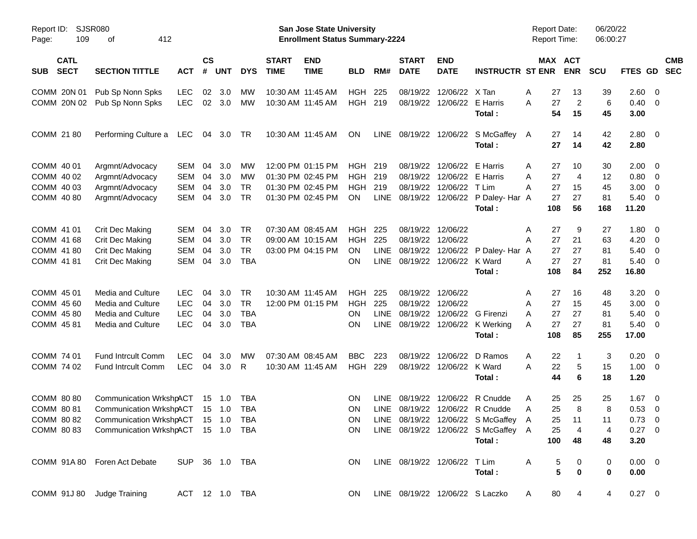| Report ID:<br>109<br>Page:               | SJSR080<br>412<br>оf                          |            |                |                |                |                             | <b>San Jose State University</b><br><b>Enrollment Status Summary-2224</b> |            |             |                             |                              |                                        | <b>Report Date:</b><br><b>Report Time:</b> |                       | 06/20/22<br>06:00:27 |                |                          |                          |
|------------------------------------------|-----------------------------------------------|------------|----------------|----------------|----------------|-----------------------------|---------------------------------------------------------------------------|------------|-------------|-----------------------------|------------------------------|----------------------------------------|--------------------------------------------|-----------------------|----------------------|----------------|--------------------------|--------------------------|
| <b>CATL</b><br><b>SECT</b><br><b>SUB</b> | <b>SECTION TITTLE</b>                         | <b>ACT</b> | <b>CS</b><br># | <b>UNT</b>     | <b>DYS</b>     | <b>START</b><br><b>TIME</b> | <b>END</b><br><b>TIME</b>                                                 | <b>BLD</b> | RM#         | <b>START</b><br><b>DATE</b> | <b>END</b><br><b>DATE</b>    | <b>INSTRUCTR ST ENR</b>                |                                            | MAX ACT<br><b>ENR</b> | <b>SCU</b>           | FTES GD        |                          | <b>CMB</b><br><b>SEC</b> |
|                                          |                                               |            |                |                |                |                             |                                                                           |            |             |                             |                              |                                        |                                            |                       |                      |                |                          |                          |
| COMM 20N 01                              | Pub Sp Nonn Spks                              | <b>LEC</b> | 02             | 3.0            | MW             |                             | 10:30 AM 11:45 AM                                                         | <b>HGH</b> | 225         | 08/19/22                    | 12/06/22                     | X Tan                                  | 27<br>Α                                    | 13                    | 39                   | 2.60 0         |                          |                          |
| COMM 20N 02                              | Pub Sp Nonn Spks                              | <b>LEC</b> | 02             | 3.0            | МW             |                             | 10:30 AM 11:45 AM                                                         | <b>HGH</b> | 219         | 08/19/22                    | 12/06/22                     | E Harris                               | Α<br>27                                    | 2                     | 6                    | $0.40 \quad 0$ |                          |                          |
|                                          |                                               |            |                |                |                |                             |                                                                           |            |             |                             |                              | Total:                                 | 54                                         | 15                    | 45                   | 3.00           |                          |                          |
| COMM 21 80                               | Performing Culture a                          | LEC        | 04             | 3.0            | TR             |                             | 10:30 AM 11:45 AM                                                         | ON         | LINE        | 08/19/22                    |                              | 12/06/22 S McGaffey                    | 27<br>A                                    | 14                    | 42                   | $2.80 \t 0$    |                          |                          |
|                                          |                                               |            |                |                |                |                             |                                                                           |            |             |                             |                              | Total:                                 | 27                                         | 14                    | 42                   | 2.80           |                          |                          |
| COMM 40 01                               | Argmnt/Advocacy                               | SEM        | 04             | 3.0            | MW             |                             | 12:00 PM 01:15 PM                                                         | <b>HGH</b> | 219         | 08/19/22                    | 12/06/22                     | E Harris                               | 27<br>Α                                    | 10                    | 30                   | 2.00           | $\overline{\mathbf{0}}$  |                          |
| COMM 40 02                               | Argmnt/Advocacy                               | SEM        | 04             | 3.0            | МW             |                             | 01:30 PM 02:45 PM                                                         | <b>HGH</b> | 219         | 08/19/22                    | 12/06/22 E Harris            |                                        | 27<br>A                                    | 4                     | 12                   | 0.80           | $\overline{\phantom{0}}$ |                          |
| COMM 40 03                               | Argmnt/Advocacy                               | <b>SEM</b> | 04             | 3.0            | <b>TR</b>      |                             | 01:30 PM 02:45 PM                                                         | <b>HGH</b> | 219         | 08/19/22                    | 12/06/22                     | T Lim                                  | 27<br>A                                    | 15                    | 45                   | 3.00           | $\overline{0}$           |                          |
| COMM 40 80                               | Argmnt/Advocacy                               | SEM        | 04             | 3.0            | <b>TR</b>      |                             | 01:30 PM 02:45 PM                                                         | <b>ON</b>  | LINE        | 08/19/22                    |                              | 12/06/22 P Daley- Har A                | 27                                         | 27                    | 81                   | 5.40           | $\overline{\phantom{0}}$ |                          |
|                                          |                                               |            |                |                |                |                             |                                                                           |            |             |                             |                              | Total:                                 | 108                                        | 56                    | 168                  | 11.20          |                          |                          |
| COMM 41 01                               | Crit Dec Making                               | SEM        | 04             | 3.0            | <b>TR</b>      |                             | 07:30 AM 08:45 AM                                                         | <b>HGH</b> | 225         | 08/19/22                    | 12/06/22                     |                                        | Α<br>27                                    | 9                     | 27                   | 1.80           | $\overline{\mathbf{0}}$  |                          |
| COMM 41 68                               | Crit Dec Making                               | SEM        | 04             | 3.0            | <b>TR</b>      |                             | 09:00 AM 10:15 AM                                                         | <b>HGH</b> | 225         | 08/19/22                    | 12/06/22                     |                                        | 27<br>Α                                    | 21                    | 63                   | 4.20           | $\overline{\mathbf{0}}$  |                          |
| COMM 41 80                               | Crit Dec Making                               | <b>SEM</b> | 04             | 3.0            | <b>TR</b>      |                             | 03:00 PM 04:15 PM                                                         | <b>ON</b>  | LINE        | 08/19/22                    |                              | 12/06/22 P Daley- Har A                | 27                                         | 27                    | 81                   | 5.40           | $\overline{\mathbf{0}}$  |                          |
| COMM 41 81                               | Crit Dec Making                               | SEM        | 04             | 3.0            | <b>TBA</b>     |                             |                                                                           | ON         | <b>LINE</b> | 08/19/22                    | 12/06/22                     | K Ward                                 | 27<br>A                                    | 27                    | 81                   | 5.40           | $\overline{\mathbf{0}}$  |                          |
|                                          |                                               |            |                |                |                |                             |                                                                           |            |             |                             |                              | Total:                                 | 108                                        | 84                    | 252                  | 16.80          |                          |                          |
| COMM 45 01                               | Media and Culture                             | <b>LEC</b> | 04             | 3.0            | <b>TR</b>      |                             | 10:30 AM 11:45 AM                                                         | <b>HGH</b> | 225         | 08/19/22                    | 12/06/22                     |                                        | 27<br>A                                    | 16                    | 48                   | 3.20           | $\overline{\mathbf{0}}$  |                          |
| COMM 45 60                               | Media and Culture                             | <b>LEC</b> | 04             | 3.0            | <b>TR</b>      |                             | 12:00 PM 01:15 PM                                                         | <b>HGH</b> | 225         | 08/19/22                    | 12/06/22                     |                                        | 27<br>Α                                    | 15                    | 45                   | 3.00           | $\overline{\mathbf{0}}$  |                          |
| COMM 45 80                               | Media and Culture                             | <b>LEC</b> | 04             | 3.0            | <b>TBA</b>     |                             |                                                                           | ON         | LINE        | 08/19/22                    | 12/06/22                     | G Firenzi                              | 27<br>A                                    | 27                    | 81                   | 5.40           | $\overline{\mathbf{0}}$  |                          |
| COMM 45 81                               | Media and Culture                             | <b>LEC</b> | 04             | 3.0            | <b>TBA</b>     |                             |                                                                           | ON         | <b>LINE</b> | 08/19/22                    |                              | 12/06/22 K Werking                     | 27<br>A                                    | 27                    | 81                   | $5.40 \ 0$     |                          |                          |
|                                          |                                               |            |                |                |                |                             |                                                                           |            |             |                             |                              | Total:                                 | 108                                        | 85                    | 255                  | 17.00          |                          |                          |
| COMM 74 01                               | <b>Fund Intrcult Comm</b>                     | <b>LEC</b> | 04             | 3.0            | МW             |                             | 07:30 AM 08:45 AM                                                         | <b>BBC</b> | 223         | 08/19/22                    | 12/06/22                     | D Ramos                                | 22<br>A                                    | -1                    | 3                    | 0.20           | $\overline{\phantom{0}}$ |                          |
| COMM 74 02                               | <b>Fund Intrcult Comm</b>                     | <b>LEC</b> | 04             | 3.0            | R              |                             | 10:30 AM 11:45 AM                                                         | <b>HGH</b> | 229         | 08/19/22                    | 12/06/22                     | K Ward                                 | 22<br>A                                    | 5                     | 15                   | $1.00 \t 0$    |                          |                          |
|                                          |                                               |            |                |                |                |                             |                                                                           |            |             |                             |                              | Total:                                 | 44                                         | 6                     | 18                   | 1.20           |                          |                          |
| COMM 80 80                               | <b>Communication WrkshpACT</b>                |            | 15             | - 1.0          | TBA            |                             |                                                                           | ON         | LINE        | 08/19/22                    |                              | 12/06/22 R Cnudde                      | 25<br>A                                    | 25                    | 25                   | 1.67           | $\overline{\phantom{0}}$ |                          |
| COMM 80 81                               | <b>Communication WrkshpACT</b>                |            |                | $15 \quad 1.0$ | <b>TBA</b>     |                             |                                                                           | ON         | LINE        | 08/19/22                    |                              | 12/06/22 R Cnudde                      | 25<br>Α                                    | 8                     | 8                    | 0.53           | $\overline{\phantom{0}}$ |                          |
|                                          | COMM 80 82 Communication WrkshpACT 15 1.0 TBA |            |                |                |                |                             |                                                                           | ON         |             |                             |                              | LINE 08/19/22 12/06/22 S McGaffey A    | 25                                         | 11                    | 11                   | $0.73 \ 0$     |                          |                          |
|                                          | COMM 80 83 Communication WrkshpACT 15 1.0 TBA |            |                |                |                |                             |                                                                           |            |             |                             |                              | ON LINE 08/19/22 12/06/22 S McGaffey A | 25                                         | 4                     | 4                    | $0.27 \quad 0$ |                          |                          |
|                                          |                                               |            |                |                |                |                             |                                                                           |            |             |                             |                              | Total:                                 | 100                                        | 48                    | 48                   | 3.20           |                          |                          |
|                                          | COMM 91A 80 Foren Act Debate                  |            |                |                | SUP 36 1.0 TBA |                             |                                                                           | ON .       |             |                             | LINE 08/19/22 12/06/22 T Lim |                                        | A                                          | 5<br>0                | 0                    | $0.00 \t 0$    |                          |                          |
|                                          |                                               |            |                |                |                |                             |                                                                           |            |             |                             |                              | Total:                                 |                                            | 5<br>$\mathbf 0$      | 0                    | 0.00           |                          |                          |
|                                          | COMM 91J 80 Judge Training                    |            |                |                | ACT 12 1.0 TBA |                             |                                                                           |            |             |                             |                              | ON LINE 08/19/22 12/06/22 S Laczko     | A<br>80                                    | 4                     | 4                    | $0.27 \t 0$    |                          |                          |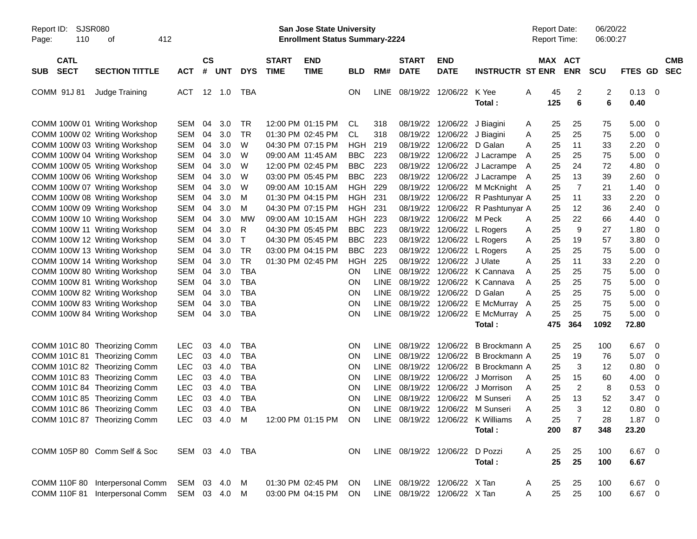| Report ID:<br>110<br>Page:               | <b>SJSR080</b><br>412<br>οf                                    |                          |                    |            |                |                             | <b>San Jose State University</b><br><b>Enrollment Status Summary-2224</b> |                  |             |                              |                                                          |                                   |        | <b>Report Date:</b><br><b>Report Time:</b> |                              | 06/20/22<br>06:00:27 |                        |                         |                          |
|------------------------------------------|----------------------------------------------------------------|--------------------------|--------------------|------------|----------------|-----------------------------|---------------------------------------------------------------------------|------------------|-------------|------------------------------|----------------------------------------------------------|-----------------------------------|--------|--------------------------------------------|------------------------------|----------------------|------------------------|-------------------------|--------------------------|
| <b>CATL</b><br><b>SECT</b><br><b>SUB</b> | <b>SECTION TITTLE</b>                                          | <b>ACT</b>               | $\mathsf{cs}$<br># | <b>UNT</b> | <b>DYS</b>     | <b>START</b><br><b>TIME</b> | <b>END</b><br><b>TIME</b>                                                 | <b>BLD</b>       | RM#         | <b>START</b><br><b>DATE</b>  | <b>END</b><br><b>DATE</b>                                | <b>INSTRUCTR ST ENR</b>           |        | MAX ACT                                    | <b>ENR</b>                   | <b>SCU</b>           | <b>FTES GD</b>         |                         | <b>CMB</b><br><b>SEC</b> |
| COMM 91J 81                              | Judge Training                                                 | ACT                      |                    | 12 1.0     | TBA            |                             |                                                                           | ON               | LINE        |                              | 08/19/22 12/06/22                                        | K Yee<br>Total:                   | Α      | 45<br>125                                  | $\overline{\mathbf{c}}$<br>6 | $\overline{c}$<br>6  | $0.13 \quad 0$<br>0.40 |                         |                          |
|                                          | COMM 100W 01 Writing Workshop                                  | <b>SEM</b>               | 04                 | 3.0        | <b>TR</b>      |                             | 12:00 PM 01:15 PM                                                         | <b>CL</b>        | 318         |                              | 08/19/22 12/06/22 J Biagini                              |                                   | A      | 25                                         | 25                           | 75                   | 5.00                   | $\overline{\mathbf{0}}$ |                          |
|                                          | COMM 100W 02 Writing Workshop<br>COMM 100W 03 Writing Workshop | <b>SEM</b><br><b>SEM</b> | 04<br>04           | 3.0<br>3.0 | <b>TR</b><br>W |                             | 01:30 PM 02:45 PM<br>04:30 PM 07:15 PM                                    | <b>CL</b><br>HGH | 318<br>219  |                              | 08/19/22 12/06/22 J Biagini<br>08/19/22 12/06/22 D Galan |                                   | Α<br>A | 25<br>25                                   | 25<br>11                     | 75<br>33             | 5.00<br>2.20           | 0<br>- 0                |                          |
|                                          | COMM 100W 04 Writing Workshop                                  | <b>SEM</b>               | 04                 | 3.0        | W              |                             | 09:00 AM 11:45 AM                                                         | <b>BBC</b>       | 223         |                              |                                                          | 08/19/22 12/06/22 J Lacrampe      | A      | 25                                         | 25                           | 75                   | 5.00                   | - 0                     |                          |
|                                          | COMM 100W 05 Writing Workshop                                  | <b>SEM</b>               | 04                 | 3.0        | W              |                             | 12:00 PM 02:45 PM                                                         | <b>BBC</b>       | 223         |                              |                                                          | 08/19/22 12/06/22 J Lacrampe      | A      | 25                                         | 24                           | 72                   | 4.80                   | 0                       |                          |
|                                          | COMM 100W 06 Writing Workshop                                  | <b>SEM</b>               | 04                 | 3.0        | W              |                             | 03:00 PM 05:45 PM                                                         | <b>BBC</b>       | 223         |                              |                                                          | 08/19/22 12/06/22 J Lacrampe      | A      | 25                                         | 13                           | 39                   | 2.60                   | 0                       |                          |
|                                          | COMM 100W 07 Writing Workshop                                  | <b>SEM</b>               | 04                 | 3.0        | W              |                             | 09:00 AM 10:15 AM                                                         | HGH              | 229         |                              |                                                          | 08/19/22 12/06/22 M McKnight A    |        | 25                                         | $\overline{7}$               | 21                   | 1.40                   | 0                       |                          |
|                                          | COMM 100W 08 Writing Workshop                                  | <b>SEM</b>               | 04                 | 3.0        | M              |                             | 01:30 PM 04:15 PM                                                         | HGH              | 231         |                              |                                                          | 08/19/22 12/06/22 R Pashtunyar A  |        | 25                                         | 11                           | 33                   | 2.20                   | 0                       |                          |
|                                          | COMM 100W 09 Writing Workshop                                  | <b>SEM</b>               | 04                 | 3.0        | M              |                             | 04:30 PM 07:15 PM                                                         | HGH              | 231         |                              |                                                          | 08/19/22 12/06/22 R Pashtunyar A  |        | 25                                         | 12                           | 36                   | 2.40                   | 0                       |                          |
|                                          | COMM 100W 10 Writing Workshop                                  | <b>SEM</b>               | 04                 | 3.0        | МW             |                             | 09:00 AM 10:15 AM                                                         | <b>HGH</b>       | 223         |                              | 08/19/22 12/06/22 M Peck                                 |                                   | A      | 25                                         | 22                           | 66                   | 4.40                   | 0                       |                          |
|                                          | COMM 100W 11 Writing Workshop                                  | <b>SEM</b>               | 04                 | 3.0        | R              |                             | 04:30 PM 05:45 PM                                                         | <b>BBC</b>       | 223         |                              | 08/19/22 12/06/22 L Rogers                               |                                   | A      | 25                                         | 9                            | 27                   | 1.80                   | 0                       |                          |
|                                          | COMM 100W 12 Writing Workshop                                  | <b>SEM</b>               | 04                 | 3.0        | т              |                             | 04:30 PM 05:45 PM                                                         | <b>BBC</b>       | 223         |                              | 08/19/22 12/06/22 L Rogers                               |                                   | Α      | 25                                         | 19                           | 57                   | 3.80                   | 0                       |                          |
|                                          | COMM 100W 13 Writing Workshop                                  | <b>SEM</b>               | 04                 | 3.0        | <b>TR</b>      |                             | 03:00 PM 04:15 PM                                                         | <b>BBC</b>       | 223         |                              | 08/19/22 12/06/22 L Rogers                               |                                   | Α      | 25                                         | 25                           | 75                   | 5.00                   | - 0                     |                          |
|                                          | COMM 100W 14 Writing Workshop                                  | <b>SEM</b>               | 04                 | 3.0        | <b>TR</b>      |                             | 01:30 PM 02:45 PM                                                         | <b>HGH</b>       | 225         |                              | 08/19/22 12/06/22 J Ulate                                |                                   | A      | 25                                         | 11                           | 33                   | 2.20                   | 0                       |                          |
|                                          | COMM 100W 80 Writing Workshop                                  | <b>SEM</b>               | 04                 | 3.0        | <b>TBA</b>     |                             |                                                                           | <b>ON</b>        | LINE        |                              |                                                          | 08/19/22 12/06/22 K Cannava       | A      | 25                                         | 25                           | 75                   | 5.00                   | - 0                     |                          |
|                                          | COMM 100W 81 Writing Workshop                                  | <b>SEM</b>               | 04                 | 3.0        | <b>TBA</b>     |                             |                                                                           | <b>ON</b>        | <b>LINE</b> |                              |                                                          | 08/19/22 12/06/22 K Cannava       | A      | 25                                         | 25                           | 75                   | 5.00                   | - 0                     |                          |
|                                          | COMM 100W 82 Writing Workshop                                  | SEM                      | 04                 | 3.0        | <b>TBA</b>     |                             |                                                                           | ON               | <b>LINE</b> |                              | 08/19/22 12/06/22 D Galan                                |                                   | Α      | 25                                         | 25                           | 75                   | 5.00                   | - 0                     |                          |
|                                          | COMM 100W 83 Writing Workshop                                  | <b>SEM</b>               | 04                 | 3.0        | <b>TBA</b>     |                             |                                                                           | ON               | <b>LINE</b> |                              |                                                          | 08/19/22 12/06/22 E McMurray A    |        | 25                                         | 25                           | 75                   | 5.00                   | - 0                     |                          |
|                                          | COMM 100W 84 Writing Workshop                                  | SEM                      | 04                 | 3.0        | <b>TBA</b>     |                             |                                                                           | ON               | LINE        |                              | 08/19/22 12/06/22                                        | E McMurray A                      |        | 25                                         | 25                           | 75                   | 5.00                   | - 0                     |                          |
|                                          |                                                                |                          |                    |            |                |                             |                                                                           |                  |             |                              |                                                          | Total:                            |        | 475                                        | 364                          | 1092                 | 72.80                  |                         |                          |
|                                          | COMM 101C 80 Theorizing Comm                                   | <b>LEC</b>               | 03                 | 4.0        | <b>TBA</b>     |                             |                                                                           | <b>ON</b>        | <b>LINE</b> |                              | 08/19/22 12/06/22                                        | B Brockmann A                     |        | 25                                         | 25                           | 100                  | 6.67                   | $\overline{\mathbf{0}}$ |                          |
|                                          | COMM 101C 81 Theorizing Comm                                   | <b>LEC</b>               | 03                 | 4.0        | <b>TBA</b>     |                             |                                                                           | ON               | <b>LINE</b> | 08/19/22                     | 12/06/22                                                 | B Brockmann A                     |        | 25                                         | 19                           | 76                   | 5.07                   | $\overline{\mathbf{0}}$ |                          |
|                                          | COMM 101C 82 Theorizing Comm                                   | LEC                      | 03                 | 4.0        | <b>TBA</b>     |                             |                                                                           | ON               | <b>LINE</b> |                              | 08/19/22 12/06/22                                        | B Brockmann A                     |        | 25                                         | 3                            | 12                   | 0.80                   | 0                       |                          |
|                                          | COMM 101C 83 Theorizing Comm                                   | LEC                      | 03                 | 4.0        | <b>TBA</b>     |                             |                                                                           | ON               | <b>LINE</b> |                              | 08/19/22 12/06/22                                        | J Morrison                        | A      | 25                                         | 15                           | 60                   | 4.00                   | 0                       |                          |
|                                          | COMM 101C 84 Theorizing Comm                                   | LEC                      | 03                 | 4.0        | <b>TBA</b>     |                             |                                                                           | ON               | <b>LINE</b> |                              | 08/19/22 12/06/22                                        | J Morrison                        | A      | 25                                         | $\overline{2}$               | 8                    | 0.53                   | 0                       |                          |
|                                          | COMM 101C 85 Theorizing Comm                                   | <b>LEC</b>               | 03                 | 4.0        | <b>TBA</b>     |                             |                                                                           | ON               | <b>LINE</b> | 08/19/22                     | 12/06/22                                                 | M Sunseri                         | Α      | 25                                         | 13                           | 52                   | 3.47                   | 0                       |                          |
|                                          | COMM 101C 86 Theorizing Comm                                   | LEC                      | 03                 | 4.0        | <b>TBA</b>     |                             |                                                                           | <b>ON</b>        | LINE        |                              |                                                          | 08/19/22 12/06/22 M Sunseri       | A      | 25                                         | 3                            | 12                   | 0.80                   | - 0                     |                          |
|                                          | COMM 101C 87 Theorizing Comm                                   | LEC 03 4.0 M             |                    |            |                |                             | 12:00 PM 01:15 PM ON                                                      |                  |             |                              |                                                          | LINE 08/19/22 12/06/22 K Williams | A      | 25                                         |                              | 28                   | $1.87 \t 0$            |                         |                          |
|                                          |                                                                |                          |                    |            |                |                             |                                                                           |                  |             |                              |                                                          | Total:                            |        | 200                                        | 87                           | 348                  | 23.20                  |                         |                          |
|                                          | COMM 105P 80 Comm Self & Soc                                   | SEM 03 4.0 TBA           |                    |            |                |                             |                                                                           | ON.              |             | LINE 08/19/22 12/06/22       |                                                          | D Pozzi                           | A      | 25                                         | 25                           | 100                  | 6.67 0                 |                         |                          |
|                                          |                                                                |                          |                    |            |                |                             |                                                                           |                  |             |                              |                                                          | Total:                            |        | 25                                         | 25                           | 100                  | 6.67                   |                         |                          |
|                                          | COMM 110F 80 Interpersonal Comm                                | SEM 03 4.0 M             |                    |            |                |                             | 01:30 PM 02:45 PM                                                         | <b>ON</b>        |             | LINE 08/19/22 12/06/22 X Tan |                                                          |                                   | A      | 25                                         | 25                           | 100                  | 6.67 0                 |                         |                          |
|                                          | COMM 110F 81 Interpersonal Comm                                | SEM 03 4.0 M             |                    |            |                |                             | 03:00 PM 04:15 PM                                                         | ON               |             | LINE 08/19/22 12/06/22 X Tan |                                                          |                                   | A      | 25                                         | 25                           | 100                  | 6.67 0                 |                         |                          |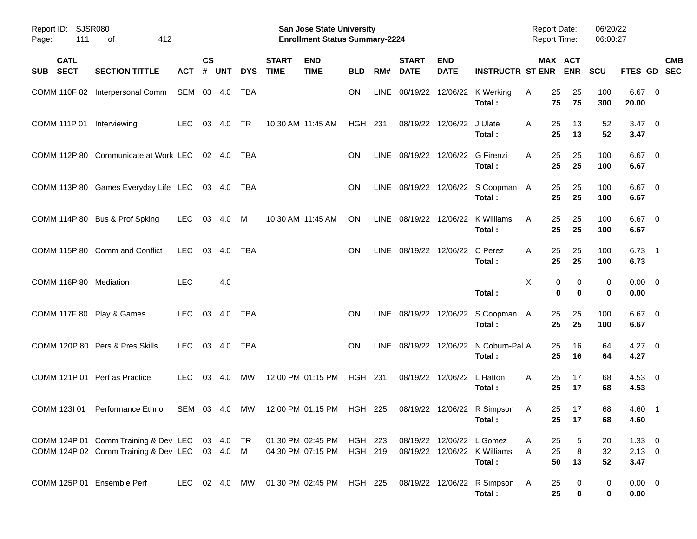| Report ID: SJSR080<br>111<br>Page: | 412<br>οf                                                                                       |               |                    |            |            |                             | <b>San Jose State University</b><br><b>Enrollment Status Summary-2224</b> |                    |             |                                  |                            |                                                 | <b>Report Date:</b><br><b>Report Time:</b> |                                | 06/20/22<br>06:00:27 |                                   |            |
|------------------------------------|-------------------------------------------------------------------------------------------------|---------------|--------------------|------------|------------|-----------------------------|---------------------------------------------------------------------------|--------------------|-------------|----------------------------------|----------------------------|-------------------------------------------------|--------------------------------------------|--------------------------------|----------------------|-----------------------------------|------------|
| <b>CATL</b><br><b>SECT</b><br>SUB  | <b>SECTION TITTLE</b>                                                                           | <b>ACT</b>    | $\mathsf{cs}$<br># | <b>UNT</b> | <b>DYS</b> | <b>START</b><br><b>TIME</b> | <b>END</b><br><b>TIME</b>                                                 | <b>BLD</b>         | RM#         | <b>START</b><br><b>DATE</b>      | <b>END</b><br><b>DATE</b>  | <b>INSTRUCTR ST ENR</b>                         |                                            | MAX ACT<br><b>ENR</b>          | <b>SCU</b>           | FTES GD SEC                       | <b>CMB</b> |
|                                    | COMM 110F 82 Interpersonal Comm                                                                 | SEM 03 4.0    |                    |            | TBA        |                             |                                                                           | ON                 | <b>LINE</b> |                                  |                            | 08/19/22 12/06/22 K Werking<br>Total:           | 25<br>A<br>75                              | 25<br>75                       | 100<br>300           | $6.67$ 0<br>20.00                 |            |
| COMM 111P 01 Interviewing          |                                                                                                 | <b>LEC</b>    | 03                 | 4.0        | <b>TR</b>  | 10:30 AM 11:45 AM           |                                                                           | <b>HGH 231</b>     |             |                                  | 08/19/22 12/06/22          | J Ulate<br>Total:                               | 25<br>A<br>25                              | 13<br>13                       | 52<br>52             | $3.47 \quad 0$<br>3.47            |            |
|                                    | COMM 112P 80 Communicate at Work LEC                                                            |               |                    | 02 4.0     | TBA        |                             |                                                                           | <b>ON</b>          |             | LINE 08/19/22 12/06/22 G Firenzi |                            | Total:                                          | 25<br>A<br>25                              | 25<br>25                       | 100<br>100           | $6.67$ 0<br>6.67                  |            |
|                                    | COMM 113P 80 Games Everyday Life LEC 03 4.0                                                     |               |                    |            | TBA        |                             |                                                                           | <b>ON</b>          |             |                                  |                            | LINE 08/19/22 12/06/22 S Coopman A<br>Total:    | 25<br>25                                   | 25<br>25                       | 100<br>100           | $6.67$ 0<br>6.67                  |            |
|                                    | COMM 114P 80 Bus & Prof Spking                                                                  | LEC.          |                    | 03 4.0     | M          | 10:30 AM 11:45 AM           |                                                                           | ON                 |             | LINE 08/19/22 12/06/22           |                            | K Williams<br>Total:                            | 25<br>A<br>25                              | 25<br>25                       | 100<br>100           | $6.67$ 0<br>6.67                  |            |
|                                    | COMM 115P 80 Comm and Conflict                                                                  | <b>LEC</b>    | 03                 | 4.0        | <b>TBA</b> |                             |                                                                           | ON                 |             | LINE 08/19/22 12/06/22           |                            | C Perez<br>Total:                               | 25<br>A<br>25                              | 25<br>25                       | 100<br>100           | $6.73$ 1<br>6.73                  |            |
| COMM 116P 80 Mediation             |                                                                                                 | <b>LEC</b>    |                    | 4.0        |            |                             |                                                                           |                    |             |                                  |                            | Total:                                          | X                                          | 0<br>0<br>$\bf{0}$<br>$\bf{0}$ | 0<br>0               | $0.00 \t 0$<br>0.00               |            |
| COMM 117F 80 Play & Games          |                                                                                                 | LEC.          |                    | 03 4.0     | <b>TBA</b> |                             |                                                                           | <b>ON</b>          |             |                                  |                            | LINE 08/19/22 12/06/22 S Coopman A<br>Total:    | 25<br>25                                   | 25<br>25                       | 100<br>100           | $6.67$ 0<br>6.67                  |            |
|                                    | COMM 120P 80 Pers & Pres Skills                                                                 | <b>LEC</b>    |                    | 03 4.0     | <b>TBA</b> |                             |                                                                           | <b>ON</b>          |             |                                  |                            | LINE 08/19/22 12/06/22 N Coburn-Pal A<br>Total: | 25<br>25                                   | 16<br>16                       | 64<br>64             | $4.27 \t 0$<br>4.27               |            |
| COMM 121P 01 Perf as Practice      |                                                                                                 | <b>LEC</b>    |                    | 03 4.0     | МW         | 12:00 PM 01:15 PM           |                                                                           | HGH 231            |             |                                  | 08/19/22 12/06/22 L Hatton | Total:                                          | A<br>25<br>25                              | 17<br>17                       | 68<br>68             | $4.53$ 0<br>4.53                  |            |
| COMM 123I 01                       | Performance Ethno                                                                               | SEM 03 4.0    |                    |            | MW         |                             | 12:00 PM 01:15 PM                                                         | HGH 225            |             |                                  |                            | 08/19/22 12/06/22 R Simpson<br>Total:           | 25<br>A                                    | 17<br>25 17                    | 68<br>68             | 4.60 1<br>4.60                    |            |
|                                    | COMM 124P 01 Comm Training & Dev LEC 03 4.0 TR<br>COMM 124P 02 Comm Training & Dev LEC 03 4.0 M |               |                    |            |            |                             | 01:30 PM 02:45 PM<br>04:30 PM 07:15 PM                                    | HGH 223<br>HGH 219 |             |                                  | 08/19/22 12/06/22 L Gomez  | 08/19/22 12/06/22 K Williams<br>Total:          | 25<br>A<br>25<br>A<br>50                   | 5<br>$\,8\,$<br>13             | 20<br>32<br>52       | $1.33 \ 0$<br>$2.13 \t 0$<br>3.47 |            |
| COMM 125P 01 Ensemble Perf         |                                                                                                 | LEC 02 4.0 MW |                    |            |            |                             | 01:30 PM_02:45 PM                                                         | HGH 225            |             |                                  |                            | 08/19/22 12/06/22 R Simpson<br>Total:           | 25<br>A<br>25                              | 0<br>$\bf{0}$                  | 0<br>0               | $0.00 \t 0$<br>0.00               |            |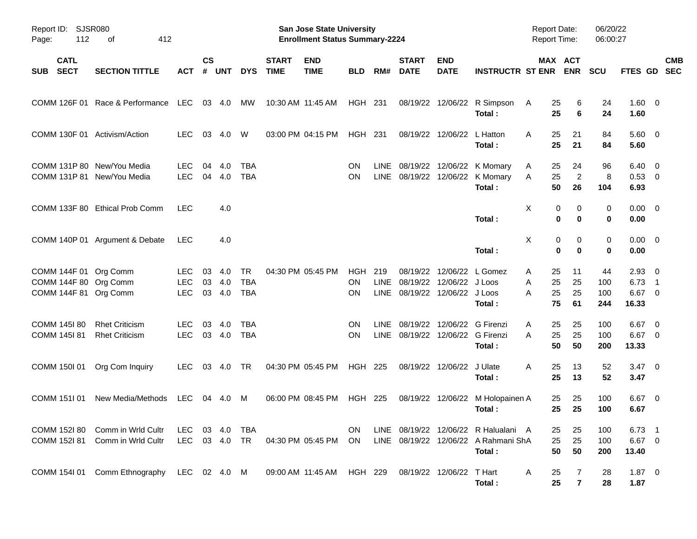| Report ID: SJSR080<br>112<br>Page:                                      | 412<br>οf                                                |                                  |                |                      |                                |                             | <b>San Jose State University</b><br><b>Enrollment Status Summary-2224</b> |                               |             |                                                       |                             |                                                                                        | <b>Report Date:</b><br><b>Report Time:</b> |                                | 06/20/22<br>06:00:27    |                                             |                          |            |
|-------------------------------------------------------------------------|----------------------------------------------------------|----------------------------------|----------------|----------------------|--------------------------------|-----------------------------|---------------------------------------------------------------------------|-------------------------------|-------------|-------------------------------------------------------|-----------------------------|----------------------------------------------------------------------------------------|--------------------------------------------|--------------------------------|-------------------------|---------------------------------------------|--------------------------|------------|
| <b>CATL</b><br><b>SECT</b><br><b>SUB</b>                                | <b>SECTION TITTLE</b>                                    | <b>ACT</b>                       | <b>CS</b><br># | <b>UNT</b>           | <b>DYS</b>                     | <b>START</b><br><b>TIME</b> | <b>END</b><br><b>TIME</b>                                                 | <b>BLD</b>                    | RM#         | <b>START</b><br><b>DATE</b>                           | <b>END</b><br><b>DATE</b>   | <b>INSTRUCTR ST ENR</b>                                                                |                                            | MAX ACT<br><b>ENR</b>          | <b>SCU</b>              | FTES GD SEC                                 |                          | <b>CMB</b> |
|                                                                         | COMM 126F 01 Race & Performance LEC                      |                                  |                | 03 4.0               | МW                             |                             | 10:30 AM 11:45 AM                                                         | HGH 231                       |             |                                                       |                             | 08/19/22 12/06/22 R Simpson<br>Total:                                                  | 25<br>A<br>25                              | 6<br>6                         | 24<br>24                | $1.60 \t 0$<br>1.60                         |                          |            |
| COMM 130F 01 Activism/Action                                            |                                                          | <b>LEC</b>                       | 03             | 4.0                  | W                              |                             | 03:00 PM 04:15 PM                                                         | <b>HGH 231</b>                |             |                                                       | 08/19/22 12/06/22           | L Hatton<br>Total:                                                                     | 25<br>A<br>25                              | 21<br>21                       | 84<br>84                | $5.60 \quad 0$<br>5.60                      |                          |            |
|                                                                         | COMM 131P 80 New/You Media<br>COMM 131P 81 New/You Media | <b>LEC</b><br><b>LEC</b>         | 04<br>04       | 4.0<br>4.0           | <b>TBA</b><br><b>TBA</b>       |                             |                                                                           | ON<br><b>ON</b>               | <b>LINE</b> |                                                       |                             | 08/19/22 12/06/22 K Momary<br>LINE 08/19/22 12/06/22 K Momary<br>Total:                | 25<br>A<br>25<br>Α<br>50                   | 24<br>$\overline{2}$<br>26     | 96<br>8<br>104          | $6.40 \quad 0$<br>0.53 0<br>6.93            |                          |            |
|                                                                         | COMM 133F 80 Ethical Prob Comm                           | <b>LEC</b>                       |                | 4.0                  |                                |                             |                                                                           |                               |             |                                                       |                             | Total:                                                                                 | X                                          | 0<br>0<br>$\bf{0}$<br>$\bf{0}$ | 0<br>0                  | $0.00 \t 0$<br>0.00                         |                          |            |
|                                                                         | COMM 140P 01 Argument & Debate                           | <b>LEC</b>                       |                | 4.0                  |                                |                             |                                                                           |                               |             |                                                       |                             | Total:                                                                                 | X                                          | 0<br>0<br>$\bf{0}$<br>$\bf{0}$ | 0<br>0                  | $0.00 \t 0$<br>0.00                         |                          |            |
| COMM 144F 01 Org Comm<br>COMM 144F 80 Org Comm<br>COMM 144F 81 Org Comm |                                                          | LEC.<br><b>LEC</b><br><b>LEC</b> | 03<br>03       | 4.0<br>4.0<br>03 4.0 | TR<br><b>TBA</b><br><b>TBA</b> |                             | 04:30 PM 05:45 PM                                                         | <b>HGH</b><br><b>ON</b><br>OΝ | 219<br>LINE | 08/19/22<br>08/19/22<br>LINE 08/19/22 12/06/22 J Loos | 12/06/22<br>12/06/22 J Loos | L Gomez<br>Total:                                                                      | 25<br>A<br>25<br>A<br>25<br>A<br>75        | 11<br>25<br>25<br>61           | 44<br>100<br>100<br>244 | $2.93 \quad 0$<br>6.73<br>$6.67$ 0<br>16.33 | $\overline{\phantom{1}}$ |            |
| COMM 145I 80<br>COMM 145181                                             | <b>Rhet Criticism</b><br><b>Rhet Criticism</b>           | <b>LEC</b><br><b>LEC</b>         | 03             | 4.0<br>03 4.0        | <b>TBA</b><br><b>TBA</b>       |                             |                                                                           | ON<br><b>ON</b>               | LINE        | 08/19/22<br>LINE 08/19/22 12/06/22 G Firenzi          | 12/06/22 G Firenzi          | Total:                                                                                 | 25<br>A<br>25<br>A<br>50                   | 25<br>25<br>50                 | 100<br>100<br>200       | $6.67$ 0<br>$6.67$ 0<br>13.33               |                          |            |
| COMM 150I 01                                                            | Org Com Inquiry                                          | <b>LEC</b>                       |                | 03 4.0               | TR                             |                             | 04:30 PM 05:45 PM                                                         | <b>HGH 225</b>                |             |                                                       | 08/19/22 12/06/22           | J Ulate<br>Total:                                                                      | 25<br>A<br>25                              | 13<br>13                       | 52<br>52                | $3.47 \quad 0$<br>3.47                      |                          |            |
| COMM 151101                                                             | New Media/Methods                                        | LEC.                             |                | 04 4.0               | M                              |                             | 06:00 PM 08:45 PM                                                         | HGH 225                       |             |                                                       | 08/19/22 12/06/22           | M Holopainen A<br>Total:                                                               | 25<br>25                                   | 25<br>25                       | 100<br>100              | $6.67$ 0<br>6.67                            |                          |            |
| COMM 152l 81                                                            | COMM 1521 80 Comm in Wrld Cultr<br>Comm in Wrld Cultr    | LEC 03 4.0 TBA<br>LEC 03 4.0 TR  |                |                      |                                |                             | 04:30 PM 05:45 PM ON                                                      | ON.                           |             |                                                       |                             | LINE 08/19/22 12/06/22 R Halualani A<br>LINE 08/19/22 12/06/22 A Rahmani ShA<br>Total: | 25<br>25<br>50                             | 25<br>25<br>50                 | 100<br>100<br>200       | $6.73$ 1<br>$6.67$ 0<br>13.40               |                          |            |
|                                                                         | COMM 154I 01 Comm Ethnography LEC 02 4.0 M               |                                  |                |                      |                                |                             | 09:00 AM_11:45 AM  HGH 229                                                |                               |             |                                                       | 08/19/22 12/06/22 T Hart    | Total:                                                                                 | A<br>25<br>25                              | 7<br>$\overline{7}$            | 28<br>28                | $1.87$ 0<br>1.87                            |                          |            |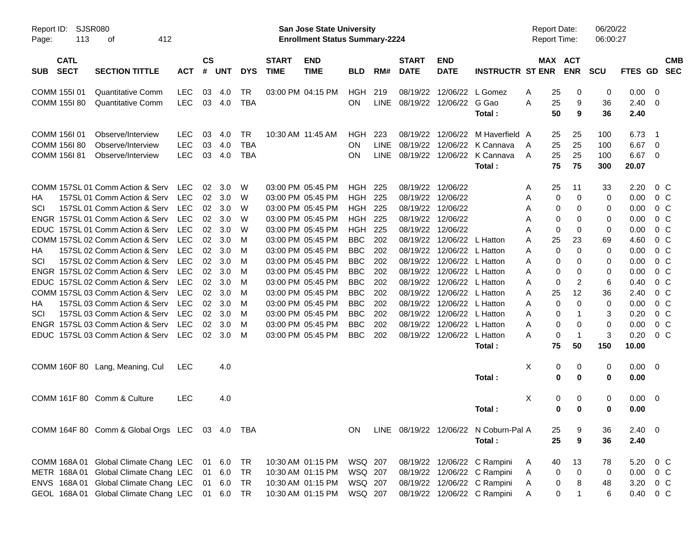| Report ID:<br>113<br>Page:               | <b>SJSR080</b><br>412<br>оf                     |            |                             |            |            |                             | San Jose State University<br><b>Enrollment Status Summary-2224</b> |                |             |                              |                            |                                       |        | <b>Report Date:</b><br><b>Report Time:</b> |                      | 06/20/22<br>06:00:27 |                        |                          |            |
|------------------------------------------|-------------------------------------------------|------------|-----------------------------|------------|------------|-----------------------------|--------------------------------------------------------------------|----------------|-------------|------------------------------|----------------------------|---------------------------------------|--------|--------------------------------------------|----------------------|----------------------|------------------------|--------------------------|------------|
| <b>CATL</b><br><b>SECT</b><br><b>SUB</b> | <b>SECTION TITTLE</b>                           | <b>ACT</b> | $\mathsf{cs}$<br>$\pmb{\#}$ | <b>UNT</b> | <b>DYS</b> | <b>START</b><br><b>TIME</b> | <b>END</b><br><b>TIME</b>                                          | <b>BLD</b>     | RM#         | <b>START</b><br><b>DATE</b>  | <b>END</b><br><b>DATE</b>  | <b>INSTRUCTR ST ENR</b>               |        | MAX ACT                                    | <b>ENR</b>           | <b>SCU</b>           | FTES GD SEC            |                          | <b>CMB</b> |
| COMM 155101                              | <b>Quantitative Comm</b>                        | <b>LEC</b> | 03                          | 4.0        | <b>TR</b>  |                             | 03:00 PM 04:15 PM                                                  | HGH            | 219         | 08/19/22                     |                            | 12/06/22 L Gomez                      | A      | 25                                         | 0                    | 0                    | 0.00                   | - 0                      |            |
| COMM 155I 80                             | <b>Quantitative Comm</b>                        | <b>LEC</b> |                             | 03 4.0     | <b>TBA</b> |                             |                                                                    | <b>ON</b>      |             | LINE 08/19/22 12/06/22 G Gao |                            | Total:                                | A      | 25<br>50                                   | 9<br>9               | 36<br>36             | $2.40 \quad 0$<br>2.40 |                          |            |
| COMM 156I 01                             | Observe/Interview                               | <b>LEC</b> | 03                          | 4.0        | <b>TR</b>  |                             | 10:30 AM 11:45 AM                                                  | HGH            | 223         | 08/19/22                     |                            | 12/06/22 M Haverfield A               |        | 25                                         | 25                   | 100                  | 6.73                   | $\overline{\phantom{1}}$ |            |
| COMM 156I 80                             | Observe/Interview                               | <b>LEC</b> | 03                          | 4.0        | <b>TBA</b> |                             |                                                                    | ΟN             | <b>LINE</b> | 08/19/22                     |                            | 12/06/22 K Cannava                    | A      | 25                                         | 25                   | 100                  | 6.67                   | - 0                      |            |
| <b>COMM 156I 81</b>                      | Observe/Interview                               | <b>LEC</b> | 03                          | 4.0        | <b>TBA</b> |                             |                                                                    | ΟN             | LINE        |                              |                            | 08/19/22 12/06/22 K Cannava<br>Total: | A      | 25<br>75                                   | 25<br>75             | 100<br>300           | 6.67<br>20.07          | - 0                      |            |
|                                          | COMM 157SL 01 Comm Action & Serv                | <b>LEC</b> | 02                          | 3.0        | W          |                             | 03:00 PM 05:45 PM                                                  | <b>HGH 225</b> |             |                              | 08/19/22 12/06/22          |                                       |        | 25                                         | 11                   | 33                   | 2.20                   | $0\,$ C                  |            |
| НA                                       | 157SL 01 Comm Action & Serv                     | <b>LEC</b> | 02                          | 3.0        | W          |                             | 03:00 PM 05:45 PM                                                  | <b>HGH 225</b> |             | 08/19/22                     | 12/06/22                   |                                       | A<br>Α | 0                                          | 0                    | 0                    | 0.00                   | 0 <sup>C</sup>           |            |
| SCI                                      | 157SL 01 Comm Action & Serv                     | <b>LEC</b> | 02                          | 3.0        | W          |                             | 03:00 PM 05:45 PM                                                  | <b>HGH 225</b> |             | 08/19/22                     | 12/06/22                   |                                       | A      | 0                                          | 0                    | 0                    | 0.00                   | 0 <sup>C</sup>           |            |
|                                          | ENGR 157SL 01 Comm Action & Serv                | <b>LEC</b> | 02                          | 3.0        | W          |                             | 03:00 PM 05:45 PM                                                  | <b>HGH 225</b> |             |                              | 08/19/22 12/06/22          |                                       | A      | 0                                          | 0                    | 0                    | 0.00                   | $0\,$ C                  |            |
|                                          | EDUC 157SL 01 Comm Action & Serv                | <b>LEC</b> | 02                          | 3.0        | W          |                             | 03:00 PM 05:45 PM                                                  | <b>HGH</b>     | 225         | 08/19/22                     | 12/06/22                   |                                       | A      | 0                                          | 0                    | 0                    | 0.00                   | 0 <sup>C</sup>           |            |
|                                          | COMM 157SL 02 Comm Action & Serv                | <b>LEC</b> | 02                          | 3.0        | M          |                             | 03:00 PM 05:45 PM                                                  | <b>BBC</b>     | 202         | 08/19/22                     | 12/06/22                   | L Hatton                              | A      | 25                                         | 23                   | 69                   | 4.60                   | 0 <sup>C</sup>           |            |
| НA                                       | 157SL 02 Comm Action & Serv                     | <b>LEC</b> | 02                          | 3.0        | M          |                             | 03:00 PM 05:45 PM                                                  | <b>BBC</b>     | 202         | 08/19/22                     | 12/06/22                   | L Hatton                              | A      | 0                                          | 0                    | 0                    | 0.00                   | $0\,C$                   |            |
| SCI                                      | 157SL 02 Comm Action & Serv                     | <b>LEC</b> | 02                          | 3.0        | M          |                             | 03:00 PM 05:45 PM                                                  | <b>BBC</b>     | 202         | 08/19/22                     |                            | 12/06/22 L Hatton                     | A      | 0                                          | 0                    | 0                    | 0.00                   | 0 <sup>C</sup>           |            |
|                                          | ENGR 157SL 02 Comm Action & Serv                | <b>LEC</b> | 02                          | 3.0        | M          |                             | 03:00 PM 05:45 PM                                                  | <b>BBC</b>     | 202         | 08/19/22                     |                            | 12/06/22 L Hatton                     | A      | 0                                          | 0                    | 0                    | 0.00                   | 0 <sup>C</sup>           |            |
|                                          | EDUC 157SL 02 Comm Action & Serv                | <b>LEC</b> | 02                          | 3.0        | M          |                             | 03:00 PM 05:45 PM                                                  | <b>BBC</b>     | 202         | 08/19/22                     |                            | 12/06/22 L Hatton                     | A      | 0                                          | 2                    | 6                    | 0.40                   | $0\,C$                   |            |
|                                          | COMM 157SL 03 Comm Action & Serv                | <b>LEC</b> | 02                          | 3.0        | M          |                             | 03:00 PM 05:45 PM                                                  | <b>BBC</b>     | 202         | 08/19/22                     | 12/06/22                   | L Hatton                              | A      | 25                                         | 12                   | 36                   | 2.40                   | 0 <sup>C</sup>           |            |
| НA                                       | 157SL 03 Comm Action & Serv                     | <b>LEC</b> | 02                          | 3.0        | M          |                             | 03:00 PM 05:45 PM                                                  | <b>BBC</b>     | 202         | 08/19/22                     | 12/06/22                   | L Hatton                              | A      | 0                                          | 0                    | 0                    | 0.00                   | 0 <sup>C</sup>           |            |
| SCI                                      | 157SL 03 Comm Action & Serv                     | <b>LEC</b> | 02                          | 3.0        | M          |                             | 03:00 PM 05:45 PM                                                  | <b>BBC</b>     | 202         | 08/19/22                     | 12/06/22                   | L Hatton                              | A      | 0                                          | 1                    | 3                    | 0.20                   | 0 <sup>C</sup>           |            |
|                                          | ENGR 157SL 03 Comm Action & Serv                | <b>LEC</b> | 02                          | 3.0        | M          |                             | 03:00 PM 05:45 PM                                                  | <b>BBC</b>     | 202         | 08/19/22                     | 12/06/22                   | L Hatton                              | A      | 0                                          | 0                    | 0                    | 0.00                   | 0 <sup>C</sup>           |            |
|                                          | EDUC 157SL 03 Comm Action & Serv                | LEC        | 02                          | 3.0        | M          |                             | 03:00 PM 05:45 PM                                                  | <b>BBC</b>     | 202         |                              | 08/19/22 12/06/22 L Hatton | Total:                                | A      | 0<br>75                                    | $\overline{1}$<br>50 | 3<br>150             | 0.20<br>10.00          | 0 <sup>C</sup>           |            |
|                                          |                                                 |            |                             |            |            |                             |                                                                    |                |             |                              |                            |                                       |        |                                            |                      |                      |                        |                          |            |
|                                          | COMM 160F 80 Lang, Meaning, Cul                 | LEC        |                             | 4.0        |            |                             |                                                                    |                |             |                              |                            |                                       | Χ      | 0                                          | 0                    | 0                    | $0.00 \ 0$             |                          |            |
|                                          |                                                 |            |                             |            |            |                             |                                                                    |                |             |                              |                            | Total:                                |        | 0                                          | 0                    | 0                    | 0.00                   |                          |            |
|                                          | COMM 161F 80 Comm & Culture                     | LEC        |                             | 4.0        |            |                             |                                                                    |                |             |                              |                            |                                       | Χ      | 0                                          | 0                    | 0                    | $0.00 \t 0$            |                          |            |
|                                          |                                                 |            |                             |            |            |                             |                                                                    |                |             |                              |                            | Total:                                |        | 0                                          | $\bf{0}$             | 0                    | 0.00                   |                          |            |
|                                          | COMM 164F 80 Comm & Global Orgs LEC 03 4.0 TBA  |            |                             |            |            |                             |                                                                    | ON.            |             |                              |                            | LINE 08/19/22 12/06/22 N Coburn-Pal A |        | 25                                         | 9                    | 36                   | $2.40 \quad 0$         |                          |            |
|                                          |                                                 |            |                             |            |            |                             |                                                                    |                |             |                              |                            | Total:                                |        | 25                                         | $\boldsymbol{9}$     | 36                   | 2.40                   |                          |            |
|                                          | COMM 168A 01 Global Climate Chang LEC           |            |                             | 01 6.0     | TR         |                             | 10:30 AM 01:15 PM                                                  | WSQ 207        |             |                              |                            | 08/19/22 12/06/22 C Rampini           | A      | 40                                         | 13                   | 78                   | 5.20 0 C               |                          |            |
|                                          | METR 168A 01 Global Climate Chang LEC           |            | 01                          | 6.0        | TR         |                             | 10:30 AM 01:15 PM                                                  | WSQ 207        |             |                              |                            | 08/19/22 12/06/22 C Rampini           | Α      | 0                                          | 0                    | 0                    | $0.00 \t 0 C$          |                          |            |
|                                          | ENVS 168A 01 Global Climate Chang LEC           |            |                             | 01 6.0     | TR         |                             | 10:30 AM 01:15 PM                                                  | WSQ 207        |             |                              |                            | 08/19/22 12/06/22 C Rampini           | Α      | 0                                          | 8                    | 48                   | 3.20 0 C               |                          |            |
|                                          | GEOL 168A 01 Global Climate Chang LEC 01 6.0 TR |            |                             |            |            |                             | 10:30 AM 01:15 PM                                                  | WSQ 207        |             |                              |                            | 08/19/22 12/06/22 C Rampini           | A      | 0                                          | 1                    | 6                    | 0.40 0 C               |                          |            |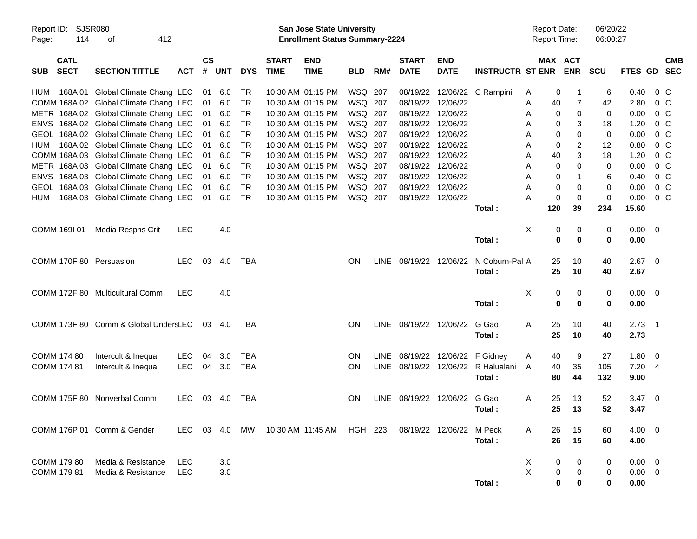| Report ID: SJSR080<br>114<br>Page: | 412<br>οf                                                         |               |                    |               |            |                             | <b>San Jose State University</b><br><b>Enrollment Status Summary-2224</b> |                    |             |                             |                            |                                  | <b>Report Date:</b> | Report Time:               | 06/20/22<br>06:00:27 |                |                    |            |
|------------------------------------|-------------------------------------------------------------------|---------------|--------------------|---------------|------------|-----------------------------|---------------------------------------------------------------------------|--------------------|-------------|-----------------------------|----------------------------|----------------------------------|---------------------|----------------------------|----------------------|----------------|--------------------|------------|
| <b>CATL</b><br><b>SECT</b><br>SUB  | <b>SECTION TITTLE</b>                                             | <b>ACT</b>    | $\mathsf{cs}$<br># | <b>UNT</b>    | <b>DYS</b> | <b>START</b><br><b>TIME</b> | <b>END</b><br><b>TIME</b>                                                 | <b>BLD</b>         | RM#         | <b>START</b><br><b>DATE</b> | <b>END</b><br><b>DATE</b>  | <b>INSTRUCTR ST ENR ENR</b>      |                     | MAX ACT                    | <b>SCU</b>           | FTES GD SEC    |                    | <b>CMB</b> |
| 168A 01<br>HUM                     | Global Climate Chang LEC<br>COMM 168A 02 Global Climate Chang LEC |               | 01                 | 01 6.0<br>6.0 | TR<br>TR   |                             | 10:30 AM 01:15 PM<br>10:30 AM 01:15 PM                                    | WSQ 207<br>WSQ 207 |             | 08/19/22<br>08/19/22        | 12/06/22                   | 12/06/22 C Rampini               | A<br>Α              | 0<br>40<br>7               | 6<br>42              | 0.40<br>2.80   | $0\,$ C<br>$0\,$ C |            |
|                                    | METR 168A 02 Global Climate Chang LEC                             |               | 01                 | 6.0           | TR         |                             | 10:30 AM 01:15 PM                                                         | WSQ 207            |             | 08/19/22                    | 12/06/22                   |                                  | Α                   | 0<br>0                     | $\mathbf 0$          | 0.00           | $0\,$ C            |            |
|                                    | ENVS 168A 02 Global Climate Chang LEC                             |               | 01                 | 6.0           | TR         |                             | 10:30 AM 01:15 PM                                                         | WSQ 207            |             | 08/19/22                    | 12/06/22                   |                                  | Α                   | 3<br>0                     | 18                   | 1.20           | $0\,$ C            |            |
|                                    | GEOL 168A 02 Global Climate Chang LEC                             |               | 01                 | 6.0           | <b>TR</b>  |                             | 10:30 AM 01:15 PM                                                         | WSQ 207            |             |                             | 08/19/22 12/06/22          |                                  | Α                   | 0<br>0                     | 0                    | 0.00           | $0\,$ C            |            |
| HUM                                | 168A 02 Global Climate Chang LEC                                  |               | 01                 | 6.0           | TR         |                             | 10:30 AM 01:15 PM                                                         | WSQ 207            |             | 08/19/22                    | 12/06/22                   |                                  | Α                   | 2<br>0                     | 12                   | 0.80           | $0\,$ C            |            |
|                                    | COMM 168A 03 Global Climate Chang LEC                             |               | 01                 | 6.0           | TR         |                             | 10:30 AM 01:15 PM                                                         | WSQ 207            |             | 08/19/22                    | 12/06/22                   |                                  | Α                   | 3<br>40                    | 18                   | 1.20           | $0\,$ C            |            |
|                                    | METR 168A 03 Global Climate Chang LEC                             |               | 01                 | 6.0           | <b>TR</b>  |                             | 10:30 AM 01:15 PM                                                         | WSQ 207            |             |                             | 08/19/22 12/06/22          |                                  | Α                   | $\Omega$<br>0              | 0                    | 0.00           | $0\,$ C            |            |
|                                    | ENVS 168A 03 Global Climate Chang LEC                             |               | 01                 | 6.0           | TR         |                             | 10:30 AM 01:15 PM                                                         | WSQ 207            |             |                             | 08/19/22 12/06/22          |                                  | Α                   | 0                          | 6                    | 0.40           | $0\,$ C            |            |
|                                    | GEOL 168A 03 Global Climate Chang LEC                             |               | 01                 | 6.0           | TR         |                             | 10:30 AM 01:15 PM                                                         | WSQ 207            |             | 08/19/22                    | 12/06/22                   |                                  | A                   | 0<br>0                     | 0                    | 0.00           | $0\,$ C            |            |
| HUM                                | 168A 03 Global Climate Chang LEC                                  |               | 01                 | 6.0           | <b>TR</b>  |                             | 10:30 AM 01:15 PM                                                         | WSQ 207            |             |                             | 08/19/22 12/06/22          |                                  | Α                   | $\mathbf 0$<br>$\mathbf 0$ | 0                    | 0.00           | $0\,C$             |            |
|                                    |                                                                   |               |                    |               |            |                             |                                                                           |                    |             |                             |                            | Total:                           | 120                 | 39                         | 234                  | 15.60          |                    |            |
|                                    |                                                                   |               |                    |               |            |                             |                                                                           |                    |             |                             |                            |                                  |                     |                            |                      |                |                    |            |
| COMM 169I 01                       | Media Respns Crit                                                 | <b>LEC</b>    |                    | 4.0           |            |                             |                                                                           |                    |             |                             |                            |                                  | Χ                   | 0<br>0                     | 0                    | $0.00 \t 0$    |                    |            |
|                                    |                                                                   |               |                    |               |            |                             |                                                                           |                    |             |                             |                            | Total:                           |                     | 0<br>0                     | $\mathbf 0$          | 0.00           |                    |            |
|                                    |                                                                   |               |                    |               |            |                             |                                                                           |                    |             |                             |                            |                                  |                     |                            |                      |                |                    |            |
| COMM 170F 80 Persuasion            |                                                                   | LEC.          |                    | 03 4.0        | TBA        |                             |                                                                           | <b>ON</b>          | LINE        |                             |                            | 08/19/22 12/06/22 N Coburn-Pal A |                     | 25<br>10                   | 40                   | $2.67$ 0       |                    |            |
|                                    |                                                                   |               |                    |               |            |                             |                                                                           |                    |             |                             |                            | Total:                           |                     | 25<br>10                   | 40                   | 2.67           |                    |            |
|                                    |                                                                   |               |                    |               |            |                             |                                                                           |                    |             |                             |                            |                                  |                     |                            |                      |                |                    |            |
|                                    | COMM 172F 80 Multicultural Comm                                   | <b>LEC</b>    |                    | 4.0           |            |                             |                                                                           |                    |             |                             |                            |                                  | Χ                   | 0<br>0                     | 0                    | $0.00 \t 0$    |                    |            |
|                                    |                                                                   |               |                    |               |            |                             |                                                                           |                    |             |                             |                            | Total:                           |                     | $\bf{0}$<br>$\mathbf 0$    | $\mathbf 0$          | 0.00           |                    |            |
|                                    |                                                                   |               |                    |               |            |                             |                                                                           |                    |             |                             |                            |                                  |                     |                            |                      |                |                    |            |
|                                    | COMM 173F 80 Comm & Global UndersLEC                              |               |                    | 03 4.0        | TBA        |                             |                                                                           | <b>ON</b>          | LINE        | 08/19/22 12/06/22           |                            | G Gao                            | A                   | 25<br>10                   | 40                   | $2.73$ 1       |                    |            |
|                                    |                                                                   |               |                    |               |            |                             |                                                                           |                    |             |                             |                            | Total:                           |                     | 25<br>10                   | 40                   | 2.73           |                    |            |
| COMM 174 80                        | Intercult & Inequal                                               | <b>LEC</b>    | 04                 | 3.0           | TBA        |                             |                                                                           | <b>ON</b>          | LINE.       |                             | 08/19/22 12/06/22 F Gidney |                                  | A                   | 9<br>40                    | 27                   | $1.80 \t 0$    |                    |            |
| COMM 174 81                        | Intercult & Inequal                                               | <b>LEC</b>    | 04                 | 3.0           | TBA        |                             |                                                                           | ON                 | <b>LINE</b> |                             |                            | 08/19/22 12/06/22 R Halualani    | A                   | 35<br>40                   | 105                  | 7.204          |                    |            |
|                                    |                                                                   |               |                    |               |            |                             |                                                                           |                    |             |                             |                            | Total:                           |                     | 44<br>80                   | 132                  | 9.00           |                    |            |
|                                    |                                                                   |               |                    |               |            |                             |                                                                           |                    |             |                             |                            |                                  |                     |                            |                      |                |                    |            |
|                                    | COMM 175F 80 Nonverbal Comm                                       | <b>LEC</b>    |                    | 03 4.0        | TBA        |                             |                                                                           | <b>ON</b>          | LINE        | 08/19/22 12/06/22           |                            | G Gao                            | A                   | 25<br>13                   | 52                   | $3.47 \quad 0$ |                    |            |
|                                    |                                                                   |               |                    |               |            |                             |                                                                           |                    |             |                             |                            | Total :                          |                     | 25<br>13                   | 52                   | 3.47           |                    |            |
|                                    |                                                                   |               |                    |               |            |                             |                                                                           |                    |             |                             |                            |                                  |                     |                            |                      |                |                    |            |
|                                    | COMM 176P 01 Comm & Gender                                        | LEC 03 4.0 MW |                    |               |            |                             | 10:30 AM  11:45 AM                                                        | HGH 223            |             |                             | 08/19/22 12/06/22 M Peck   |                                  | Α                   | 26<br>15                   | 60                   | $4.00 \ 0$     |                    |            |
|                                    |                                                                   |               |                    |               |            |                             |                                                                           |                    |             |                             |                            | Total:                           |                     | 26<br>15                   | 60                   | 4.00           |                    |            |
|                                    |                                                                   |               |                    |               |            |                             |                                                                           |                    |             |                             |                            |                                  |                     |                            |                      |                |                    |            |
| COMM 179 80                        | Media & Resistance                                                | <b>LEC</b>    |                    | 3.0           |            |                             |                                                                           |                    |             |                             |                            |                                  | X                   | 0<br>0                     | 0                    | $0.00 \quad 0$ |                    |            |
| COMM 179 81                        | Media & Resistance                                                | <b>LEC</b>    |                    | 3.0           |            |                             |                                                                           |                    |             |                             |                            |                                  | X                   | 0<br>0                     | 0                    | $0.00 \t 0$    |                    |            |
|                                    |                                                                   |               |                    |               |            |                             |                                                                           |                    |             |                             |                            | Total:                           |                     | 0<br>0                     | 0                    | 0.00           |                    |            |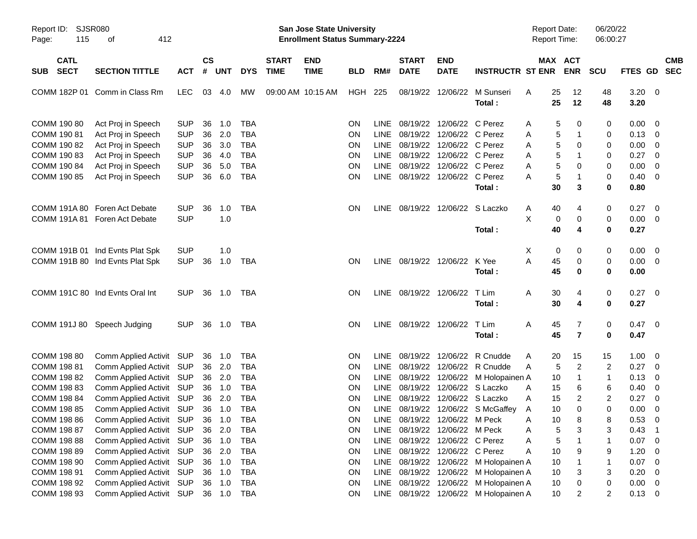| Report ID: SJSR080<br>115<br>Page: | 412<br>οf                       |            |               |            |            |              | San Jose State University<br><b>Enrollment Status Summary-2224</b> |            |             |                        |                                 |                                       | <b>Report Date:</b><br><b>Report Time:</b> |                     | 06/20/22<br>06:00:27 |              |                          |
|------------------------------------|---------------------------------|------------|---------------|------------|------------|--------------|--------------------------------------------------------------------|------------|-------------|------------------------|---------------------------------|---------------------------------------|--------------------------------------------|---------------------|----------------------|--------------|--------------------------|
| <b>CATL</b>                        |                                 |            | $\mathsf{cs}$ |            |            | <b>START</b> | <b>END</b>                                                         |            |             | <b>START</b>           | <b>END</b>                      |                                       |                                            | MAX ACT             |                      |              | <b>CMB</b>               |
| <b>SECT</b><br><b>SUB</b>          | <b>SECTION TITTLE</b>           | <b>ACT</b> | #             | <b>UNT</b> | <b>DYS</b> | <b>TIME</b>  | <b>TIME</b>                                                        | <b>BLD</b> | RM#         | <b>DATE</b>            | <b>DATE</b>                     | <b>INSTRUCTR ST ENR</b>               |                                            | <b>ENR</b>          | <b>SCU</b>           | FTES GD      | <b>SEC</b>               |
|                                    | COMM 182P 01 Comm in Class Rm   | <b>LEC</b> | 03            | 4.0        | <b>MW</b>  |              | 09:00 AM 10:15 AM                                                  | HGH        | 225         | 08/19/22               | 12/06/22                        | M Sunseri<br>Total:                   | 25<br>A<br>25                              | 12<br>12            | 48<br>48             | 3.20<br>3.20 | $\overline{\mathbf{0}}$  |
| COMM 190 80                        | Act Proj in Speech              | <b>SUP</b> | 36            | 1.0        | <b>TBA</b> |              |                                                                    | ON         | LINE.       | 08/19/22               | 12/06/22 C Perez                |                                       | A                                          | 5<br>0              | 0                    | 0.00         | 0                        |
| COMM 190 81                        | Act Proj in Speech              | <b>SUP</b> | 36            | 2.0        | <b>TBA</b> |              |                                                                    | ON         | LINE        |                        | 08/19/22 12/06/22 C Perez       |                                       | A                                          | 5<br>$\mathbf{1}$   | 0                    | 0.13         | 0                        |
| COMM 190 82                        | Act Proj in Speech              | <b>SUP</b> | 36            | 3.0        | <b>TBA</b> |              |                                                                    | ON         | <b>LINE</b> |                        | 08/19/22 12/06/22 C Perez       |                                       | A                                          | 5<br>0              | 0                    | 0.00         | 0                        |
| COMM 190 83                        | Act Proj in Speech              | <b>SUP</b> | 36            | 4.0        | <b>TBA</b> |              |                                                                    | ON         | <b>LINE</b> |                        | 08/19/22 12/06/22 C Perez       |                                       | A                                          | 5<br>$\mathbf 1$    | 0                    | 0.27         | 0                        |
| COMM 190 84                        | Act Proj in Speech              | <b>SUP</b> | 36            | 5.0        | <b>TBA</b> |              |                                                                    | ON         | <b>LINE</b> |                        | 08/19/22 12/06/22 C Perez       |                                       | A                                          | 5<br>0              | 0                    | 0.00         | $\mathbf 0$              |
| COMM 190 85                        | Act Proj in Speech              | <b>SUP</b> | 36            | 6.0        | <b>TBA</b> |              |                                                                    | ON         |             |                        | LINE 08/19/22 12/06/22 C Perez  |                                       | Α                                          | 5<br>$\mathbf{1}$   | 0                    | 0.40         | 0                        |
|                                    |                                 |            |               |            |            |              |                                                                    |            |             |                        |                                 | Total:                                | 30                                         | 3                   | 0                    | 0.80         |                          |
|                                    | COMM 191A 80 Foren Act Debate   | <b>SUP</b> | 36            | 1.0        | TBA        |              |                                                                    | <b>ON</b>  |             |                        | LINE 08/19/22 12/06/22 S Laczko |                                       | 40<br>A                                    | 4                   | 0                    | 0.27         | $\overline{0}$           |
|                                    | COMM 191A 81 Foren Act Debate   | <b>SUP</b> |               | 1.0        |            |              |                                                                    |            |             |                        |                                 |                                       | X                                          | 0<br>0              | 0                    | 0.00         | $\overline{0}$           |
|                                    |                                 |            |               |            |            |              |                                                                    |            |             |                        |                                 | Total:                                | 40                                         | 4                   | 0                    | 0.27         |                          |
|                                    | COMM 191B 01 Ind Evnts Plat Spk | <b>SUP</b> |               | 1.0        |            |              |                                                                    |            |             |                        |                                 |                                       | Χ                                          | 0<br>0              | 0                    | 0.00         | $\overline{0}$           |
|                                    | COMM 191B 80 Ind Evnts Plat Spk | <b>SUP</b> | 36            | 1.0        | TBA        |              |                                                                    | <b>ON</b>  |             | LINE 08/19/22 12/06/22 |                                 | K Yee                                 | A<br>45                                    | 0                   | 0                    | 0.00         | $\overline{\mathbf{0}}$  |
|                                    |                                 |            |               |            |            |              |                                                                    |            |             |                        |                                 | Total:                                | 45                                         | 0                   | 0                    | 0.00         |                          |
|                                    | COMM 191C 80 Ind Evnts Oral Int | <b>SUP</b> |               | 36 1.0     | TBA        |              |                                                                    | <b>ON</b>  |             | LINE 08/19/22 12/06/22 |                                 | T Lim                                 | 30<br>A                                    | 4                   | 0                    | 0.27         | $\overline{0}$           |
|                                    |                                 |            |               |            |            |              |                                                                    |            |             |                        |                                 | Total:                                | 30                                         | 4                   | 0                    | 0.27         |                          |
|                                    | COMM 191J 80 Speech Judging     | <b>SUP</b> |               | 36 1.0     | TBA        |              |                                                                    | <b>ON</b>  |             | LINE 08/19/22 12/06/22 |                                 | T Lim                                 | Α<br>45                                    | 7                   | 0                    | 0.47         | $\overline{0}$           |
|                                    |                                 |            |               |            |            |              |                                                                    |            |             |                        |                                 | Total:                                | 45                                         | $\overline{7}$      | 0                    | 0.47         |                          |
| COMM 198 80                        | Comm Applied Activit SUP        |            | 36            | 1.0        | <b>TBA</b> |              |                                                                    | ON         | LINE.       | 08/19/22               | 12/06/22                        | R Cnudde                              | 20<br>A                                    | 15                  | 15                   | 1.00         | 0                        |
| COMM 198 81                        | Comm Applied Activit            | <b>SUP</b> | 36            | 2.0        | <b>TBA</b> |              |                                                                    | <b>ON</b>  | LINE        | 08/19/22               | 12/06/22                        | R Cnudde                              | A                                          | $\overline{c}$<br>5 | 2                    | 0.27         | 0                        |
| COMM 198 82                        | Comm Applied Activit            | <b>SUP</b> | 36            | 2.0        | <b>TBA</b> |              |                                                                    | ON         | <b>LINE</b> |                        |                                 | 08/19/22 12/06/22 M Holopainen A      | 10                                         | $\mathbf 1$         | 1                    | 0.13         | 0                        |
| COMM 198 83                        | Comm Applied Activit            | <b>SUP</b> | 36            | 1.0        | <b>TBA</b> |              |                                                                    | ON         | <b>LINE</b> |                        | 08/19/22 12/06/22 S Laczko      |                                       | 15<br>A                                    | 6                   | 6                    | 0.40         | 0                        |
| COMM 198 84                        | Comm Applied Activit            | <b>SUP</b> | 36            | 2.0        | <b>TBA</b> |              |                                                                    | ON         | <b>LINE</b> |                        | 08/19/22 12/06/22 S Laczko      |                                       | 15<br>A                                    | 2                   | 2                    | 0.27         | 0                        |
| COMM 198 85                        | Comm Applied Activit SUP        |            |               | 36 1.0     | <b>TBA</b> |              |                                                                    | <b>ON</b>  | <b>LINE</b> |                        |                                 | 08/19/22 12/06/22 S McGaffey          | 10<br>A                                    | $\mathbf 0$         | 0                    | 0.00         | $\mathbf 0$              |
| COMM 198 86                        | Comm Applied Activit SUP 36 1.0 |            |               |            | <b>TBA</b> |              |                                                                    | ON         |             |                        | LINE 08/19/22 12/06/22 M Peck   |                                       | Α                                          | 10<br>8             | 8                    | 0.53         | $\overline{0}$           |
| COMM 198 87                        | <b>Comm Applied Activit</b>     | SUP        | 36            | 2.0        | TBA        |              |                                                                    | ON         |             |                        | LINE 08/19/22 12/06/22 M Peck   |                                       | Α                                          | 5<br>3              | 3                    | 0.43         | $\overline{1}$           |
| COMM 198 88                        | Comm Applied Activit            | <b>SUP</b> | 36            | 1.0        | <b>TBA</b> |              |                                                                    | ON         |             |                        | LINE 08/19/22 12/06/22 C Perez  |                                       | Α                                          | 5<br>1              | 1                    | 0.07         | $\mathbf 0$              |
| COMM 198 89                        | Comm Applied Activit            | <b>SUP</b> | 36            | 2.0        | <b>TBA</b> |              |                                                                    | ON         |             |                        | LINE 08/19/22 12/06/22 C Perez  |                                       | 10<br>Α                                    | 9                   | 9                    | 1.20         | 0                        |
| COMM 198 90                        | Comm Applied Activit            | <b>SUP</b> | 36            | 1.0        | <b>TBA</b> |              |                                                                    | ON         |             |                        |                                 | LINE 08/19/22 12/06/22 M Holopainen A | 10                                         |                     | 1                    | 0.07         | $\mathbf 0$              |
| COMM 198 91                        | Comm Applied Activit            | <b>SUP</b> | 36            | 1.0        | <b>TBA</b> |              |                                                                    | ON         |             |                        |                                 | LINE 08/19/22 12/06/22 M Holopainen A | 10                                         | 3                   | 3                    | 0.20         | $\mathbf 0$              |
| COMM 198 92                        | Comm Applied Activit            | <b>SUP</b> | 36            | 1.0        | <b>TBA</b> |              |                                                                    | ON         |             |                        |                                 | LINE 08/19/22 12/06/22 M Holopainen A | 10                                         | 0                   | 0                    | 0.00         | 0                        |
| COMM 198 93                        | Comm Applied Activit            | <b>SUP</b> |               | 36 1.0     | TBA        |              |                                                                    | ON         |             |                        |                                 | LINE 08/19/22 12/06/22 M Holopainen A | 10                                         | 2                   | 2                    | 0.13         | $\overline{\phantom{0}}$ |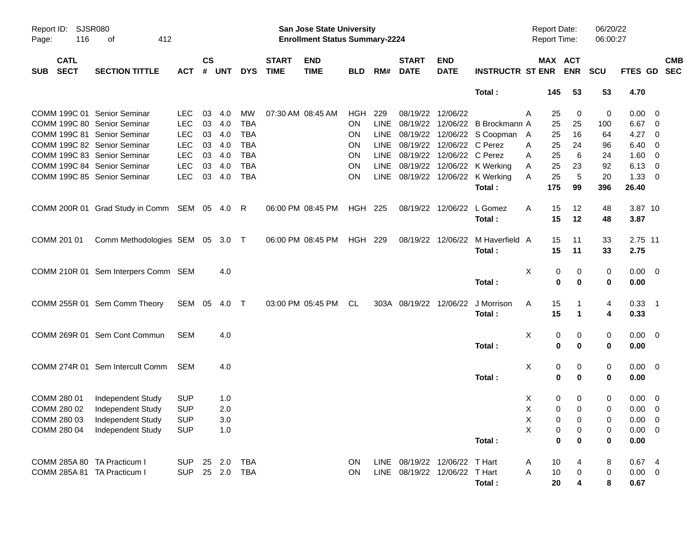| Report ID:<br>116<br>Page:               | SJSR080<br>412<br>оf                         |              |                    |            |            |                             | <b>San Jose State University</b><br><b>Enrollment Status Summary-2224</b> |            |      |                               |                           |                                  | <b>Report Date:</b><br><b>Report Time:</b> |                |                       | 06/20/22<br>06:00:27 |                |                          |            |
|------------------------------------------|----------------------------------------------|--------------|--------------------|------------|------------|-----------------------------|---------------------------------------------------------------------------|------------|------|-------------------------------|---------------------------|----------------------------------|--------------------------------------------|----------------|-----------------------|----------------------|----------------|--------------------------|------------|
| <b>CATL</b><br><b>SECT</b><br><b>SUB</b> | <b>SECTION TITTLE</b>                        | <b>ACT</b>   | $\mathsf{cs}$<br># | <b>UNT</b> | <b>DYS</b> | <b>START</b><br><b>TIME</b> | <b>END</b><br><b>TIME</b>                                                 | <b>BLD</b> | RM#  | <b>START</b><br><b>DATE</b>   | <b>END</b><br><b>DATE</b> | <b>INSTRUCTR ST ENR</b>          |                                            |                | MAX ACT<br><b>ENR</b> | <b>SCU</b>           | FTES GD SEC    |                          | <b>CMB</b> |
|                                          |                                              |              |                    |            |            |                             |                                                                           |            |      |                               |                           | Total:                           |                                            | 145            | 53                    | 53                   | 4.70           |                          |            |
| COMM 199C 01 Senior Seminar              |                                              | <b>LEC</b>   | 03                 | 4.0        | MW         |                             | 07:30 AM 08:45 AM                                                         | HGH        | 229  |                               | 08/19/22 12/06/22         |                                  | A                                          | 25             | 0                     | 0                    | $0.00 \quad 0$ |                          |            |
| COMM 199C 80 Senior Seminar              |                                              | <b>LEC</b>   | 03                 | 4.0        | <b>TBA</b> |                             |                                                                           | <b>ON</b>  | LINE |                               |                           | 08/19/22 12/06/22 B Brockmann A  |                                            | 25             | 25                    | 100                  | 6.67 0         |                          |            |
| COMM 199C 81 Senior Seminar              |                                              | <b>LEC</b>   | 03                 | 4.0        | <b>TBA</b> |                             |                                                                           | <b>ON</b>  | LINE |                               |                           | 08/19/22 12/06/22 S Coopman A    |                                            | 25             | 16                    | 64                   | 4.27 0         |                          |            |
| COMM 199C 82 Senior Seminar              |                                              | <b>LEC</b>   | 03                 | 4.0        | <b>TBA</b> |                             |                                                                           | ON         | LINE |                               | 08/19/22 12/06/22 C Perez |                                  | A                                          | 25             | 24                    | 96                   | $6.40\ 0$      |                          |            |
| COMM 199C 83 Senior Seminar              |                                              | <b>LEC</b>   | 03                 | 4.0        | <b>TBA</b> |                             |                                                                           | ON         | LINE |                               | 08/19/22 12/06/22 C Perez |                                  | A                                          | 25             | 6                     | 24                   | 1.60           | $\overline{\phantom{0}}$ |            |
| COMM 199C 84 Senior Seminar              |                                              | <b>LEC</b>   | 03                 | 4.0        | <b>TBA</b> |                             |                                                                           | ON         | LINE |                               |                           | 08/19/22 12/06/22 K Werking      | A                                          | 25             | 23                    | 92                   | 6.13           | $\overline{\phantom{0}}$ |            |
| COMM 199C 85 Senior Seminar              |                                              | <b>LEC</b>   | 03                 | 4.0        | <b>TBA</b> |                             |                                                                           | ON         |      |                               |                           | LINE 08/19/22 12/06/22 K Werking | A                                          | 25             | 5                     | 20                   | 1.33           | $\overline{\phantom{0}}$ |            |
|                                          |                                              |              |                    |            |            |                             |                                                                           |            |      |                               |                           | Total:                           |                                            | 175            | 99                    | 396                  | 26.40          |                          |            |
|                                          | COMM 200R 01 Grad Study in Comm SEM 05 4.0 R |              |                    |            |            |                             | 06:00 PM 08:45 PM                                                         | HGH 225    |      |                               | 08/19/22 12/06/22         | L Gomez                          | A                                          | 15             | 12                    | 48                   | 3.87 10        |                          |            |
|                                          |                                              |              |                    |            |            |                             |                                                                           |            |      |                               |                           | Total:                           |                                            | 15             | 12                    | 48                   | 3.87           |                          |            |
| COMM 201 01                              | Comm Methodologies SEM 05 3.0 T              |              |                    |            |            |                             | 06:00 PM 08:45 PM                                                         | HGH 229    |      |                               | 08/19/22 12/06/22         | M Haverfield A                   |                                            | 15             | 11                    | 33                   | 2.75 11        |                          |            |
|                                          |                                              |              |                    |            |            |                             |                                                                           |            |      |                               |                           | Total:                           |                                            | 15             | 11                    | 33                   | 2.75           |                          |            |
|                                          | COMM 210R 01 Sem Interpers Comm SEM          |              |                    | 4.0        |            |                             |                                                                           |            |      |                               |                           |                                  | X                                          | 0              | 0                     | 0                    | $0.00 \quad 0$ |                          |            |
|                                          |                                              |              |                    |            |            |                             |                                                                           |            |      |                               |                           | Total:                           |                                            | $\mathbf 0$    | $\bf{0}$              | 0                    | 0.00           |                          |            |
|                                          | COMM 255R 01 Sem Comm Theory                 | SEM 05 4.0 T |                    |            |            |                             | 03:00 PM 05:45 PM                                                         | CL         |      | 303A 08/19/22 12/06/22        |                           | J Morrison                       | A                                          | 15             |                       | 4                    | $0.33$ 1       |                          |            |
|                                          |                                              |              |                    |            |            |                             |                                                                           |            |      |                               |                           | Total:                           |                                            | 15             | $\mathbf 1$           | 4                    | 0.33           |                          |            |
|                                          | COMM 269R 01 Sem Cont Commun                 | <b>SEM</b>   |                    | 4.0        |            |                             |                                                                           |            |      |                               |                           |                                  | Χ                                          | 0              | 0                     | 0                    | $0.00 \quad 0$ |                          |            |
|                                          |                                              |              |                    |            |            |                             |                                                                           |            |      |                               |                           | Total:                           |                                            | $\bf{0}$       | $\bf{0}$              | 0                    | 0.00           |                          |            |
|                                          | COMM 274R 01 Sem Intercult Comm              | SEM          |                    | 4.0        |            |                             |                                                                           |            |      |                               |                           |                                  | Χ                                          | 0              | 0                     | 0                    | $0.00 \quad 0$ |                          |            |
|                                          |                                              |              |                    |            |            |                             |                                                                           |            |      |                               |                           | Total:                           |                                            | $\bf{0}$       | $\bf{0}$              | 0                    | 0.00           |                          |            |
| COMM 280 01                              | Independent Study                            | <b>SUP</b>   |                    | 1.0        |            |                             |                                                                           |            |      |                               |                           |                                  | X                                          | 0              | 0                     | 0                    | $0.00 \quad 0$ |                          |            |
| COMM 280 02                              | Independent Study                            | <b>SUP</b>   |                    | 2.0        |            |                             |                                                                           |            |      |                               |                           |                                  | X                                          | $\pmb{0}$      | $\mathbf 0$           | 0                    | $0.00 \t 0$    |                          |            |
|                                          | COMM 280 03 Independent Study                | <b>SUP</b>   |                    | 3.0        |            |                             |                                                                           |            |      |                               |                           |                                  | $\mathsf X$                                | $\overline{0}$ | $\mathbf 0$           | 0                    | $0.00 \t 0$    |                          |            |
| COMM 280 04                              | Independent Study                            | <b>SUP</b>   |                    | 1.0        |            |                             |                                                                           |            |      |                               |                           |                                  | X                                          | 0              | 0                     | 0                    | $0.00 \t 0$    |                          |            |
|                                          |                                              |              |                    |            |            |                             |                                                                           |            |      |                               |                           | Total:                           |                                            | $\bf{0}$       | $\bf{0}$              | $\bf{0}$             | 0.00           |                          |            |
| COMM 285A 80 TA Practicum I              |                                              | <b>SUP</b>   |                    | 25 2.0     | TBA        |                             |                                                                           | <b>ON</b>  |      | LINE 08/19/22 12/06/22 T Hart |                           |                                  | A                                          | 10             | 4                     | 8                    | 0.674          |                          |            |
| COMM 285A 81 TA Practicum I              |                                              | <b>SUP</b>   |                    | 25 2.0     | TBA        |                             |                                                                           | ON         |      | LINE 08/19/22 12/06/22 T Hart |                           |                                  | Α                                          | 10             | 0                     | 0                    | $0.00 \t 0$    |                          |            |
|                                          |                                              |              |                    |            |            |                             |                                                                           |            |      |                               |                           | Total:                           |                                            | 20             | 4                     | 8                    | 0.67           |                          |            |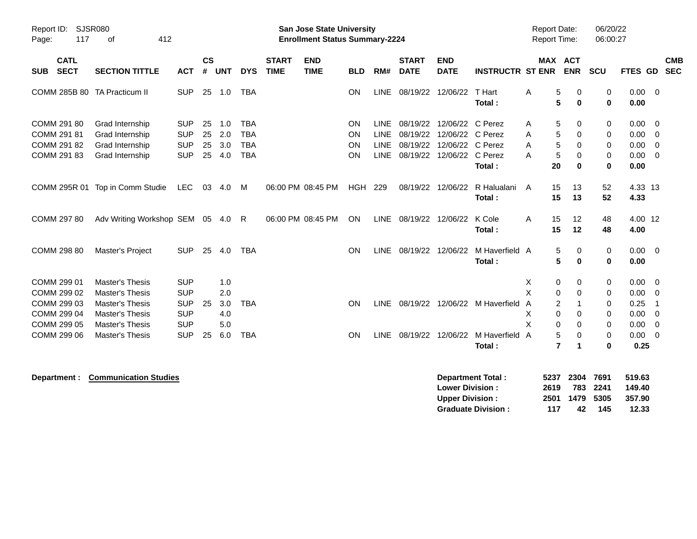| Report ID:<br>117<br>Page:                               | <b>SJSR080</b><br>412<br>οf                                                                          |                                                      |                      |                          |                                                      |                             | <b>San Jose State University</b><br><b>Enrollment Status Summary-2224</b> |                      |                                                          |                                              |                                                                      |                          | <b>Report Date:</b><br>Report Time:             |                                                       | 06/20/22<br>06:00:27            |                                      |                                                                      |
|----------------------------------------------------------|------------------------------------------------------------------------------------------------------|------------------------------------------------------|----------------------|--------------------------|------------------------------------------------------|-----------------------------|---------------------------------------------------------------------------|----------------------|----------------------------------------------------------|----------------------------------------------|----------------------------------------------------------------------|--------------------------|-------------------------------------------------|-------------------------------------------------------|---------------------------------|--------------------------------------|----------------------------------------------------------------------|
| <b>CATL</b><br><b>SECT</b><br><b>SUB</b>                 | <b>SECTION TITTLE</b>                                                                                | <b>ACT</b>                                           | <b>CS</b><br>#       | <b>UNT</b>               | <b>DYS</b>                                           | <b>START</b><br><b>TIME</b> | <b>END</b><br><b>TIME</b>                                                 | <b>BLD</b>           | RM#                                                      | <b>START</b><br><b>DATE</b>                  | <b>END</b><br><b>DATE</b>                                            | <b>INSTRUCTR ST ENR</b>  |                                                 | <b>MAX ACT</b><br><b>ENR</b>                          | SCU                             | <b>FTES GD</b>                       | <b>CMB</b><br><b>SEC</b>                                             |
| COMM 285B 80 TA Practicum II                             |                                                                                                      | <b>SUP</b>                                           | 25                   | 1.0                      | <b>TBA</b>                                           |                             |                                                                           | <b>ON</b>            | <b>LINE</b>                                              | 08/19/22                                     | 12/06/22                                                             | T Hart<br>Total:         | Α                                               | 5<br>$\Omega$<br>5<br>$\bf{0}$                        | $\mathbf 0$<br>$\mathbf 0$      | 0.00<br>0.00                         | $\overline{0}$                                                       |
| COMM 291 80<br>COMM 291 81<br>COMM 291 82<br>COMM 291 83 | Grad Internship<br>Grad Internship<br>Grad Internship<br>Grad Internship                             | <b>SUP</b><br><b>SUP</b><br><b>SUP</b><br><b>SUP</b> | 25<br>25<br>25<br>25 | 1.0<br>2.0<br>3.0<br>4.0 | <b>TBA</b><br><b>TBA</b><br><b>TBA</b><br><b>TBA</b> |                             |                                                                           | ON<br>ON<br>ON<br>ON | <b>LINE</b><br><b>LINE</b><br><b>LINE</b><br><b>LINE</b> | 08/19/22<br>08/19/22<br>08/19/22<br>08/19/22 | 12/06/22<br>12/06/22 C Perez<br>12/06/22 C Perez<br>12/06/22 C Perez | C Perez<br>Total:        | 5<br>Α<br>A<br>5<br>A<br>$\mathbf 5$<br>A<br>20 | 0<br>5<br>$\Omega$<br>0<br>$\mathbf 0$<br>$\bf{0}$    | 0<br>0<br>0<br>0<br>$\mathbf 0$ | 0.00<br>0.00<br>0.00<br>0.00<br>0.00 | $\overline{0}$<br>$\overline{0}$<br>$\overline{0}$<br>$\overline{0}$ |
|                                                          | COMM 295R 01 Top in Comm Studie                                                                      | LEC                                                  | 03                   | 4.0                      | M                                                    |                             | 06:00 PM 08:45 PM                                                         | <b>HGH</b>           | 229                                                      | 08/19/22                                     | 12/06/22                                                             | R Halualani<br>Total:    | 15<br>A<br>15                                   | 13<br>13                                              | 52<br>52                        | 4.33 13<br>4.33                      |                                                                      |
| COMM 297 80                                              | Adv Writing Workshop SEM                                                                             |                                                      | 05                   | 4.0                      | - R                                                  |                             | 06:00 PM 08:45 PM                                                         | <b>ON</b>            | <b>LINE</b>                                              | 08/19/22                                     | 12/06/22                                                             | K Cole<br>Total:         | 15<br>A<br>15                                   | 12<br>12                                              | 48<br>48                        | 4.00 12<br>4.00                      |                                                                      |
| COMM 298 80                                              | Master's Project                                                                                     | <b>SUP</b>                                           | 25                   | 4.0                      | <b>TBA</b>                                           |                             |                                                                           | ON                   | <b>LINE</b>                                              | 08/19/22                                     | 12/06/22                                                             | M Haverfield A<br>Total: | 5                                               | 5<br>0<br>$\bf{0}$                                    | 0<br>$\mathbf 0$                | $0.00 \t 0$<br>0.00                  |                                                                      |
| COMM 299 01<br>COMM 299 02<br>COMM 299 03<br>COMM 299 04 | <b>Master's Thesis</b><br><b>Master's Thesis</b><br><b>Master's Thesis</b><br><b>Master's Thesis</b> | <b>SUP</b><br><b>SUP</b><br><b>SUP</b><br><b>SUP</b> | 25                   | 1.0<br>2.0<br>3.0<br>4.0 | <b>TBA</b>                                           |                             |                                                                           | ON                   | <b>LINE</b>                                              | 08/19/22                                     |                                                                      | 12/06/22 M Haverfield    | Χ<br>X<br>$\overline{A}$<br>X<br>$\Omega$       | 0<br>0<br>$\Omega$<br>0<br>$\overline{c}$<br>$\Omega$ | 0<br>0<br>0<br>$\Omega$         | 0.00<br>0.00<br>0.25<br>0.00         | $\overline{0}$<br>$\overline{0}$<br>-1<br>$\overline{0}$             |
| COMM 299 05<br>COMM 299 06                               | <b>Master's Thesis</b><br><b>Master's Thesis</b>                                                     | <b>SUP</b><br><b>SUP</b>                             | 25                   | 5.0<br>6.0               | <b>TBA</b>                                           |                             |                                                                           | <b>ON</b>            | <b>LINE</b>                                              | 08/19/22                                     | 12/06/22                                                             | M Haverfield<br>Total:   | X<br>0<br>A<br>$\overline{7}$                   | $\Omega$<br>5<br>$\mathbf 0$                          | 0<br>0<br>0                     | 0.00<br>0.00<br>0.25                 | $\overline{0}$<br>$\overline{0}$                                     |

**Department : Communication Studies Department Total : 5237 2304 7691 519.63 Lower Division : 2619 783 2241 149.40 Upper Division : 2501 1479 5305 357.90 Graduate Division : 117 42 145 12.33**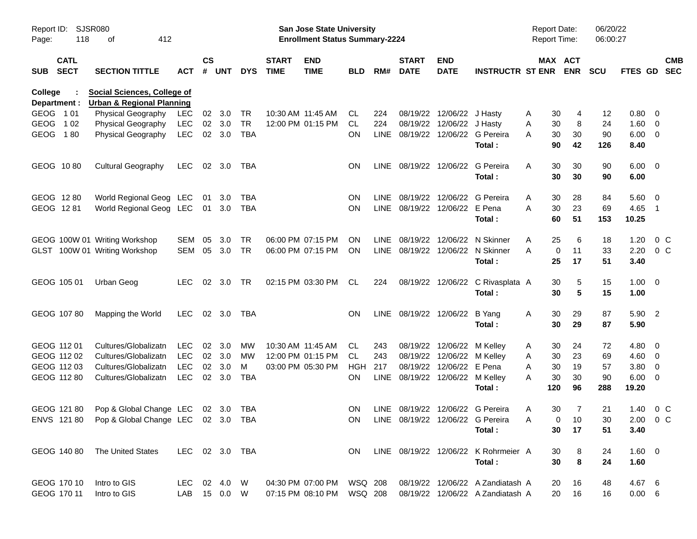| Report ID:<br>Page: | 118                        | SJSR080<br>412<br>οf                           |                |                    |                  |            |                             | <b>San Jose State University</b><br><b>Enrollment Status Summary-2224</b> |            |     |                                 |                            |                                      | <b>Report Date:</b><br><b>Report Time:</b> |                       | 06/20/22<br>06:00:27 |                     |                           |
|---------------------|----------------------------|------------------------------------------------|----------------|--------------------|------------------|------------|-----------------------------|---------------------------------------------------------------------------|------------|-----|---------------------------------|----------------------------|--------------------------------------|--------------------------------------------|-----------------------|----------------------|---------------------|---------------------------|
| <b>SUB</b>          | <b>CATL</b><br><b>SECT</b> | <b>SECTION TITTLE</b>                          | АСТ            | $\mathsf{cs}$<br># | <b>UNT</b>       | <b>DYS</b> | <b>START</b><br><b>TIME</b> | <b>END</b><br><b>TIME</b>                                                 | <b>BLD</b> | RM# | <b>START</b><br><b>DATE</b>     | <b>END</b><br><b>DATE</b>  | <b>INSTRUCTR ST ENR</b>              |                                            | MAX ACT<br><b>ENR</b> | <b>SCU</b>           |                     | <b>CMB</b><br>FTES GD SEC |
| College             |                            | <b>Social Sciences, College of</b>             |                |                    |                  |            |                             |                                                                           |            |     |                                 |                            |                                      |                                            |                       |                      |                     |                           |
|                     | Department :               | <b>Urban &amp; Regional Planning</b>           |                |                    |                  |            |                             |                                                                           |            |     |                                 |                            |                                      |                                            |                       |                      |                     |                           |
| GEOG 101            |                            | Physical Geography                             | LEC            | 02                 | 3.0              | TR         |                             | 10:30 AM 11:45 AM                                                         | CL.        | 224 |                                 | 08/19/22 12/06/22 J Hasty  |                                      | 30<br>A                                    | 4                     | 12                   | 0.80                | $\overline{\mathbf{0}}$   |
| <b>GEOG</b>         | 1 0 2                      | Physical Geography                             | LEC            |                    | 02 3.0<br>02 3.0 | <b>TR</b>  |                             | 12:00 PM 01:15 PM                                                         | CL         | 224 |                                 | 08/19/22 12/06/22 J Hasty  | LINE 08/19/22 12/06/22 G Pereira     | 30<br>A                                    | 8                     | 24<br>90             | $1.60 \t 0$         |                           |
| GEOG 180            |                            | <b>Physical Geography</b>                      | LEC            |                    |                  | <b>TBA</b> |                             |                                                                           | <b>ON</b>  |     |                                 |                            | Total:                               | 30<br>A<br>90                              | 30<br>42              | 126                  | $6.00 \t 0$<br>8.40 |                           |
|                     | GEOG 1080                  | <b>Cultural Geography</b>                      | LEC            |                    | 02 3.0           | TBA        |                             |                                                                           | ON.        |     |                                 |                            | LINE 08/19/22 12/06/22 G Pereira     | A<br>30                                    | 30                    | 90                   | $6.00 \quad 0$      |                           |
|                     |                            |                                                |                |                    |                  |            |                             |                                                                           |            |     |                                 |                            | Total:                               | 30                                         | 30                    | 90                   | 6.00                |                           |
|                     | GEOG 1280                  | World Regional Geog LEC 01                     |                |                    | 3.0              | TBA        |                             |                                                                           | <b>ON</b>  |     | LINE 08/19/22 12/06/22          |                            | G Pereira                            | A<br>30                                    | 28                    | 84                   | 5.60                | $\overline{\mathbf{0}}$   |
|                     | GEOG 1281                  | World Regional Geog LEC 01 3.0                 |                |                    |                  | TBA        |                             |                                                                           | <b>ON</b>  |     | LINE 08/19/22 12/06/22 E Pena   |                            |                                      | 30<br>A                                    | 23                    | 69                   | 4.65                | $\overline{\phantom{0}}$  |
|                     |                            |                                                |                |                    |                  |            |                             |                                                                           |            |     |                                 |                            | Total:                               | 60                                         | 51                    | 153                  | 10.25               |                           |
|                     |                            | GEOG 100W 01 Writing Workshop                  | SEM            | 05                 | 3.0              | TR         |                             | 06:00 PM 07:15 PM                                                         | ON.        |     | LINE 08/19/22                   | 12/06/22                   | N Skinner                            | 25<br>A                                    | 6                     | 18                   | 1.20                | 0 <sup>o</sup>            |
|                     |                            | GLST 100W 01 Writing Workshop                  | SEM 05         |                    | 3.0              | <b>TR</b>  |                             | 06:00 PM 07:15 PM                                                         | ON         |     |                                 |                            | LINE 08/19/22 12/06/22 N Skinner     | A                                          | 0<br>11               | 33                   | 2.20                | $0\,C$                    |
|                     |                            |                                                |                |                    |                  |            |                             |                                                                           |            |     |                                 |                            | Total:                               | 25                                         | 17                    | 51                   | 3.40                |                           |
|                     | GEOG 105 01                | Urban Geog                                     | LEC.           |                    | 02 3.0           | TR         |                             | 02:15 PM 03:30 PM                                                         | CL         | 224 |                                 |                            | 08/19/22 12/06/22 C Rivasplata A     | 30                                         | 5                     | 15                   | $1.00 \t 0$         |                           |
|                     |                            |                                                |                |                    |                  |            |                             |                                                                           |            |     |                                 |                            | Total:                               | 30                                         | 5                     | 15                   | 1.00                |                           |
|                     | GEOG 10780                 | Mapping the World                              | LEC            |                    | 02 3.0           | TBA        |                             |                                                                           | <b>ON</b>  |     | LINE 08/19/22 12/06/22          |                            | B Yang                               | 30<br>A                                    | 29                    | 87                   | 5.90 2              |                           |
|                     |                            |                                                |                |                    |                  |            |                             |                                                                           |            |     |                                 |                            | Total:                               | 30                                         | 29                    | 87                   | 5.90                |                           |
|                     | GEOG 112 01                | Cultures/Globalizatn                           | <b>LEC</b>     |                    | $02 \quad 3.0$   | МW         |                             | 10:30 AM 11:45 AM                                                         | CL.        | 243 |                                 | 08/19/22 12/06/22 M Kelley |                                      | 30<br>A                                    | 24                    | 72                   | 4.80                | $\overline{\phantom{0}}$  |
|                     | GEOG 112 02                | Cultures/Globalizatn                           | LEC            |                    | 02 3.0           | MW         |                             | 12:00 PM 01:15 PM                                                         | CL         | 243 |                                 | 08/19/22 12/06/22 M Kelley |                                      | 30<br>A                                    | 23                    | 69                   | $4.60 \ 0$          |                           |
|                     | GEOG 112 03                | Cultures/Globalizatn                           | <b>LEC</b>     | 02                 | 3.0              | м          |                             | 03:00 PM 05:30 PM                                                         | HGH        | 217 |                                 | 08/19/22 12/06/22 E Pena   |                                      | Α<br>30                                    | 19                    | 57                   | 3.80                | $\overline{\mathbf{0}}$   |
|                     | GEOG 112 80                | Cultures/Globalizatn                           | LEC            | 02                 | 3.0              | TBA        |                             |                                                                           | <b>ON</b>  |     | LINE 08/19/22 12/06/22 M Kelley |                            |                                      | 30<br>Α                                    | 30                    | 90                   | 6.00                | $\overline{\mathbf{0}}$   |
|                     |                            |                                                |                |                    |                  |            |                             |                                                                           |            |     |                                 |                            | Total:                               | 120                                        | 96                    | 288                  | 19.20               |                           |
|                     | GEOG 121 80                | Pop & Global Change LEC 02 3.0                 |                |                    |                  | TBA        |                             |                                                                           | ON.        |     |                                 |                            | LINE 08/19/22 12/06/22 G Pereira     | 30<br>A                                    | 7                     | 21                   | 1.40                | $0\,$ C                   |
|                     |                            | ENVS 121 80 Pop & Global Change LEC 02 3.0 TBA |                |                    |                  |            |                             |                                                                           |            |     |                                 |                            | ON LINE 08/19/22 12/06/22 G Pereira  | A                                          | $0$ 10                | $30\,$               |                     | 2.00 0 C                  |
|                     |                            |                                                |                |                    |                  |            |                             |                                                                           |            |     |                                 |                            | Total:                               | 30                                         | 17                    | 51                   | 3.40                |                           |
|                     |                            | GEOG 140 80 The United States                  | LEC 02 3.0 TBA |                    |                  |            |                             |                                                                           | ON.        |     |                                 |                            | LINE 08/19/22 12/06/22 K Rohrmeier A | 30                                         | 8                     | 24                   | $1.60 \t 0$         |                           |
|                     |                            |                                                |                |                    |                  |            |                             |                                                                           |            |     |                                 |                            | Total:                               | 30                                         | $\bf 8$               | 24                   | 1.60                |                           |
|                     | GEOG 170 10                | Intro to GIS                                   | LEC 02 4.0 W   |                    |                  |            |                             | 04:30 PM 07:00 PM WSQ 208                                                 |            |     |                                 |                            | 08/19/22 12/06/22 A Zandiatash A     | 20                                         | 16                    | 48                   | 4.67 6              |                           |
|                     | GEOG 170 11                | Intro to GIS                                   | LAB 15 0.0 W   |                    |                  |            |                             | 07:15 PM 08:10 PM                                                         | WSQ 208    |     |                                 |                            | 08/19/22 12/06/22 A Zandiatash A     | 20                                         | 16                    | 16                   | $0.00\ 6$           |                           |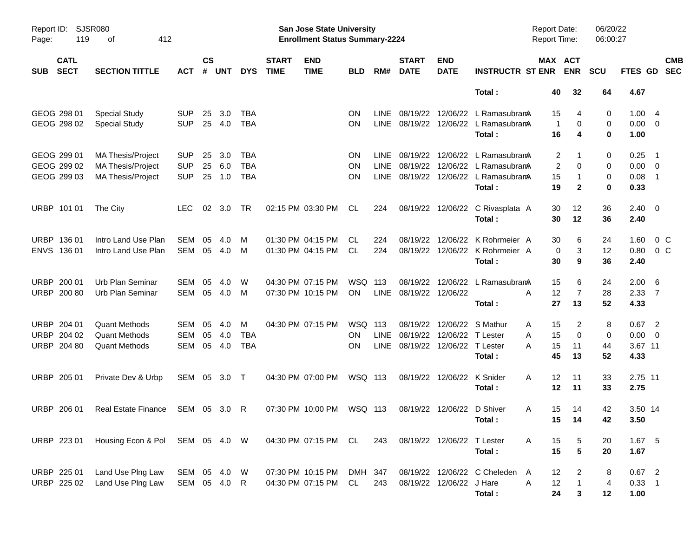| Report ID:<br>Page: | 119                                       | SJSR080<br>412<br>оf                                                             |                                        |                    |                   |                                 |                             | San Jose State University<br><b>Enrollment Status Summary-2224</b> |                                     |                              |                               |                                                 |                                                                                                        | <b>Report Date:</b><br><b>Report Time:</b> |                                                | 06/20/22<br>06:00:27 |                                            |                                                      |
|---------------------|-------------------------------------------|----------------------------------------------------------------------------------|----------------------------------------|--------------------|-------------------|---------------------------------|-----------------------------|--------------------------------------------------------------------|-------------------------------------|------------------------------|-------------------------------|-------------------------------------------------|--------------------------------------------------------------------------------------------------------|--------------------------------------------|------------------------------------------------|----------------------|--------------------------------------------|------------------------------------------------------|
| <b>SUB</b>          | <b>CATL</b><br><b>SECT</b>                | <b>SECTION TITTLE</b>                                                            | <b>ACT</b>                             | $\mathsf{cs}$<br># | <b>UNT</b>        | <b>DYS</b>                      | <b>START</b><br><b>TIME</b> | <b>END</b><br><b>TIME</b>                                          | <b>BLD</b>                          | RM#                          | <b>START</b><br><b>DATE</b>   | <b>END</b><br><b>DATE</b>                       | <b>INSTRUCTR ST ENR</b>                                                                                | MAX ACT                                    | <b>ENR</b>                                     | <b>SCU</b>           | FTES GD                                    | <b>CMB</b><br><b>SEC</b>                             |
|                     |                                           |                                                                                  |                                        |                    |                   |                                 |                             |                                                                    |                                     |                              |                               |                                                 | Total:                                                                                                 | 40                                         | 32                                             | 64                   | 4.67                                       |                                                      |
|                     | GEOG 298 01<br>GEOG 298 02                | <b>Special Study</b><br><b>Special Study</b>                                     | <b>SUP</b><br><b>SUP</b>               | 25<br>25           | 3.0<br>4.0        | TBA<br><b>TBA</b>               |                             |                                                                    | <b>ON</b><br><b>ON</b>              | LINE.<br><b>LINE</b>         | 08/19/22                      | 12/06/22                                        | L RamasubramA<br>08/19/22 12/06/22 L RamasubramA<br>Total:                                             | 15<br>$\overline{1}$<br>16                 | 4<br>0<br>4                                    | 0<br>0<br>0          | 1.004<br>$0.00 \t 0$<br>1.00               |                                                      |
|                     | GEOG 299 01<br>GEOG 299 02<br>GEOG 299 03 | <b>MA Thesis/Project</b><br><b>MA Thesis/Project</b><br><b>MA Thesis/Project</b> | <b>SUP</b><br><b>SUP</b><br><b>SUP</b> | 25<br>25<br>25     | 3.0<br>6.0<br>1.0 | TBA<br><b>TBA</b><br><b>TBA</b> |                             |                                                                    | <b>ON</b><br><b>ON</b><br><b>ON</b> | LINE.<br><b>LINE</b><br>LINE | 08/19/22                      |                                                 | 12/06/22 L RamasubramA<br>08/19/22 12/06/22 L Ramasubrama<br>08/19/22 12/06/22 L RamasubramA<br>Total: | 2<br>2<br>15<br>19                         | 1<br>0<br>-1<br>$\mathbf{2}$                   | 0<br>0<br>0<br>0     | 0.25<br>$0.00 \t 0$<br>0.08<br>0.33        | $\overline{\phantom{1}}$<br>$\overline{\phantom{1}}$ |
|                     | URBP 101 01                               | The City                                                                         | LEC.                                   | 02                 | 3.0               | TR                              |                             | 02:15 PM 03:30 PM                                                  | CL                                  | 224                          |                               |                                                 | 08/19/22 12/06/22 C Rivasplata A<br>Total:                                                             | 30<br>30                                   | 12<br>12                                       | 36<br>36             | $2.40 \quad 0$<br>2.40                     |                                                      |
|                     | URBP 136 01<br>ENVS 136 01                | Intro Land Use Plan<br>Intro Land Use Plan                                       | SEM<br><b>SEM</b>                      | 05<br>05           | 4.0<br>4.0        | M<br>M                          |                             | 01:30 PM 04:15 PM<br>01:30 PM 04:15 PM                             | CL<br>CL                            | 224<br>224                   | 08/19/22                      | 12/06/22                                        | K Rohrmeier A<br>08/19/22 12/06/22 K Rohrmeier A<br>Total:                                             | 30<br>0<br>30                              | 6<br>3<br>9                                    | 24<br>12<br>36       | 1.60<br>0.80<br>2.40                       | 0 <sup>o</sup><br>$0\,C$                             |
|                     | URBP 200 01<br>URBP 200 80                | Urb Plan Seminar<br>Urb Plan Seminar                                             | <b>SEM</b><br>SEM                      | 05<br>05           | 4.0<br>4.0        | W<br>M                          |                             | 04:30 PM 07:15 PM<br>07:30 PM 10:15 PM                             | WSQ 113<br>ON                       | LINE                         | 08/19/22<br>08/19/22 12/06/22 | 12/06/22                                        | L RamasubramA<br>Total:                                                                                | 15<br>12<br>A<br>27                        | 6<br>$\overline{7}$<br>13                      | 24<br>28<br>52       | $2.00\quad 6$<br>$2.33 \quad 7$<br>4.33    |                                                      |
|                     | URBP 204 01<br>URBP 204 02<br>URBP 204 80 | <b>Quant Methods</b><br><b>Quant Methods</b><br><b>Quant Methods</b>             | <b>SEM</b><br><b>SEM</b><br><b>SEM</b> | 05<br>05<br>05     | 4.0<br>4.0<br>4.0 | М<br>TBA<br><b>TBA</b>          |                             | 04:30 PM 07:15 PM                                                  | WSQ 113<br>ON<br>OΝ                 | <b>LINE</b><br>LINE          | 08/19/22<br>08/19/22          | 12/06/22 T Lester<br>08/19/22 12/06/22 T Lester | 12/06/22 S Mathur<br>Total:                                                                            | 15<br>Α<br>15<br>Α<br>15<br>А<br>45        | 2<br>$\mathbf 0$<br>11<br>13                   | 8<br>0<br>44<br>52   | $0.67$ 2<br>$0.00 \t 0$<br>3.67 11<br>4.33 |                                                      |
|                     | URBP 205 01                               | Private Dev & Urbp                                                               | SEM 05 3.0 T                           |                    |                   |                                 |                             | 04:30 PM 07:00 PM                                                  | WSQ 113                             |                              |                               | 08/19/22 12/06/22                               | K Snider<br>Total:                                                                                     | 12<br>A<br>12                              | 11<br>11                                       | 33<br>33             | 2.75 11<br>2.75                            |                                                      |
|                     | URBP 206 01                               | <b>Real Estate Finance</b>                                                       | SEM 05 3.0                             |                    |                   | -R                              |                             | 07:30 PM 10:00 PM                                                  | WSQ 113                             |                              |                               | 08/19/22 12/06/22 D Shiver                      | Total:                                                                                                 | 15<br>Α                                    | 14<br>15 14                                    | 42<br>42             | 3.50 14<br>3.50                            |                                                      |
|                     | URBP 223 01                               | Housing Econ & Pol SEM 05 4.0 W                                                  |                                        |                    |                   |                                 |                             | 04:30 PM 07:15 PM CL                                               |                                     | 243                          |                               | 08/19/22 12/06/22 T Lester                      | Total:                                                                                                 | 15<br>A<br>15                              | 5<br>$5\phantom{.0}$                           | 20<br>20             | 1.67 5<br>1.67                             |                                                      |
|                     | URBP 225 01<br>URBP 225 02                | Land Use PIng Law<br>Land Use Plng Law                                           | SEM 05 4.0 W<br>SEM 05 4.0 R           |                    |                   |                                 |                             | 07:30 PM 10:15 PM<br>04:30 PM 07:15 PM                             | DMH 347<br>CL                       | 243                          |                               | 08/19/22 12/06/22 J Hare                        | 08/19/22 12/06/22 C Cheleden<br>Total:                                                                 | 12<br>A<br>Α<br>12<br>24                   | $\overline{2}$<br>$\mathbf{1}$<br>$\mathbf{3}$ | 8<br>4<br>12         | $0.67$ 2<br>$0.33$ 1<br>1.00               |                                                      |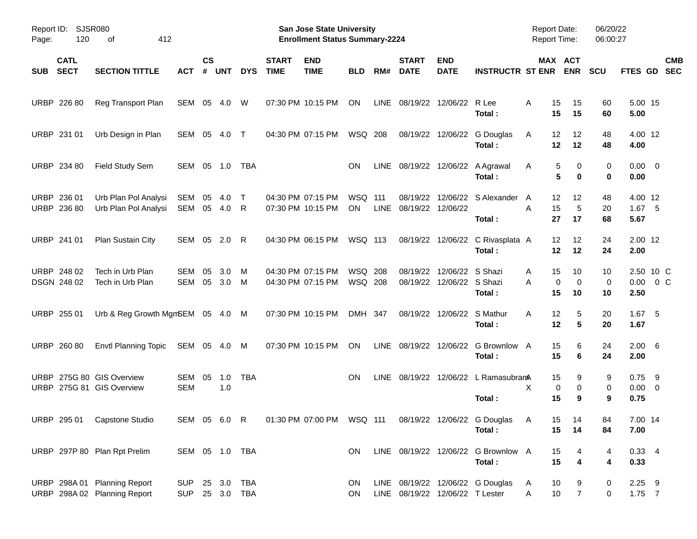| Report ID:<br>Page: | 120                        | <b>SJSR080</b><br>412<br>οf                                  |                              |                    |              |             |                             | <b>San Jose State University</b><br><b>Enrollment Status Summary-2224</b> |                             |     |                                    |                                               |                                                                                   | <b>Report Date:</b><br><b>Report Time:</b> |                         | 06/20/22<br>06:00:27 |                                 |                            |
|---------------------|----------------------------|--------------------------------------------------------------|------------------------------|--------------------|--------------|-------------|-----------------------------|---------------------------------------------------------------------------|-----------------------------|-----|------------------------------------|-----------------------------------------------|-----------------------------------------------------------------------------------|--------------------------------------------|-------------------------|----------------------|---------------------------------|----------------------------|
| <b>SUB</b>          | <b>CATL</b><br><b>SECT</b> | <b>SECTION TITTLE</b>                                        | <b>ACT</b>                   | $\mathsf{cs}$<br># | <b>UNT</b>   | <b>DYS</b>  | <b>START</b><br><b>TIME</b> | <b>END</b><br><b>TIME</b>                                                 | <b>BLD</b>                  | RM# | <b>START</b><br><b>DATE</b>        | <b>END</b><br><b>DATE</b>                     | <b>INSTRUCTR ST ENR</b>                                                           |                                            | MAX ACT<br><b>ENR</b>   | <b>SCU</b>           | FTES GD                         | <b>CMB</b><br><b>SEC</b>   |
|                     | URBP 226 80                | Reg Transport Plan                                           | SEM 05 4.0                   |                    |              | W           |                             | 07:30 PM 10:15 PM                                                         | ON                          |     |                                    | LINE 08/19/22 12/06/22 R Lee                  | Total :                                                                           | A<br>15<br>15                              | 15<br>15                | 60<br>60             | 5.00 15<br>5.00                 |                            |
|                     | URBP 231 01                | Urb Design in Plan                                           | SEM 05                       |                    | 4.0          | $\top$      |                             | 04:30 PM 07:15 PM                                                         | WSQ 208                     |     |                                    |                                               | 08/19/22 12/06/22 G Douglas<br>Total:                                             | 12<br>A<br>12                              | 12<br>12                | 48<br>48             | 4.00 12<br>4.00                 |                            |
|                     | URBP 234 80                | Field Study Sem                                              | SEM 05 1.0                   |                    |              | TBA         |                             |                                                                           | <b>ON</b>                   |     |                                    |                                               | LINE 08/19/22 12/06/22 A Agrawal<br>Total:                                        | A                                          | 5<br>0<br>5<br>$\bf{0}$ | 0<br>0               | $0.00 \t 0$<br>0.00             |                            |
|                     | URBP 236 01<br>URBP 236 80 | Urb Plan Pol Analysi<br>Urb Plan Pol Analysi                 | SEM<br>SEM 05                | 05                 | 4.0<br>- 4.0 | $\top$<br>R |                             | 04:30 PM 07:15 PM<br>07:30 PM 10:15 PM                                    | <b>WSQ 111</b><br><b>ON</b> |     | 08/19/22<br>LINE 08/19/22 12/06/22 |                                               | 12/06/22 S Alexander<br>Total:                                                    | 12<br>A<br>A<br>15<br>27                   | 12<br>5<br>17           | 48<br>20<br>68       | 4.00 12<br>$1.67$ 5<br>5.67     |                            |
|                     | URBP 241 01                | Plan Sustain City                                            | SEM 05                       |                    | 2.0          | R           |                             | 04:30 PM 06:15 PM                                                         | WSQ 113                     |     |                                    |                                               | 08/19/22 12/06/22 C Rivasplata A<br>Total:                                        | 12<br>12                                   | 12<br>12                | 24<br>24             | 2.00 12<br>2.00                 |                            |
|                     | URBP 248 02<br>DSGN 248 02 | Tech in Urb Plan<br>Tech in Urb Plan                         | <b>SEM</b><br>SEM            | 05<br>05           | 3.0<br>3.0   | M<br>M      |                             | 04:30 PM 07:15 PM<br>04:30 PM 07:15 PM                                    | <b>WSQ 208</b><br>WSQ 208   |     | 08/19/22                           | 12/06/22 S Shazi<br>08/19/22 12/06/22 S Shazi | Total:                                                                            | 15<br>A<br>Α<br>15                         | 10<br>0<br>0<br>10      | 10<br>0<br>10        | 2.50                            | 2.50 10 C<br>$0.00 \t 0 C$ |
|                     | URBP 255 01                | Urb & Reg Growth MgmSEM 05 4.0 M                             |                              |                    |              |             |                             | 07:30 PM 10:15 PM                                                         | DMH 347                     |     |                                    | 08/19/22 12/06/22 S Mathur                    | Total:                                                                            | A<br>12<br>12                              | 5<br>5                  | 20<br>20             | $1.67$ 5<br>1.67                |                            |
|                     | URBP 260 80                | <b>Envtl Planning Topic</b>                                  | SEM 05 4.0                   |                    |              | M           |                             | 07:30 PM 10:15 PM                                                         | ON                          |     |                                    |                                               | LINE 08/19/22 12/06/22 G Brownlow A<br>Total:                                     | 15<br>15                                   | 6<br>6                  | 24<br>24             | $2.00\quad 6$<br>2.00           |                            |
|                     |                            | URBP 275G 80 GIS Overview<br>URBP 275G 81 GIS Overview       | SEM<br><b>SEM</b>            | 05                 | 1.0<br>1.0   | <b>TBA</b>  |                             |                                                                           | <b>ON</b>                   |     |                                    |                                               | LINE 08/19/22 12/06/22 L RamasubranA<br>Total:                                    | 15<br>X<br>15                              | 9<br>0<br>0<br>9        | 9<br>0<br>9          | $0.75$ 9<br>$0.00 \t 0$<br>0.75 |                            |
|                     |                            | URBP 295 01 Capstone Studio                                  |                              |                    |              |             |                             |                                                                           |                             |     |                                    |                                               | SEM 05 6.0 R  01:30 PM 07:00 PM  WSQ 111  08/19/22  12/06/22  G Douglas<br>Total: | A<br>15                                    | 15 14<br>14             | 84<br>84             | 7.00 14<br>7.00                 |                            |
|                     |                            | URBP 297P 80 Plan Rpt Prelim                                 | SEM 05 1.0 TBA               |                    |              |             |                             |                                                                           | ON.                         |     |                                    |                                               | LINE 08/19/22 12/06/22 G Brownlow A<br>Total:                                     | 15<br>15                                   | 4<br>4                  | 4<br>4               | $0.33 + 4$<br>0.33              |                            |
|                     |                            | URBP 298A 01 Planning Report<br>URBP 298A 02 Planning Report | <b>SUP</b><br>SUP 25 3.0 TBA |                    |              | 25 3.0 TBA  |                             |                                                                           | ON.<br>ON.                  |     |                                    | LINE 08/19/22 12/06/22 T Lester               | LINE 08/19/22 12/06/22 G Douglas                                                  | 10<br>A<br>10<br>A                         | 9<br>$\overline{7}$     | 0<br>0               | $2.25$ 9<br>$1.75$ 7            |                            |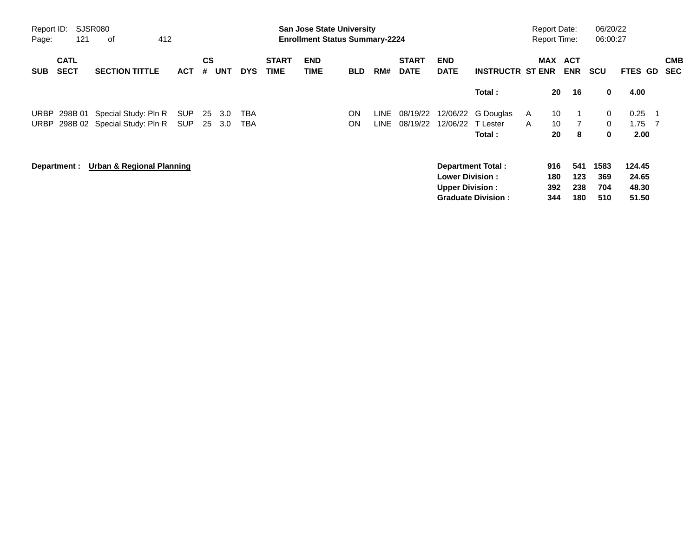| Report ID:<br>Page: | 121                        | SJSR080<br>οf                        | 412        |         |            |            |                             | <b>San Jose State University</b><br><b>Enrollment Status Summary-2224</b> |            |      |                             |                           |                           |   | <b>Report Date:</b><br><b>Report Time:</b> |                          | 06/20/22<br>06:00:27 |         |     |                          |
|---------------------|----------------------------|--------------------------------------|------------|---------|------------|------------|-----------------------------|---------------------------------------------------------------------------|------------|------|-----------------------------|---------------------------|---------------------------|---|--------------------------------------------|--------------------------|----------------------|---------|-----|--------------------------|
| <b>SUB</b>          | <b>CATL</b><br><b>SECT</b> | <b>SECTION TITTLE</b>                | ACT        | CS<br># | <b>UNT</b> | <b>DYS</b> | <b>START</b><br><b>TIME</b> | <b>END</b><br>TIME                                                        | <b>BLD</b> | RM#  | <b>START</b><br><b>DATE</b> | <b>END</b><br><b>DATE</b> | <b>INSTRUCTR ST ENR</b>   |   | MAX                                        | <b>ACT</b><br><b>ENR</b> | <b>SCU</b>           | FTES GD |     | <b>CMB</b><br><b>SEC</b> |
|                     |                            |                                      |            |         |            |            |                             |                                                                           |            |      |                             |                           | Total :                   |   | 20                                         | 16                       | 0                    | 4.00    |     |                          |
| <b>URBP</b>         |                            | 298B 01 Special Study: Pln R         | <b>SUP</b> | 25      | 3.0        | TBA        |                             |                                                                           | ON         | LINE | 08/19/22                    | 12/06/22                  | G Douglas                 | A | 10                                         |                          | 0                    | 0.25    | -1  |                          |
|                     |                            | URBP 298B 02 Special Study: Pln R    | SUP        |         | 25 3.0     | TBA        |                             |                                                                           | ON         | LINE | 08/19/22                    | 12/06/22                  | T Lester                  | A | 10                                         |                          | $\mathbf{0}$         | 1.75    | - 7 |                          |
|                     |                            |                                      |            |         |            |            |                             |                                                                           |            |      |                             |                           | Total :                   |   | 20                                         | 8                        | 0                    | 2.00    |     |                          |
|                     | Department :               | <b>Urban &amp; Regional Planning</b> |            |         |            |            |                             |                                                                           |            |      |                             |                           | <b>Department Total:</b>  |   | 916                                        | 541                      | 1583                 | 124.45  |     |                          |
|                     |                            |                                      |            |         |            |            |                             |                                                                           |            |      |                             | <b>Lower Division :</b>   |                           |   | 180                                        | 123                      | 369                  | 24.65   |     |                          |
|                     |                            |                                      |            |         |            |            |                             |                                                                           |            |      |                             | <b>Upper Division:</b>    |                           |   | 392                                        | 238                      | 704                  | 48.30   |     |                          |
|                     |                            |                                      |            |         |            |            |                             |                                                                           |            |      |                             |                           | <b>Graduate Division:</b> |   | 344                                        | 180                      | 510                  | 51.50   |     |                          |